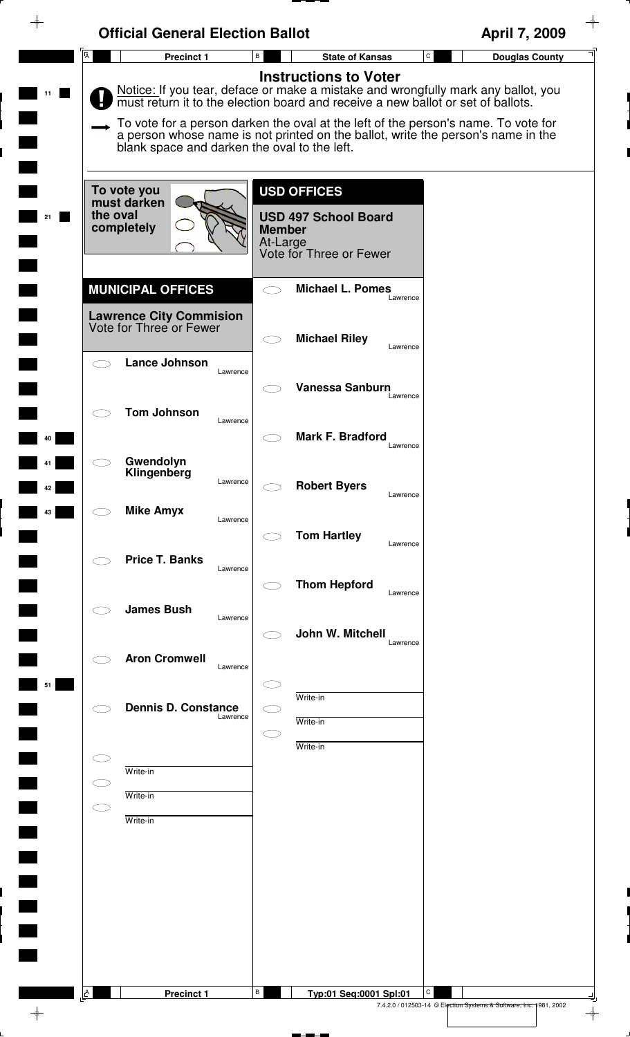| $\color{red} \rightarrow$ | <b>Official General Election Ballot</b>                                               |                                                                                                                                                                                                                                                                                                                                                                                 | April 7, 2009                                                           |
|---------------------------|---------------------------------------------------------------------------------------|---------------------------------------------------------------------------------------------------------------------------------------------------------------------------------------------------------------------------------------------------------------------------------------------------------------------------------------------------------------------------------|-------------------------------------------------------------------------|
|                           | A<br><b>Precinct 1</b>                                                                | $\mathsf{B}$<br>$\mathtt{C}$<br><b>State of Kansas</b>                                                                                                                                                                                                                                                                                                                          | <b>Douglas County</b>                                                   |
|                           | blank space and darken the oval to the left.                                          | <b>Instructions to Voter</b><br>Notice: If you tear, deface or make a mistake and wrongfully mark any ballot, you<br>must return it to the election board and receive a new ballot or set of ballots.<br>To vote for a person darken the oval at the left of the person's name. To vote for<br>a person whose name is not printed on the ballot, write the person's name in the |                                                                         |
| 21                        | To vote you<br>must darken<br>the oval<br>completely                                  | <b>USD OFFICES</b><br><b>USD 497 School Board</b><br><b>Member</b><br>At-Large<br>Vote for Three or Fewer                                                                                                                                                                                                                                                                       |                                                                         |
|                           | <b>MUNICIPAL OFFICES</b><br><b>Lawrence City Commision</b><br>Vote for Three or Fewer | <b>Michael L. Pomes</b><br>Lawrence                                                                                                                                                                                                                                                                                                                                             |                                                                         |
|                           | Lance Johnson<br>Lawrence                                                             | <b>Michael Riley</b><br>Lawrence<br><b>Vanessa Sanburn</b>                                                                                                                                                                                                                                                                                                                      |                                                                         |
| 40                        | <b>Tom Johnson</b><br>Lawrence                                                        | Lawrence<br>Mark F. Bradford<br>Lawrence                                                                                                                                                                                                                                                                                                                                        |                                                                         |
| 42                        | Gwendolyn<br>Klingenberg<br>Lawrence                                                  | <b>Robert Byers</b><br>Lawrence                                                                                                                                                                                                                                                                                                                                                 |                                                                         |
| 43                        | <b>Mike Amyx</b><br>Lawrence<br><b>Price T. Banks</b>                                 | <b>Tom Hartley</b><br>Lawrence                                                                                                                                                                                                                                                                                                                                                  |                                                                         |
|                           | Lawrence<br><b>James Bush</b>                                                         | <b>Thom Hepford</b><br>Lawrence                                                                                                                                                                                                                                                                                                                                                 |                                                                         |
|                           | Lawrence<br><b>Aron Cromwell</b><br>Lawrence                                          | John W. Mitchell<br>Lawrence                                                                                                                                                                                                                                                                                                                                                    |                                                                         |
| 51                        | <b>Dennis D. Constance</b><br>Lawrence                                                | Write-in<br>Write-in                                                                                                                                                                                                                                                                                                                                                            |                                                                         |
|                           | Write-in<br>Write-in                                                                  | Write-in                                                                                                                                                                                                                                                                                                                                                                        |                                                                         |
|                           | Write-in                                                                              |                                                                                                                                                                                                                                                                                                                                                                                 |                                                                         |
|                           |                                                                                       |                                                                                                                                                                                                                                                                                                                                                                                 |                                                                         |
|                           |                                                                                       |                                                                                                                                                                                                                                                                                                                                                                                 |                                                                         |
|                           | $\Delta$<br><b>Precinct 1</b>                                                         | В<br>С<br>Typ:01 Seq:0001 Spl:01                                                                                                                                                                                                                                                                                                                                                | 7.4.2.0 / 012503-14 © Election Systems & Software, Inc. 1981, 2002<br>⊕ |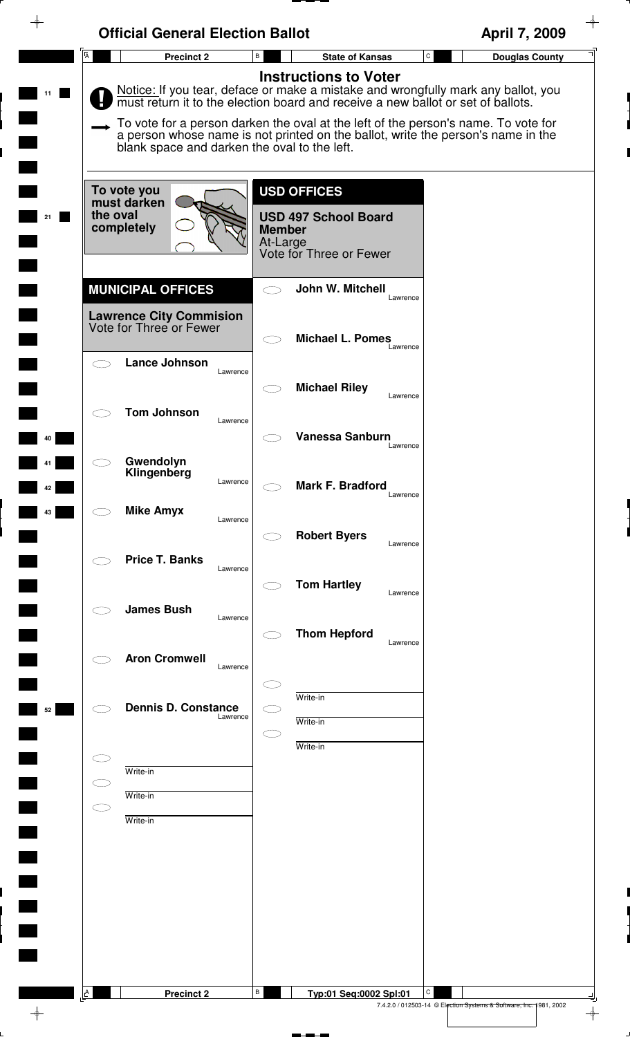| $\overline{\mathsf{A}}$<br>$\mathtt{C}$<br>В<br><b>Precinct 2</b><br><b>State of Kansas</b><br><b>Instructions to Voter</b><br>Notice: If you tear, deface or make a mistake and wrongfully mark any ballot, you<br>must return it to the election board and receive a new ballot or set of ballots.<br>To vote for a person darken the oval at the left of the person's name. To vote for<br>a person whose name is not printed on the ballot, write the person's name in the<br>blank space and darken the oval to the left.<br><b>USD OFFICES</b><br>To vote you<br>must darken<br>the oval<br><b>USD 497 School Board</b><br>completely<br><b>Member</b><br>At-Large<br>Vote for Three or Fewer<br><b>MUNICIPAL OFFICES</b><br>John W. Mitchell<br>Lawrence<br><b>Lawrence City Commision</b><br>Vote for Three or Fewer<br><b>Michael L. Pomes</b><br>Lawrence<br><b>Lance Johnson</b><br>Lawrence<br><b>Michael Riley</b><br>Lawrence<br><b>Tom Johnson</b><br>Lawrence<br><b>Vanessa Sanburn</b><br>40<br>Lawrence<br>Gwendolyn<br>Klingenberg<br>Lawrence<br>Mark F. Bradford<br>42<br>Lawrence<br><b>Mike Amyx</b><br>43<br>Lawrence<br><b>Robert Byers</b><br>Lawrence<br><b>Price T. Banks</b><br>Lawrence<br><b>Tom Hartley</b><br>Lawrence<br><b>James Bush</b><br>Lawrence<br><b>Thom Hepford</b><br>Lawrence<br><b>Aron Cromwell</b><br>Lawrence<br>Write-in<br><b>Dennis D. Constance</b><br>52<br>Lawrence<br>Write-in<br>Write-in<br>Write-in<br>Write-in<br>Write-in | <b>Official General Election Ballot</b> | April 7, 2009         |
|-----------------------------------------------------------------------------------------------------------------------------------------------------------------------------------------------------------------------------------------------------------------------------------------------------------------------------------------------------------------------------------------------------------------------------------------------------------------------------------------------------------------------------------------------------------------------------------------------------------------------------------------------------------------------------------------------------------------------------------------------------------------------------------------------------------------------------------------------------------------------------------------------------------------------------------------------------------------------------------------------------------------------------------------------------------------------------------------------------------------------------------------------------------------------------------------------------------------------------------------------------------------------------------------------------------------------------------------------------------------------------------------------------------------------------------------------------------------------------------------|-----------------------------------------|-----------------------|
|                                                                                                                                                                                                                                                                                                                                                                                                                                                                                                                                                                                                                                                                                                                                                                                                                                                                                                                                                                                                                                                                                                                                                                                                                                                                                                                                                                                                                                                                                         |                                         | <b>Douglas County</b> |
|                                                                                                                                                                                                                                                                                                                                                                                                                                                                                                                                                                                                                                                                                                                                                                                                                                                                                                                                                                                                                                                                                                                                                                                                                                                                                                                                                                                                                                                                                         |                                         |                       |
|                                                                                                                                                                                                                                                                                                                                                                                                                                                                                                                                                                                                                                                                                                                                                                                                                                                                                                                                                                                                                                                                                                                                                                                                                                                                                                                                                                                                                                                                                         |                                         |                       |
|                                                                                                                                                                                                                                                                                                                                                                                                                                                                                                                                                                                                                                                                                                                                                                                                                                                                                                                                                                                                                                                                                                                                                                                                                                                                                                                                                                                                                                                                                         |                                         |                       |
|                                                                                                                                                                                                                                                                                                                                                                                                                                                                                                                                                                                                                                                                                                                                                                                                                                                                                                                                                                                                                                                                                                                                                                                                                                                                                                                                                                                                                                                                                         |                                         |                       |
|                                                                                                                                                                                                                                                                                                                                                                                                                                                                                                                                                                                                                                                                                                                                                                                                                                                                                                                                                                                                                                                                                                                                                                                                                                                                                                                                                                                                                                                                                         |                                         |                       |
|                                                                                                                                                                                                                                                                                                                                                                                                                                                                                                                                                                                                                                                                                                                                                                                                                                                                                                                                                                                                                                                                                                                                                                                                                                                                                                                                                                                                                                                                                         |                                         |                       |
|                                                                                                                                                                                                                                                                                                                                                                                                                                                                                                                                                                                                                                                                                                                                                                                                                                                                                                                                                                                                                                                                                                                                                                                                                                                                                                                                                                                                                                                                                         |                                         |                       |
|                                                                                                                                                                                                                                                                                                                                                                                                                                                                                                                                                                                                                                                                                                                                                                                                                                                                                                                                                                                                                                                                                                                                                                                                                                                                                                                                                                                                                                                                                         |                                         |                       |
|                                                                                                                                                                                                                                                                                                                                                                                                                                                                                                                                                                                                                                                                                                                                                                                                                                                                                                                                                                                                                                                                                                                                                                                                                                                                                                                                                                                                                                                                                         |                                         |                       |
|                                                                                                                                                                                                                                                                                                                                                                                                                                                                                                                                                                                                                                                                                                                                                                                                                                                                                                                                                                                                                                                                                                                                                                                                                                                                                                                                                                                                                                                                                         |                                         |                       |
|                                                                                                                                                                                                                                                                                                                                                                                                                                                                                                                                                                                                                                                                                                                                                                                                                                                                                                                                                                                                                                                                                                                                                                                                                                                                                                                                                                                                                                                                                         |                                         |                       |
|                                                                                                                                                                                                                                                                                                                                                                                                                                                                                                                                                                                                                                                                                                                                                                                                                                                                                                                                                                                                                                                                                                                                                                                                                                                                                                                                                                                                                                                                                         |                                         |                       |
|                                                                                                                                                                                                                                                                                                                                                                                                                                                                                                                                                                                                                                                                                                                                                                                                                                                                                                                                                                                                                                                                                                                                                                                                                                                                                                                                                                                                                                                                                         |                                         |                       |
|                                                                                                                                                                                                                                                                                                                                                                                                                                                                                                                                                                                                                                                                                                                                                                                                                                                                                                                                                                                                                                                                                                                                                                                                                                                                                                                                                                                                                                                                                         |                                         |                       |
|                                                                                                                                                                                                                                                                                                                                                                                                                                                                                                                                                                                                                                                                                                                                                                                                                                                                                                                                                                                                                                                                                                                                                                                                                                                                                                                                                                                                                                                                                         |                                         |                       |
|                                                                                                                                                                                                                                                                                                                                                                                                                                                                                                                                                                                                                                                                                                                                                                                                                                                                                                                                                                                                                                                                                                                                                                                                                                                                                                                                                                                                                                                                                         |                                         |                       |
| $\Delta$<br>В                                                                                                                                                                                                                                                                                                                                                                                                                                                                                                                                                                                                                                                                                                                                                                                                                                                                                                                                                                                                                                                                                                                                                                                                                                                                                                                                                                                                                                                                           |                                         |                       |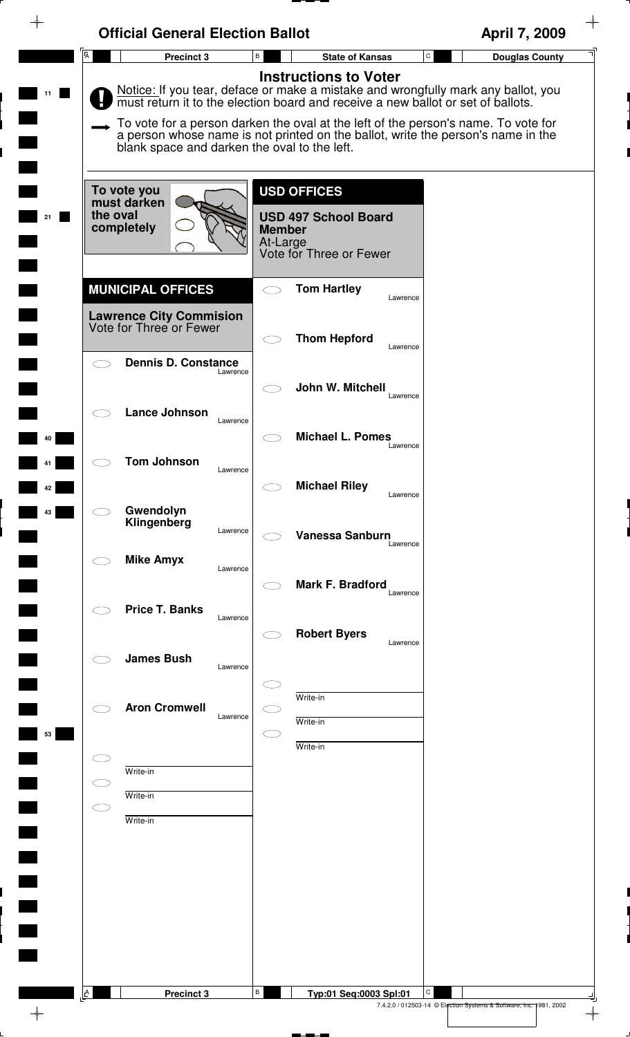|                         | <b>Official General Election Ballot</b>                                               |                                                                                                                                                                                                                                                                                                                                                                                 | April 7, 2009                         |
|-------------------------|---------------------------------------------------------------------------------------|---------------------------------------------------------------------------------------------------------------------------------------------------------------------------------------------------------------------------------------------------------------------------------------------------------------------------------------------------------------------------------|---------------------------------------|
| $\overline{\mathsf{A}}$ | <b>Precinct 3</b>                                                                     | В<br><b>State of Kansas</b>                                                                                                                                                                                                                                                                                                                                                     | $\mathtt{C}$<br><b>Douglas County</b> |
|                         | blank space and darken the oval to the left.                                          | <b>Instructions to Voter</b><br>Notice: If you tear, deface or make a mistake and wrongfully mark any ballot, you<br>must return it to the election board and receive a new ballot or set of ballots.<br>To vote for a person darken the oval at the left of the person's name. To vote for<br>a person whose name is not printed on the ballot, write the person's name in the |                                       |
|                         | To vote you<br>must darken<br>the oval<br>completely                                  | <b>USD OFFICES</b><br><b>USD 497 School Board</b><br><b>Member</b><br>At-Large<br>Vote for Three or Fewer                                                                                                                                                                                                                                                                       |                                       |
|                         | <b>MUNICIPAL OFFICES</b><br><b>Lawrence City Commision</b><br>Vote for Three or Fewer | <b>Tom Hartley</b><br>Lawrence                                                                                                                                                                                                                                                                                                                                                  |                                       |
|                         | <b>Dennis D. Constance</b><br>Lawrence                                                | <b>Thom Hepford</b><br>Lawrence<br>John W. Mitchell                                                                                                                                                                                                                                                                                                                             |                                       |
|                         | <b>Lance Johnson</b><br>Lawrence                                                      | Lawrence<br><b>Michael L. Pomes</b><br>Lawrence                                                                                                                                                                                                                                                                                                                                 |                                       |
|                         | <b>Tom Johnson</b><br>Lawrence                                                        | <b>Michael Riley</b><br>Lawrence                                                                                                                                                                                                                                                                                                                                                |                                       |
| 43                      | Gwendolyn<br>Klingenberg<br>Lawrence<br><b>Mike Amyx</b>                              | <b>Vanessa Sanburn</b><br>Lawrence                                                                                                                                                                                                                                                                                                                                              |                                       |
|                         | Lawrence<br><b>Price T. Banks</b>                                                     | Mark F. Bradford<br>Lawrence                                                                                                                                                                                                                                                                                                                                                    |                                       |
|                         | Lawrence<br><b>James Bush</b><br>Lawrence                                             | <b>Robert Byers</b><br>Lawrence                                                                                                                                                                                                                                                                                                                                                 |                                       |
| 53                      | <b>Aron Cromwell</b><br>Lawrence                                                      | Write-in<br>Write-in                                                                                                                                                                                                                                                                                                                                                            |                                       |
|                         | Write-in<br>Write-in                                                                  | Write-in                                                                                                                                                                                                                                                                                                                                                                        |                                       |
|                         | Write-in                                                                              |                                                                                                                                                                                                                                                                                                                                                                                 |                                       |
|                         |                                                                                       |                                                                                                                                                                                                                                                                                                                                                                                 |                                       |
| A                       | <b>Precinct 3</b>                                                                     | В<br>Typ:01 Seq:0003 Spl:01                                                                                                                                                                                                                                                                                                                                                     | С                                     |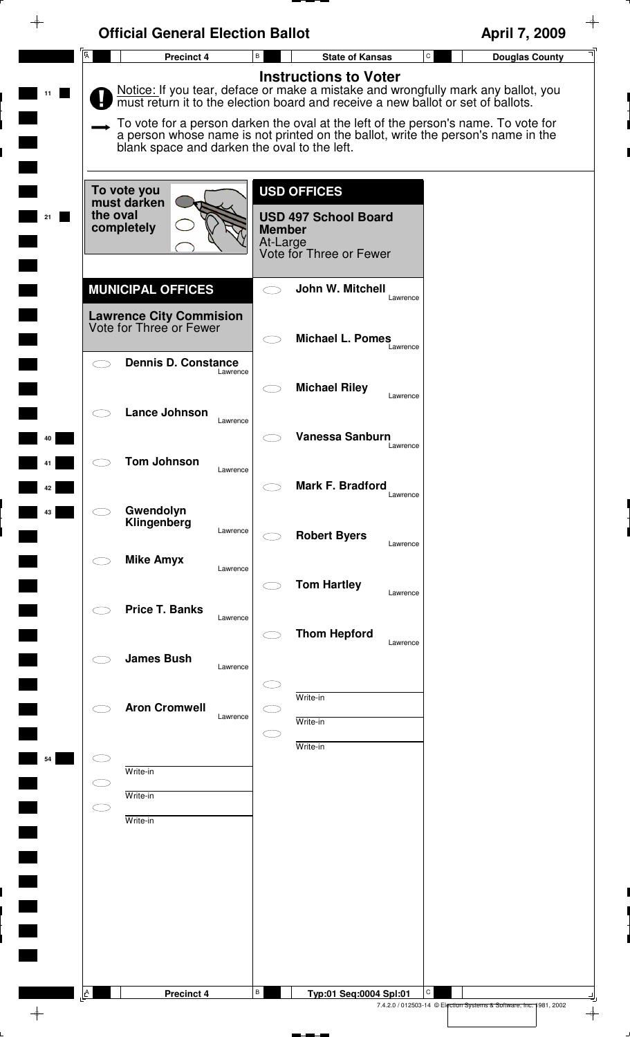|   | <b>Official General Election Ballot</b>                   |                                                                                                                                                                                                                                                                                                                                                                                 | April 7, 2009                         |
|---|-----------------------------------------------------------|---------------------------------------------------------------------------------------------------------------------------------------------------------------------------------------------------------------------------------------------------------------------------------------------------------------------------------------------------------------------------------|---------------------------------------|
| Ā | Precinct 4                                                | В<br><b>State of Kansas</b>                                                                                                                                                                                                                                                                                                                                                     | $\mathtt{C}$<br><b>Douglas County</b> |
|   | blank space and darken the oval to the left.              | <b>Instructions to Voter</b><br>Notice: If you tear, deface or make a mistake and wrongfully mark any ballot, you<br>must return it to the election board and receive a new ballot or set of ballots.<br>To vote for a person darken the oval at the left of the person's name. To vote for<br>a person whose name is not printed on the ballot, write the person's name in the |                                       |
|   | To vote you<br>must darken<br>the oval                    | <b>USD OFFICES</b>                                                                                                                                                                                                                                                                                                                                                              |                                       |
|   | completely                                                | <b>USD 497 School Board</b><br><b>Member</b><br>At-Large<br>Vote for Three or Fewer                                                                                                                                                                                                                                                                                             |                                       |
|   | <b>MUNICIPAL OFFICES</b>                                  | John W. Mitchell<br>Lawrence                                                                                                                                                                                                                                                                                                                                                    |                                       |
|   | <b>Lawrence City Commision</b><br>Vote for Three or Fewer | <b>Michael L. Pomes</b><br>Lawrence                                                                                                                                                                                                                                                                                                                                             |                                       |
|   | <b>Dennis D. Constance</b><br>Lawrence                    |                                                                                                                                                                                                                                                                                                                                                                                 |                                       |
|   | <b>Lance Johnson</b><br>Lawrence                          | <b>Michael Riley</b><br>Lawrence                                                                                                                                                                                                                                                                                                                                                |                                       |
|   | <b>Tom Johnson</b>                                        | Vanessa Sanburn<br>Lawrence                                                                                                                                                                                                                                                                                                                                                     |                                       |
|   | Lawrence                                                  | Mark F. Bradford<br>Lawrence                                                                                                                                                                                                                                                                                                                                                    |                                       |
|   | Gwendolyn<br>Klingenberg<br>Lawrence                      | <b>Robert Byers</b>                                                                                                                                                                                                                                                                                                                                                             |                                       |
|   | <b>Mike Amyx</b><br>Lawrence                              | Lawrence                                                                                                                                                                                                                                                                                                                                                                        |                                       |
|   | <b>Price T. Banks</b><br>Lawrence                         | <b>Tom Hartley</b><br>Lawrence                                                                                                                                                                                                                                                                                                                                                  |                                       |
|   | <b>James Bush</b>                                         | <b>Thom Hepford</b><br>Lawrence                                                                                                                                                                                                                                                                                                                                                 |                                       |
|   | Lawrence                                                  | Write-in                                                                                                                                                                                                                                                                                                                                                                        |                                       |
|   | <b>Aron Cromwell</b><br>Lawrence                          | Write-in                                                                                                                                                                                                                                                                                                                                                                        |                                       |
|   | Write-in                                                  | Write-in                                                                                                                                                                                                                                                                                                                                                                        |                                       |
|   | Write-in                                                  |                                                                                                                                                                                                                                                                                                                                                                                 |                                       |
|   | Write-in                                                  |                                                                                                                                                                                                                                                                                                                                                                                 |                                       |
|   |                                                           |                                                                                                                                                                                                                                                                                                                                                                                 |                                       |
|   |                                                           |                                                                                                                                                                                                                                                                                                                                                                                 |                                       |
|   |                                                           |                                                                                                                                                                                                                                                                                                                                                                                 |                                       |
| A | <b>Precinct 4</b>                                         | B<br>Typ:01 Seq:0004 Spl:01                                                                                                                                                                                                                                                                                                                                                     | С                                     |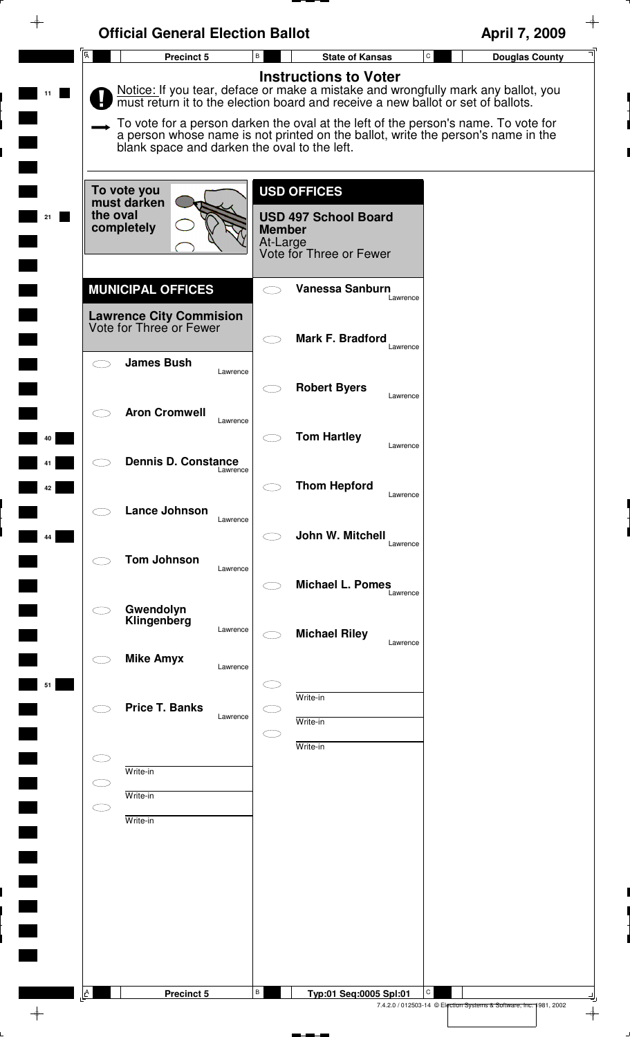| <b>Instructions to Voter</b><br>Notice: If you tear, deface or make a mistake and wrongfully mark any ballot, you<br>must return it to the election board and receive a new ballot or set of ballots.<br>To vote for a person darken the oval at the left of the person's name. To vote for<br>a person whose name is not printed on the ballot, write the person's name in the<br>blank space and darken the oval to the left.<br><b>USD OFFICES</b><br>To vote you<br>must darken<br>the oval<br><b>USD 497 School Board</b><br>completely<br><b>Member</b><br>At-Large<br>Vote for Three or Fewer<br><b>MUNICIPAL OFFICES</b><br>Vanessa Sanburn<br>Lawrence<br><b>Lawrence City Commision</b><br>Vote for Three or Fewer<br><b>Mark F. Bradford</b><br>Lawrence<br><b>James Bush</b><br>Lawrence<br><b>Robert Byers</b><br>Lawrence<br><b>Aron Cromwell</b><br>Lawrence<br><b>Tom Hartley</b><br>Lawrence<br><b>Dennis D. Constance</b><br>Lawrence<br><b>Thom Hepford</b><br>Lawrence<br><b>Lance Johnson</b><br>Lawrence<br>John W. Mitchell<br>Lawrence<br><b>Tom Johnson</b><br>Lawrence<br><b>Michael L. Pomes</b><br>Lawrence<br>Gwendolyn<br>Klingenberg<br>Lawrence<br><b>Michael Riley</b><br>Lawrence<br><b>Mike Amyx</b><br>Lawrence<br>Write-in<br><b>Price T. Banks</b><br>Lawrence<br>Write-in<br>Write-in<br>Write-in<br>Write-in<br>C<br>Write-in | <b>Official General Election Ballot</b> |                             | April 7, 2009                         |
|-----------------------------------------------------------------------------------------------------------------------------------------------------------------------------------------------------------------------------------------------------------------------------------------------------------------------------------------------------------------------------------------------------------------------------------------------------------------------------------------------------------------------------------------------------------------------------------------------------------------------------------------------------------------------------------------------------------------------------------------------------------------------------------------------------------------------------------------------------------------------------------------------------------------------------------------------------------------------------------------------------------------------------------------------------------------------------------------------------------------------------------------------------------------------------------------------------------------------------------------------------------------------------------------------------------------------------------------------------------------------|-----------------------------------------|-----------------------------|---------------------------------------|
|                                                                                                                                                                                                                                                                                                                                                                                                                                                                                                                                                                                                                                                                                                                                                                                                                                                                                                                                                                                                                                                                                                                                                                                                                                                                                                                                                                       | $\overline{\mathsf{A}}$<br>Precinct 5   | В<br><b>State of Kansas</b> | $\mathtt{C}$<br><b>Douglas County</b> |
|                                                                                                                                                                                                                                                                                                                                                                                                                                                                                                                                                                                                                                                                                                                                                                                                                                                                                                                                                                                                                                                                                                                                                                                                                                                                                                                                                                       |                                         |                             |                                       |
|                                                                                                                                                                                                                                                                                                                                                                                                                                                                                                                                                                                                                                                                                                                                                                                                                                                                                                                                                                                                                                                                                                                                                                                                                                                                                                                                                                       |                                         |                             |                                       |
|                                                                                                                                                                                                                                                                                                                                                                                                                                                                                                                                                                                                                                                                                                                                                                                                                                                                                                                                                                                                                                                                                                                                                                                                                                                                                                                                                                       |                                         |                             |                                       |
|                                                                                                                                                                                                                                                                                                                                                                                                                                                                                                                                                                                                                                                                                                                                                                                                                                                                                                                                                                                                                                                                                                                                                                                                                                                                                                                                                                       |                                         |                             |                                       |
|                                                                                                                                                                                                                                                                                                                                                                                                                                                                                                                                                                                                                                                                                                                                                                                                                                                                                                                                                                                                                                                                                                                                                                                                                                                                                                                                                                       |                                         |                             |                                       |
|                                                                                                                                                                                                                                                                                                                                                                                                                                                                                                                                                                                                                                                                                                                                                                                                                                                                                                                                                                                                                                                                                                                                                                                                                                                                                                                                                                       |                                         |                             |                                       |
|                                                                                                                                                                                                                                                                                                                                                                                                                                                                                                                                                                                                                                                                                                                                                                                                                                                                                                                                                                                                                                                                                                                                                                                                                                                                                                                                                                       |                                         |                             |                                       |
|                                                                                                                                                                                                                                                                                                                                                                                                                                                                                                                                                                                                                                                                                                                                                                                                                                                                                                                                                                                                                                                                                                                                                                                                                                                                                                                                                                       |                                         |                             |                                       |
|                                                                                                                                                                                                                                                                                                                                                                                                                                                                                                                                                                                                                                                                                                                                                                                                                                                                                                                                                                                                                                                                                                                                                                                                                                                                                                                                                                       |                                         |                             |                                       |
|                                                                                                                                                                                                                                                                                                                                                                                                                                                                                                                                                                                                                                                                                                                                                                                                                                                                                                                                                                                                                                                                                                                                                                                                                                                                                                                                                                       |                                         |                             |                                       |
|                                                                                                                                                                                                                                                                                                                                                                                                                                                                                                                                                                                                                                                                                                                                                                                                                                                                                                                                                                                                                                                                                                                                                                                                                                                                                                                                                                       |                                         |                             |                                       |
|                                                                                                                                                                                                                                                                                                                                                                                                                                                                                                                                                                                                                                                                                                                                                                                                                                                                                                                                                                                                                                                                                                                                                                                                                                                                                                                                                                       |                                         |                             |                                       |
|                                                                                                                                                                                                                                                                                                                                                                                                                                                                                                                                                                                                                                                                                                                                                                                                                                                                                                                                                                                                                                                                                                                                                                                                                                                                                                                                                                       |                                         |                             |                                       |
|                                                                                                                                                                                                                                                                                                                                                                                                                                                                                                                                                                                                                                                                                                                                                                                                                                                                                                                                                                                                                                                                                                                                                                                                                                                                                                                                                                       |                                         |                             |                                       |
|                                                                                                                                                                                                                                                                                                                                                                                                                                                                                                                                                                                                                                                                                                                                                                                                                                                                                                                                                                                                                                                                                                                                                                                                                                                                                                                                                                       |                                         |                             |                                       |
|                                                                                                                                                                                                                                                                                                                                                                                                                                                                                                                                                                                                                                                                                                                                                                                                                                                                                                                                                                                                                                                                                                                                                                                                                                                                                                                                                                       |                                         |                             |                                       |
|                                                                                                                                                                                                                                                                                                                                                                                                                                                                                                                                                                                                                                                                                                                                                                                                                                                                                                                                                                                                                                                                                                                                                                                                                                                                                                                                                                       |                                         |                             |                                       |
|                                                                                                                                                                                                                                                                                                                                                                                                                                                                                                                                                                                                                                                                                                                                                                                                                                                                                                                                                                                                                                                                                                                                                                                                                                                                                                                                                                       |                                         |                             |                                       |
|                                                                                                                                                                                                                                                                                                                                                                                                                                                                                                                                                                                                                                                                                                                                                                                                                                                                                                                                                                                                                                                                                                                                                                                                                                                                                                                                                                       |                                         |                             |                                       |
|                                                                                                                                                                                                                                                                                                                                                                                                                                                                                                                                                                                                                                                                                                                                                                                                                                                                                                                                                                                                                                                                                                                                                                                                                                                                                                                                                                       |                                         |                             |                                       |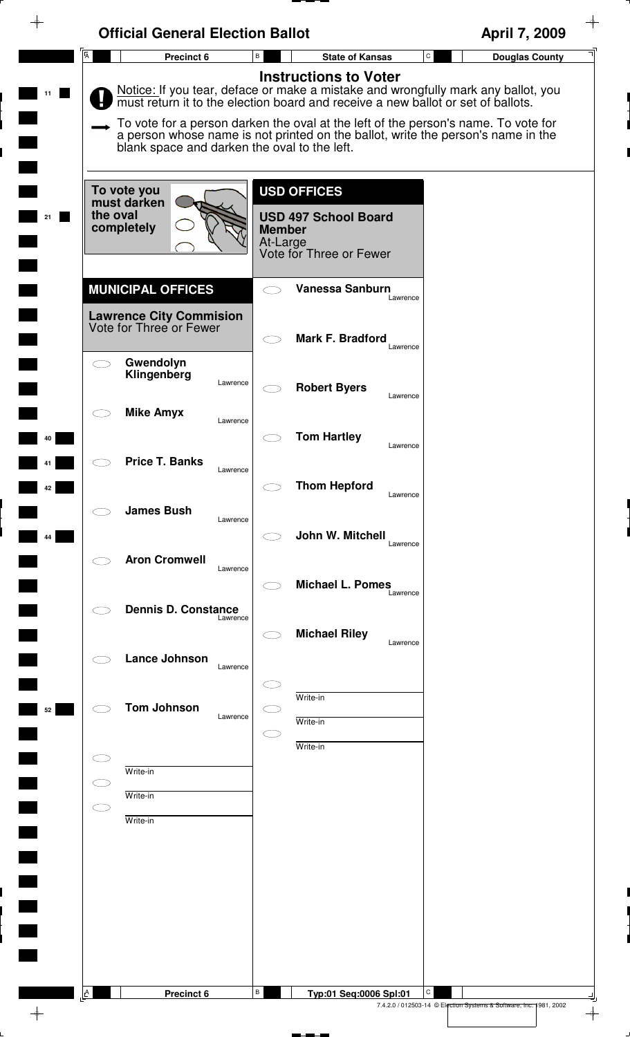|                | <b>Official General Election Ballot</b>                   |                                                                                                                                                                                                                                                                                                                                                                                 | April 7, 2009              |
|----------------|-----------------------------------------------------------|---------------------------------------------------------------------------------------------------------------------------------------------------------------------------------------------------------------------------------------------------------------------------------------------------------------------------------------------------------------------------------|----------------------------|
| $\overline{A}$ | Precinct 6                                                | B<br><b>State of Kansas</b>                                                                                                                                                                                                                                                                                                                                                     | C<br><b>Douglas County</b> |
|                | blank space and darken the oval to the left.              | <b>Instructions to Voter</b><br>Notice: If you tear, deface or make a mistake and wrongfully mark any ballot, you<br>must return it to the election board and receive a new ballot or set of ballots.<br>To vote for a person darken the oval at the left of the person's name. To vote for<br>a person whose name is not printed on the ballot, write the person's name in the |                            |
| the oval       | To vote you<br>must darken<br>completely                  | <b>USD OFFICES</b><br><b>USD 497 School Board</b><br><b>Member</b><br>At-Large<br>Vote for Three or Fewer                                                                                                                                                                                                                                                                       |                            |
|                | <b>MUNICIPAL OFFICES</b>                                  | Vanessa Sanburn<br>Lawrence                                                                                                                                                                                                                                                                                                                                                     |                            |
|                | <b>Lawrence City Commision</b><br>Vote for Three or Fewer | <b>Mark F. Bradford</b><br>Lawrence                                                                                                                                                                                                                                                                                                                                             |                            |
|                | Gwendolyn<br>Klingenberg<br>Lawrence                      | <b>Robert Byers</b><br>Lawrence                                                                                                                                                                                                                                                                                                                                                 |                            |
|                | <b>Mike Amyx</b><br>Lawrence                              | <b>Tom Hartley</b>                                                                                                                                                                                                                                                                                                                                                              |                            |
|                | <b>Price T. Banks</b><br>Lawrence                         | Lawrence<br><b>Thom Hepford</b>                                                                                                                                                                                                                                                                                                                                                 |                            |
|                | <b>James Bush</b><br>Lawrence                             | Lawrence<br>John W. Mitchell                                                                                                                                                                                                                                                                                                                                                    |                            |
|                | <b>Aron Cromwell</b><br>Lawrence                          | Lawrence<br><b>Michael L. Pomes</b>                                                                                                                                                                                                                                                                                                                                             |                            |
|                | <b>Dennis D. Constance</b><br>Lawrence                    | Lawrence                                                                                                                                                                                                                                                                                                                                                                        |                            |
|                | <b>Lance Johnson</b><br>Lawrence                          | <b>Michael Riley</b><br>Lawrence                                                                                                                                                                                                                                                                                                                                                |                            |
|                | <b>Tom Johnson</b><br>Lawrence                            | Write-in<br>Write-in                                                                                                                                                                                                                                                                                                                                                            |                            |
|                |                                                           | Write-in                                                                                                                                                                                                                                                                                                                                                                        |                            |
|                | Write-in                                                  |                                                                                                                                                                                                                                                                                                                                                                                 |                            |
|                | Write-in                                                  |                                                                                                                                                                                                                                                                                                                                                                                 |                            |
|                | Write-in                                                  |                                                                                                                                                                                                                                                                                                                                                                                 |                            |
|                |                                                           |                                                                                                                                                                                                                                                                                                                                                                                 |                            |
|                |                                                           |                                                                                                                                                                                                                                                                                                                                                                                 |                            |
|                |                                                           |                                                                                                                                                                                                                                                                                                                                                                                 |                            |
|                |                                                           |                                                                                                                                                                                                                                                                                                                                                                                 |                            |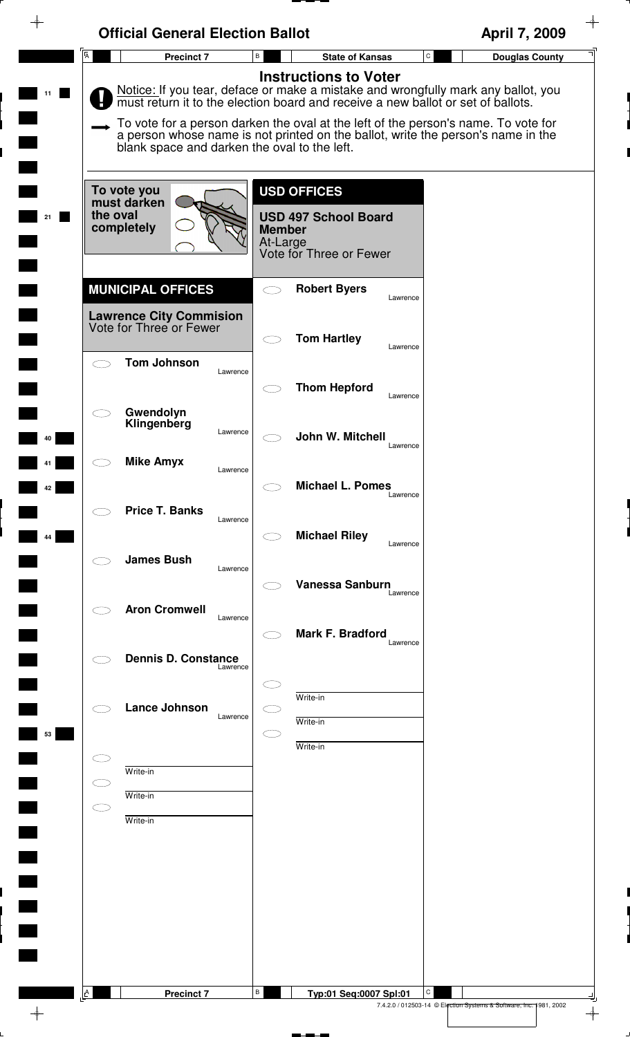| ⊕  | <b>Official General Election Ballot</b>                                               |                                                                                                                                                                                                                                                                                                                                                                                 | $\rightarrow$<br>April 7, 2009                                                      |
|----|---------------------------------------------------------------------------------------|---------------------------------------------------------------------------------------------------------------------------------------------------------------------------------------------------------------------------------------------------------------------------------------------------------------------------------------------------------------------------------|-------------------------------------------------------------------------------------|
|    | $\overline{A}$<br><b>Precinct 7</b>                                                   | $\mathtt{C}$<br>B<br><b>State of Kansas</b>                                                                                                                                                                                                                                                                                                                                     | <b>Douglas County</b>                                                               |
|    | blank space and darken the oval to the left.                                          | <b>Instructions to Voter</b><br>Notice: If you tear, deface or make a mistake and wrongfully mark any ballot, you<br>must return it to the election board and receive a new ballot or set of ballots.<br>To vote for a person darken the oval at the left of the person's name. To vote for<br>a person whose name is not printed on the ballot, write the person's name in the |                                                                                     |
| 21 | To vote you<br>must darken<br>the oval<br>completely                                  | <b>USD OFFICES</b><br><b>USD 497 School Board</b><br><b>Member</b><br>At-Large<br>Vote for Three or Fewer                                                                                                                                                                                                                                                                       |                                                                                     |
|    | <b>MUNICIPAL OFFICES</b><br><b>Lawrence City Commision</b><br>Vote for Three or Fewer | <b>Robert Byers</b><br>Lawrence                                                                                                                                                                                                                                                                                                                                                 |                                                                                     |
|    | <b>Tom Johnson</b><br>Lawrence                                                        | <b>Tom Hartley</b><br>Lawrence                                                                                                                                                                                                                                                                                                                                                  |                                                                                     |
| 40 | Gwendolyn<br>Klingenberg<br>Lawrence                                                  | <b>Thom Hepford</b><br>Lawrence<br>John W. Mitchell                                                                                                                                                                                                                                                                                                                             |                                                                                     |
| 42 | <b>Mike Amyx</b><br>Lawrence                                                          | Lawrence<br><b>Michael L. Pomes</b><br>Lawrence                                                                                                                                                                                                                                                                                                                                 |                                                                                     |
| 44 | <b>Price T. Banks</b><br>Lawrence                                                     | <b>Michael Riley</b><br>Lawrence                                                                                                                                                                                                                                                                                                                                                |                                                                                     |
|    | <b>James Bush</b><br>Lawrence<br><b>Aron Cromwell</b>                                 | <b>Vanessa Sanburn</b><br>Lawrence                                                                                                                                                                                                                                                                                                                                              |                                                                                     |
|    | Lawrence<br><b>Dennis D. Constance</b>                                                | Mark F. Bradford<br>Lawrence                                                                                                                                                                                                                                                                                                                                                    |                                                                                     |
|    | Lawrence<br><b>Lance Johnson</b><br>Lawrence                                          | Write-in<br>Write-in                                                                                                                                                                                                                                                                                                                                                            |                                                                                     |
| 53 | Write-in                                                                              | Write-in                                                                                                                                                                                                                                                                                                                                                                        |                                                                                     |
|    | Write-in<br>CE<br>Write-in                                                            |                                                                                                                                                                                                                                                                                                                                                                                 |                                                                                     |
|    |                                                                                       |                                                                                                                                                                                                                                                                                                                                                                                 |                                                                                     |
|    |                                                                                       |                                                                                                                                                                                                                                                                                                                                                                                 |                                                                                     |
|    | $\Delta$<br><b>Precinct 7</b>                                                         | В<br>С<br>Typ:01 Seq:0007 Spl:01                                                                                                                                                                                                                                                                                                                                                | 7.4.2.0 / 012503-14 © Election Systems & Software, Inc. 1981, 2002<br>$\rightarrow$ |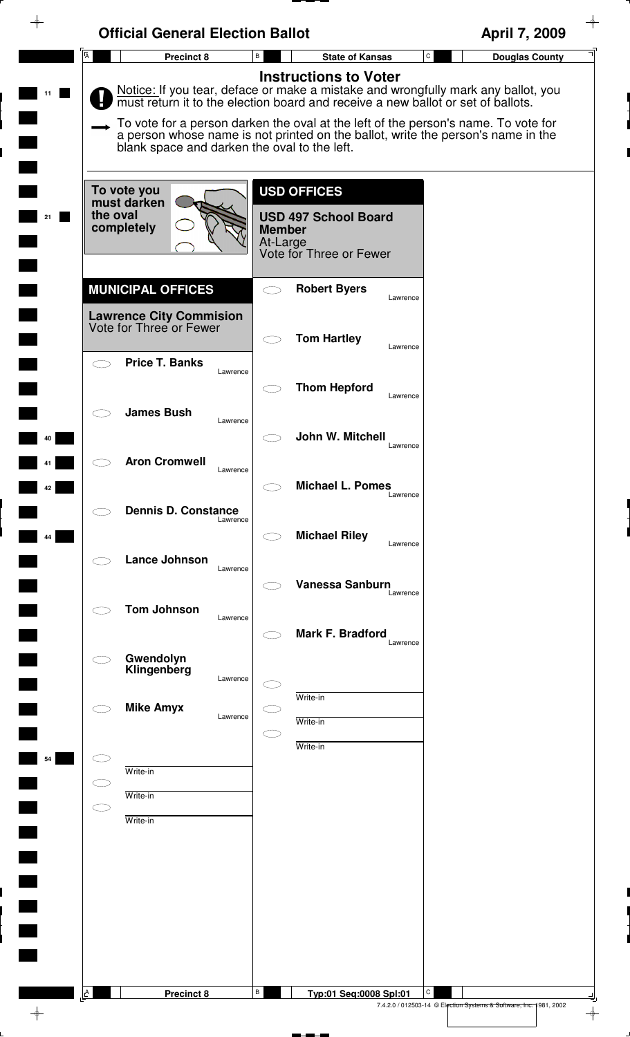| $\mathsf{C}$<br>В<br>Precinct 8<br><b>State of Kansas</b><br><b>Instructions to Voter</b><br>must return it to the election board and receive a new ballot or set of ballots.<br>blank space and darken the oval to the left.<br><b>USD OFFICES</b><br>To vote you<br>must darken<br>the oval<br><b>USD 497 School Board</b><br>completely<br><b>Member</b><br>At-Large<br>Vote for Three or Fewer<br><b>MUNICIPAL OFFICES</b><br><b>Robert Byers</b><br>Lawrence<br><b>Lawrence City Commision</b><br>Vote for Three or Fewer<br><b>Tom Hartley</b><br>Lawrence<br><b>Price T. Banks</b><br>Lawrence<br><b>Thom Hepford</b><br>Lawrence<br><b>James Bush</b><br>Lawrence<br>John W. Mitchell<br>Lawrence<br><b>Aron Cromwell</b><br>Lawrence<br><b>Michael L. Pomes</b><br>Lawrence<br><b>Dennis D. Constance</b><br>Lawrence<br><b>Michael Riley</b><br>Lawrence<br><b>Lance Johnson</b><br>Lawrence<br><b>Vanessa Sanburn</b><br>Lawrence<br><b>Tom Johnson</b><br>Lawrence<br>Mark F. Bradford<br>Lawrence<br>Gwendolyn<br>Klingenberg<br>Lawrence<br>Write-in<br><b>Mike Amyx</b><br>Lawrence<br>Write-in<br>Write-in<br>Write-in<br>Write-in<br>Write-in | Notice: If you tear, deface or make a mistake and wrongfully mark any ballot, you<br>To vote for a person darken the oval at the left of the person's name. To vote for<br>a person whose name is not printed on the ballot, write the person's name in the |                | <b>Official General Election Ballot</b> |                                  | April 7, 2009         |
|----------------------------------------------------------------------------------------------------------------------------------------------------------------------------------------------------------------------------------------------------------------------------------------------------------------------------------------------------------------------------------------------------------------------------------------------------------------------------------------------------------------------------------------------------------------------------------------------------------------------------------------------------------------------------------------------------------------------------------------------------------------------------------------------------------------------------------------------------------------------------------------------------------------------------------------------------------------------------------------------------------------------------------------------------------------------------------------------------------------------------------------------------------------|-------------------------------------------------------------------------------------------------------------------------------------------------------------------------------------------------------------------------------------------------------------|----------------|-----------------------------------------|----------------------------------|-----------------------|
|                                                                                                                                                                                                                                                                                                                                                                                                                                                                                                                                                                                                                                                                                                                                                                                                                                                                                                                                                                                                                                                                                                                                                                |                                                                                                                                                                                                                                                             | $\overline{A}$ |                                         |                                  | <b>Douglas County</b> |
|                                                                                                                                                                                                                                                                                                                                                                                                                                                                                                                                                                                                                                                                                                                                                                                                                                                                                                                                                                                                                                                                                                                                                                |                                                                                                                                                                                                                                                             |                |                                         |                                  |                       |
|                                                                                                                                                                                                                                                                                                                                                                                                                                                                                                                                                                                                                                                                                                                                                                                                                                                                                                                                                                                                                                                                                                                                                                |                                                                                                                                                                                                                                                             |                |                                         |                                  |                       |
|                                                                                                                                                                                                                                                                                                                                                                                                                                                                                                                                                                                                                                                                                                                                                                                                                                                                                                                                                                                                                                                                                                                                                                |                                                                                                                                                                                                                                                             |                |                                         |                                  |                       |
|                                                                                                                                                                                                                                                                                                                                                                                                                                                                                                                                                                                                                                                                                                                                                                                                                                                                                                                                                                                                                                                                                                                                                                |                                                                                                                                                                                                                                                             |                |                                         |                                  |                       |
|                                                                                                                                                                                                                                                                                                                                                                                                                                                                                                                                                                                                                                                                                                                                                                                                                                                                                                                                                                                                                                                                                                                                                                |                                                                                                                                                                                                                                                             |                |                                         |                                  |                       |
|                                                                                                                                                                                                                                                                                                                                                                                                                                                                                                                                                                                                                                                                                                                                                                                                                                                                                                                                                                                                                                                                                                                                                                |                                                                                                                                                                                                                                                             |                |                                         |                                  |                       |
|                                                                                                                                                                                                                                                                                                                                                                                                                                                                                                                                                                                                                                                                                                                                                                                                                                                                                                                                                                                                                                                                                                                                                                |                                                                                                                                                                                                                                                             |                |                                         |                                  |                       |
|                                                                                                                                                                                                                                                                                                                                                                                                                                                                                                                                                                                                                                                                                                                                                                                                                                                                                                                                                                                                                                                                                                                                                                |                                                                                                                                                                                                                                                             |                |                                         |                                  |                       |
|                                                                                                                                                                                                                                                                                                                                                                                                                                                                                                                                                                                                                                                                                                                                                                                                                                                                                                                                                                                                                                                                                                                                                                |                                                                                                                                                                                                                                                             |                |                                         |                                  |                       |
|                                                                                                                                                                                                                                                                                                                                                                                                                                                                                                                                                                                                                                                                                                                                                                                                                                                                                                                                                                                                                                                                                                                                                                |                                                                                                                                                                                                                                                             |                |                                         |                                  |                       |
|                                                                                                                                                                                                                                                                                                                                                                                                                                                                                                                                                                                                                                                                                                                                                                                                                                                                                                                                                                                                                                                                                                                                                                |                                                                                                                                                                                                                                                             |                |                                         |                                  |                       |
|                                                                                                                                                                                                                                                                                                                                                                                                                                                                                                                                                                                                                                                                                                                                                                                                                                                                                                                                                                                                                                                                                                                                                                |                                                                                                                                                                                                                                                             |                |                                         |                                  |                       |
|                                                                                                                                                                                                                                                                                                                                                                                                                                                                                                                                                                                                                                                                                                                                                                                                                                                                                                                                                                                                                                                                                                                                                                |                                                                                                                                                                                                                                                             |                |                                         |                                  |                       |
|                                                                                                                                                                                                                                                                                                                                                                                                                                                                                                                                                                                                                                                                                                                                                                                                                                                                                                                                                                                                                                                                                                                                                                |                                                                                                                                                                                                                                                             |                |                                         |                                  |                       |
|                                                                                                                                                                                                                                                                                                                                                                                                                                                                                                                                                                                                                                                                                                                                                                                                                                                                                                                                                                                                                                                                                                                                                                |                                                                                                                                                                                                                                                             |                |                                         |                                  |                       |
|                                                                                                                                                                                                                                                                                                                                                                                                                                                                                                                                                                                                                                                                                                                                                                                                                                                                                                                                                                                                                                                                                                                                                                |                                                                                                                                                                                                                                                             |                |                                         |                                  |                       |
|                                                                                                                                                                                                                                                                                                                                                                                                                                                                                                                                                                                                                                                                                                                                                                                                                                                                                                                                                                                                                                                                                                                                                                |                                                                                                                                                                                                                                                             |                |                                         |                                  |                       |
|                                                                                                                                                                                                                                                                                                                                                                                                                                                                                                                                                                                                                                                                                                                                                                                                                                                                                                                                                                                                                                                                                                                                                                |                                                                                                                                                                                                                                                             |                |                                         |                                  |                       |
|                                                                                                                                                                                                                                                                                                                                                                                                                                                                                                                                                                                                                                                                                                                                                                                                                                                                                                                                                                                                                                                                                                                                                                |                                                                                                                                                                                                                                                             |                |                                         |                                  |                       |
|                                                                                                                                                                                                                                                                                                                                                                                                                                                                                                                                                                                                                                                                                                                                                                                                                                                                                                                                                                                                                                                                                                                                                                |                                                                                                                                                                                                                                                             | $\mathbf{A}$   | <b>Precinct 8</b>                       | В<br>С<br>Typ:01 Seq:0008 Spl:01 |                       |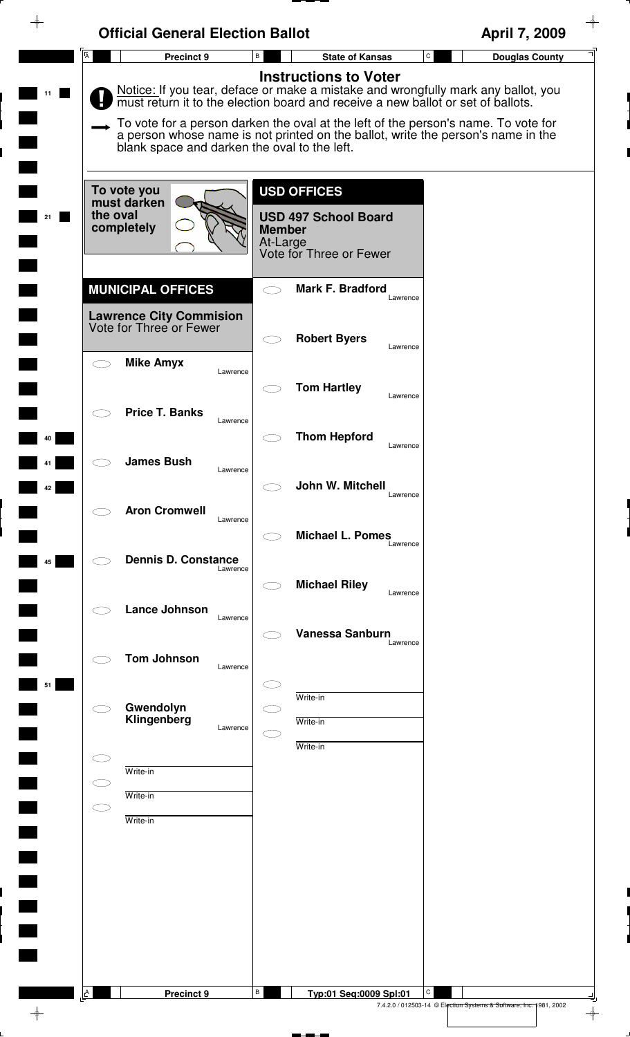|                | <b>Official General Election Ballot</b>                                               |                                                                                                                                                                                                                                                                                                                                                                                 | April 7, 2009                                                                |
|----------------|---------------------------------------------------------------------------------------|---------------------------------------------------------------------------------------------------------------------------------------------------------------------------------------------------------------------------------------------------------------------------------------------------------------------------------------------------------------------------------|------------------------------------------------------------------------------|
| $\overline{A}$ | Precinct 9                                                                            | $\mathsf{B}$<br><b>State of Kansas</b>                                                                                                                                                                                                                                                                                                                                          | $\mathtt{C}$<br><b>Douglas County</b>                                        |
|                | blank space and darken the oval to the left.                                          | <b>Instructions to Voter</b><br>Notice: If you tear, deface or make a mistake and wrongfully mark any ballot, you<br>must return it to the election board and receive a new ballot or set of ballots.<br>To vote for a person darken the oval at the left of the person's name. To vote for<br>a person whose name is not printed on the ballot, write the person's name in the |                                                                              |
| 21             | To vote you<br>must darken<br>the oval<br>completely                                  | <b>USD OFFICES</b><br><b>USD 497 School Board</b><br><b>Member</b><br>At-Large<br>Vote for Three or Fewer                                                                                                                                                                                                                                                                       |                                                                              |
|                | <b>MUNICIPAL OFFICES</b><br><b>Lawrence City Commision</b><br>Vote for Three or Fewer | <b>Mark F. Bradford</b><br>Lawrence                                                                                                                                                                                                                                                                                                                                             |                                                                              |
|                | <b>Mike Amyx</b><br>Lawrence                                                          | <b>Robert Byers</b><br>Lawrence<br><b>Tom Hartley</b>                                                                                                                                                                                                                                                                                                                           |                                                                              |
| 40             | <b>Price T. Banks</b><br>Lawrence                                                     | Lawrence<br><b>Thom Hepford</b>                                                                                                                                                                                                                                                                                                                                                 |                                                                              |
| 42             | <b>James Bush</b><br>Lawrence                                                         | Lawrence<br>John W. Mitchell<br>Lawrence                                                                                                                                                                                                                                                                                                                                        |                                                                              |
|                | <b>Aron Cromwell</b><br>Lawrence                                                      | <b>Michael L. Pomes</b><br>Lawrence                                                                                                                                                                                                                                                                                                                                             |                                                                              |
| 45             | <b>Dennis D. Constance</b><br>Lawrence<br><b>Lance Johnson</b>                        | <b>Michael Riley</b><br>Lawrence                                                                                                                                                                                                                                                                                                                                                |                                                                              |
|                | Lawrence<br><b>Tom Johnson</b><br>Lawrence                                            | <b>Vanessa Sanburn</b><br>Lawrence                                                                                                                                                                                                                                                                                                                                              |                                                                              |
| 51             | Gwendolyn<br>Klingenberg<br>Lawrence                                                  | Write-in<br>Write-in                                                                                                                                                                                                                                                                                                                                                            |                                                                              |
|                | Write-in<br>C I<br>Write-in<br>CD.                                                    | Write-in                                                                                                                                                                                                                                                                                                                                                                        |                                                                              |
|                | Write-in                                                                              |                                                                                                                                                                                                                                                                                                                                                                                 |                                                                              |
|                |                                                                                       |                                                                                                                                                                                                                                                                                                                                                                                 |                                                                              |
|                |                                                                                       |                                                                                                                                                                                                                                                                                                                                                                                 |                                                                              |
| $\mathsf{A}$   | Precinct 9                                                                            | В<br>Typ:01 Seq:0009 Spl:01                                                                                                                                                                                                                                                                                                                                                     | C<br>7.4.2.0 / 012503-14 © Election Systems & Software, Inc. 1981, 2002<br>⊕ |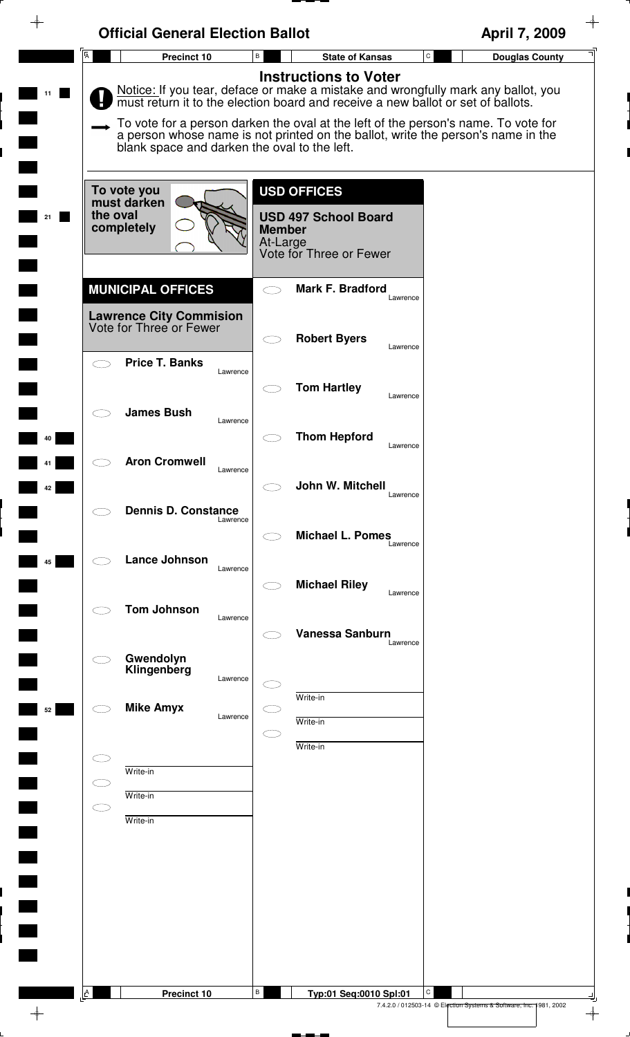| $\overline{A}$      | Precinct 10                                  | B                         | ${\tt C}$<br><b>State of Kansas</b>                                                                                                                                   | <b>Douglas County</b> |
|---------------------|----------------------------------------------|---------------------------|-----------------------------------------------------------------------------------------------------------------------------------------------------------------------|-----------------------|
|                     |                                              |                           | <b>Instructions to Voter</b>                                                                                                                                          |                       |
|                     |                                              |                           | Notice: If you tear, deface or make a mistake and wrongfully mark any ballot, you<br>must return it to the election board and receive a new ballot or set of ballots. |                       |
|                     |                                              |                           | To vote for a person darken the oval at the left of the person's name. To vote for                                                                                    |                       |
|                     | blank space and darken the oval to the left. |                           | a person whose name is not printed on the ballot, write the person's name in the                                                                                      |                       |
|                     |                                              |                           |                                                                                                                                                                       |                       |
|                     | To vote you<br>must darken                   |                           | <b>USD OFFICES</b>                                                                                                                                                    |                       |
| the oval            | completely                                   |                           | <b>USD 497 School Board</b>                                                                                                                                           |                       |
|                     |                                              | <b>Member</b><br>At-Large |                                                                                                                                                                       |                       |
|                     |                                              |                           | Vote for Three or Fewer                                                                                                                                               |                       |
|                     | <b>MUNICIPAL OFFICES</b>                     | $\bigcirc$                | <b>Mark F. Bradford</b><br>Lawrence                                                                                                                                   |                       |
|                     | <b>Lawrence City Commision</b>               |                           |                                                                                                                                                                       |                       |
|                     | Vote for Three or Fewer                      | $\subset$ $\supset$       | <b>Robert Byers</b>                                                                                                                                                   |                       |
| $\frown$            | <b>Price T. Banks</b>                        |                           | Lawrence                                                                                                                                                              |                       |
|                     |                                              | Lawrence                  | <b>Tom Hartley</b>                                                                                                                                                    |                       |
|                     | <b>James Bush</b>                            |                           | Lawrence                                                                                                                                                              |                       |
|                     |                                              | Lawrence                  | <b>Thom Hepford</b>                                                                                                                                                   |                       |
|                     | <b>Aron Cromwell</b>                         |                           | Lawrence                                                                                                                                                              |                       |
|                     |                                              | Lawrence                  | John W. Mitchell                                                                                                                                                      |                       |
|                     |                                              |                           | Lawrence                                                                                                                                                              |                       |
|                     | <b>Dennis D. Constance</b>                   | Lawrence                  |                                                                                                                                                                       |                       |
|                     |                                              |                           | <b>Michael L. Pomes</b><br>Lawrence                                                                                                                                   |                       |
|                     | Lance Johnson                                | Lawrence                  |                                                                                                                                                                       |                       |
|                     |                                              |                           | <b>Michael Riley</b><br>Lawrence                                                                                                                                      |                       |
|                     | <b>Tom Johnson</b>                           | Lawrence                  |                                                                                                                                                                       |                       |
|                     |                                              |                           | <b>Vanessa Sanburn</b><br>Lawrence                                                                                                                                    |                       |
|                     | Gwendolyn<br>Klingenberg                     |                           |                                                                                                                                                                       |                       |
|                     |                                              | Lawrence                  | Write-in                                                                                                                                                              |                       |
|                     | <b>Mike Amyx</b>                             | Lawrence                  | Write-in                                                                                                                                                              |                       |
|                     |                                              | $\subset$ $\bar{\ }$      | Write-in                                                                                                                                                              |                       |
|                     |                                              |                           |                                                                                                                                                                       |                       |
| $\subset$ $\supset$ | Write-in                                     |                           |                                                                                                                                                                       |                       |
| $\subset$           | Write-in                                     |                           |                                                                                                                                                                       |                       |
|                     | Write-in                                     |                           |                                                                                                                                                                       |                       |
|                     |                                              |                           |                                                                                                                                                                       |                       |
|                     |                                              |                           |                                                                                                                                                                       |                       |
|                     |                                              |                           |                                                                                                                                                                       |                       |
|                     |                                              |                           |                                                                                                                                                                       |                       |
|                     |                                              |                           |                                                                                                                                                                       |                       |
|                     |                                              |                           |                                                                                                                                                                       |                       |
| $\mathbf{A}$        | Precinct 10                                  | В                         | С<br>Typ:01 Seq:0010 Spl:01                                                                                                                                           |                       |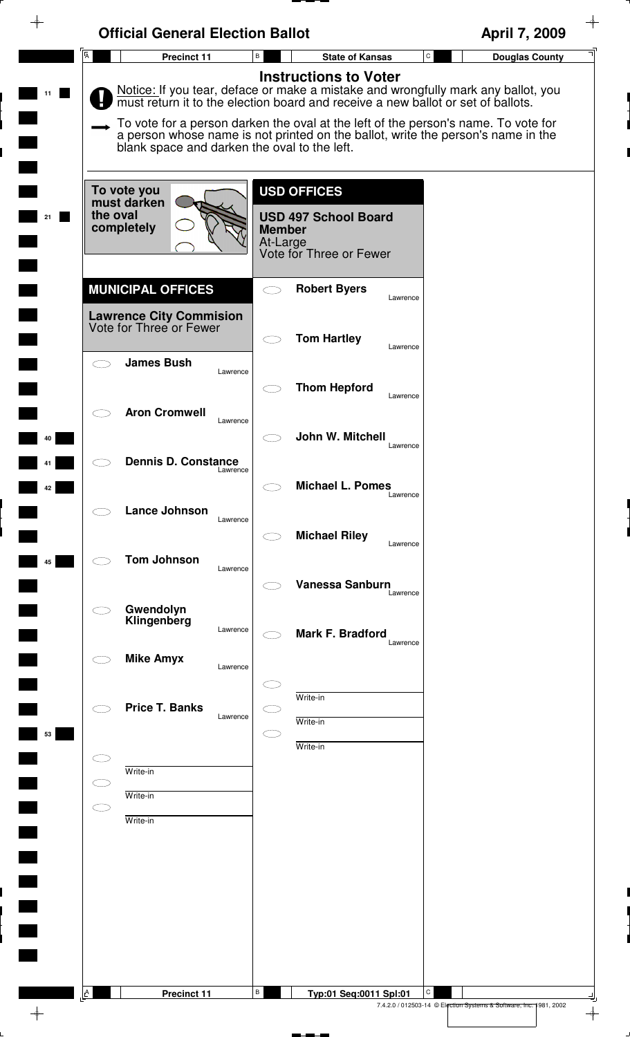|                | <b>Official General Election Ballot</b>                   |                                                                                                                                                                                                    | April 7, 2009                         |
|----------------|-----------------------------------------------------------|----------------------------------------------------------------------------------------------------------------------------------------------------------------------------------------------------|---------------------------------------|
| $\overline{A}$ | Precinct 11                                               | В<br><b>State of Kansas</b>                                                                                                                                                                        | $\mathtt{C}$<br><b>Douglas County</b> |
|                |                                                           | <b>Instructions to Voter</b><br>Notice: If you tear, deface or make a mistake and wrongfully mark any ballot, you must return it to the election board and receive a new ballot or set of ballots. |                                       |
|                | blank space and darken the oval to the left.              | To vote for a person darken the oval at the left of the person's name. To vote for<br>a person whose name is not printed on the ballot, write the person's name in the                             |                                       |
|                | To vote you<br>must darken                                | <b>USD OFFICES</b>                                                                                                                                                                                 |                                       |
|                | the oval<br>completely                                    | <b>USD 497 School Board</b><br><b>Member</b><br>At-Large<br>Vote for Three or Fewer                                                                                                                |                                       |
|                | <b>MUNICIPAL OFFICES</b>                                  | <b>Robert Byers</b><br>$\bigcirc$<br>Lawrence                                                                                                                                                      |                                       |
|                | <b>Lawrence City Commision</b><br>Vote for Three or Fewer | <b>Tom Hartley</b>                                                                                                                                                                                 |                                       |
| $\frown$       | <b>James Bush</b><br>Lawrence                             | Lawrence                                                                                                                                                                                           |                                       |
|                | <b>Aron Cromwell</b>                                      | <b>Thom Hepford</b><br>Lawrence                                                                                                                                                                    |                                       |
|                | Lawrence                                                  | John W. Mitchell<br>Lawrence                                                                                                                                                                       |                                       |
|                | <b>Dennis D. Constance</b><br>Lawrence                    | <b>Michael L. Pomes</b>                                                                                                                                                                            |                                       |
|                | Lance Johnson<br>Lawrence                                 | Lawrence                                                                                                                                                                                           |                                       |
|                | <b>Tom Johnson</b>                                        | <b>Michael Riley</b><br>Lawrence                                                                                                                                                                   |                                       |
|                | Lawrence                                                  | Vanessa Sanburn<br>Lawrence                                                                                                                                                                        |                                       |
|                | Gwendolyn<br>Klingenberg<br>Lawrence                      | Mark F. Bradford<br>Lawrence                                                                                                                                                                       |                                       |
|                | <b>Mike Amyx</b><br>Lawrence                              |                                                                                                                                                                                                    |                                       |
|                | <b>Price T. Banks</b><br>Lawrence                         | Write-in                                                                                                                                                                                           |                                       |
|                |                                                           | Write-in<br>Œ<br>Write-in                                                                                                                                                                          |                                       |
| $\subset$      | Write-in                                                  |                                                                                                                                                                                                    |                                       |
| $\subset$      | Write-in<br>Write-in                                      |                                                                                                                                                                                                    |                                       |
|                |                                                           |                                                                                                                                                                                                    |                                       |
|                |                                                           |                                                                                                                                                                                                    |                                       |
|                |                                                           |                                                                                                                                                                                                    |                                       |
|                |                                                           |                                                                                                                                                                                                    |                                       |
| Ŀ              | Precinct 11                                               | в<br>Typ:01 Seq:0011 Spl:01                                                                                                                                                                        | C                                     |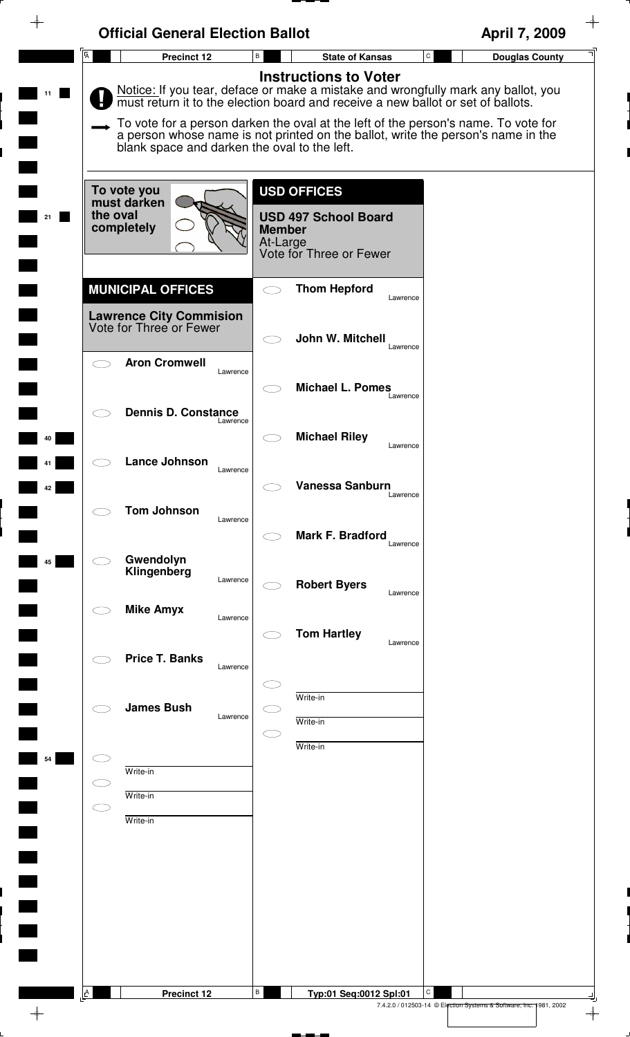|                        | <b>Official General Election Ballot</b>                   |                                                                                                                                                                                                                                                                                                                                                                                 | April 7, 2009                         |
|------------------------|-----------------------------------------------------------|---------------------------------------------------------------------------------------------------------------------------------------------------------------------------------------------------------------------------------------------------------------------------------------------------------------------------------------------------------------------------------|---------------------------------------|
| $\overline{A}$         | Precinct 12                                               | В<br><b>State of Kansas</b>                                                                                                                                                                                                                                                                                                                                                     | $\mathtt{C}$<br><b>Douglas County</b> |
|                        | blank space and darken the oval to the left.              | <b>Instructions to Voter</b><br>Notice: If you tear, deface or make a mistake and wrongfully mark any ballot, you<br>must return it to the election board and receive a new ballot or set of ballots.<br>To vote for a person darken the oval at the left of the person's name. To vote for<br>a person whose name is not printed on the ballot, write the person's name in the |                                       |
| the oval               | To vote you<br>must darken<br>completely                  | <b>USD OFFICES</b><br><b>USD 497 School Board</b><br><b>Member</b><br>At-Large<br>Vote for Three or Fewer                                                                                                                                                                                                                                                                       |                                       |
|                        | <b>MUNICIPAL OFFICES</b>                                  | <b>Thom Hepford</b><br>Lawrence                                                                                                                                                                                                                                                                                                                                                 |                                       |
|                        | <b>Lawrence City Commision</b><br>Vote for Three or Fewer | John W. Mitchell<br>Lawrence                                                                                                                                                                                                                                                                                                                                                    |                                       |
|                        | <b>Aron Cromwell</b><br>Lawrence                          | <b>Michael L. Pomes</b><br>Lawrence                                                                                                                                                                                                                                                                                                                                             |                                       |
|                        | <b>Dennis D. Constance</b><br>Lawrence                    | <b>Michael Riley</b>                                                                                                                                                                                                                                                                                                                                                            |                                       |
|                        | <b>Lance Johnson</b><br>Lawrence                          | Lawrence                                                                                                                                                                                                                                                                                                                                                                        |                                       |
|                        | <b>Tom Johnson</b><br>Lawrence                            | Vanessa Sanburn<br>Lawrence                                                                                                                                                                                                                                                                                                                                                     |                                       |
|                        | Gwendolyn                                                 | Mark F. Bradford<br>Lawrence                                                                                                                                                                                                                                                                                                                                                    |                                       |
|                        | Klingenberg<br>Lawrence<br><b>Mike Amyx</b>               | <b>Robert Byers</b><br>Lawrence                                                                                                                                                                                                                                                                                                                                                 |                                       |
|                        | Lawrence                                                  | <b>Tom Hartley</b><br>Lawrence                                                                                                                                                                                                                                                                                                                                                  |                                       |
|                        | <b>Price T. Banks</b><br>Lawrence                         |                                                                                                                                                                                                                                                                                                                                                                                 |                                       |
|                        | <b>James Bush</b><br>Lawrence                             | Write-in<br>Write-in                                                                                                                                                                                                                                                                                                                                                            |                                       |
|                        | Write-in                                                  | Write-in                                                                                                                                                                                                                                                                                                                                                                        |                                       |
| $\subset \mathbb{R}^n$ | Write-in<br>Write-in                                      |                                                                                                                                                                                                                                                                                                                                                                                 |                                       |
|                        |                                                           |                                                                                                                                                                                                                                                                                                                                                                                 |                                       |
|                        |                                                           |                                                                                                                                                                                                                                                                                                                                                                                 |                                       |
|                        |                                                           |                                                                                                                                                                                                                                                                                                                                                                                 |                                       |
|                        |                                                           |                                                                                                                                                                                                                                                                                                                                                                                 |                                       |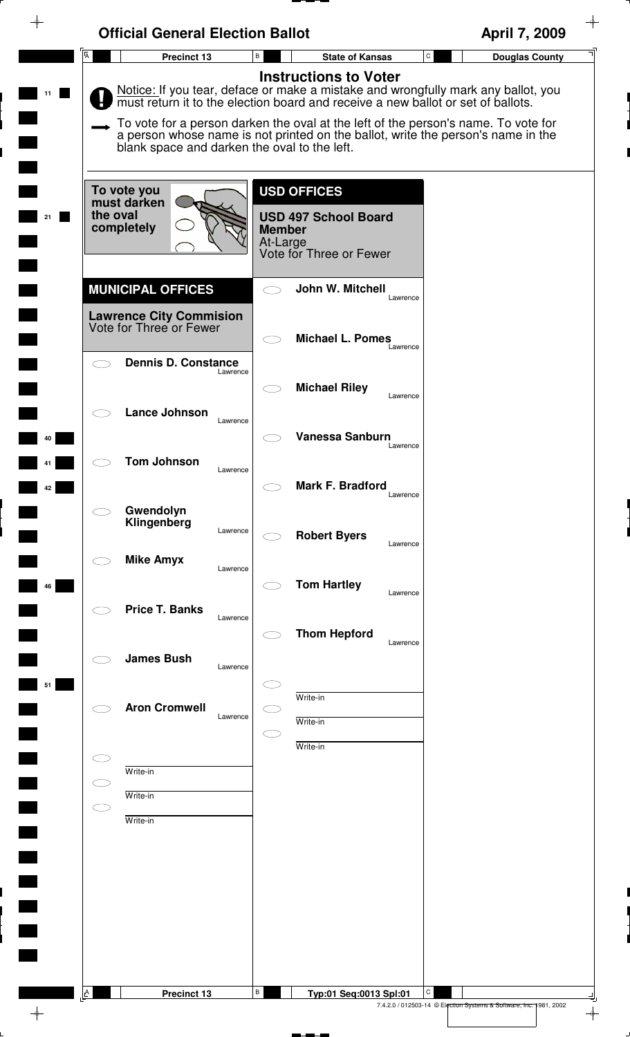|                         | <b>Official General Election Ballot</b>                                               |                                                                                                                                                                                                                                                                                                                                                                                 | April 7, 2009                      |
|-------------------------|---------------------------------------------------------------------------------------|---------------------------------------------------------------------------------------------------------------------------------------------------------------------------------------------------------------------------------------------------------------------------------------------------------------------------------------------------------------------------------|------------------------------------|
| $\overline{\mathsf{A}}$ | Precinct 13                                                                           | B<br><b>State of Kansas</b>                                                                                                                                                                                                                                                                                                                                                     | ${\tt C}$<br><b>Douglas County</b> |
|                         | blank space and darken the oval to the left.                                          | <b>Instructions to Voter</b><br>Notice: If you tear, deface or make a mistake and wrongfully mark any ballot, you<br>must return it to the election board and receive a new ballot or set of ballots.<br>To vote for a person darken the oval at the left of the person's name. To vote for<br>a person whose name is not printed on the ballot, write the person's name in the |                                    |
| the oval<br>21          | To vote you<br>must darken<br>completely                                              | <b>USD OFFICES</b><br><b>USD 497 School Board</b><br><b>Member</b><br>At-Large<br>Vote for Three or Fewer                                                                                                                                                                                                                                                                       |                                    |
|                         | <b>MUNICIPAL OFFICES</b><br><b>Lawrence City Commision</b><br>Vote for Three or Fewer | John W. Mitchell<br>Lawrence<br><b>Michael L. Pomes</b>                                                                                                                                                                                                                                                                                                                         |                                    |
|                         | <b>Dennis D. Constance</b><br>Lawrence                                                | Lawrence<br><b>Michael Riley</b><br>Lawrence                                                                                                                                                                                                                                                                                                                                    |                                    |
| 40                      | <b>Lance Johnson</b><br>Lawrence<br><b>Tom Johnson</b>                                | <b>Vanessa Sanburn</b><br>Lawrence                                                                                                                                                                                                                                                                                                                                              |                                    |
| 42                      | Lawrence<br>Gwendolyn<br>Klingenberg                                                  | Mark F. Bradford<br>Lawrence                                                                                                                                                                                                                                                                                                                                                    |                                    |
|                         | Lawrence<br><b>Mike Amyx</b><br>Lawrence                                              | <b>Robert Byers</b><br>Lawrence                                                                                                                                                                                                                                                                                                                                                 |                                    |
| 46                      | <b>Price T. Banks</b><br>Lawrence                                                     | <b>Tom Hartley</b><br>Lawrence<br><b>Thom Hepford</b><br>Lawrence                                                                                                                                                                                                                                                                                                               |                                    |
| 51                      | <b>James Bush</b><br>Lawrence                                                         | Write-in                                                                                                                                                                                                                                                                                                                                                                        |                                    |
|                         | <b>Aron Cromwell</b><br>Lawrence                                                      | Write-in<br>Write-in                                                                                                                                                                                                                                                                                                                                                            |                                    |
| C I                     | Write-in<br>Write-in<br>Write-in                                                      |                                                                                                                                                                                                                                                                                                                                                                                 |                                    |
|                         |                                                                                       |                                                                                                                                                                                                                                                                                                                                                                                 |                                    |
|                         |                                                                                       |                                                                                                                                                                                                                                                                                                                                                                                 |                                    |
| $\triangle$             | Precinct 13                                                                           | В<br>Typ:01 Seq:0013 Spl:01                                                                                                                                                                                                                                                                                                                                                     | С                                  |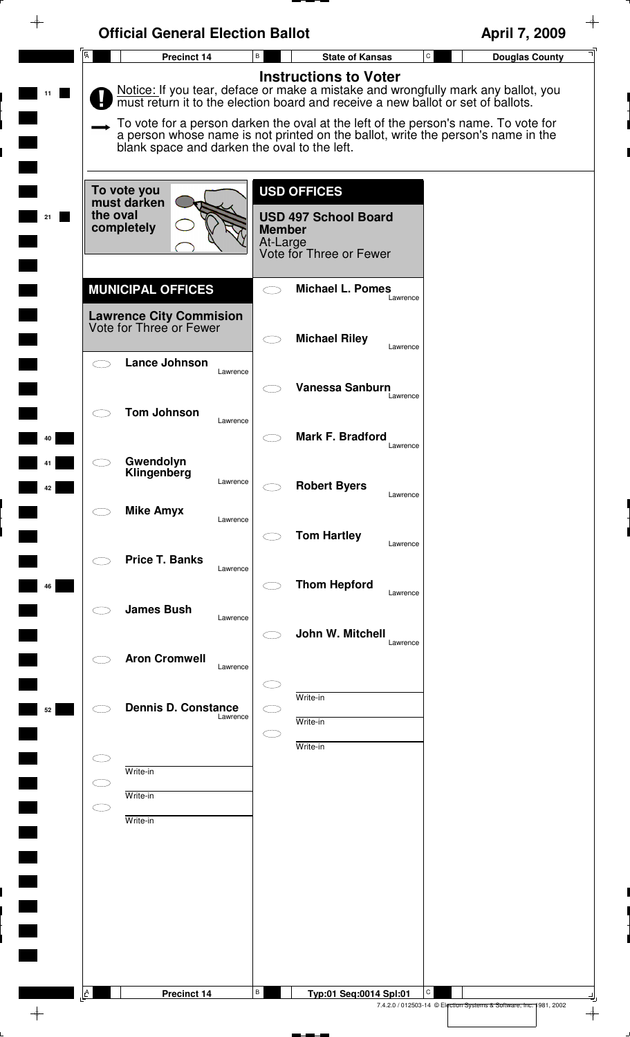| <b>Official General Election Ballot</b>                   |                                                                                                                                                                                                       | April 7, 2009                                                           |
|-----------------------------------------------------------|-------------------------------------------------------------------------------------------------------------------------------------------------------------------------------------------------------|-------------------------------------------------------------------------|
| $\overline{A}$<br>Precinct 14                             | $\, {\bf B} \,$<br><b>State of Kansas</b>                                                                                                                                                             | $\mathtt{C}$<br><b>Douglas County</b>                                   |
|                                                           | <b>Instructions to Voter</b><br>Notice: If you tear, deface or make a mistake and wrongfully mark any ballot, you<br>must return it to the election board and receive a new ballot or set of ballots. |                                                                         |
| blank space and darken the oval to the left.              | To vote for a person darken the oval at the left of the person's name. To vote for<br>a person whose name is not printed on the ballot, write the person's name in the                                |                                                                         |
| To vote you<br>must darken                                | <b>USD OFFICES</b>                                                                                                                                                                                    |                                                                         |
| the oval<br>completely                                    | <b>USD 497 School Board</b><br><b>Member</b><br>At-Large<br>Vote for Three or Fewer                                                                                                                   |                                                                         |
| <b>MUNICIPAL OFFICES</b>                                  | <b>Michael L. Pomes</b><br>$\bigcirc$<br>Lawrence                                                                                                                                                     |                                                                         |
| <b>Lawrence City Commision</b><br>Vote for Three or Fewer | <b>Michael Riley</b><br>$\subset$ $\supset$                                                                                                                                                           |                                                                         |
| Lance Johnson<br>$\bigcirc$<br>Lawrence                   | Lawrence                                                                                                                                                                                              |                                                                         |
| <b>Tom Johnson</b>                                        | Vanessa Sanburn<br>Lawrence                                                                                                                                                                           |                                                                         |
| Lawrence                                                  | Mark F. Bradford<br>Lawrence                                                                                                                                                                          |                                                                         |
| Gwendolyn<br>Klingenberg<br>Lawrence                      | <b>Robert Byers</b><br>Lawrence                                                                                                                                                                       |                                                                         |
| <b>Mike Amyx</b><br>Lawrence                              |                                                                                                                                                                                                       |                                                                         |
| <b>Price T. Banks</b><br>Lawrence                         | <b>Tom Hartley</b><br>Lawrence                                                                                                                                                                        |                                                                         |
|                                                           | <b>Thom Hepford</b><br>Lawrence                                                                                                                                                                       |                                                                         |
| <b>James Bush</b><br>Lawrence                             | John W. Mitchell<br>Lawrence                                                                                                                                                                          |                                                                         |
| <b>Aron Cromwell</b><br>Lawrence                          |                                                                                                                                                                                                       |                                                                         |
| <b>Dennis D. Constance</b><br>Lawrence                    | Write-in                                                                                                                                                                                              |                                                                         |
|                                                           | Write-in<br>Œ<br>Write-in                                                                                                                                                                             |                                                                         |
| Write-in<br>C D<br>Write-in                               |                                                                                                                                                                                                       |                                                                         |
| $\subset$<br>Write-in                                     |                                                                                                                                                                                                       |                                                                         |
|                                                           |                                                                                                                                                                                                       |                                                                         |
|                                                           |                                                                                                                                                                                                       |                                                                         |
|                                                           |                                                                                                                                                                                                       |                                                                         |
|                                                           |                                                                                                                                                                                                       |                                                                         |
| $\Delta$<br>Precinct 14                                   | В<br>Typ:01 Seq:0014 Spl:01                                                                                                                                                                           | C<br>7.4.2.0 / 012503-14 © Election Systems & Software, Inc. 1981, 2002 |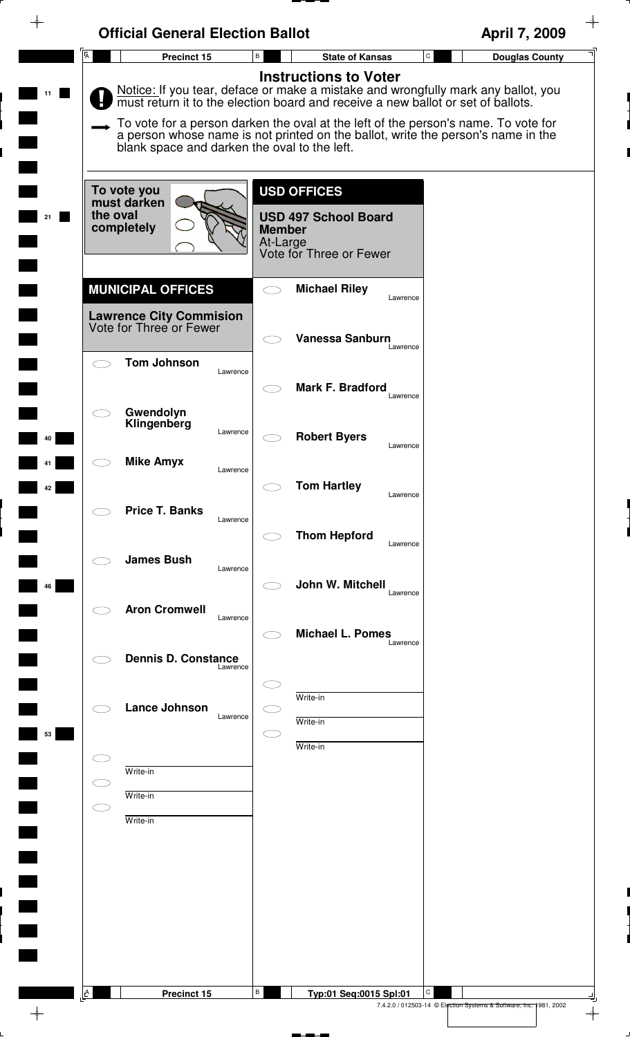| $\overline{A}$<br>B<br>$\mathsf C$<br>Precinct 15<br><b>State of Kansas</b><br><b>Instructions to Voter</b><br>blank space and darken the oval to the left.<br><b>USD OFFICES</b><br>To vote you<br>must darken<br>the oval<br><b>USD 497 School Board</b><br>completely<br><b>Member</b><br>At-Large<br>Vote for Three or Fewer<br><b>MUNICIPAL OFFICES</b><br><b>Michael Riley</b><br>Lawrence<br><b>Lawrence City Commision</b><br>Vote for Three or Fewer<br>Vanessa Sanburn<br>Lawrence<br><b>Tom Johnson</b><br>Lawrence<br><b>Mark F. Bradford</b><br>Lawrence<br>Gwendolyn<br>Klingenberg<br>Lawrence<br><b>Robert Byers</b><br>Lawrence<br><b>Mike Amyx</b><br>Lawrence<br><b>Tom Hartley</b><br>Lawrence<br><b>Price T. Banks</b><br>Lawrence<br><b>Thom Hepford</b><br>Lawrence<br><b>James Bush</b><br>Lawrence<br>John W. Mitchell<br>Lawrence<br><b>Aron Cromwell</b><br>Lawrence<br><b>Michael L. Pomes</b><br>Lawrence<br><b>Dennis D. Constance</b><br>Lawrence<br>Write-in<br><b>Lance Johnson</b><br>Lawrence<br>Write-in<br>m<br>Write-in<br>Write-in<br>CD<br>Write-in<br>$\subset$<br>Write-in | <b>Douglas County</b><br>Notice: If you tear, deface or make a mistake and wrongfully mark any ballot, you must return it to the election board and receive a new ballot or set of ballots.<br>To vote for a person darken the oval at the left of the person's name. To vote for<br>a person whose name is not printed on the ballot, write the person's name in the | <b>Official General Election Ballot</b> | April 7, 2009 |
|----------------------------------------------------------------------------------------------------------------------------------------------------------------------------------------------------------------------------------------------------------------------------------------------------------------------------------------------------------------------------------------------------------------------------------------------------------------------------------------------------------------------------------------------------------------------------------------------------------------------------------------------------------------------------------------------------------------------------------------------------------------------------------------------------------------------------------------------------------------------------------------------------------------------------------------------------------------------------------------------------------------------------------------------------------------------------------------------------------------------|-----------------------------------------------------------------------------------------------------------------------------------------------------------------------------------------------------------------------------------------------------------------------------------------------------------------------------------------------------------------------|-----------------------------------------|---------------|
|                                                                                                                                                                                                                                                                                                                                                                                                                                                                                                                                                                                                                                                                                                                                                                                                                                                                                                                                                                                                                                                                                                                      |                                                                                                                                                                                                                                                                                                                                                                       |                                         |               |
|                                                                                                                                                                                                                                                                                                                                                                                                                                                                                                                                                                                                                                                                                                                                                                                                                                                                                                                                                                                                                                                                                                                      |                                                                                                                                                                                                                                                                                                                                                                       |                                         |               |
|                                                                                                                                                                                                                                                                                                                                                                                                                                                                                                                                                                                                                                                                                                                                                                                                                                                                                                                                                                                                                                                                                                                      |                                                                                                                                                                                                                                                                                                                                                                       |                                         |               |
|                                                                                                                                                                                                                                                                                                                                                                                                                                                                                                                                                                                                                                                                                                                                                                                                                                                                                                                                                                                                                                                                                                                      |                                                                                                                                                                                                                                                                                                                                                                       |                                         |               |
|                                                                                                                                                                                                                                                                                                                                                                                                                                                                                                                                                                                                                                                                                                                                                                                                                                                                                                                                                                                                                                                                                                                      |                                                                                                                                                                                                                                                                                                                                                                       |                                         |               |
|                                                                                                                                                                                                                                                                                                                                                                                                                                                                                                                                                                                                                                                                                                                                                                                                                                                                                                                                                                                                                                                                                                                      |                                                                                                                                                                                                                                                                                                                                                                       |                                         |               |
|                                                                                                                                                                                                                                                                                                                                                                                                                                                                                                                                                                                                                                                                                                                                                                                                                                                                                                                                                                                                                                                                                                                      |                                                                                                                                                                                                                                                                                                                                                                       |                                         |               |
|                                                                                                                                                                                                                                                                                                                                                                                                                                                                                                                                                                                                                                                                                                                                                                                                                                                                                                                                                                                                                                                                                                                      |                                                                                                                                                                                                                                                                                                                                                                       |                                         |               |
|                                                                                                                                                                                                                                                                                                                                                                                                                                                                                                                                                                                                                                                                                                                                                                                                                                                                                                                                                                                                                                                                                                                      |                                                                                                                                                                                                                                                                                                                                                                       |                                         |               |
|                                                                                                                                                                                                                                                                                                                                                                                                                                                                                                                                                                                                                                                                                                                                                                                                                                                                                                                                                                                                                                                                                                                      |                                                                                                                                                                                                                                                                                                                                                                       |                                         |               |
|                                                                                                                                                                                                                                                                                                                                                                                                                                                                                                                                                                                                                                                                                                                                                                                                                                                                                                                                                                                                                                                                                                                      |                                                                                                                                                                                                                                                                                                                                                                       |                                         |               |
|                                                                                                                                                                                                                                                                                                                                                                                                                                                                                                                                                                                                                                                                                                                                                                                                                                                                                                                                                                                                                                                                                                                      |                                                                                                                                                                                                                                                                                                                                                                       |                                         |               |
|                                                                                                                                                                                                                                                                                                                                                                                                                                                                                                                                                                                                                                                                                                                                                                                                                                                                                                                                                                                                                                                                                                                      |                                                                                                                                                                                                                                                                                                                                                                       |                                         |               |
|                                                                                                                                                                                                                                                                                                                                                                                                                                                                                                                                                                                                                                                                                                                                                                                                                                                                                                                                                                                                                                                                                                                      |                                                                                                                                                                                                                                                                                                                                                                       |                                         |               |
|                                                                                                                                                                                                                                                                                                                                                                                                                                                                                                                                                                                                                                                                                                                                                                                                                                                                                                                                                                                                                                                                                                                      |                                                                                                                                                                                                                                                                                                                                                                       |                                         |               |
|                                                                                                                                                                                                                                                                                                                                                                                                                                                                                                                                                                                                                                                                                                                                                                                                                                                                                                                                                                                                                                                                                                                      |                                                                                                                                                                                                                                                                                                                                                                       |                                         |               |
|                                                                                                                                                                                                                                                                                                                                                                                                                                                                                                                                                                                                                                                                                                                                                                                                                                                                                                                                                                                                                                                                                                                      |                                                                                                                                                                                                                                                                                                                                                                       |                                         |               |
|                                                                                                                                                                                                                                                                                                                                                                                                                                                                                                                                                                                                                                                                                                                                                                                                                                                                                                                                                                                                                                                                                                                      |                                                                                                                                                                                                                                                                                                                                                                       |                                         |               |
|                                                                                                                                                                                                                                                                                                                                                                                                                                                                                                                                                                                                                                                                                                                                                                                                                                                                                                                                                                                                                                                                                                                      |                                                                                                                                                                                                                                                                                                                                                                       |                                         |               |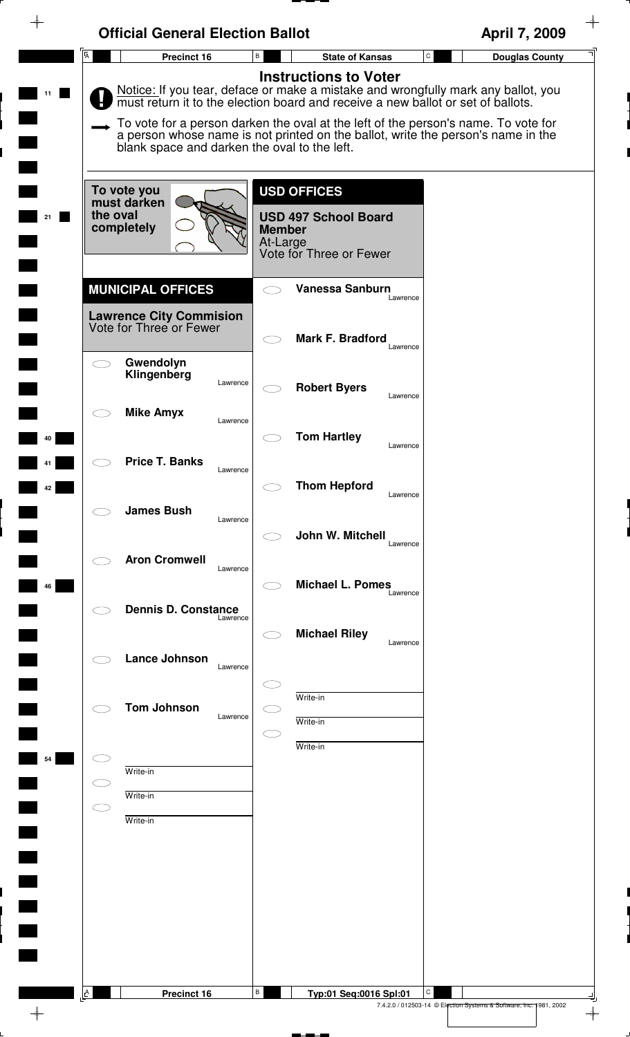| $\overline{A}$<br>B<br>$\mathtt{C}$<br>Precinct 16<br><b>State of Kansas</b><br><b>Instructions to Voter</b><br>Notice: If you tear, deface or make a mistake and wrongfully mark any ballot, you must return it to the election board and receive a new ballot or set of ballots.<br>To vote for a person darken the oval at the left of the person's name. To vote for<br>a person whose name is not printed on the ballot, write the person's name in the<br>blank space and darken the oval to the left.<br><b>USD OFFICES</b><br>To vote you<br>must darken<br>the oval<br><b>USD 497 School Board</b><br>completely<br><b>Member</b><br>At-Large<br>Vote for Three or Fewer<br><b>MUNICIPAL OFFICES</b><br><b>Vanessa Sanburn</b><br>Lawrence<br><b>Lawrence City Commision</b><br>Vote for Three or Fewer<br><b>Mark F. Bradford</b><br>Lawrence<br>Gwendolyn<br>Klingenberg<br>Lawrence<br><b>Robert Byers</b><br>Lawrence<br><b>Mike Amyx</b><br>Lawrence<br><b>Tom Hartley</b><br>Lawrence<br><b>Price T. Banks</b><br>Lawrence<br><b>Thom Hepford</b><br>Lawrence<br><b>James Bush</b><br>Lawrence<br>John W. Mitchell<br>Lawrence<br><b>Aron Cromwell</b><br>Lawrence<br><b>Michael L. Pomes</b><br>Lawrence<br><b>Dennis D. Constance</b><br>Lawrence<br><b>Michael Riley</b><br>Lawrence<br>Lance Johnson<br>Lawrence<br>Write-in<br><b>Tom Johnson</b><br>Lawrence<br>Write-in<br>Write-in<br>Write-in<br>$\subset$ $\supset$<br>Write-in<br>$\subset$<br>Write-in | <b>Official General Election Ballot</b> | April 7, 2009         |
|-----------------------------------------------------------------------------------------------------------------------------------------------------------------------------------------------------------------------------------------------------------------------------------------------------------------------------------------------------------------------------------------------------------------------------------------------------------------------------------------------------------------------------------------------------------------------------------------------------------------------------------------------------------------------------------------------------------------------------------------------------------------------------------------------------------------------------------------------------------------------------------------------------------------------------------------------------------------------------------------------------------------------------------------------------------------------------------------------------------------------------------------------------------------------------------------------------------------------------------------------------------------------------------------------------------------------------------------------------------------------------------------------------------------------------------------------------------------------------------|-----------------------------------------|-----------------------|
|                                                                                                                                                                                                                                                                                                                                                                                                                                                                                                                                                                                                                                                                                                                                                                                                                                                                                                                                                                                                                                                                                                                                                                                                                                                                                                                                                                                                                                                                                   |                                         | <b>Douglas County</b> |
|                                                                                                                                                                                                                                                                                                                                                                                                                                                                                                                                                                                                                                                                                                                                                                                                                                                                                                                                                                                                                                                                                                                                                                                                                                                                                                                                                                                                                                                                                   |                                         |                       |
|                                                                                                                                                                                                                                                                                                                                                                                                                                                                                                                                                                                                                                                                                                                                                                                                                                                                                                                                                                                                                                                                                                                                                                                                                                                                                                                                                                                                                                                                                   |                                         |                       |
|                                                                                                                                                                                                                                                                                                                                                                                                                                                                                                                                                                                                                                                                                                                                                                                                                                                                                                                                                                                                                                                                                                                                                                                                                                                                                                                                                                                                                                                                                   |                                         |                       |
|                                                                                                                                                                                                                                                                                                                                                                                                                                                                                                                                                                                                                                                                                                                                                                                                                                                                                                                                                                                                                                                                                                                                                                                                                                                                                                                                                                                                                                                                                   |                                         |                       |
|                                                                                                                                                                                                                                                                                                                                                                                                                                                                                                                                                                                                                                                                                                                                                                                                                                                                                                                                                                                                                                                                                                                                                                                                                                                                                                                                                                                                                                                                                   |                                         |                       |
|                                                                                                                                                                                                                                                                                                                                                                                                                                                                                                                                                                                                                                                                                                                                                                                                                                                                                                                                                                                                                                                                                                                                                                                                                                                                                                                                                                                                                                                                                   |                                         |                       |
|                                                                                                                                                                                                                                                                                                                                                                                                                                                                                                                                                                                                                                                                                                                                                                                                                                                                                                                                                                                                                                                                                                                                                                                                                                                                                                                                                                                                                                                                                   |                                         |                       |
|                                                                                                                                                                                                                                                                                                                                                                                                                                                                                                                                                                                                                                                                                                                                                                                                                                                                                                                                                                                                                                                                                                                                                                                                                                                                                                                                                                                                                                                                                   |                                         |                       |
|                                                                                                                                                                                                                                                                                                                                                                                                                                                                                                                                                                                                                                                                                                                                                                                                                                                                                                                                                                                                                                                                                                                                                                                                                                                                                                                                                                                                                                                                                   |                                         |                       |
|                                                                                                                                                                                                                                                                                                                                                                                                                                                                                                                                                                                                                                                                                                                                                                                                                                                                                                                                                                                                                                                                                                                                                                                                                                                                                                                                                                                                                                                                                   |                                         |                       |
|                                                                                                                                                                                                                                                                                                                                                                                                                                                                                                                                                                                                                                                                                                                                                                                                                                                                                                                                                                                                                                                                                                                                                                                                                                                                                                                                                                                                                                                                                   |                                         |                       |
|                                                                                                                                                                                                                                                                                                                                                                                                                                                                                                                                                                                                                                                                                                                                                                                                                                                                                                                                                                                                                                                                                                                                                                                                                                                                                                                                                                                                                                                                                   |                                         |                       |
|                                                                                                                                                                                                                                                                                                                                                                                                                                                                                                                                                                                                                                                                                                                                                                                                                                                                                                                                                                                                                                                                                                                                                                                                                                                                                                                                                                                                                                                                                   |                                         |                       |
|                                                                                                                                                                                                                                                                                                                                                                                                                                                                                                                                                                                                                                                                                                                                                                                                                                                                                                                                                                                                                                                                                                                                                                                                                                                                                                                                                                                                                                                                                   |                                         |                       |
|                                                                                                                                                                                                                                                                                                                                                                                                                                                                                                                                                                                                                                                                                                                                                                                                                                                                                                                                                                                                                                                                                                                                                                                                                                                                                                                                                                                                                                                                                   |                                         |                       |
|                                                                                                                                                                                                                                                                                                                                                                                                                                                                                                                                                                                                                                                                                                                                                                                                                                                                                                                                                                                                                                                                                                                                                                                                                                                                                                                                                                                                                                                                                   |                                         |                       |
|                                                                                                                                                                                                                                                                                                                                                                                                                                                                                                                                                                                                                                                                                                                                                                                                                                                                                                                                                                                                                                                                                                                                                                                                                                                                                                                                                                                                                                                                                   |                                         |                       |
|                                                                                                                                                                                                                                                                                                                                                                                                                                                                                                                                                                                                                                                                                                                                                                                                                                                                                                                                                                                                                                                                                                                                                                                                                                                                                                                                                                                                                                                                                   |                                         |                       |
|                                                                                                                                                                                                                                                                                                                                                                                                                                                                                                                                                                                                                                                                                                                                                                                                                                                                                                                                                                                                                                                                                                                                                                                                                                                                                                                                                                                                                                                                                   |                                         |                       |
|                                                                                                                                                                                                                                                                                                                                                                                                                                                                                                                                                                                                                                                                                                                                                                                                                                                                                                                                                                                                                                                                                                                                                                                                                                                                                                                                                                                                                                                                                   |                                         |                       |
| В<br>$\mathbf{A}$<br>Typ:01 Seq:0016 Spl:01                                                                                                                                                                                                                                                                                                                                                                                                                                                                                                                                                                                                                                                                                                                                                                                                                                                                                                                                                                                                                                                                                                                                                                                                                                                                                                                                                                                                                                       |                                         |                       |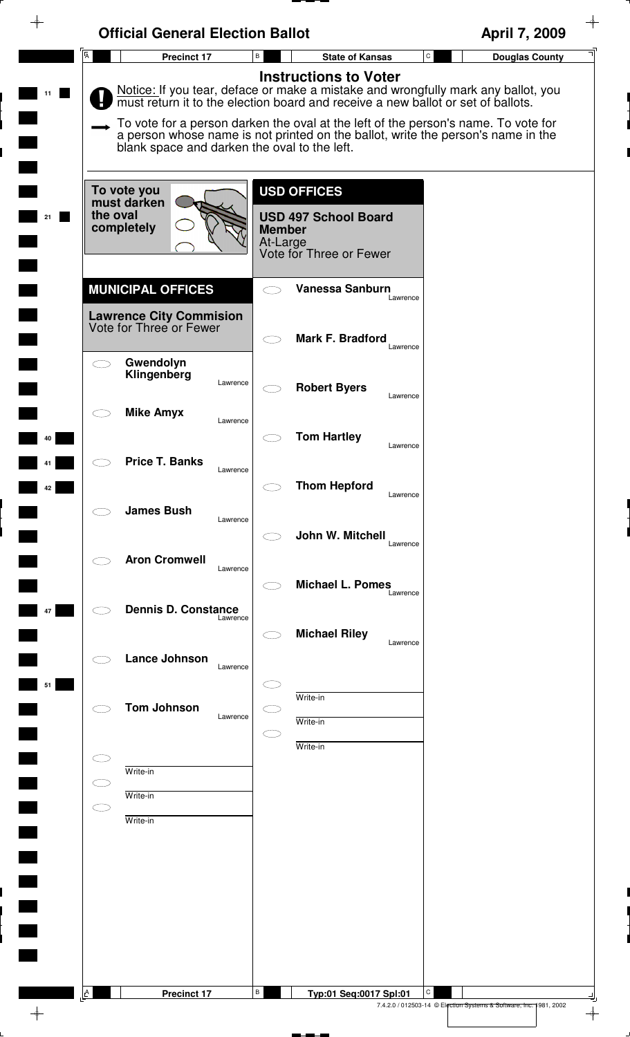|    | <b>Official General Election Ballot</b>                                               |                                                                                                                                                                                                                                                                                                                                                                                 | April 7, 2009                                                                       |
|----|---------------------------------------------------------------------------------------|---------------------------------------------------------------------------------------------------------------------------------------------------------------------------------------------------------------------------------------------------------------------------------------------------------------------------------------------------------------------------------|-------------------------------------------------------------------------------------|
|    | $\overline{A}$<br><b>Precinct 17</b>                                                  | B<br><b>State of Kansas</b>                                                                                                                                                                                                                                                                                                                                                     | ${\tt C}$<br><b>Douglas County</b>                                                  |
|    | blank space and darken the oval to the left.                                          | <b>Instructions to Voter</b><br>Notice: If you tear, deface or make a mistake and wrongfully mark any ballot, you<br>must return it to the election board and receive a new ballot or set of ballots.<br>To vote for a person darken the oval at the left of the person's name. To vote for<br>a person whose name is not printed on the ballot, write the person's name in the |                                                                                     |
| 21 | To vote you<br>must darken<br>the oval<br>completely                                  | <b>USD OFFICES</b><br><b>USD 497 School Board</b><br><b>Member</b><br>At-Large<br>Vote for Three or Fewer                                                                                                                                                                                                                                                                       |                                                                                     |
|    | <b>MUNICIPAL OFFICES</b><br><b>Lawrence City Commision</b><br>Vote for Three or Fewer | <b>Vanessa Sanburn</b><br>Lawrence                                                                                                                                                                                                                                                                                                                                              |                                                                                     |
|    |                                                                                       | <b>Mark F. Bradford</b><br>Lawrence                                                                                                                                                                                                                                                                                                                                             |                                                                                     |
|    | Gwendolyn<br>Klingenberg<br>Lawrence<br><b>Mike Amyx</b>                              | <b>Robert Byers</b><br>Lawrence                                                                                                                                                                                                                                                                                                                                                 |                                                                                     |
| 40 | Lawrence<br><b>Price T. Banks</b>                                                     | <b>Tom Hartley</b><br>Lawrence                                                                                                                                                                                                                                                                                                                                                  |                                                                                     |
| 42 | Lawrence<br><b>James Bush</b>                                                         | <b>Thom Hepford</b><br>Lawrence                                                                                                                                                                                                                                                                                                                                                 |                                                                                     |
|    | Lawrence<br><b>Aron Cromwell</b>                                                      | John W. Mitchell<br>Lawrence                                                                                                                                                                                                                                                                                                                                                    |                                                                                     |
| 47 | Lawrence<br><b>Dennis D. Constance</b>                                                | <b>Michael L. Pomes</b><br>Lawrence                                                                                                                                                                                                                                                                                                                                             |                                                                                     |
|    | Lawrence<br>Lance Johnson                                                             | <b>Michael Riley</b><br>Lawrence                                                                                                                                                                                                                                                                                                                                                |                                                                                     |
| 51 | Lawrence                                                                              | Write-in                                                                                                                                                                                                                                                                                                                                                                        |                                                                                     |
|    | <b>Tom Johnson</b><br>Lawrence                                                        | Write-in<br>Write-in                                                                                                                                                                                                                                                                                                                                                            |                                                                                     |
|    |                                                                                       |                                                                                                                                                                                                                                                                                                                                                                                 |                                                                                     |
|    | Write-in                                                                              |                                                                                                                                                                                                                                                                                                                                                                                 |                                                                                     |
|    | Write-in<br>CΞ                                                                        |                                                                                                                                                                                                                                                                                                                                                                                 |                                                                                     |
|    | Write-in                                                                              |                                                                                                                                                                                                                                                                                                                                                                                 |                                                                                     |
|    |                                                                                       |                                                                                                                                                                                                                                                                                                                                                                                 |                                                                                     |
|    |                                                                                       |                                                                                                                                                                                                                                                                                                                                                                                 |                                                                                     |
|    |                                                                                       |                                                                                                                                                                                                                                                                                                                                                                                 |                                                                                     |
|    |                                                                                       |                                                                                                                                                                                                                                                                                                                                                                                 |                                                                                     |
|    |                                                                                       |                                                                                                                                                                                                                                                                                                                                                                                 |                                                                                     |
|    |                                                                                       |                                                                                                                                                                                                                                                                                                                                                                                 |                                                                                     |
|    | $\underline{\mathsf{A}}$<br><b>Precinct 17</b>                                        | В<br>Typ:01 Seq:0017 Spl:01                                                                                                                                                                                                                                                                                                                                                     | С                                                                                   |
|    |                                                                                       |                                                                                                                                                                                                                                                                                                                                                                                 | 7.4.2.0 / 012503-14 © Election Systems & Software, Inc. 1981, 2002<br>$\rightarrow$ |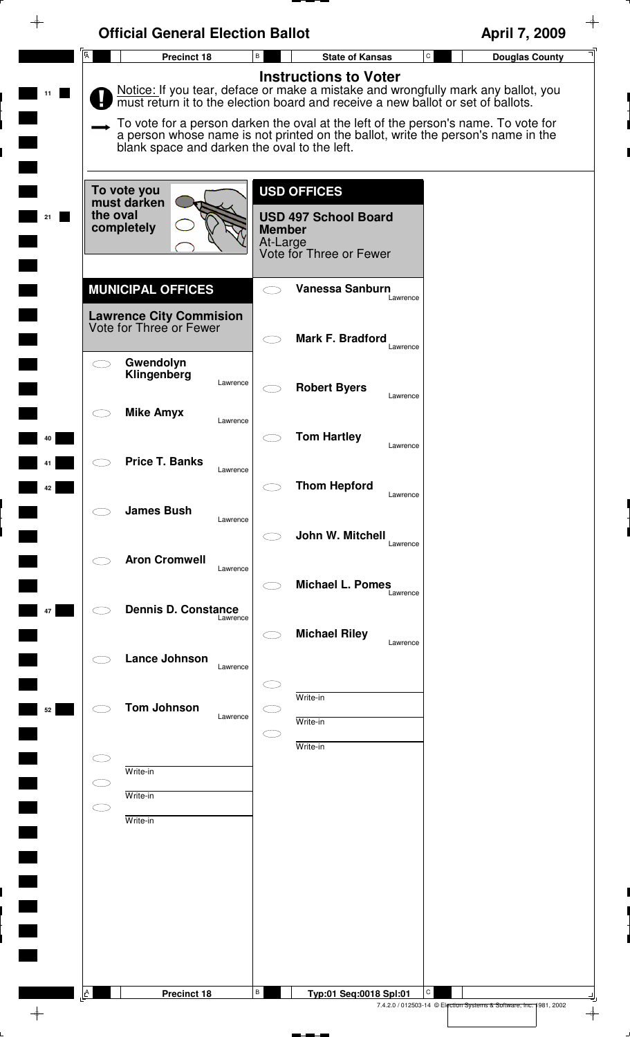|                                                  | <b>Official General Election Ballot</b>                   |                           |                                                        | April 7, 2009                                                                                                                                                          |
|--------------------------------------------------|-----------------------------------------------------------|---------------------------|--------------------------------------------------------|------------------------------------------------------------------------------------------------------------------------------------------------------------------------|
| $\overline{A}$                                   | Precinct 18                                               | B                         | <b>State of Kansas</b>                                 | $\mathtt{C}$<br><b>Douglas County</b>                                                                                                                                  |
|                                                  |                                                           |                           | <b>Instructions to Voter</b>                           | Notice: If you tear, deface or make a mistake and wrongfully mark any ballot, you must return it to the election board and receive a new ballot or set of ballots.     |
|                                                  | blank space and darken the oval to the left.              |                           |                                                        | To vote for a person darken the oval at the left of the person's name. To vote for<br>a person whose name is not printed on the ballot, write the person's name in the |
|                                                  | To vote you<br>must darken                                |                           | <b>USD OFFICES</b>                                     |                                                                                                                                                                        |
| the oval                                         | completely                                                | <b>Member</b><br>At-Large | <b>USD 497 School Board</b><br>Vote for Three or Fewer |                                                                                                                                                                        |
|                                                  | <b>MUNICIPAL OFFICES</b>                                  |                           | <b>Vanessa Sanburn</b><br>Lawrence                     |                                                                                                                                                                        |
|                                                  | <b>Lawrence City Commision</b><br>Vote for Three or Fewer |                           | Mark F. Bradford                                       |                                                                                                                                                                        |
|                                                  | Gwendolyn<br>Klingenberg<br>Lawrence                      |                           | Lawrence<br><b>Robert Byers</b>                        |                                                                                                                                                                        |
|                                                  | <b>Mike Amyx</b><br>Lawrence                              |                           | Lawrence                                               |                                                                                                                                                                        |
|                                                  | <b>Price T. Banks</b><br>Lawrence                         |                           | <b>Tom Hartley</b><br>Lawrence                         |                                                                                                                                                                        |
|                                                  | <b>James Bush</b>                                         |                           | <b>Thom Hepford</b><br>Lawrence                        |                                                                                                                                                                        |
|                                                  | Lawrence<br><b>Aron Cromwell</b>                          |                           | John W. Mitchell<br>Lawrence                           |                                                                                                                                                                        |
|                                                  | Lawrence                                                  |                           | <b>Michael L. Pomes</b><br>Lawrence                    |                                                                                                                                                                        |
|                                                  | <b>Dennis D. Constance</b><br>Lawrence                    |                           | <b>Michael Riley</b><br>Lawrence                       |                                                                                                                                                                        |
|                                                  | Lance Johnson<br>Lawrence                                 |                           |                                                        |                                                                                                                                                                        |
|                                                  | <b>Tom Johnson</b><br>Lawrence                            |                           | Write-in<br>Write-in                                   |                                                                                                                                                                        |
|                                                  | Write-in                                                  | 11                        | Write-in                                               |                                                                                                                                                                        |
| $\subset$ $\overline{\phantom{a}}$<br>$\bigcirc$ | Write-in                                                  |                           |                                                        |                                                                                                                                                                        |
|                                                  | Write-in                                                  |                           |                                                        |                                                                                                                                                                        |
|                                                  |                                                           |                           |                                                        |                                                                                                                                                                        |
|                                                  |                                                           |                           |                                                        |                                                                                                                                                                        |
|                                                  |                                                           |                           |                                                        |                                                                                                                                                                        |
| A                                                | Precinct 18                                               | В                         | Typ:01 Seq:0018 Spl:01                                 | С                                                                                                                                                                      |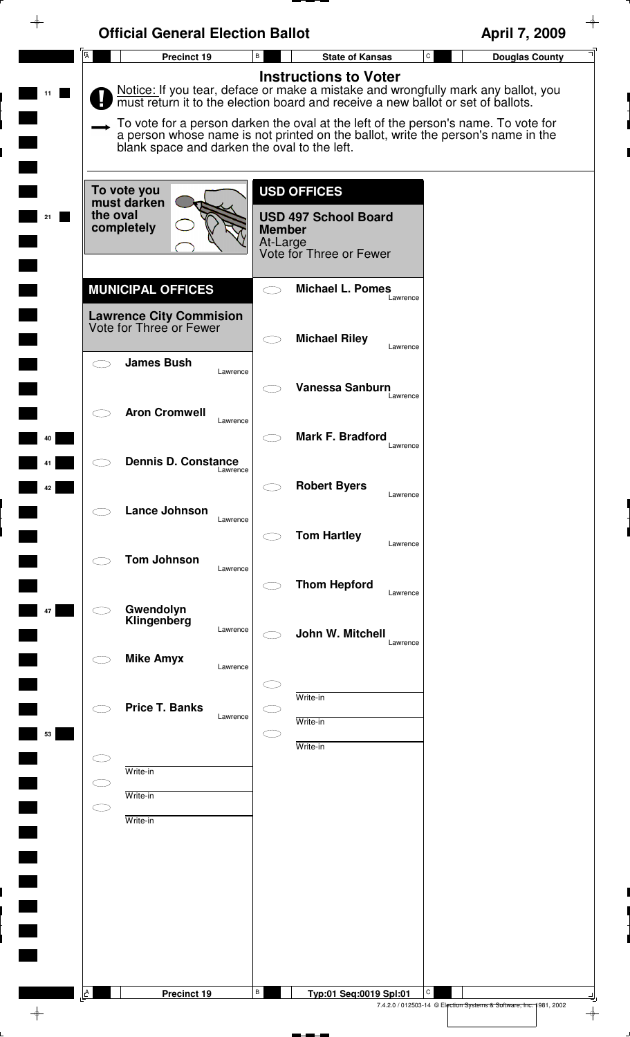|                | <b>Official General Election Ballot</b>                   |                                                                                                                  | April 7, 2009                                                                                                                                                                                                                                               |
|----------------|-----------------------------------------------------------|------------------------------------------------------------------------------------------------------------------|-------------------------------------------------------------------------------------------------------------------------------------------------------------------------------------------------------------------------------------------------------------|
| $\overline{A}$ | Precinct 19                                               | $\, {\sf B}$<br><b>State of Kansas</b>                                                                           | $\mathtt{C}$<br><b>Douglas County</b>                                                                                                                                                                                                                       |
|                |                                                           | <b>Instructions to Voter</b><br>must return it to the election board and receive a new ballot or set of ballots. | Notice: If you tear, deface or make a mistake and wrongfully mark any ballot, you<br>To vote for a person darken the oval at the left of the person's name. To vote for<br>a person whose name is not printed on the ballot, write the person's name in the |
|                | blank space and darken the oval to the left.              |                                                                                                                  |                                                                                                                                                                                                                                                             |
| the oval       | To vote you<br>must darken<br>completely                  | <b>USD OFFICES</b><br><b>USD 497 School Board</b><br><b>Member</b><br>At-Large<br>Vote for Three or Fewer        |                                                                                                                                                                                                                                                             |
|                | <b>MUNICIPAL OFFICES</b>                                  | <b>Michael L. Pomes</b><br>$\subset$ $\supset$                                                                   | Lawrence                                                                                                                                                                                                                                                    |
|                | <b>Lawrence City Commision</b><br>Vote for Three or Fewer | <b>Michael Riley</b>                                                                                             | Lawrence                                                                                                                                                                                                                                                    |
| $\subset$      | <b>James Bush</b><br>Lawrence                             | Vanessa Sanburn                                                                                                  |                                                                                                                                                                                                                                                             |
|                | <b>Aron Cromwell</b><br>Lawrence                          |                                                                                                                  | Lawrence                                                                                                                                                                                                                                                    |
|                | <b>Dennis D. Constance</b><br>Lawrence                    | <b>Mark F. Bradford</b><br>$\subset$ .                                                                           | Lawrence                                                                                                                                                                                                                                                    |
|                | Lance Johnson                                             | <b>Robert Byers</b>                                                                                              | Lawrence                                                                                                                                                                                                                                                    |
|                | Lawrence                                                  | <b>Tom Hartley</b>                                                                                               | Lawrence                                                                                                                                                                                                                                                    |
|                | <b>Tom Johnson</b><br>Lawrence                            | <b>Thom Hepford</b>                                                                                              | Lawrence                                                                                                                                                                                                                                                    |
|                | Gwendolyn<br>Klingenberg<br>Lawrence                      | John W. Mitchell                                                                                                 |                                                                                                                                                                                                                                                             |
|                | <b>Mike Amyx</b><br>Lawrence                              |                                                                                                                  | Lawrence                                                                                                                                                                                                                                                    |
|                | <b>Price T. Banks</b><br>Lawrence                         | Write-in<br>Write-in                                                                                             |                                                                                                                                                                                                                                                             |
|                | Write-in                                                  | Write-in                                                                                                         |                                                                                                                                                                                                                                                             |
| C J<br>C D     | Write-in                                                  |                                                                                                                  |                                                                                                                                                                                                                                                             |
|                | Write-in                                                  |                                                                                                                  |                                                                                                                                                                                                                                                             |
|                |                                                           |                                                                                                                  |                                                                                                                                                                                                                                                             |
|                |                                                           |                                                                                                                  |                                                                                                                                                                                                                                                             |
|                |                                                           |                                                                                                                  |                                                                                                                                                                                                                                                             |
| $\mathbf{A}$   | Precinct 19                                               | В<br>Typ:01 Seq:0019 Spl:01                                                                                      | C                                                                                                                                                                                                                                                           |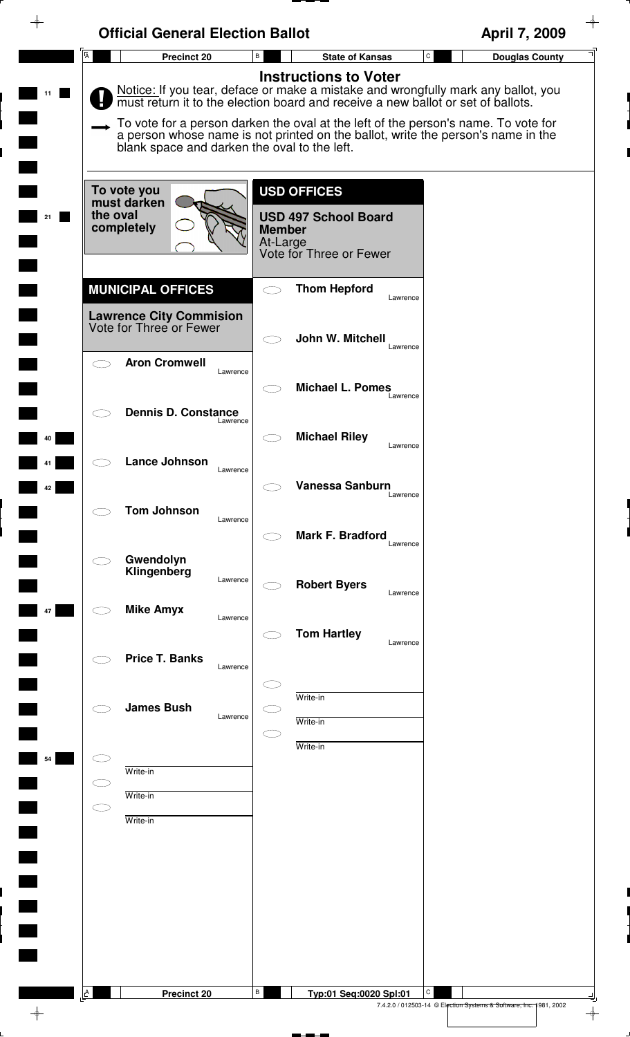|                           | <b>Official General Election Ballot</b>                                               |                                                                                                                                                                                                                                                                                                                                                                                 | April 7, 2009                                                      |
|---------------------------|---------------------------------------------------------------------------------------|---------------------------------------------------------------------------------------------------------------------------------------------------------------------------------------------------------------------------------------------------------------------------------------------------------------------------------------------------------------------------------|--------------------------------------------------------------------|
| $\overline{A}$            | <b>Precinct 20</b>                                                                    | $\mathtt{C}$<br>B<br><b>State of Kansas</b>                                                                                                                                                                                                                                                                                                                                     | <b>Douglas County</b>                                              |
|                           | blank space and darken the oval to the left.                                          | <b>Instructions to Voter</b><br>Notice: If you tear, deface or make a mistake and wrongfully mark any ballot, you<br>must return it to the election board and receive a new ballot or set of ballots.<br>To vote for a person darken the oval at the left of the person's name. To vote for<br>a person whose name is not printed on the ballot, write the person's name in the |                                                                    |
|                           | To vote you<br>must darken<br>the oval<br>completely                                  | <b>USD OFFICES</b><br><b>USD 497 School Board</b><br><b>Member</b><br>At-Large<br>Vote for Three or Fewer                                                                                                                                                                                                                                                                       |                                                                    |
|                           | <b>MUNICIPAL OFFICES</b><br><b>Lawrence City Commision</b><br>Vote for Three or Fewer | <b>Thom Hepford</b><br>Lawrence                                                                                                                                                                                                                                                                                                                                                 |                                                                    |
|                           | <b>Aron Cromwell</b><br>Lawrence                                                      | John W. Mitchell<br>Lawrence                                                                                                                                                                                                                                                                                                                                                    |                                                                    |
|                           | <b>Dennis D. Constance</b><br>Lawrence                                                | <b>Michael L. Pomes</b><br>Lawrence<br><b>Michael Riley</b>                                                                                                                                                                                                                                                                                                                     |                                                                    |
| 42                        | Lance Johnson<br>Lawrence                                                             | Lawrence<br><b>Vanessa Sanburn</b>                                                                                                                                                                                                                                                                                                                                              |                                                                    |
|                           | <b>Tom Johnson</b><br>Lawrence                                                        | Lawrence<br>Mark F. Bradford<br>Lawrence                                                                                                                                                                                                                                                                                                                                        |                                                                    |
|                           | Gwendolyn<br>Klingenberg<br>Lawrence                                                  | <b>Robert Byers</b><br>Lawrence                                                                                                                                                                                                                                                                                                                                                 |                                                                    |
|                           | <b>Mike Amyx</b><br>Lawrence                                                          | <b>Tom Hartley</b><br>Lawrence                                                                                                                                                                                                                                                                                                                                                  |                                                                    |
|                           | <b>Price T. Banks</b><br>Lawrence<br><b>James Bush</b>                                | Write-in                                                                                                                                                                                                                                                                                                                                                                        |                                                                    |
| 54                        | Lawrence                                                                              | Write-in<br>Write-in                                                                                                                                                                                                                                                                                                                                                            |                                                                    |
| CΠ<br>$\subset$ $\supset$ | Write-in<br>Write-in<br>Write-in                                                      |                                                                                                                                                                                                                                                                                                                                                                                 |                                                                    |
|                           |                                                                                       |                                                                                                                                                                                                                                                                                                                                                                                 |                                                                    |
|                           |                                                                                       |                                                                                                                                                                                                                                                                                                                                                                                 |                                                                    |
|                           |                                                                                       |                                                                                                                                                                                                                                                                                                                                                                                 |                                                                    |
| <b>A</b>                  | Precinct 20                                                                           | В<br>С<br>Typ:01 Seq:0020 Spl:01                                                                                                                                                                                                                                                                                                                                                | 7.4.2.0 / 012503-14 © Election Systems & Software, Inc. 1981, 2002 |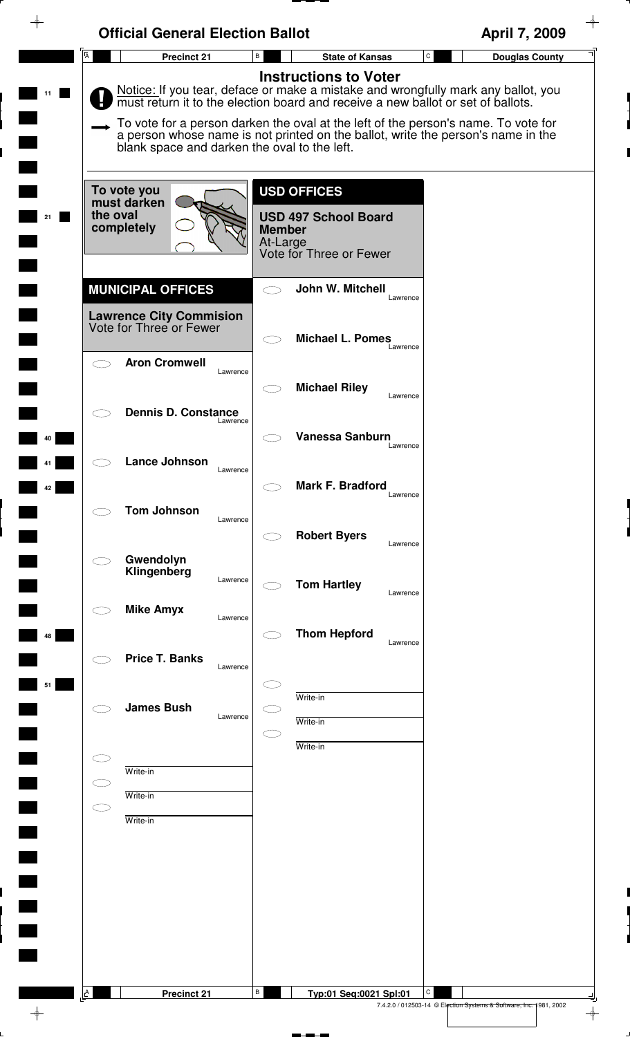| $\overline{A}$ | <b>Official General Election Ballot</b><br><b>Precinct 21</b> | $\, {\bf B} \,$           | $\mathtt{C}$<br><b>State of Kansas</b>                                                                                                                                 | April 7, 2009<br><b>Douglas County</b>                             |
|----------------|---------------------------------------------------------------|---------------------------|------------------------------------------------------------------------------------------------------------------------------------------------------------------------|--------------------------------------------------------------------|
|                |                                                               |                           | <b>Instructions to Voter</b>                                                                                                                                           |                                                                    |
|                |                                                               |                           | Notice: If you tear, deface or make a mistake and wrongfully mark any ballot, you must return it to the election board and receive a new ballot or set of ballots.     |                                                                    |
|                | blank space and darken the oval to the left.                  |                           | To vote for a person darken the oval at the left of the person's name. To vote for<br>a person whose name is not printed on the ballot, write the person's name in the |                                                                    |
|                | To vote you<br>must darken                                    |                           | <b>USD OFFICES</b>                                                                                                                                                     |                                                                    |
| the oval       | completely                                                    | <b>Member</b><br>At-Large | <b>USD 497 School Board</b><br>Vote for Three or Fewer                                                                                                                 |                                                                    |
|                | <b>MUNICIPAL OFFICES</b>                                      | $\bigcirc$                | John W. Mitchell<br>Lawrence                                                                                                                                           |                                                                    |
|                | <b>Lawrence City Commision</b><br>Vote for Three or Fewer     |                           |                                                                                                                                                                        |                                                                    |
|                | <b>Aron Cromwell</b>                                          |                           | <b>Michael L. Pomes</b><br>Lawrence                                                                                                                                    |                                                                    |
|                | Lawrence                                                      |                           | <b>Michael Riley</b><br>Lawrence                                                                                                                                       |                                                                    |
|                | <b>Dennis D. Constance</b><br>Lawrence                        |                           | Vanessa Sanburn                                                                                                                                                        |                                                                    |
|                | Lance Johnson<br>Lawrence                                     |                           | Lawrence                                                                                                                                                               |                                                                    |
|                | <b>Tom Johnson</b>                                            |                           | Mark F. Bradford<br>Lawrence                                                                                                                                           |                                                                    |
|                | Lawrence                                                      |                           | <b>Robert Byers</b><br>Lawrence                                                                                                                                        |                                                                    |
|                | Gwendolyn<br>Klingenberg<br>Lawrence                          |                           | <b>Tom Hartley</b>                                                                                                                                                     |                                                                    |
|                | <b>Mike Amyx</b><br>Lawrence                                  |                           | Lawrence                                                                                                                                                               |                                                                    |
|                | <b>Price T. Banks</b>                                         |                           | <b>Thom Hepford</b><br>Lawrence                                                                                                                                        |                                                                    |
|                | Lawrence                                                      |                           | Write-in                                                                                                                                                               |                                                                    |
|                | <b>James Bush</b><br>Lawrence                                 |                           | Write-in                                                                                                                                                               |                                                                    |
|                | Write-in                                                      |                           | Write-in                                                                                                                                                               |                                                                    |
| $\subset$      | Write-in                                                      |                           |                                                                                                                                                                        |                                                                    |
|                | Write-in                                                      |                           |                                                                                                                                                                        |                                                                    |
|                |                                                               |                           |                                                                                                                                                                        |                                                                    |
|                |                                                               |                           |                                                                                                                                                                        |                                                                    |
|                |                                                               |                           |                                                                                                                                                                        |                                                                    |
|                |                                                               |                           |                                                                                                                                                                        |                                                                    |
| $\Delta$       | <b>Precinct 21</b>                                            | В                         | C<br>Typ:01 Seq:0021 Spl:01                                                                                                                                            | 7.4.2.0 / 012503-14 © Election Systems & Software, Inc. 1981, 2002 |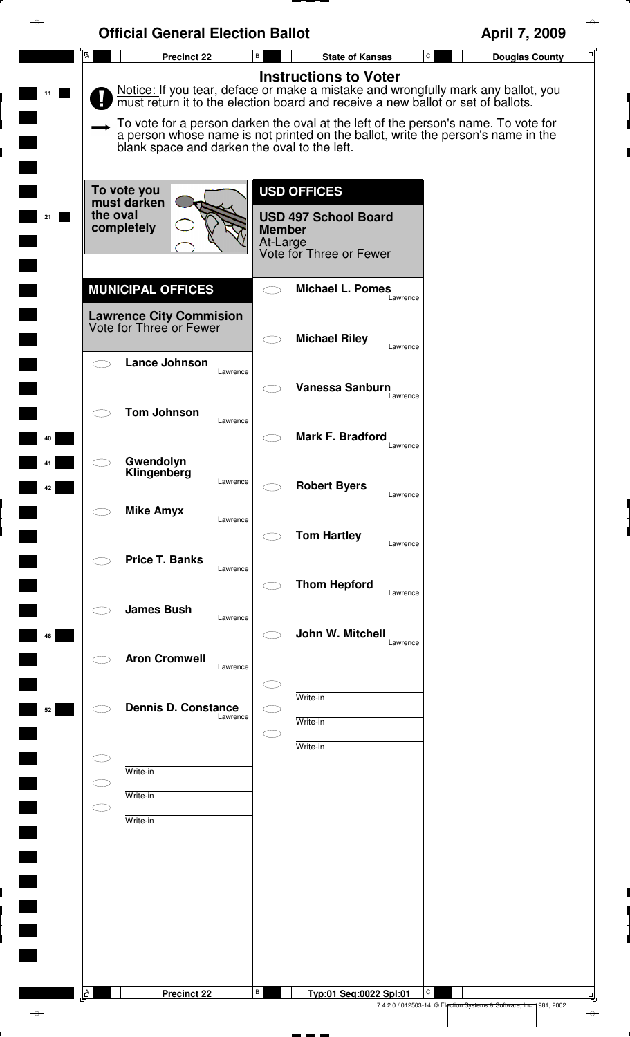| <b>Official General Election Ballot</b>                   |                                                                                                                                                                                                                                                                                             | April 7, 2009                                                           |
|-----------------------------------------------------------|---------------------------------------------------------------------------------------------------------------------------------------------------------------------------------------------------------------------------------------------------------------------------------------------|-------------------------------------------------------------------------|
| $\overline{A}$<br><b>Precinct 22</b>                      | $\, {\bf B} \,$<br><b>State of Kansas</b>                                                                                                                                                                                                                                                   | $\mathtt{C}$<br><b>Douglas County</b>                                   |
|                                                           | <b>Instructions to Voter</b><br>Notice: If you tear, deface or make a mistake and wrongfully mark any ballot, you<br>must return it to the election board and receive a new ballot or set of ballots.<br>To vote for a person darken the oval at the left of the person's name. To vote for |                                                                         |
| blank space and darken the oval to the left.              | a person whose name is not printed on the ballot, write the person's name in the                                                                                                                                                                                                            |                                                                         |
| To vote you<br>must darken<br>the oval                    | <b>USD OFFICES</b>                                                                                                                                                                                                                                                                          |                                                                         |
| completely                                                | <b>USD 497 School Board</b><br><b>Member</b><br>At-Large<br>Vote for Three or Fewer                                                                                                                                                                                                         |                                                                         |
| <b>MUNICIPAL OFFICES</b>                                  | <b>Michael L. Pomes</b><br>$\bigcirc$<br>Lawrence                                                                                                                                                                                                                                           |                                                                         |
| <b>Lawrence City Commision</b><br>Vote for Three or Fewer | <b>Michael Riley</b><br>$\subset$ $\supset$                                                                                                                                                                                                                                                 |                                                                         |
| Lance Johnson<br>$\bigcirc$<br>Lawrence                   | Lawrence                                                                                                                                                                                                                                                                                    |                                                                         |
| <b>Tom Johnson</b><br>Lawrence                            | Vanessa Sanburn<br>Lawrence                                                                                                                                                                                                                                                                 |                                                                         |
|                                                           | Mark F. Bradford<br>Lawrence                                                                                                                                                                                                                                                                |                                                                         |
| Gwendolyn<br>Klingenberg<br>Lawrence                      | <b>Robert Byers</b><br>Lawrence                                                                                                                                                                                                                                                             |                                                                         |
| <b>Mike Amyx</b><br>Lawrence                              |                                                                                                                                                                                                                                                                                             |                                                                         |
| <b>Price T. Banks</b><br>Lawrence                         | <b>Tom Hartley</b><br>Lawrence                                                                                                                                                                                                                                                              |                                                                         |
| <b>James Bush</b>                                         | <b>Thom Hepford</b><br>Lawrence                                                                                                                                                                                                                                                             |                                                                         |
| Lawrence                                                  | John W. Mitchell<br>Lawrence                                                                                                                                                                                                                                                                |                                                                         |
| <b>Aron Cromwell</b><br>Lawrence                          |                                                                                                                                                                                                                                                                                             |                                                                         |
| <b>Dennis D. Constance</b><br>Lawrence                    | Write-in<br>Write-in                                                                                                                                                                                                                                                                        |                                                                         |
|                                                           | Œ<br>Write-in                                                                                                                                                                                                                                                                               |                                                                         |
| Write-in<br>C D<br>Write-in                               |                                                                                                                                                                                                                                                                                             |                                                                         |
| $\subset$<br>Write-in                                     |                                                                                                                                                                                                                                                                                             |                                                                         |
|                                                           |                                                                                                                                                                                                                                                                                             |                                                                         |
|                                                           |                                                                                                                                                                                                                                                                                             |                                                                         |
|                                                           |                                                                                                                                                                                                                                                                                             |                                                                         |
|                                                           |                                                                                                                                                                                                                                                                                             |                                                                         |
| $\Delta$<br><b>Precinct 22</b>                            | В<br>Typ:01 Seq:0022 Spl:01                                                                                                                                                                                                                                                                 | C<br>7.4.2.0 / 012503-14 © Election Systems & Software, Inc. 1981, 2002 |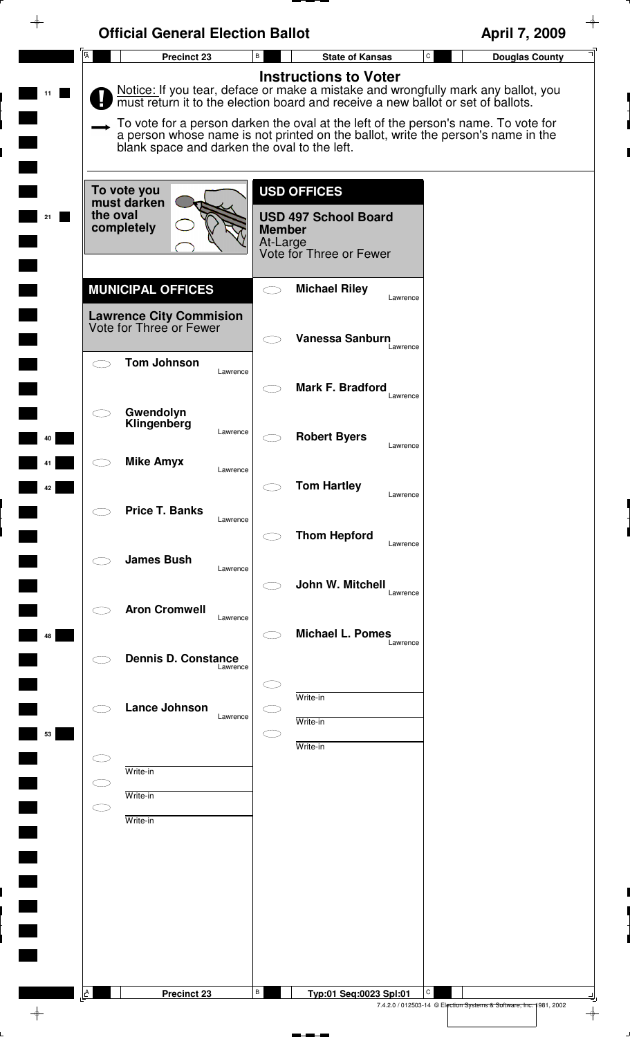| <b>Official General Election Ballot</b>                   |                                              | April 7, 2009                                                                                                                                                                                                                                                                                                                                   |
|-----------------------------------------------------------|----------------------------------------------|-------------------------------------------------------------------------------------------------------------------------------------------------------------------------------------------------------------------------------------------------------------------------------------------------------------------------------------------------|
| $\overline{A}$<br>Precinct 23                             | В                                            | $\mathtt{C}$<br><b>State of Kansas</b><br><b>Douglas County</b>                                                                                                                                                                                                                                                                                 |
|                                                           | <b>Instructions to Voter</b>                 | Notice: If you tear, deface or make a mistake and wrongfully mark any ballot, you<br>must return it to the election board and receive a new ballot or set of ballots.<br>To vote for a person darken the oval at the left of the person's name. To vote for<br>a person whose name is not printed on the ballot, write the person's name in the |
|                                                           | blank space and darken the oval to the left. |                                                                                                                                                                                                                                                                                                                                                 |
|                                                           |                                              |                                                                                                                                                                                                                                                                                                                                                 |
| To vote you<br>must darken                                | <b>USD OFFICES</b>                           |                                                                                                                                                                                                                                                                                                                                                 |
| the oval<br>completely                                    | <b>USD 497 School Board</b><br><b>Member</b> |                                                                                                                                                                                                                                                                                                                                                 |
|                                                           | At-Large<br>Vote for Three or Fewer          |                                                                                                                                                                                                                                                                                                                                                 |
|                                                           |                                              |                                                                                                                                                                                                                                                                                                                                                 |
| <b>MUNICIPAL OFFICES</b>                                  | <b>Michael Riley</b><br>$\bigcirc$           | Lawrence                                                                                                                                                                                                                                                                                                                                        |
| <b>Lawrence City Commision</b><br>Vote for Three or Fewer | <b>Vanessa Sanburn</b>                       |                                                                                                                                                                                                                                                                                                                                                 |
| <b>Tom Johnson</b><br>$\overline{\phantom{m}}$            |                                              | Lawrence                                                                                                                                                                                                                                                                                                                                        |
|                                                           | Lawrence<br>Mark F. Bradford                 |                                                                                                                                                                                                                                                                                                                                                 |
| Gwendolyn                                                 |                                              | Lawrence                                                                                                                                                                                                                                                                                                                                        |
| Klingenberg                                               | Lawrence<br><b>Robert Byers</b>              |                                                                                                                                                                                                                                                                                                                                                 |
| <b>Mike Amyx</b>                                          |                                              | Lawrence                                                                                                                                                                                                                                                                                                                                        |
|                                                           | Lawrence<br><b>Tom Hartley</b>               |                                                                                                                                                                                                                                                                                                                                                 |
| <b>Price T. Banks</b>                                     |                                              | Lawrence                                                                                                                                                                                                                                                                                                                                        |
|                                                           | Lawrence<br><b>Thom Hepford</b>              | Lawrence                                                                                                                                                                                                                                                                                                                                        |
| <b>James Bush</b>                                         | Lawrence                                     |                                                                                                                                                                                                                                                                                                                                                 |
|                                                           | John W. Mitchell                             | Lawrence                                                                                                                                                                                                                                                                                                                                        |
| <b>Aron Cromwell</b>                                      | Lawrence                                     |                                                                                                                                                                                                                                                                                                                                                 |
|                                                           | <b>Michael L. Pomes</b>                      | Lawrence                                                                                                                                                                                                                                                                                                                                        |
| <b>Dennis D. Constance</b>                                | Lawrence                                     |                                                                                                                                                                                                                                                                                                                                                 |
|                                                           | Write-in                                     |                                                                                                                                                                                                                                                                                                                                                 |
| <b>Lance Johnson</b>                                      | Lawrence<br>Write-in                         |                                                                                                                                                                                                                                                                                                                                                 |
|                                                           | Write-in                                     |                                                                                                                                                                                                                                                                                                                                                 |
| Write-in                                                  |                                              |                                                                                                                                                                                                                                                                                                                                                 |
| Write-in<br>$\subset$ $\supset$                           |                                              |                                                                                                                                                                                                                                                                                                                                                 |
| Write-in                                                  |                                              |                                                                                                                                                                                                                                                                                                                                                 |
|                                                           |                                              |                                                                                                                                                                                                                                                                                                                                                 |
|                                                           |                                              |                                                                                                                                                                                                                                                                                                                                                 |
|                                                           |                                              |                                                                                                                                                                                                                                                                                                                                                 |
|                                                           |                                              |                                                                                                                                                                                                                                                                                                                                                 |
|                                                           |                                              |                                                                                                                                                                                                                                                                                                                                                 |
|                                                           |                                              |                                                                                                                                                                                                                                                                                                                                                 |
| A<br><b>Precinct 23</b>                                   | В                                            | C<br>Typ:01 Seq:0023 Spl:01<br>7.4.2.0 / 012503-14 © Election Systems & Software, Inc. 1981, 2002                                                                                                                                                                                                                                               |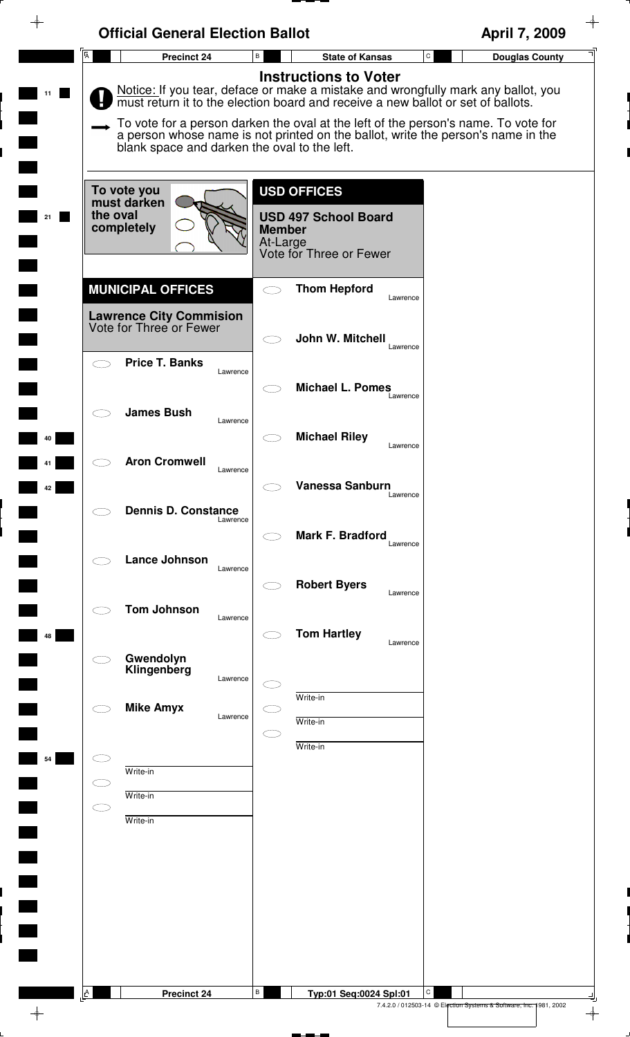|                | <b>Official General Election Ballot</b>                   |                                                                                                                                                                                                                                                                                                                                                                                 | April 7, 2009                      |
|----------------|-----------------------------------------------------------|---------------------------------------------------------------------------------------------------------------------------------------------------------------------------------------------------------------------------------------------------------------------------------------------------------------------------------------------------------------------------------|------------------------------------|
| $\overline{A}$ | Precinct 24                                               | $\, {\bf B} \,$<br><b>State of Kansas</b>                                                                                                                                                                                                                                                                                                                                       | ${\tt C}$<br><b>Douglas County</b> |
|                | blank space and darken the oval to the left.              | <b>Instructions to Voter</b><br>Notice: If you tear, deface or make a mistake and wrongfully mark any ballot, you<br>must return it to the election board and receive a new ballot or set of ballots.<br>To vote for a person darken the oval at the left of the person's name. To vote for<br>a person whose name is not printed on the ballot, write the person's name in the |                                    |
|                | To vote you                                               | <b>USD OFFICES</b>                                                                                                                                                                                                                                                                                                                                                              |                                    |
| the oval       | must darken<br>completely                                 | <b>USD 497 School Board</b><br><b>Member</b><br>At-Large<br>Vote for Three or Fewer                                                                                                                                                                                                                                                                                             |                                    |
|                | <b>MUNICIPAL OFFICES</b>                                  | <b>Thom Hepford</b><br>Lawrence                                                                                                                                                                                                                                                                                                                                                 |                                    |
|                | <b>Lawrence City Commision</b><br>Vote for Three or Fewer | John W. Mitchell<br>Lawrence                                                                                                                                                                                                                                                                                                                                                    |                                    |
| $\subset$      | <b>Price T. Banks</b><br>Lawrence                         | <b>Michael L. Pomes</b>                                                                                                                                                                                                                                                                                                                                                         |                                    |
|                | <b>James Bush</b><br>Lawrence                             | Lawrence<br><b>Michael Riley</b>                                                                                                                                                                                                                                                                                                                                                |                                    |
|                | <b>Aron Cromwell</b><br>Lawrence                          | Lawrence                                                                                                                                                                                                                                                                                                                                                                        |                                    |
|                | <b>Dennis D. Constance</b><br>Lawrence                    | <b>Vanessa Sanburn</b><br>Lawrence                                                                                                                                                                                                                                                                                                                                              |                                    |
|                | <b>Lance Johnson</b><br>Lawrence                          | <b>Mark F. Bradford</b><br>Lawrence                                                                                                                                                                                                                                                                                                                                             |                                    |
|                | <b>Tom Johnson</b>                                        | <b>Robert Byers</b><br>Lawrence                                                                                                                                                                                                                                                                                                                                                 |                                    |
|                | Lawrence<br>Gwendolyn                                     | <b>Tom Hartley</b><br>Lawrence                                                                                                                                                                                                                                                                                                                                                  |                                    |
|                | Klingenberg<br>Lawrence                                   | Write-in                                                                                                                                                                                                                                                                                                                                                                        |                                    |
|                | <b>Mike Amyx</b><br>Lawrence                              | Write-in<br>Write-in                                                                                                                                                                                                                                                                                                                                                            |                                    |
| CI.            | Write-in                                                  |                                                                                                                                                                                                                                                                                                                                                                                 |                                    |
| C D            | Write-in<br>Write-in                                      |                                                                                                                                                                                                                                                                                                                                                                                 |                                    |
|                |                                                           |                                                                                                                                                                                                                                                                                                                                                                                 |                                    |
|                |                                                           |                                                                                                                                                                                                                                                                                                                                                                                 |                                    |
|                |                                                           |                                                                                                                                                                                                                                                                                                                                                                                 |                                    |
|                |                                                           |                                                                                                                                                                                                                                                                                                                                                                                 |                                    |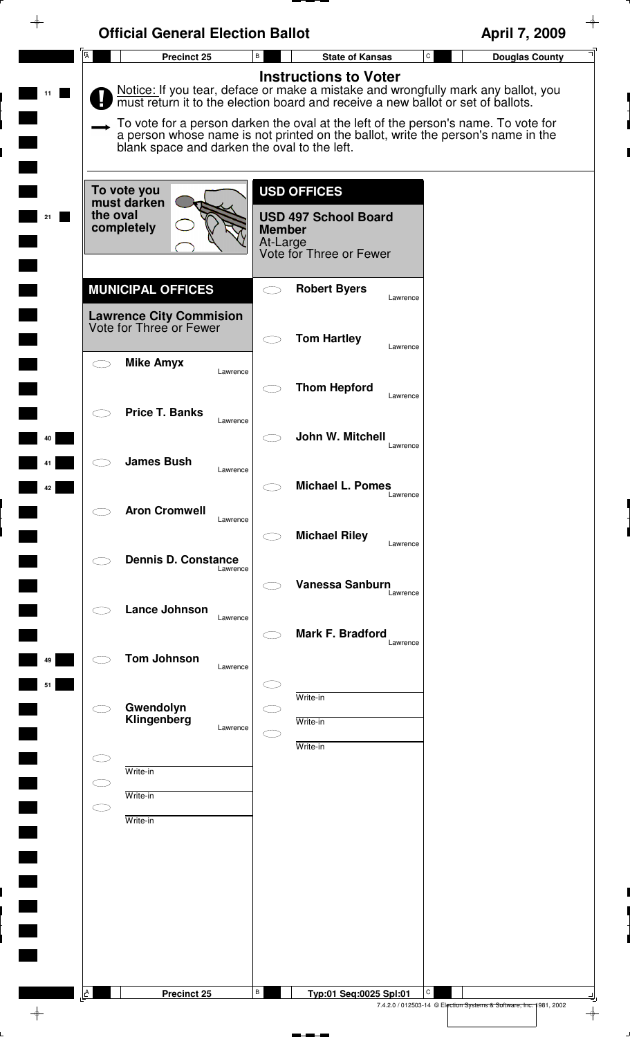|                                    | <b>Official General Election Ballot</b>                                               |                                                                                                           | April 7, 2009                                                                                                                                                                                                                                                                                                                                |
|------------------------------------|---------------------------------------------------------------------------------------|-----------------------------------------------------------------------------------------------------------|----------------------------------------------------------------------------------------------------------------------------------------------------------------------------------------------------------------------------------------------------------------------------------------------------------------------------------------------|
| $\overline{A}$                     | Precinct 25                                                                           | В<br><b>State of Kansas</b>                                                                               | $\mathtt{C}$<br><b>Douglas County</b>                                                                                                                                                                                                                                                                                                        |
|                                    | blank space and darken the oval to the left.                                          | <b>Instructions to Voter</b>                                                                              | Notice: If you tear, deface or make a mistake and wrongfully mark any ballot, you must return it to the election board and receive a new ballot or set of ballots.<br>To vote for a person darken the oval at the left of the person's name. To vote for<br>a person whose name is not printed on the ballot, write the person's name in the |
| 21                                 | To vote you<br>must darken<br>the oval<br>completely                                  | <b>USD OFFICES</b><br><b>USD 497 School Board</b><br><b>Member</b><br>At-Large<br>Vote for Three or Fewer |                                                                                                                                                                                                                                                                                                                                              |
|                                    | <b>MUNICIPAL OFFICES</b><br><b>Lawrence City Commision</b><br>Vote for Three or Fewer | <b>Robert Byers</b>                                                                                       | Lawrence                                                                                                                                                                                                                                                                                                                                     |
| $\subset$ $\overline{\phantom{a}}$ | <b>Mike Amyx</b><br>Lawrence                                                          | <b>Tom Hartley</b><br><b>Thom Hepford</b>                                                                 | Lawrence<br>Lawrence                                                                                                                                                                                                                                                                                                                         |
| 40                                 | <b>Price T. Banks</b><br>Lawrence<br><b>James Bush</b>                                | John W. Mitchell                                                                                          | Lawrence                                                                                                                                                                                                                                                                                                                                     |
| 42                                 | Lawrence<br><b>Aron Cromwell</b><br>Lawrence                                          | <b>Michael L. Pomes</b>                                                                                   | Lawrence                                                                                                                                                                                                                                                                                                                                     |
|                                    | <b>Dennis D. Constance</b><br>Lawrence                                                | <b>Michael Riley</b><br><b>Vanessa Sanburn</b>                                                            | Lawrence                                                                                                                                                                                                                                                                                                                                     |
|                                    | Lance Johnson<br>Lawrence                                                             | <b>Mark F. Bradford</b>                                                                                   | Lawrence<br>Lawrence                                                                                                                                                                                                                                                                                                                         |
| 49<br>51                           | <b>Tom Johnson</b><br>Lawrence                                                        | Write-in                                                                                                  |                                                                                                                                                                                                                                                                                                                                              |
|                                    | Gwendolyn<br>Klingenberg<br>Lawrence                                                  | Write-in<br>Write-in                                                                                      |                                                                                                                                                                                                                                                                                                                                              |
| C.                                 | Write-in<br>Write-in<br>Write-in                                                      |                                                                                                           |                                                                                                                                                                                                                                                                                                                                              |
|                                    |                                                                                       |                                                                                                           |                                                                                                                                                                                                                                                                                                                                              |
|                                    |                                                                                       |                                                                                                           |                                                                                                                                                                                                                                                                                                                                              |
| A                                  | Precinct 25                                                                           | В<br>Typ:01 Seq:0025 Spl:01                                                                               | C<br>7.4.2.0 / 012503-14 © Election Systems & Software, Inc. 1981, 2002                                                                                                                                                                                                                                                                      |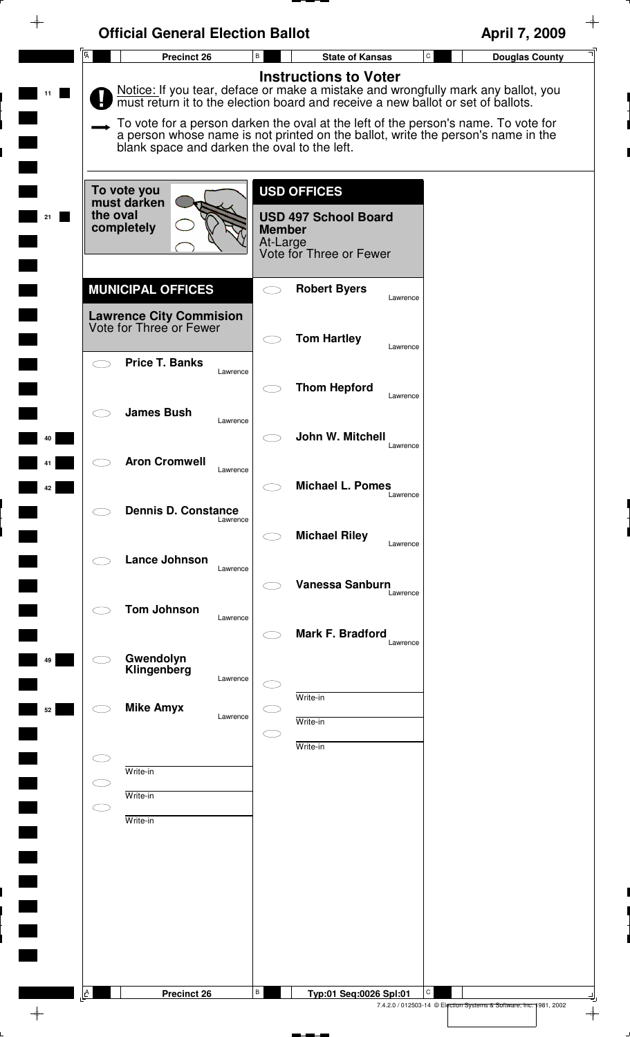|                         | <b>Official General Election Ballot</b>                    |                                                                                                                                                                                                        | April 7, 2009                                                                                                                                                      |
|-------------------------|------------------------------------------------------------|--------------------------------------------------------------------------------------------------------------------------------------------------------------------------------------------------------|--------------------------------------------------------------------------------------------------------------------------------------------------------------------|
| $\overline{\mathsf{A}}$ | Precinct 26                                                | B<br><b>State of Kansas</b>                                                                                                                                                                            | $\mathtt{C}$<br><b>Douglas County</b>                                                                                                                              |
| 11                      | blank space and darken the oval to the left.               | <b>Instructions to Voter</b><br>To vote for a person darken the oval at the left of the person's name. To vote for<br>a person whose name is not printed on the ballot, write the person's name in the | Notice: If you tear, deface or make a mistake and wrongfully mark any ballot, you must return it to the election board and receive a new ballot or set of ballots. |
| the oval<br>21          | To vote you<br>must darken<br>completely                   | <b>USD OFFICES</b><br><b>USD 497 School Board</b><br><b>Member</b><br>At-Large<br>Vote for Three or Fewer                                                                                              |                                                                                                                                                                    |
|                         | <b>MUNICIPAL OFFICES</b><br><b>Lawrence City Commision</b> | <b>Robert Byers</b><br>Lawrence                                                                                                                                                                        |                                                                                                                                                                    |
|                         | Vote for Three or Fewer<br><b>Price T. Banks</b>           | <b>Tom Hartley</b><br>Lawrence                                                                                                                                                                         |                                                                                                                                                                    |
|                         | Lawrence                                                   | <b>Thom Hepford</b><br>Lawrence                                                                                                                                                                        |                                                                                                                                                                    |
| 40                      | <b>James Bush</b><br>Lawrence                              | John W. Mitchell<br>Lawrence                                                                                                                                                                           |                                                                                                                                                                    |
| 42                      | <b>Aron Cromwell</b><br>Lawrence                           | <b>Michael L. Pomes</b><br>Lawrence                                                                                                                                                                    |                                                                                                                                                                    |
|                         | <b>Dennis D. Constance</b><br>Lawrence                     | <b>Michael Riley</b><br>Lawrence                                                                                                                                                                       |                                                                                                                                                                    |
|                         | <b>Lance Johnson</b><br>Lawrence                           | <b>Vanessa Sanburn</b><br>Lawrence                                                                                                                                                                     |                                                                                                                                                                    |
|                         | <b>Tom Johnson</b><br>Lawrence                             | <b>Mark F. Bradford</b>                                                                                                                                                                                |                                                                                                                                                                    |
| 49                      | Gwendolyn<br>Klingenberg<br>Lawrence                       | Lawrence                                                                                                                                                                                               |                                                                                                                                                                    |
| 52                      | <b>Mike Amyx</b><br>Lawrence                               | Write-in<br>Write-in                                                                                                                                                                                   |                                                                                                                                                                    |
|                         | Write-in                                                   | Write-in                                                                                                                                                                                               |                                                                                                                                                                    |
| C I                     | Write-in<br>Write-in                                       |                                                                                                                                                                                                        |                                                                                                                                                                    |
|                         |                                                            |                                                                                                                                                                                                        |                                                                                                                                                                    |
|                         |                                                            |                                                                                                                                                                                                        |                                                                                                                                                                    |
|                         |                                                            |                                                                                                                                                                                                        |                                                                                                                                                                    |
| $\triangle$             | <b>Precinct 26</b>                                         | В<br>Typ:01 Seq:0026 Spl:01<br>7.4.2.0 / 012503-14 © Election Systems & Software, Inc. 1981, 2002                                                                                                      | C                                                                                                                                                                  |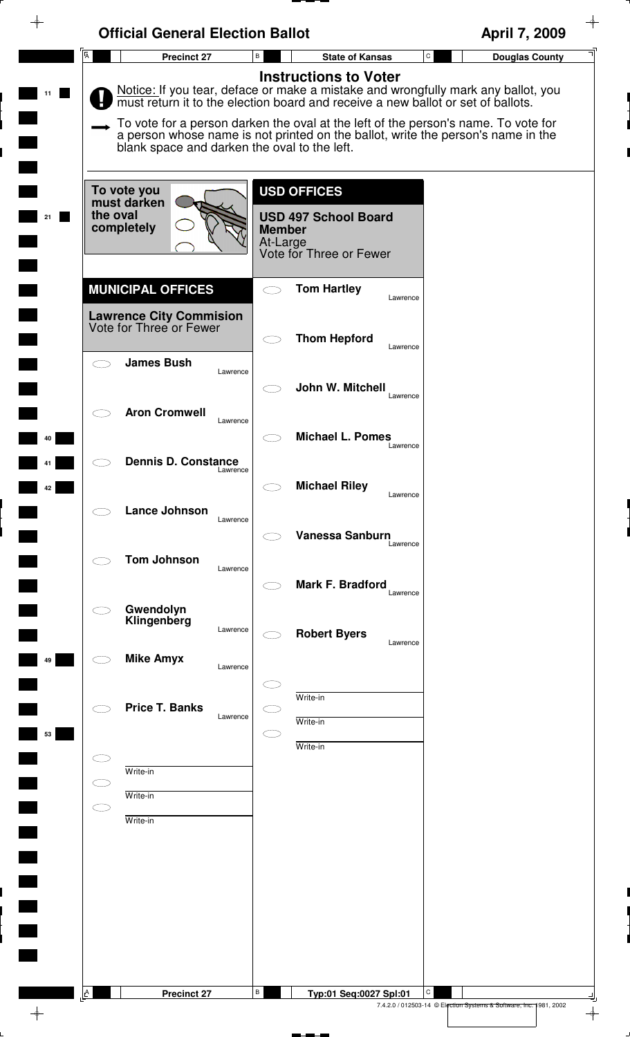|                | <b>Official General Election Ballot</b>                        |                                                                                                                                                                                                                                                                                                                                                                                 | April 7, 2009         |
|----------------|----------------------------------------------------------------|---------------------------------------------------------------------------------------------------------------------------------------------------------------------------------------------------------------------------------------------------------------------------------------------------------------------------------------------------------------------------------|-----------------------|
| $\overline{A}$ | <b>Precinct 27</b>                                             | $\, {\bf B} \,$<br>$\mathtt{C}$<br><b>State of Kansas</b>                                                                                                                                                                                                                                                                                                                       | <b>Douglas County</b> |
|                | blank space and darken the oval to the left.                   | <b>Instructions to Voter</b><br>Notice: If you tear, deface or make a mistake and wrongfully mark any ballot, you<br>must return it to the election board and receive a new ballot or set of ballots.<br>To vote for a person darken the oval at the left of the person's name. To vote for<br>a person whose name is not printed on the ballot, write the person's name in the |                       |
| the oval<br>21 | To vote you<br>must darken<br>completely                       | <b>USD OFFICES</b><br><b>USD 497 School Board</b><br><b>Member</b><br>At-Large<br>Vote for Three or Fewer                                                                                                                                                                                                                                                                       |                       |
|                | <b>MUNICIPAL OFFICES</b>                                       | <b>Tom Hartley</b><br>Lawrence                                                                                                                                                                                                                                                                                                                                                  |                       |
|                | <b>Lawrence City Commision</b><br>Vote for Three or Fewer      | <b>Thom Hepford</b><br>Lawrence                                                                                                                                                                                                                                                                                                                                                 |                       |
|                | <b>James Bush</b><br>Lawrence                                  | John W. Mitchell<br>Lawrence                                                                                                                                                                                                                                                                                                                                                    |                       |
| 40             | <b>Aron Cromwell</b><br>Lawrence<br><b>Dennis D. Constance</b> | <b>Michael L. Pomes</b><br>Lawrence                                                                                                                                                                                                                                                                                                                                             |                       |
| 42             | Lawrence                                                       | <b>Michael Riley</b><br>Lawrence                                                                                                                                                                                                                                                                                                                                                |                       |
|                | <b>Lance Johnson</b><br>Lawrence<br><b>Tom Johnson</b>         | <b>Vanessa Sanburn</b><br>Lawrence                                                                                                                                                                                                                                                                                                                                              |                       |
|                | Lawrence<br>Gwendolyn                                          | Mark F. Bradford<br>Lawrence                                                                                                                                                                                                                                                                                                                                                    |                       |
|                | Klingenberg<br>Lawrence                                        | <b>Robert Byers</b><br>Lawrence                                                                                                                                                                                                                                                                                                                                                 |                       |
| 49             | <b>Mike Amyx</b><br>Lawrence                                   |                                                                                                                                                                                                                                                                                                                                                                                 |                       |
| 53             | <b>Price T. Banks</b><br>Lawrence                              | Write-in<br>Write-in                                                                                                                                                                                                                                                                                                                                                            |                       |
|                | Write-in                                                       | Write-in                                                                                                                                                                                                                                                                                                                                                                        |                       |
| СI             | Write-in<br>Write-in                                           |                                                                                                                                                                                                                                                                                                                                                                                 |                       |
|                |                                                                |                                                                                                                                                                                                                                                                                                                                                                                 |                       |
|                |                                                                |                                                                                                                                                                                                                                                                                                                                                                                 |                       |
|                |                                                                |                                                                                                                                                                                                                                                                                                                                                                                 |                       |
| A              | <b>Precinct 27</b>                                             | B<br>С<br>Typ:01 Seq:0027 Spl:01                                                                                                                                                                                                                                                                                                                                                |                       |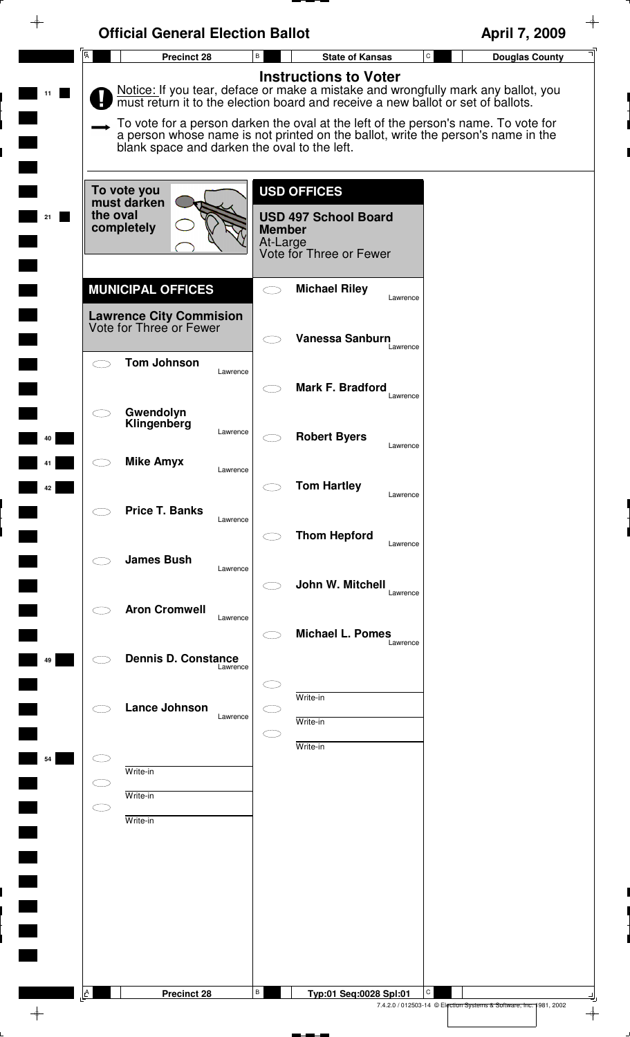|                | <b>Official General Election Ballot</b>                   |                                                                                                                                                                                                                                                                                                                                                                              | April 7, 2009                         |
|----------------|-----------------------------------------------------------|------------------------------------------------------------------------------------------------------------------------------------------------------------------------------------------------------------------------------------------------------------------------------------------------------------------------------------------------------------------------------|---------------------------------------|
| $\overline{A}$ | <b>Precinct 28</b>                                        | В<br><b>State of Kansas</b>                                                                                                                                                                                                                                                                                                                                                  | $\mathtt{C}$<br><b>Douglas County</b> |
|                | blank space and darken the oval to the left.              | <b>Instructions to Voter</b><br>Notice: If you tear, deface or make a mistake and wrongfully mark any ballot, you must return it to the election board and receive a new ballot or set of ballots.<br>To vote for a person darken the oval at the left of the person's name. To vote for<br>a person whose name is not printed on the ballot, write the person's name in the |                                       |
|                | To vote you<br>must darken<br>the oval<br>completely      | <b>USD OFFICES</b><br><b>USD 497 School Board</b><br><b>Member</b><br>At-Large<br>Vote for Three or Fewer                                                                                                                                                                                                                                                                    |                                       |
|                | <b>MUNICIPAL OFFICES</b>                                  | <b>Michael Riley</b><br>Lawrence                                                                                                                                                                                                                                                                                                                                             |                                       |
|                | <b>Lawrence City Commision</b><br>Vote for Three or Fewer | Vanessa Sanburn<br>Lawrence                                                                                                                                                                                                                                                                                                                                                  |                                       |
|                | <b>Tom Johnson</b><br>Lawrence                            | Mark F. Bradford<br>Lawrence                                                                                                                                                                                                                                                                                                                                                 |                                       |
|                | Gwendolyn<br>Klingenberg<br>Lawrence                      | <b>Robert Byers</b><br>Lawrence                                                                                                                                                                                                                                                                                                                                              |                                       |
|                | <b>Mike Amyx</b><br>Lawrence                              | <b>Tom Hartley</b><br>Lawrence                                                                                                                                                                                                                                                                                                                                               |                                       |
|                | <b>Price T. Banks</b><br>Lawrence                         | <b>Thom Hepford</b><br>Lawrence                                                                                                                                                                                                                                                                                                                                              |                                       |
|                | <b>James Bush</b><br>Lawrence                             | John W. Mitchell<br>Lawrence                                                                                                                                                                                                                                                                                                                                                 |                                       |
|                | <b>Aron Cromwell</b><br>Lawrence                          | <b>Michael L. Pomes</b><br>Lawrence                                                                                                                                                                                                                                                                                                                                          |                                       |
|                | <b>Dennis D. Constance</b><br>Lawrence                    |                                                                                                                                                                                                                                                                                                                                                                              |                                       |
|                | <b>Lance Johnson</b><br>Lawrence                          | Write-in<br>Write-in                                                                                                                                                                                                                                                                                                                                                         |                                       |
|                | Write-in                                                  | Write-in                                                                                                                                                                                                                                                                                                                                                                     |                                       |
|                | Write-in<br>Write-in                                      |                                                                                                                                                                                                                                                                                                                                                                              |                                       |
|                |                                                           |                                                                                                                                                                                                                                                                                                                                                                              |                                       |
|                |                                                           |                                                                                                                                                                                                                                                                                                                                                                              |                                       |
|                |                                                           |                                                                                                                                                                                                                                                                                                                                                                              |                                       |
|                |                                                           |                                                                                                                                                                                                                                                                                                                                                                              |                                       |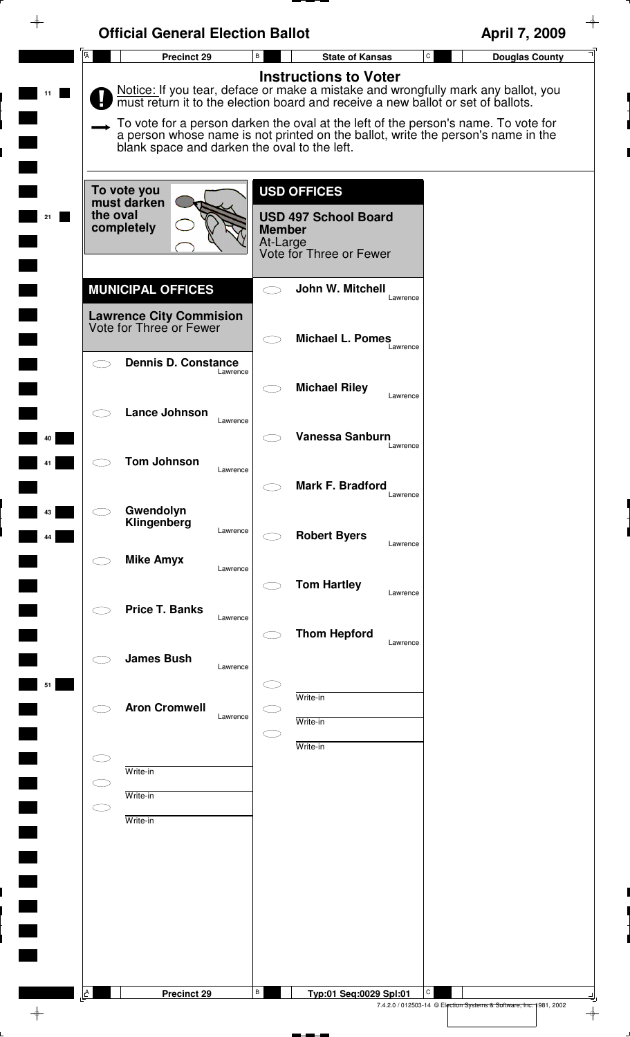| ⊕              | <b>Official General Election Ballot</b>                                               |                                                                                                                                                                                                                                                                                                                                                                                 | April 7, 2009                                                           |
|----------------|---------------------------------------------------------------------------------------|---------------------------------------------------------------------------------------------------------------------------------------------------------------------------------------------------------------------------------------------------------------------------------------------------------------------------------------------------------------------------------|-------------------------------------------------------------------------|
| $\overline{A}$ | <b>Precinct 29</b>                                                                    | B<br><b>State of Kansas</b>                                                                                                                                                                                                                                                                                                                                                     | ${\tt C}$<br><b>Douglas County</b>                                      |
|                | blank space and darken the oval to the left.                                          | <b>Instructions to Voter</b><br>Notice: If you tear, deface or make a mistake and wrongfully mark any ballot, you<br>must return it to the election board and receive a new ballot or set of ballots.<br>To vote for a person darken the oval at the left of the person's name. To vote for<br>a person whose name is not printed on the ballot, write the person's name in the |                                                                         |
| 21             | To vote you<br>must darken<br>the oval<br>completely                                  | <b>USD OFFICES</b><br><b>USD 497 School Board</b><br><b>Member</b><br>At-Large<br>Vote for Three or Fewer                                                                                                                                                                                                                                                                       |                                                                         |
|                | <b>MUNICIPAL OFFICES</b><br><b>Lawrence City Commision</b><br>Vote for Three or Fewer | John W. Mitchell<br>Lawrence                                                                                                                                                                                                                                                                                                                                                    |                                                                         |
|                | <b>Dennis D. Constance</b><br>Lawrence                                                | <b>Michael L. Pomes</b><br>Lawrence                                                                                                                                                                                                                                                                                                                                             |                                                                         |
|                | <b>Lance Johnson</b><br>Lawrence                                                      | <b>Michael Riley</b><br>Lawrence                                                                                                                                                                                                                                                                                                                                                |                                                                         |
| 40             | <b>Tom Johnson</b>                                                                    | Vanessa Sanburn<br>Lawrence                                                                                                                                                                                                                                                                                                                                                     |                                                                         |
| 43             | Lawrence<br>Gwendolyn                                                                 | Mark F. Bradford<br>Lawrence                                                                                                                                                                                                                                                                                                                                                    |                                                                         |
| 44             | Klingenberg<br>Lawrence<br><b>Mike Amyx</b>                                           | <b>Robert Byers</b><br>Lawrence                                                                                                                                                                                                                                                                                                                                                 |                                                                         |
|                | Lawrence<br><b>Price T. Banks</b>                                                     | <b>Tom Hartley</b><br>Lawrence                                                                                                                                                                                                                                                                                                                                                  |                                                                         |
|                | Lawrence<br><b>James Bush</b>                                                         | <b>Thom Hepford</b><br>Lawrence                                                                                                                                                                                                                                                                                                                                                 |                                                                         |
| 51             | Lawrence                                                                              | Write-in                                                                                                                                                                                                                                                                                                                                                                        |                                                                         |
|                | <b>Aron Cromwell</b><br>Lawrence                                                      | Write-in<br>Write-in                                                                                                                                                                                                                                                                                                                                                            |                                                                         |
|                | Write-in<br>Write-in                                                                  |                                                                                                                                                                                                                                                                                                                                                                                 |                                                                         |
| СĪ             | Write-in                                                                              |                                                                                                                                                                                                                                                                                                                                                                                 |                                                                         |
|                |                                                                                       |                                                                                                                                                                                                                                                                                                                                                                                 |                                                                         |
|                |                                                                                       |                                                                                                                                                                                                                                                                                                                                                                                 |                                                                         |
|                |                                                                                       |                                                                                                                                                                                                                                                                                                                                                                                 |                                                                         |
| $\mathsf{A}$   | <b>Precinct 29</b>                                                                    | В<br>Typ:01 Seq:0029 Spl:01                                                                                                                                                                                                                                                                                                                                                     | С<br>7.4.2.0 / 012503-14 © Election Systems & Software, Inc. 1981, 2002 |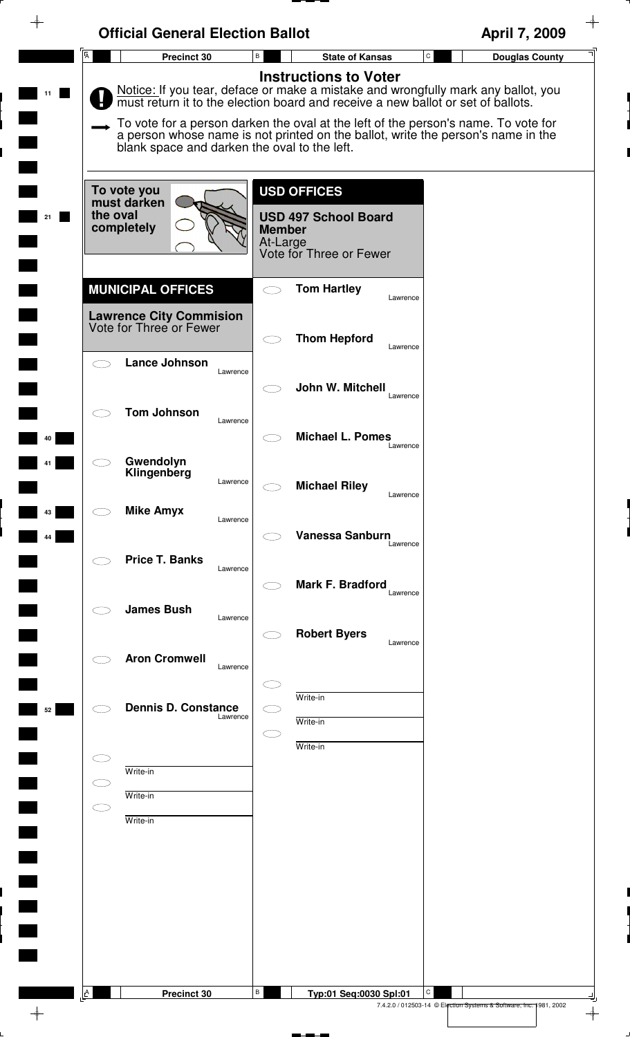| <b>Official General Election Ballot</b>                   |                                                                                                                                                                                                                                                                                                                                                                                 | April 7, 2009         |
|-----------------------------------------------------------|---------------------------------------------------------------------------------------------------------------------------------------------------------------------------------------------------------------------------------------------------------------------------------------------------------------------------------------------------------------------------------|-----------------------|
| $\overline{A}$<br>Precinct 30                             | $\mathtt{C}$<br>$\, {\bf B} \,$<br><b>State of Kansas</b>                                                                                                                                                                                                                                                                                                                       | <b>Douglas County</b> |
| blank space and darken the oval to the left.              | <b>Instructions to Voter</b><br>Notice: If you tear, deface or make a mistake and wrongfully mark any ballot, you<br>must return it to the election board and receive a new ballot or set of ballots.<br>To vote for a person darken the oval at the left of the person's name. To vote for<br>a person whose name is not printed on the ballot, write the person's name in the |                       |
| To vote you<br>must darken<br>the oval<br>completely      | <b>USD OFFICES</b><br><b>USD 497 School Board</b><br><b>Member</b><br>At-Large<br>Vote for Three or Fewer                                                                                                                                                                                                                                                                       |                       |
| <b>MUNICIPAL OFFICES</b>                                  | <b>Tom Hartley</b><br>$\bigcirc$<br>Lawrence                                                                                                                                                                                                                                                                                                                                    |                       |
| <b>Lawrence City Commision</b><br>Vote for Three or Fewer | <b>Thom Hepford</b>                                                                                                                                                                                                                                                                                                                                                             |                       |
| <b>Lance Johnson</b><br>$\bigcirc$<br>Lawrence            | Lawrence<br>John W. Mitchell                                                                                                                                                                                                                                                                                                                                                    |                       |
| <b>Tom Johnson</b><br>Lawrence                            | Lawrence<br><b>Michael L. Pomes</b>                                                                                                                                                                                                                                                                                                                                             |                       |
| Gwendolyn<br>Klingenberg<br>Lawrence                      | Lawrence<br><b>Michael Riley</b>                                                                                                                                                                                                                                                                                                                                                |                       |
| <b>Mike Amyx</b><br>Lawrence                              | Lawrence                                                                                                                                                                                                                                                                                                                                                                        |                       |
| <b>Price T. Banks</b><br>Lawrence                         | Vanessa Sanburn<br>Lawrence                                                                                                                                                                                                                                                                                                                                                     |                       |
| <b>James Bush</b><br>Lawrence                             | <b>Mark F. Bradford</b><br>Lawrence                                                                                                                                                                                                                                                                                                                                             |                       |
| <b>Aron Cromwell</b><br>Lawrence                          | <b>Robert Byers</b><br>Lawrence                                                                                                                                                                                                                                                                                                                                                 |                       |
| <b>Dennis D. Constance</b><br>Lawrence                    | Write-in<br>C - 1<br>Write-in<br>$\subset$                                                                                                                                                                                                                                                                                                                                      |                       |
| Write-in                                                  | Write-in                                                                                                                                                                                                                                                                                                                                                                        |                       |
| $\subset$<br>Write-in<br>$\bigcirc$<br>Write-in           |                                                                                                                                                                                                                                                                                                                                                                                 |                       |
|                                                           |                                                                                                                                                                                                                                                                                                                                                                                 |                       |
|                                                           |                                                                                                                                                                                                                                                                                                                                                                                 |                       |
|                                                           |                                                                                                                                                                                                                                                                                                                                                                                 |                       |
| A<br>Precinct 30                                          | В<br>C<br>Typ:01 Seq:0030 Spl:01                                                                                                                                                                                                                                                                                                                                                |                       |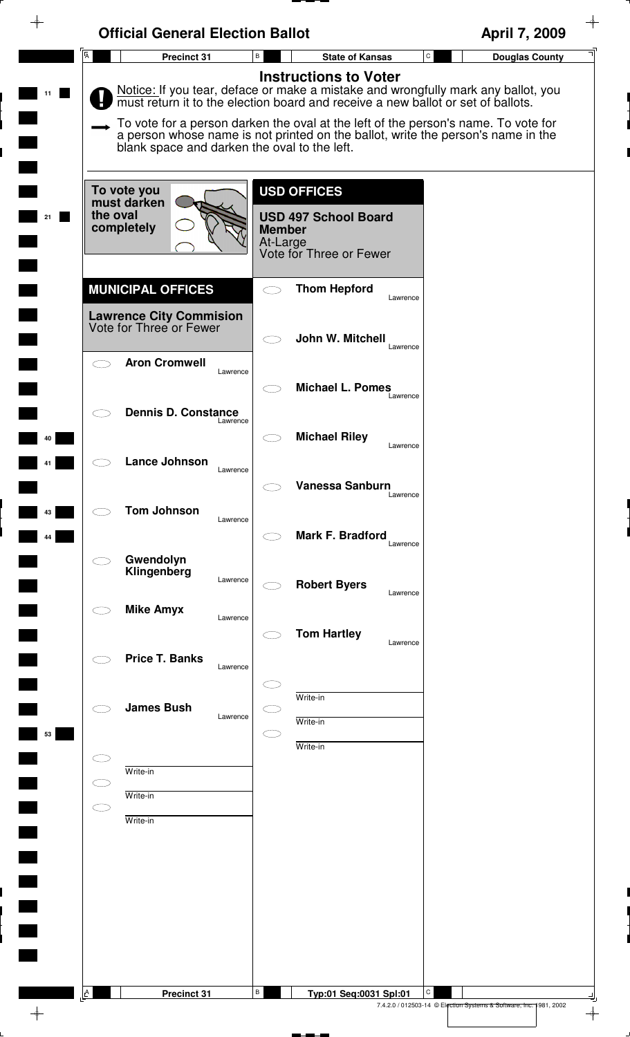| $\overline{A}$ | <b>Official General Election Ballot</b>                                                                                                                                                                                                                                                                                                                                                         | B                         |                                                        | $\mathbf C$ | April 7, 2009         |
|----------------|-------------------------------------------------------------------------------------------------------------------------------------------------------------------------------------------------------------------------------------------------------------------------------------------------------------------------------------------------------------------------------------------------|---------------------------|--------------------------------------------------------|-------------|-----------------------|
|                | Precinct 31                                                                                                                                                                                                                                                                                                                                                                                     |                           | <b>State of Kansas</b><br><b>Instructions to Voter</b> |             | <b>Douglas County</b> |
|                | Notice: If you tear, deface or make a mistake and wrongfully mark any ballot, you<br>must return it to the election board and receive a new ballot or set of ballots.<br>To vote for a person darken the oval at the left of the person's name. To vote for<br>a person whose name is not printed on the ballot, write the person's name in the<br>blank space and darken the oval to the left. |                           |                                                        |             |                       |
|                |                                                                                                                                                                                                                                                                                                                                                                                                 |                           |                                                        |             |                       |
|                | To vote you<br>must darken                                                                                                                                                                                                                                                                                                                                                                      |                           | <b>USD OFFICES</b>                                     |             |                       |
| the oval       | completely                                                                                                                                                                                                                                                                                                                                                                                      | <b>Member</b><br>At-Large | <b>USD 497 School Board</b><br>Vote for Three or Fewer |             |                       |
|                | <b>MUNICIPAL OFFICES</b>                                                                                                                                                                                                                                                                                                                                                                        |                           | <b>Thom Hepford</b>                                    |             |                       |
|                |                                                                                                                                                                                                                                                                                                                                                                                                 |                           |                                                        | Lawrence    |                       |
|                | <b>Lawrence City Commision</b><br>Vote for Three or Fewer                                                                                                                                                                                                                                                                                                                                       |                           | John W. Mitchell                                       | Lawrence    |                       |
|                | <b>Aron Cromwell</b><br>Lawrence                                                                                                                                                                                                                                                                                                                                                                |                           |                                                        |             |                       |
|                |                                                                                                                                                                                                                                                                                                                                                                                                 |                           | <b>Michael L. Pomes</b>                                | Lawrence    |                       |
|                | <b>Dennis D. Constance</b><br>Lawrence                                                                                                                                                                                                                                                                                                                                                          |                           | <b>Michael Riley</b>                                   |             |                       |
|                | Lance Johnson<br>Lawrence                                                                                                                                                                                                                                                                                                                                                                       |                           |                                                        | Lawrence    |                       |
|                |                                                                                                                                                                                                                                                                                                                                                                                                 |                           | Vanessa Sanburn                                        | Lawrence    |                       |
|                | <b>Tom Johnson</b><br>Lawrence                                                                                                                                                                                                                                                                                                                                                                  |                           |                                                        |             |                       |
|                |                                                                                                                                                                                                                                                                                                                                                                                                 |                           | Mark F. Bradford                                       | Lawrence    |                       |
|                | Gwendolyn<br>Klingenberg<br>Lawrence                                                                                                                                                                                                                                                                                                                                                            |                           | <b>Robert Byers</b>                                    |             |                       |
|                | <b>Mike Amyx</b><br>Lawrence                                                                                                                                                                                                                                                                                                                                                                    |                           |                                                        | Lawrence    |                       |
|                |                                                                                                                                                                                                                                                                                                                                                                                                 |                           | <b>Tom Hartley</b>                                     | Lawrence    |                       |
|                | <b>Price T. Banks</b><br>Lawrence                                                                                                                                                                                                                                                                                                                                                               |                           |                                                        |             |                       |
|                | <b>James Bush</b>                                                                                                                                                                                                                                                                                                                                                                               |                           | Write-in                                               |             |                       |
|                | Lawrence                                                                                                                                                                                                                                                                                                                                                                                        | m.                        | Write-in                                               |             |                       |
|                |                                                                                                                                                                                                                                                                                                                                                                                                 |                           | Write-in                                               |             |                       |
| $\subset$      | Write-in<br>Write-in                                                                                                                                                                                                                                                                                                                                                                            |                           |                                                        |             |                       |
| $\bigcirc$     | Write-in                                                                                                                                                                                                                                                                                                                                                                                        |                           |                                                        |             |                       |
|                |                                                                                                                                                                                                                                                                                                                                                                                                 |                           |                                                        |             |                       |
|                |                                                                                                                                                                                                                                                                                                                                                                                                 |                           |                                                        |             |                       |
|                |                                                                                                                                                                                                                                                                                                                                                                                                 |                           |                                                        |             |                       |
|                |                                                                                                                                                                                                                                                                                                                                                                                                 |                           |                                                        |             |                       |
|                |                                                                                                                                                                                                                                                                                                                                                                                                 |                           |                                                        |             |                       |
| $\mathbf{A}$   | Precinct 31                                                                                                                                                                                                                                                                                                                                                                                     | В                         | Typ:01 Seq:0031 Spl:01                                 | С           |                       |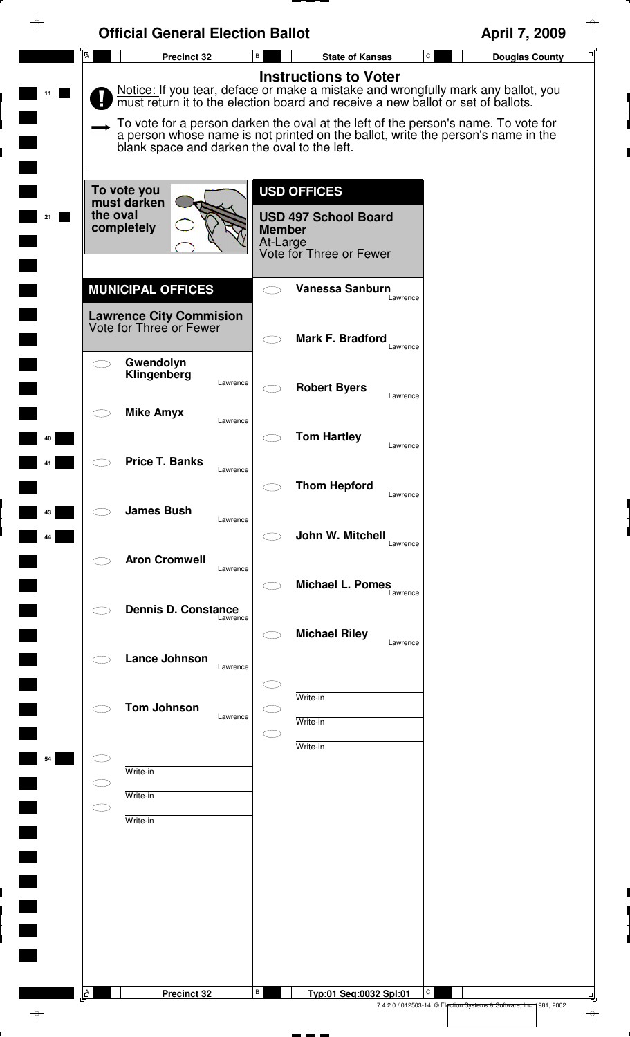|          | <b>Official General Election Ballot</b>                                               |                                                                                                                                                                                                                                                                                                                                                                                 | April 7, 2009                                                                 |
|----------|---------------------------------------------------------------------------------------|---------------------------------------------------------------------------------------------------------------------------------------------------------------------------------------------------------------------------------------------------------------------------------------------------------------------------------------------------------------------------------|-------------------------------------------------------------------------------|
|          | $\overline{A}$<br><b>Precinct 32</b>                                                  | В<br><b>State of Kansas</b>                                                                                                                                                                                                                                                                                                                                                     | ${\tt C}$<br><b>Douglas County</b>                                            |
|          | blank space and darken the oval to the left.                                          | <b>Instructions to Voter</b><br>Notice: If you tear, deface or make a mistake and wrongfully mark any ballot, you<br>must return it to the election board and receive a new ballot or set of ballots.<br>To vote for a person darken the oval at the left of the person's name. To vote for<br>a person whose name is not printed on the ballot, write the person's name in the |                                                                               |
| 21       | To vote you<br>must darken<br>the oval<br>completely                                  | <b>USD OFFICES</b><br><b>USD 497 School Board</b><br><b>Member</b><br>At-Large<br>Vote for Three or Fewer                                                                                                                                                                                                                                                                       |                                                                               |
|          | <b>MUNICIPAL OFFICES</b><br><b>Lawrence City Commision</b><br>Vote for Three or Fewer | <b>Vanessa Sanburn</b><br>Lawrence                                                                                                                                                                                                                                                                                                                                              |                                                                               |
|          | Gwendolyn<br>Klingenberg<br>Lawrence                                                  | Mark F. Bradford<br>Lawrence<br><b>Robert Byers</b>                                                                                                                                                                                                                                                                                                                             |                                                                               |
| 40       | <b>Mike Amyx</b><br>Lawrence                                                          | Lawrence<br><b>Tom Hartley</b>                                                                                                                                                                                                                                                                                                                                                  |                                                                               |
|          | <b>Price T. Banks</b><br>Lawrence                                                     | Lawrence<br><b>Thom Hepford</b><br>Lawrence                                                                                                                                                                                                                                                                                                                                     |                                                                               |
| 43<br>44 | <b>James Bush</b><br>Lawrence                                                         | John W. Mitchell<br>Lawrence                                                                                                                                                                                                                                                                                                                                                    |                                                                               |
|          | <b>Aron Cromwell</b><br>Lawrence<br><b>Dennis D. Constance</b>                        | <b>Michael L. Pomes</b><br>Lawrence                                                                                                                                                                                                                                                                                                                                             |                                                                               |
|          | Lawrence<br><b>Lance Johnson</b><br>Lawrence                                          | <b>Michael Riley</b><br>Lawrence                                                                                                                                                                                                                                                                                                                                                |                                                                               |
|          | <b>Tom Johnson</b><br>Lawrence                                                        | Write-in<br>Write-in                                                                                                                                                                                                                                                                                                                                                            |                                                                               |
| 54       | Write-in                                                                              | Write-in                                                                                                                                                                                                                                                                                                                                                                        |                                                                               |
|          | Write-in<br>E - 1<br>Write-in                                                         |                                                                                                                                                                                                                                                                                                                                                                                 |                                                                               |
|          |                                                                                       |                                                                                                                                                                                                                                                                                                                                                                                 |                                                                               |
|          |                                                                                       |                                                                                                                                                                                                                                                                                                                                                                                 |                                                                               |
|          | A<br><b>Precinct 32</b>                                                               | В<br>Typ:01 Seq:0032 Spl:01                                                                                                                                                                                                                                                                                                                                                     | C<br>7.4.2.0 / 012503-14 © Election Systems & Software, Inc. 1981, 2002<br>∲– |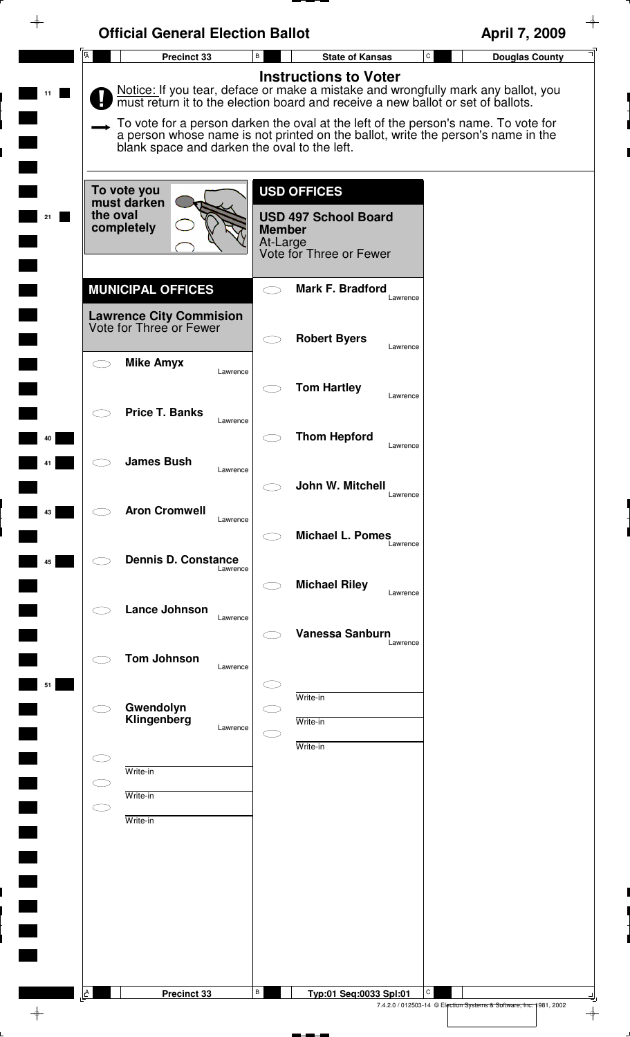|                         | <b>Official General Election Ballot</b>                                               |                                                                                                                                                                                                                                                                                                                                                                              | April 7, 2009                         |
|-------------------------|---------------------------------------------------------------------------------------|------------------------------------------------------------------------------------------------------------------------------------------------------------------------------------------------------------------------------------------------------------------------------------------------------------------------------------------------------------------------------|---------------------------------------|
| $\overline{\mathsf{A}}$ | Precinct 33                                                                           | В<br><b>State of Kansas</b>                                                                                                                                                                                                                                                                                                                                                  | $\mathtt{C}$<br><b>Douglas County</b> |
| 11                      | blank space and darken the oval to the left.                                          | <b>Instructions to Voter</b><br>Notice: If you tear, deface or make a mistake and wrongfully mark any ballot, you must return it to the election board and receive a new ballot or set of ballots.<br>To vote for a person darken the oval at the left of the person's name. To vote for<br>a person whose name is not printed on the ballot, write the person's name in the |                                       |
| 21                      | To vote you<br>must darken<br>the oval<br>completely                                  | <b>USD OFFICES</b><br><b>USD 497 School Board</b><br><b>Member</b><br>At-Large<br>Vote for Three or Fewer                                                                                                                                                                                                                                                                    |                                       |
|                         | <b>MUNICIPAL OFFICES</b><br><b>Lawrence City Commision</b><br>Vote for Three or Fewer | <b>Mark F. Bradford</b><br>Lawrence                                                                                                                                                                                                                                                                                                                                          |                                       |
|                         | <b>Mike Amyx</b><br>Lawrence                                                          | <b>Robert Byers</b><br>Lawrence<br><b>Tom Hartley</b>                                                                                                                                                                                                                                                                                                                        |                                       |
| 40                      | <b>Price T. Banks</b><br>Lawrence                                                     | Lawrence<br><b>Thom Hepford</b><br>Lawrence                                                                                                                                                                                                                                                                                                                                  |                                       |
| 43                      | <b>James Bush</b><br>Lawrence<br><b>Aron Cromwell</b>                                 | John W. Mitchell<br>Lawrence                                                                                                                                                                                                                                                                                                                                                 |                                       |
| 45                      | Lawrence<br><b>Dennis D. Constance</b><br>Lawrence                                    | <b>Michael L. Pomes</b><br>Lawrence                                                                                                                                                                                                                                                                                                                                          |                                       |
|                         | <b>Lance Johnson</b><br>Lawrence                                                      | <b>Michael Riley</b><br>Lawrence                                                                                                                                                                                                                                                                                                                                             |                                       |
| 51                      | <b>Tom Johnson</b><br>Lawrence                                                        | <b>Vanessa Sanburn</b><br>Lawrence                                                                                                                                                                                                                                                                                                                                           |                                       |
|                         | Gwendolyn<br>Klingenberg<br>Lawrence                                                  | Write-in<br>Write-in<br>Write-in                                                                                                                                                                                                                                                                                                                                             |                                       |
| С.                      | Write-in<br>Write-in                                                                  |                                                                                                                                                                                                                                                                                                                                                                              |                                       |
| C I                     | Write-in                                                                              |                                                                                                                                                                                                                                                                                                                                                                              |                                       |
|                         |                                                                                       |                                                                                                                                                                                                                                                                                                                                                                              |                                       |
|                         |                                                                                       |                                                                                                                                                                                                                                                                                                                                                                              |                                       |
| $\mathbb{A}$            | Precinct 33                                                                           | В<br>Typ:01 Seq:0033 Spl:01                                                                                                                                                                                                                                                                                                                                                  | С                                     |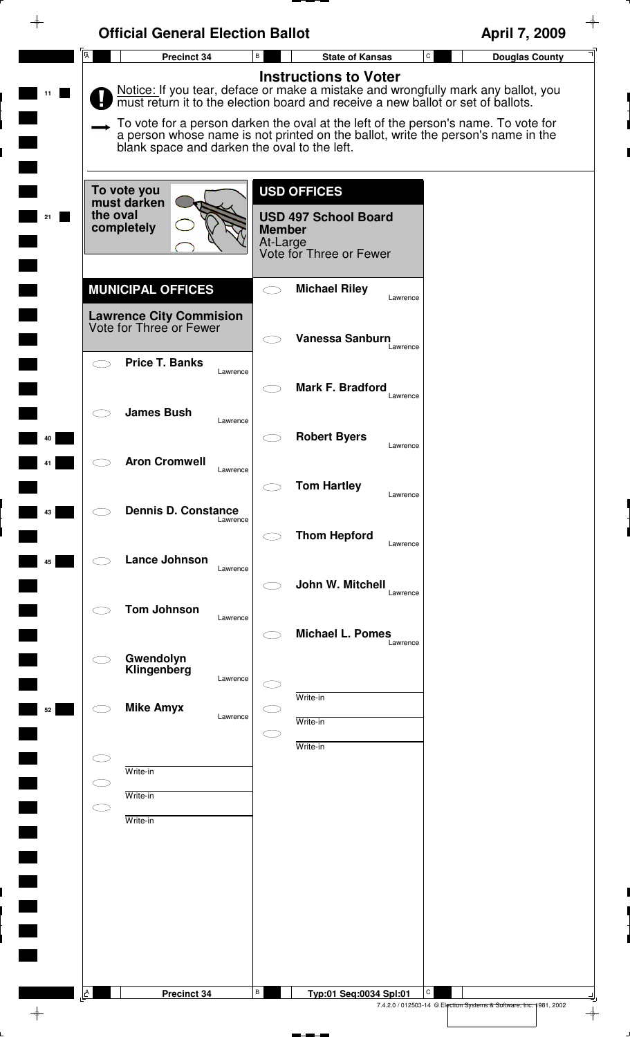| <b>Official General Election Ballot</b><br>$\overline{A}$<br>Precinct 34 | $\, {\bf B} \,$<br><b>State of Kansas</b>                                                                                                                              | April 7, 2009<br>$\mathtt{C}$<br><b>Douglas County</b> |
|--------------------------------------------------------------------------|------------------------------------------------------------------------------------------------------------------------------------------------------------------------|--------------------------------------------------------|
|                                                                          | <b>Instructions to Voter</b>                                                                                                                                           |                                                        |
|                                                                          | Notice: If you tear, deface or make a mistake and wrongfully mark any ballot, you<br>must return it to the election board and receive a new ballot or set of ballots.  |                                                        |
| blank space and darken the oval to the left.                             | To vote for a person darken the oval at the left of the person's name. To vote for<br>a person whose name is not printed on the ballot, write the person's name in the |                                                        |
| To vote you                                                              | <b>USD OFFICES</b>                                                                                                                                                     |                                                        |
| must darken<br>the oval<br>completely                                    | <b>USD 497 School Board</b><br><b>Member</b><br>At-Large<br>Vote for Three or Fewer                                                                                    |                                                        |
| <b>MUNICIPAL OFFICES</b>                                                 | <b>Michael Riley</b><br>$\bigcirc$                                                                                                                                     |                                                        |
| <b>Lawrence City Commision</b><br>Vote for Three or Fewer                | Lawrence                                                                                                                                                               |                                                        |
| <b>Price T. Banks</b><br>$\bigcirc$                                      | Vanessa Sanburn<br>Lawrence                                                                                                                                            |                                                        |
| Lawrence                                                                 | <b>Mark F. Bradford</b><br>Lawrence                                                                                                                                    |                                                        |
| <b>James Bush</b><br>10<br>Lawrence                                      |                                                                                                                                                                        |                                                        |
| <b>Aron Cromwell</b>                                                     | <b>Robert Byers</b><br>Lawrence                                                                                                                                        |                                                        |
| Lawrence                                                                 | <b>Tom Hartley</b><br>Lawrence                                                                                                                                         |                                                        |
| <b>Dennis D. Constance</b><br>Lawrence                                   | <b>Thom Hepford</b>                                                                                                                                                    |                                                        |
| <b>Lance Johnson</b><br>Lawrence                                         | Lawrence                                                                                                                                                               |                                                        |
| <b>Tom Johnson</b>                                                       | John W. Mitchell<br>Lawrence                                                                                                                                           |                                                        |
| Lawrence                                                                 | <b>Michael L. Pomes</b><br>Lawrence                                                                                                                                    |                                                        |
| Gwendolyn<br>Klingenberg<br>Lawrence                                     |                                                                                                                                                                        |                                                        |
| <b>Mike Amyx</b><br>Lawrence                                             | Write-in                                                                                                                                                               |                                                        |
|                                                                          | Write-in<br>Write-in                                                                                                                                                   |                                                        |
| 31<br>Write-in<br>$\subset$ $\supset$                                    |                                                                                                                                                                        |                                                        |
| Write-in<br>$\subset$ $\supset$<br>Write-in                              |                                                                                                                                                                        |                                                        |
|                                                                          |                                                                                                                                                                        |                                                        |
|                                                                          |                                                                                                                                                                        |                                                        |
|                                                                          |                                                                                                                                                                        |                                                        |
|                                                                          |                                                                                                                                                                        |                                                        |
|                                                                          |                                                                                                                                                                        |                                                        |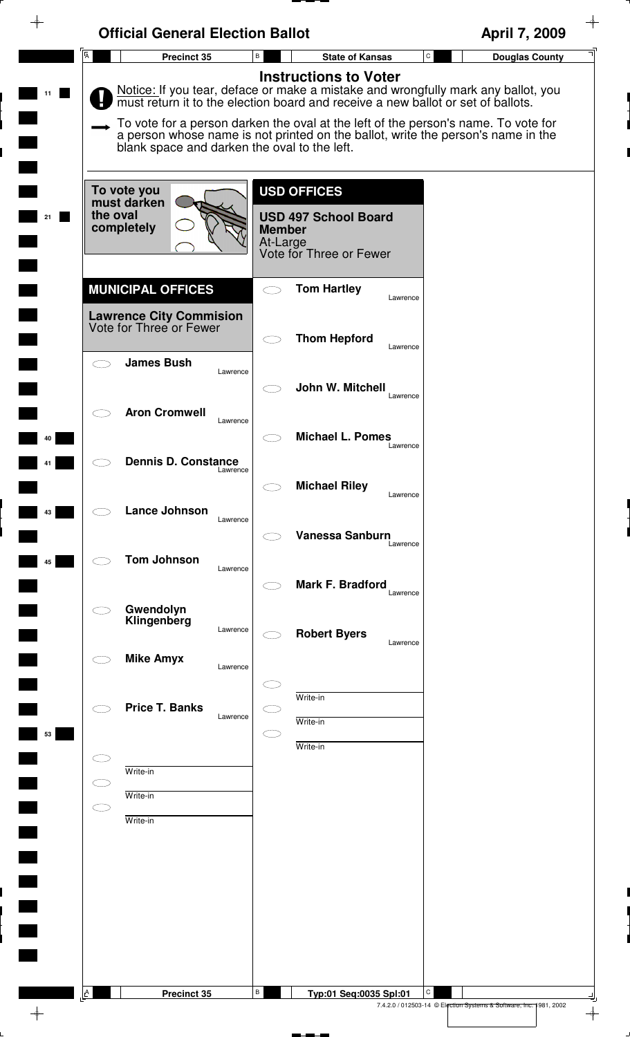|                | <b>Official General Election Ballot</b>                                               |                                                                                                                                                                                                                                                                                                                                                                                 | April 7, 2009                         |
|----------------|---------------------------------------------------------------------------------------|---------------------------------------------------------------------------------------------------------------------------------------------------------------------------------------------------------------------------------------------------------------------------------------------------------------------------------------------------------------------------------|---------------------------------------|
| $\overline{A}$ | Precinct 35                                                                           | $\, {\sf B}$<br><b>State of Kansas</b>                                                                                                                                                                                                                                                                                                                                          | $\mathtt{C}$<br><b>Douglas County</b> |
|                | blank space and darken the oval to the left.                                          | <b>Instructions to Voter</b><br>Notice: If you tear, deface or make a mistake and wrongfully mark any ballot, you<br>must return it to the election board and receive a new ballot or set of ballots.<br>To vote for a person darken the oval at the left of the person's name. To vote for<br>a person whose name is not printed on the ballot, write the person's name in the |                                       |
|                | To vote you<br>must darken<br>the oval<br>completely                                  | <b>USD OFFICES</b><br><b>USD 497 School Board</b><br><b>Member</b><br>At-Large<br>Vote for Three or Fewer                                                                                                                                                                                                                                                                       |                                       |
|                | <b>MUNICIPAL OFFICES</b><br><b>Lawrence City Commision</b><br>Vote for Three or Fewer | <b>Tom Hartley</b><br>Lawrence                                                                                                                                                                                                                                                                                                                                                  |                                       |
|                | <b>James Bush</b>                                                                     | <b>Thom Hepford</b><br>Lawrence                                                                                                                                                                                                                                                                                                                                                 |                                       |
|                | Lawrence<br><b>Aron Cromwell</b>                                                      | John W. Mitchell<br>Lawrence                                                                                                                                                                                                                                                                                                                                                    |                                       |
|                | Lawrence                                                                              | <b>Michael L. Pomes</b><br>Lawrence                                                                                                                                                                                                                                                                                                                                             |                                       |
|                | <b>Dennis D. Constance</b><br>Lawrence                                                | <b>Michael Riley</b><br>Lawrence                                                                                                                                                                                                                                                                                                                                                |                                       |
|                | Lance Johnson<br>Lawrence                                                             | Vanessa Sanburn<br>Lawrence                                                                                                                                                                                                                                                                                                                                                     |                                       |
|                | <b>Tom Johnson</b><br>Lawrence                                                        | Mark F. Bradford<br>Lawrence                                                                                                                                                                                                                                                                                                                                                    |                                       |
|                | Gwendolyn<br>Klingenberg<br>Lawrence                                                  | <b>Robert Byers</b><br>Lawrence                                                                                                                                                                                                                                                                                                                                                 |                                       |
|                | <b>Mike Amyx</b><br>Lawrence                                                          |                                                                                                                                                                                                                                                                                                                                                                                 |                                       |
| 53             | <b>Price T. Banks</b><br>Lawrence                                                     | Write-in<br>Write-in                                                                                                                                                                                                                                                                                                                                                            |                                       |
|                | Write-in                                                                              | Write-in                                                                                                                                                                                                                                                                                                                                                                        |                                       |
| ᆖ              | Write-in<br>Write-in                                                                  |                                                                                                                                                                                                                                                                                                                                                                                 |                                       |
|                |                                                                                       |                                                                                                                                                                                                                                                                                                                                                                                 |                                       |
|                |                                                                                       |                                                                                                                                                                                                                                                                                                                                                                                 |                                       |
|                |                                                                                       |                                                                                                                                                                                                                                                                                                                                                                                 |                                       |
| A              | Precinct 35                                                                           | В<br>Typ:01 Seq:0035 Spl:01                                                                                                                                                                                                                                                                                                                                                     | C                                     |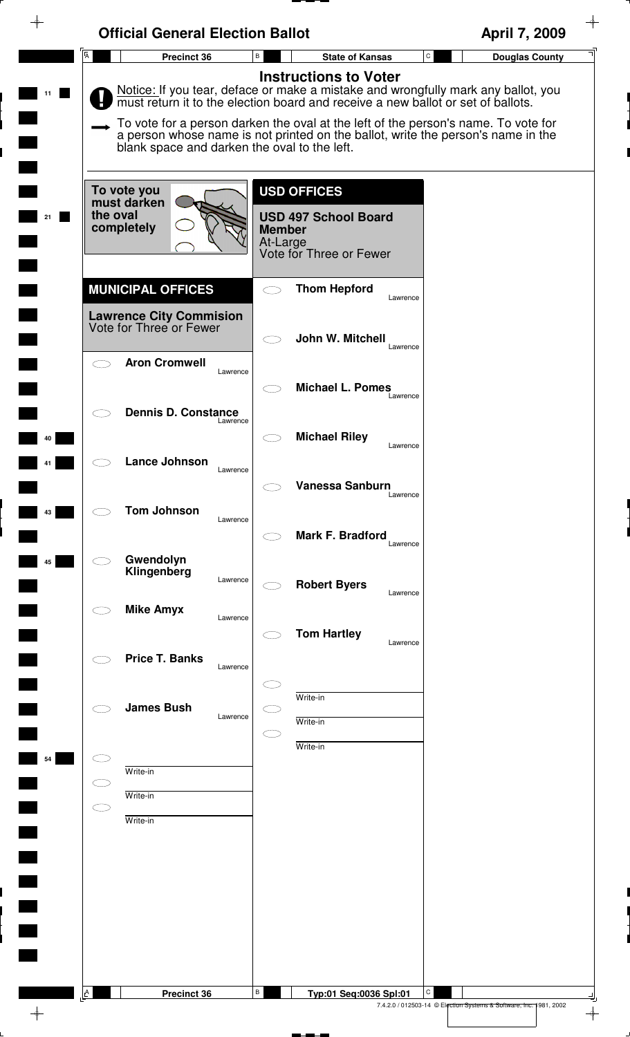|                     | <b>Official General Election Ballot</b>                                               |                                                                                                                                                                                                                                                                                                                                                                              | April 7, 2009                                                           |
|---------------------|---------------------------------------------------------------------------------------|------------------------------------------------------------------------------------------------------------------------------------------------------------------------------------------------------------------------------------------------------------------------------------------------------------------------------------------------------------------------------|-------------------------------------------------------------------------|
| $\overline{A}$      | Precinct 36                                                                           | В<br><b>State of Kansas</b>                                                                                                                                                                                                                                                                                                                                                  | $\mathtt{C}$<br><b>Douglas County</b>                                   |
|                     | blank space and darken the oval to the left.                                          | <b>Instructions to Voter</b><br>Notice: If you tear, deface or make a mistake and wrongfully mark any ballot, you must return it to the election board and receive a new ballot or set of ballots.<br>To vote for a person darken the oval at the left of the person's name. To vote for<br>a person whose name is not printed on the ballot, write the person's name in the |                                                                         |
|                     | To vote you<br>must darken<br>the oval<br>completely                                  | <b>USD OFFICES</b><br><b>USD 497 School Board</b><br><b>Member</b><br>At-Large<br>Vote for Three or Fewer                                                                                                                                                                                                                                                                    |                                                                         |
|                     | <b>MUNICIPAL OFFICES</b><br><b>Lawrence City Commision</b><br>Vote for Three or Fewer | <b>Thom Hepford</b><br>Lawrence                                                                                                                                                                                                                                                                                                                                              |                                                                         |
|                     | <b>Aron Cromwell</b><br>Lawrence                                                      | John W. Mitchell<br>Lawrence                                                                                                                                                                                                                                                                                                                                                 |                                                                         |
|                     | <b>Dennis D. Constance</b><br>Lawrence                                                | <b>Michael L. Pomes</b><br>Lawrence                                                                                                                                                                                                                                                                                                                                          |                                                                         |
|                     | Lance Johnson<br>Lawrence                                                             | <b>Michael Riley</b><br>Lawrence                                                                                                                                                                                                                                                                                                                                             |                                                                         |
|                     | <b>Tom Johnson</b><br>Lawrence                                                        | Vanessa Sanburn<br>Lawrence                                                                                                                                                                                                                                                                                                                                                  |                                                                         |
|                     | Gwendolyn<br>Klingenberg<br>Lawrence                                                  | Mark F. Bradford<br>Lawrence                                                                                                                                                                                                                                                                                                                                                 |                                                                         |
|                     | <b>Mike Amyx</b><br>Lawrence                                                          | <b>Robert Byers</b><br>Lawrence                                                                                                                                                                                                                                                                                                                                              |                                                                         |
|                     | <b>Price T. Banks</b><br>Lawrence                                                     | <b>Tom Hartley</b><br>Lawrence                                                                                                                                                                                                                                                                                                                                               |                                                                         |
|                     | <b>James Bush</b><br>Lawrence                                                         | Write-in<br>Write-in<br>Write-in                                                                                                                                                                                                                                                                                                                                             |                                                                         |
|                     | Write-in<br>Write-in                                                                  |                                                                                                                                                                                                                                                                                                                                                                              |                                                                         |
| $\subset$ $\supset$ | Write-in                                                                              |                                                                                                                                                                                                                                                                                                                                                                              |                                                                         |
|                     |                                                                                       |                                                                                                                                                                                                                                                                                                                                                                              |                                                                         |
|                     |                                                                                       |                                                                                                                                                                                                                                                                                                                                                                              |                                                                         |
| $\mathsf{A}$        | <b>Precinct 36</b>                                                                    | В<br>Typ:01 Seq:0036 Spl:01                                                                                                                                                                                                                                                                                                                                                  | С<br>7.4.2.0 / 012503-14 © Election Systems & Software, Inc. 1981, 2002 |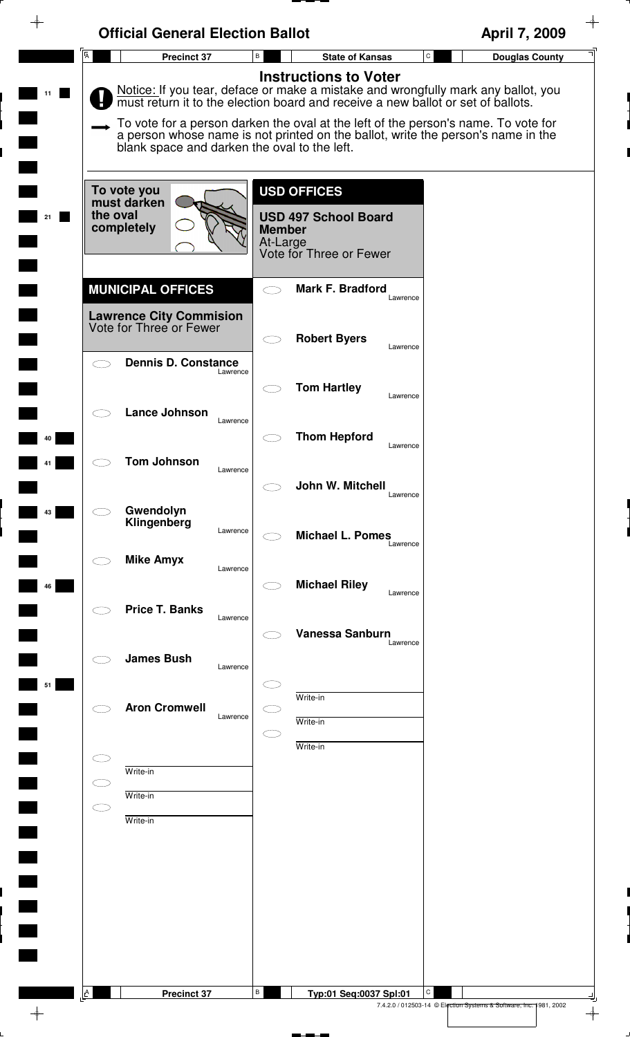|                | <b>Official General Election Ballot</b>                                               |                                                                                                                                                                                                                                                                                                                                                                                 | April 7, 2009                                                           |
|----------------|---------------------------------------------------------------------------------------|---------------------------------------------------------------------------------------------------------------------------------------------------------------------------------------------------------------------------------------------------------------------------------------------------------------------------------------------------------------------------------|-------------------------------------------------------------------------|
| $\overline{A}$ | <b>Precinct 37</b>                                                                    | В<br><b>State of Kansas</b>                                                                                                                                                                                                                                                                                                                                                     | $\mathtt{C}$<br><b>Douglas County</b>                                   |
|                | blank space and darken the oval to the left.                                          | <b>Instructions to Voter</b><br>Notice: If you tear, deface or make a mistake and wrongfully mark any ballot, you<br>must return it to the election board and receive a new ballot or set of ballots.<br>To vote for a person darken the oval at the left of the person's name. To vote for<br>a person whose name is not printed on the ballot, write the person's name in the |                                                                         |
| 21             | To vote you<br>must darken<br>the oval<br>completely                                  | <b>USD OFFICES</b><br><b>USD 497 School Board</b><br><b>Member</b><br>At-Large<br>Vote for Three or Fewer                                                                                                                                                                                                                                                                       |                                                                         |
|                | <b>MUNICIPAL OFFICES</b><br><b>Lawrence City Commision</b><br>Vote for Three or Fewer | <b>Mark F. Bradford</b><br>Lawrence                                                                                                                                                                                                                                                                                                                                             |                                                                         |
|                | <b>Dennis D. Constance</b><br>Lawrence                                                | <b>Robert Byers</b><br>Lawrence                                                                                                                                                                                                                                                                                                                                                 |                                                                         |
|                | <b>Lance Johnson</b>                                                                  | <b>Tom Hartley</b><br>Lawrence                                                                                                                                                                                                                                                                                                                                                  |                                                                         |
| 40             | Lawrence<br><b>Tom Johnson</b>                                                        | <b>Thom Hepford</b><br>Lawrence                                                                                                                                                                                                                                                                                                                                                 |                                                                         |
|                | Lawrence                                                                              | John W. Mitchell<br>Lawrence                                                                                                                                                                                                                                                                                                                                                    |                                                                         |
| 43             | Gwendolyn<br>Klingenberg<br>Lawrence                                                  | <b>Michael L. Pomes</b><br>Lawrence                                                                                                                                                                                                                                                                                                                                             |                                                                         |
| 46             | <b>Mike Amyx</b><br>Lawrence                                                          | <b>Michael Riley</b><br>Lawrence                                                                                                                                                                                                                                                                                                                                                |                                                                         |
|                | <b>Price T. Banks</b><br>Lawrence                                                     | <b>Vanessa Sanburn</b><br>Lawrence                                                                                                                                                                                                                                                                                                                                              |                                                                         |
| 51             | <b>James Bush</b><br>Lawrence                                                         |                                                                                                                                                                                                                                                                                                                                                                                 |                                                                         |
|                | <b>Aron Cromwell</b><br>Lawrence                                                      | Write-in<br>Write-in<br>Write-in                                                                                                                                                                                                                                                                                                                                                |                                                                         |
| C              | Write-in<br>Write-in                                                                  |                                                                                                                                                                                                                                                                                                                                                                                 |                                                                         |
|                | Write-in                                                                              |                                                                                                                                                                                                                                                                                                                                                                                 |                                                                         |
|                |                                                                                       |                                                                                                                                                                                                                                                                                                                                                                                 |                                                                         |
|                |                                                                                       |                                                                                                                                                                                                                                                                                                                                                                                 |                                                                         |
| A              | <b>Precinct 37</b>                                                                    | B<br>Typ:01 Seq:0037 Spl:01                                                                                                                                                                                                                                                                                                                                                     | С<br>7.4.2.0 / 012503-14 © Election Systems & Software, Inc. 1981, 2002 |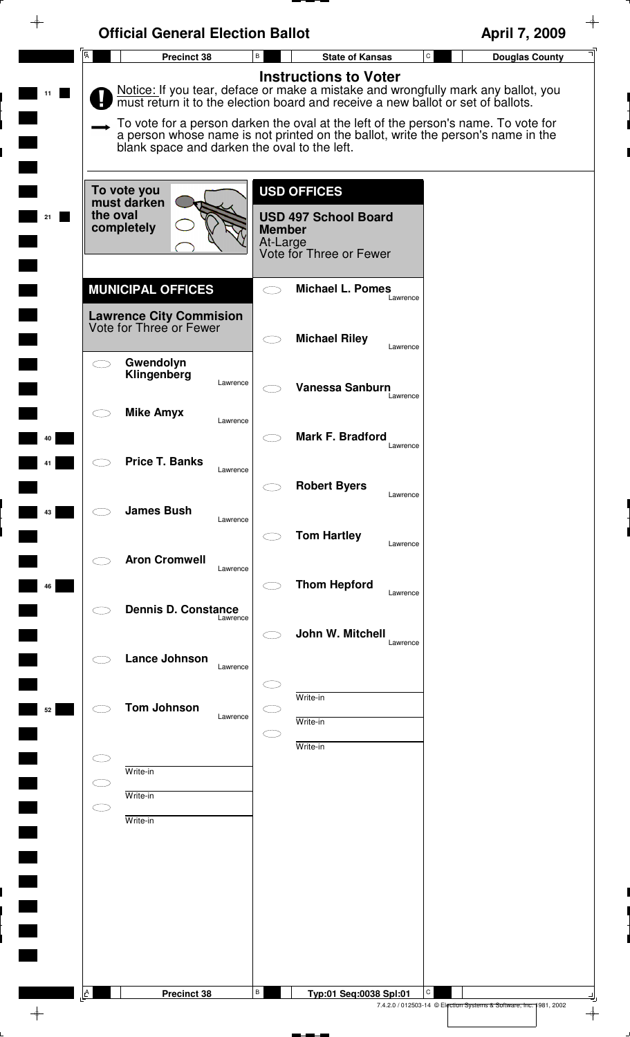|                                                           | <b>Official General Election Ballot</b>                                                                                                                                                                                | April 7, 2009                         |
|-----------------------------------------------------------|------------------------------------------------------------------------------------------------------------------------------------------------------------------------------------------------------------------------|---------------------------------------|
| $\overline{A}$<br>Precinct 38                             | B<br><b>State of Kansas</b>                                                                                                                                                                                            | $\mathtt{C}$<br><b>Douglas County</b> |
|                                                           | <b>Instructions to Voter</b><br>Notice: If you tear, deface or make a mistake and wrongfully mark any ballot, you<br>must return it to the election board and receive a new ballot or set of ballots.                  |                                       |
|                                                           | To vote for a person darken the oval at the left of the person's name. To vote for<br>a person whose name is not printed on the ballot, write the person's name in the<br>blank space and darken the oval to the left. |                                       |
| To vote you<br>must darken                                | <b>USD OFFICES</b>                                                                                                                                                                                                     |                                       |
| the oval<br>completely                                    | <b>USD 497 School Board</b><br><b>Member</b><br>At-Large<br>Vote for Three or Fewer                                                                                                                                    |                                       |
| <b>MUNICIPAL OFFICES</b>                                  | <b>Michael L. Pomes</b><br>$\bigcirc$<br>Lawrence                                                                                                                                                                      |                                       |
| <b>Lawrence City Commision</b><br>Vote for Three or Fewer | <b>Michael Riley</b><br>$\subset$ $\supset$<br>Lawrence                                                                                                                                                                |                                       |
| Gwendolyn<br>$\subset$ $\supset$<br>Klingenberg           | Lawrence<br><b>Vanessa Sanburn</b><br>Lawrence                                                                                                                                                                         |                                       |
| <b>Mike Amyx</b>                                          | Lawrence<br>Mark F. Bradford                                                                                                                                                                                           |                                       |
| <b>Price T. Banks</b>                                     | Lawrence<br>Lawrence                                                                                                                                                                                                   |                                       |
| <b>James Bush</b>                                         | <b>Robert Byers</b><br>Lawrence<br>Lawrence                                                                                                                                                                            |                                       |
| <b>Aron Cromwell</b>                                      | <b>Tom Hartley</b><br>Lawrence<br>Lawrence                                                                                                                                                                             |                                       |
| <b>Dennis D. Constance</b>                                | <b>Thom Hepford</b><br>Lawrence<br>Lawrence                                                                                                                                                                            |                                       |
| <b>Lance Johnson</b>                                      | John W. Mitchell<br>Lawrence                                                                                                                                                                                           |                                       |
| <b>Tom Johnson</b>                                        | Lawrence<br>Write-in                                                                                                                                                                                                   |                                       |
|                                                           | Lawrence<br>Write-in<br>Write-in                                                                                                                                                                                       |                                       |
| Write-in<br>Write-in                                      |                                                                                                                                                                                                                        |                                       |
| $\subset$ $\supset$<br>Write-in                           |                                                                                                                                                                                                                        |                                       |
|                                                           |                                                                                                                                                                                                                        |                                       |
|                                                           |                                                                                                                                                                                                                        |                                       |
|                                                           |                                                                                                                                                                                                                        |                                       |
| $\Delta$<br><b>Precinct 38</b>                            | В<br>Typ:01 Seq:0038 Spl:01                                                                                                                                                                                            | С                                     |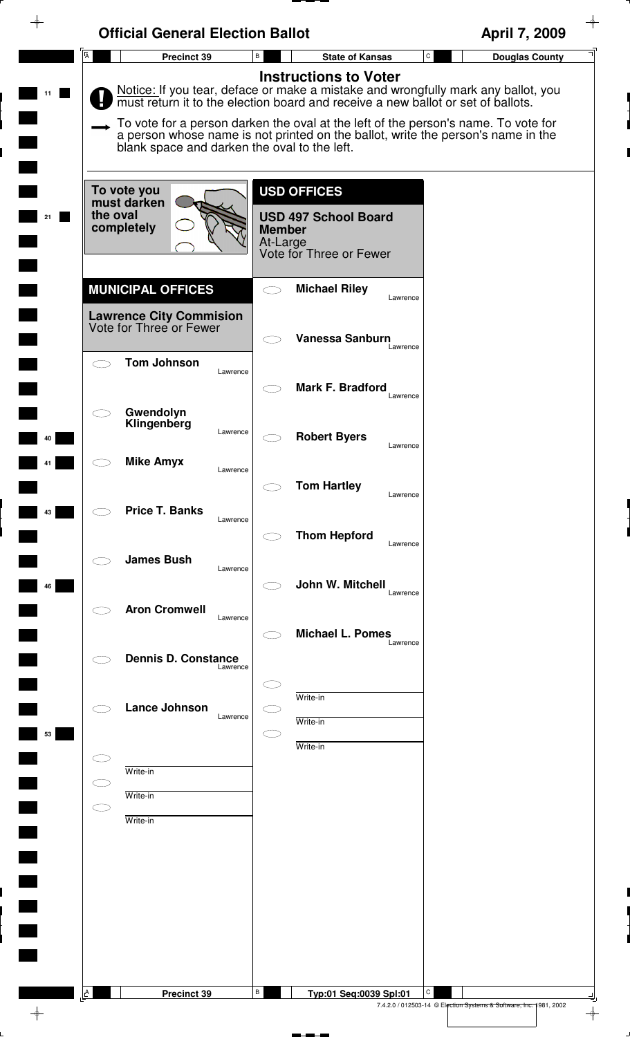| <b>Official General Election Ballot</b>                    |                                              |                                                                                                                                                                                                                                                                                             |                                                                         | April 7, 2009         |
|------------------------------------------------------------|----------------------------------------------|---------------------------------------------------------------------------------------------------------------------------------------------------------------------------------------------------------------------------------------------------------------------------------------------|-------------------------------------------------------------------------|-----------------------|
| $\overline{A}$<br>Precinct 39                              | $\, {\sf B}$                                 | <b>State of Kansas</b>                                                                                                                                                                                                                                                                      | $\mathtt{C}$                                                            | <b>Douglas County</b> |
|                                                            |                                              | <b>Instructions to Voter</b><br>Notice: If you tear, deface or make a mistake and wrongfully mark any ballot, you<br>must return it to the election board and receive a new ballot or set of ballots.<br>To vote for a person darken the oval at the left of the person's name. To vote for |                                                                         |                       |
|                                                            | blank space and darken the oval to the left. | a person whose name is not printed on the ballot, write the person's name in the                                                                                                                                                                                                            |                                                                         |                       |
| To vote you<br>must darken<br>the oval<br>21<br>completely | <b>Member</b><br>At-Large                    | <b>USD OFFICES</b><br><b>USD 497 School Board</b><br>Vote for Three or Fewer                                                                                                                                                                                                                |                                                                         |                       |
| <b>MUNICIPAL OFFICES</b>                                   | $\bigcirc$                                   | <b>Michael Riley</b>                                                                                                                                                                                                                                                                        | Lawrence                                                                |                       |
| <b>Lawrence City Commision</b><br>Vote for Three or Fewer  |                                              | <b>Vanessa Sanburn</b>                                                                                                                                                                                                                                                                      | Lawrence                                                                |                       |
| <b>Tom Johnson</b><br>$\overline{\phantom{1}}$             | Lawrence                                     | Mark F. Bradford                                                                                                                                                                                                                                                                            | Lawrence                                                                |                       |
| Gwendolyn<br>Klingenberg                                   | Lawrence                                     | <b>Robert Byers</b>                                                                                                                                                                                                                                                                         | Lawrence                                                                |                       |
| <b>Mike Amyx</b>                                           | Lawrence                                     | <b>Tom Hartley</b>                                                                                                                                                                                                                                                                          | Lawrence                                                                |                       |
| <b>Price T. Banks</b>                                      | Lawrence                                     | <b>Thom Hepford</b>                                                                                                                                                                                                                                                                         | Lawrence                                                                |                       |
| <b>James Bush</b><br>46                                    | Lawrence                                     | John W. Mitchell                                                                                                                                                                                                                                                                            | Lawrence                                                                |                       |
| <b>Aron Cromwell</b>                                       | Lawrence                                     | <b>Michael L. Pomes</b>                                                                                                                                                                                                                                                                     | Lawrence                                                                |                       |
| <b>Dennis D. Constance</b>                                 | Lawrence                                     |                                                                                                                                                                                                                                                                                             |                                                                         |                       |
| <b>Lance Johnson</b><br>53                                 | Lawrence                                     | Write-in<br>Write-in                                                                                                                                                                                                                                                                        |                                                                         |                       |
| Write-in                                                   |                                              | Write-in                                                                                                                                                                                                                                                                                    |                                                                         |                       |
| Write-in<br>CD<br>Write-in                                 |                                              |                                                                                                                                                                                                                                                                                             |                                                                         |                       |
|                                                            |                                              |                                                                                                                                                                                                                                                                                             |                                                                         |                       |
|                                                            |                                              |                                                                                                                                                                                                                                                                                             |                                                                         |                       |
|                                                            |                                              |                                                                                                                                                                                                                                                                                             |                                                                         |                       |
| A<br>Precinct 39                                           | В                                            | Typ:01 Seq:0039 Spl:01                                                                                                                                                                                                                                                                      | С<br>7.4.2.0 / 012503-14 © Election Systems & Software, Inc. 1981, 2002 |                       |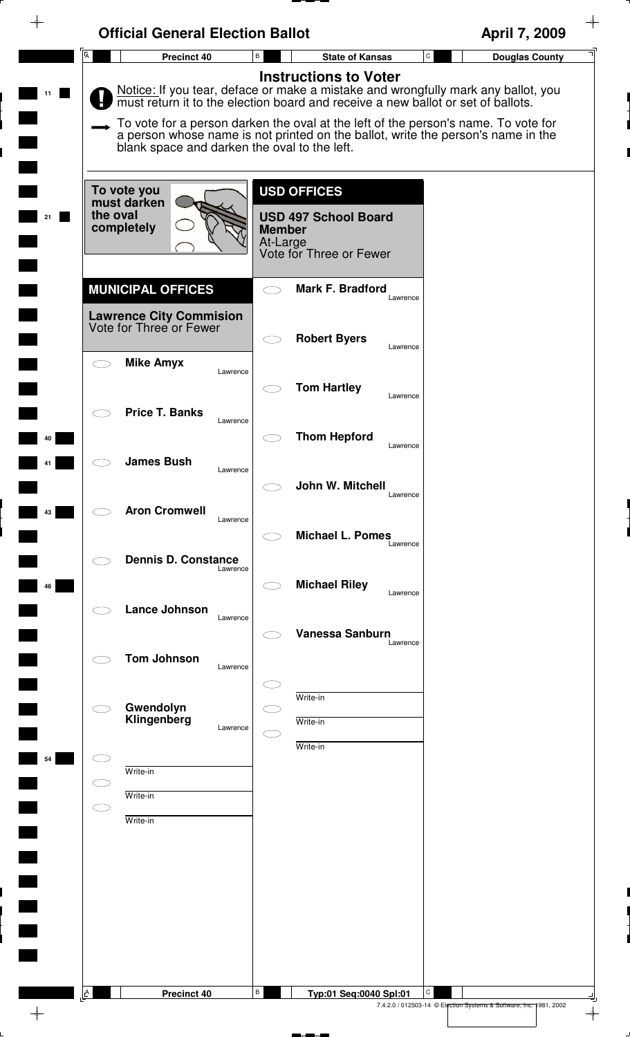| $\overline{A}$ | <b>Official General Election Ballot</b><br>Precinct 40    | В<br><b>State of Kansas</b>                                                                                                                                            | April 7, 2009<br>$\mathtt{C}$<br><b>Douglas County</b> |
|----------------|-----------------------------------------------------------|------------------------------------------------------------------------------------------------------------------------------------------------------------------------|--------------------------------------------------------|
|                |                                                           | <b>Instructions to Voter</b>                                                                                                                                           |                                                        |
|                |                                                           | Notice: If you tear, deface or make a mistake and wrongfully mark any ballot, you<br>must return it to the election board and receive a new ballot or set of ballots.  |                                                        |
|                |                                                           |                                                                                                                                                                        |                                                        |
|                |                                                           | To vote for a person darken the oval at the left of the person's name. To vote for<br>a person whose name is not printed on the ballot, write the person's name in the |                                                        |
|                | blank space and darken the oval to the left.              |                                                                                                                                                                        |                                                        |
|                |                                                           |                                                                                                                                                                        |                                                        |
|                | To vote you<br>must darken                                | <b>USD OFFICES</b>                                                                                                                                                     |                                                        |
| the oval       | completely                                                | <b>USD 497 School Board</b>                                                                                                                                            |                                                        |
|                |                                                           | <b>Member</b><br>At-Large                                                                                                                                              |                                                        |
|                |                                                           | Vote for Three or Fewer                                                                                                                                                |                                                        |
|                | <b>MUNICIPAL OFFICES</b>                                  | <b>Mark F. Bradford</b><br>$\bigcirc$                                                                                                                                  |                                                        |
|                |                                                           | Lawrence                                                                                                                                                               |                                                        |
|                | <b>Lawrence City Commision</b><br>Vote for Three or Fewer |                                                                                                                                                                        |                                                        |
|                |                                                           | <b>Robert Byers</b><br>Lawrence                                                                                                                                        |                                                        |
| $\bigcirc$     | <b>Mike Amyx</b><br>Lawrence                              |                                                                                                                                                                        |                                                        |
|                |                                                           | <b>Tom Hartley</b><br>Lawrence                                                                                                                                         |                                                        |
|                | <b>Price T. Banks</b>                                     |                                                                                                                                                                        |                                                        |
|                | Lawrence                                                  | <b>Thom Hepford</b>                                                                                                                                                    |                                                        |
|                | <b>James Bush</b>                                         | Lawrence                                                                                                                                                               |                                                        |
|                | Lawrence                                                  |                                                                                                                                                                        |                                                        |
|                |                                                           | John W. Mitchell<br>Lawrence                                                                                                                                           |                                                        |
|                | <b>Aron Cromwell</b><br>Lawrence                          |                                                                                                                                                                        |                                                        |
|                |                                                           | <b>Michael L. Pomes</b><br>Lawrence                                                                                                                                    |                                                        |
|                | <b>Dennis D. Constance</b>                                |                                                                                                                                                                        |                                                        |
|                | Lawrence                                                  | <b>Michael Riley</b>                                                                                                                                                   |                                                        |
|                | <b>Lance Johnson</b>                                      | Lawrence                                                                                                                                                               |                                                        |
|                | Lawrence                                                  |                                                                                                                                                                        |                                                        |
|                |                                                           | <b>Vanessa Sanburn</b><br>Lawrence                                                                                                                                     |                                                        |
|                | <b>Tom Johnson</b><br>Lawrence                            |                                                                                                                                                                        |                                                        |
|                |                                                           |                                                                                                                                                                        |                                                        |
|                | Gwendolyn                                                 | Write-in                                                                                                                                                               |                                                        |
|                | Klingenberg<br>Lawrence                                   | Write-in                                                                                                                                                               |                                                        |
| 0.             |                                                           | Write-in                                                                                                                                                               |                                                        |
|                | Write-in                                                  |                                                                                                                                                                        |                                                        |
| C D            | Write-in                                                  |                                                                                                                                                                        |                                                        |
| C D            | Write-in                                                  |                                                                                                                                                                        |                                                        |
|                |                                                           |                                                                                                                                                                        |                                                        |
|                |                                                           |                                                                                                                                                                        |                                                        |
|                |                                                           |                                                                                                                                                                        |                                                        |
|                |                                                           |                                                                                                                                                                        |                                                        |
|                |                                                           |                                                                                                                                                                        |                                                        |
|                |                                                           |                                                                                                                                                                        |                                                        |
|                |                                                           |                                                                                                                                                                        |                                                        |
| $\mathbb{A}$   | Precinct 40                                               | В<br>Typ:01 Seq:0040 Spl:01                                                                                                                                            |                                                        |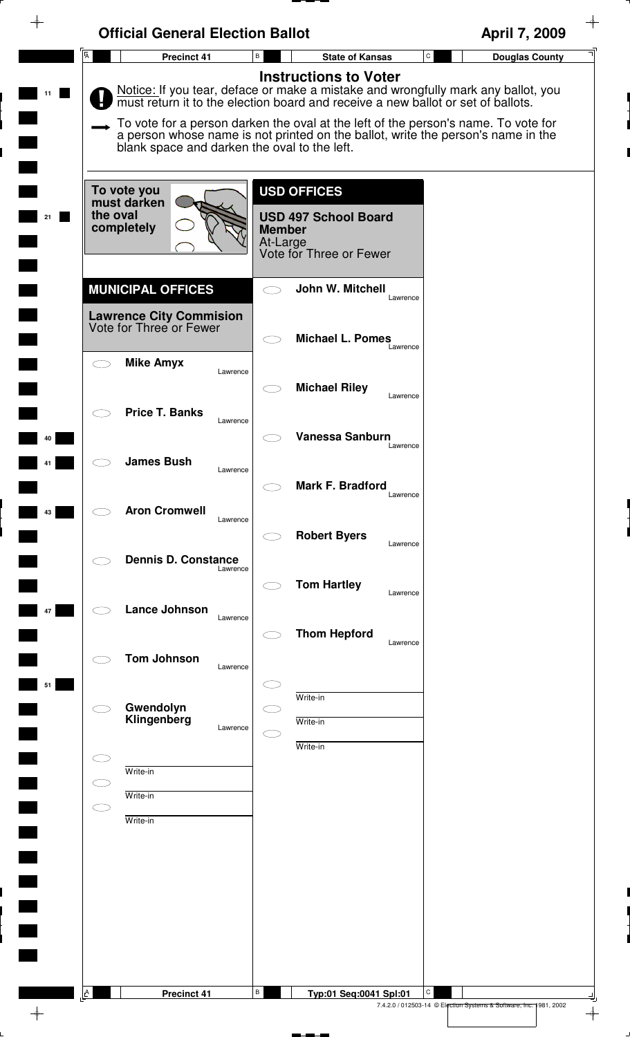| <b>Official General Election Ballot</b><br>$\overline{A}$ |                                                                                                                                                                                                                        | April 7, 2009                         |
|-----------------------------------------------------------|------------------------------------------------------------------------------------------------------------------------------------------------------------------------------------------------------------------------|---------------------------------------|
| Precinct 41                                               | В<br><b>State of Kansas</b>                                                                                                                                                                                            | $\mathtt{C}$<br><b>Douglas County</b> |
|                                                           | <b>Instructions to Voter</b><br>Notice: If you tear, deface or make a mistake and wrongfully mark any ballot, you must return it to the election board and receive a new ballot or set of ballots.                     |                                       |
|                                                           | To vote for a person darken the oval at the left of the person's name. To vote for<br>a person whose name is not printed on the ballot, write the person's name in the<br>blank space and darken the oval to the left. |                                       |
| To vote you                                               | <b>USD OFFICES</b>                                                                                                                                                                                                     |                                       |
| must darken<br>the oval<br>completely                     | <b>USD 497 School Board</b><br><b>Member</b><br>At-Large<br>Vote for Three or Fewer                                                                                                                                    |                                       |
| <b>MUNICIPAL OFFICES</b>                                  | John W. Mitchell                                                                                                                                                                                                       |                                       |
| <b>Lawrence City Commision</b><br>Vote for Three or Fewer | Lawrence                                                                                                                                                                                                               |                                       |
| <b>Mike Amyx</b><br>$\subset$ $\overline{\phantom{a}}$    | <b>Michael L. Pomes</b><br>Lawrence                                                                                                                                                                                    |                                       |
|                                                           | Lawrence<br><b>Michael Riley</b><br>$\subset$ $\overline{\phantom{a}}$<br>Lawrence                                                                                                                                     |                                       |
| <b>Price T. Banks</b>                                     | Lawrence<br>Vanessa Sanburn                                                                                                                                                                                            |                                       |
| <b>James Bush</b>                                         | Lawrence<br>Lawrence                                                                                                                                                                                                   |                                       |
|                                                           | Mark F. Bradford<br>Lawrence                                                                                                                                                                                           |                                       |
| <b>Aron Cromwell</b>                                      | Lawrence<br><b>Robert Byers</b><br>Lawrence                                                                                                                                                                            |                                       |
| <b>Dennis D. Constance</b>                                | Lawrence                                                                                                                                                                                                               |                                       |
| <b>Lance Johnson</b>                                      | <b>Tom Hartley</b><br>Lawrence                                                                                                                                                                                         |                                       |
|                                                           | Lawrence<br><b>Thom Hepford</b><br>Lawrence                                                                                                                                                                            |                                       |
| <b>Tom Johnson</b>                                        | Lawrence                                                                                                                                                                                                               |                                       |
| Gwendolyn<br>Klingenberg                                  | Write-in<br>Write-in                                                                                                                                                                                                   |                                       |
|                                                           | Lawrence<br>Write-in                                                                                                                                                                                                   |                                       |
| Write-in<br>Write-in                                      |                                                                                                                                                                                                                        |                                       |
| in 1<br>Write-in                                          |                                                                                                                                                                                                                        |                                       |
|                                                           |                                                                                                                                                                                                                        |                                       |
|                                                           |                                                                                                                                                                                                                        |                                       |
|                                                           |                                                                                                                                                                                                                        |                                       |
|                                                           |                                                                                                                                                                                                                        |                                       |
| A<br>Precinct 41                                          | В<br>Typ:01 Seq:0041 Spl:01                                                                                                                                                                                            | C                                     |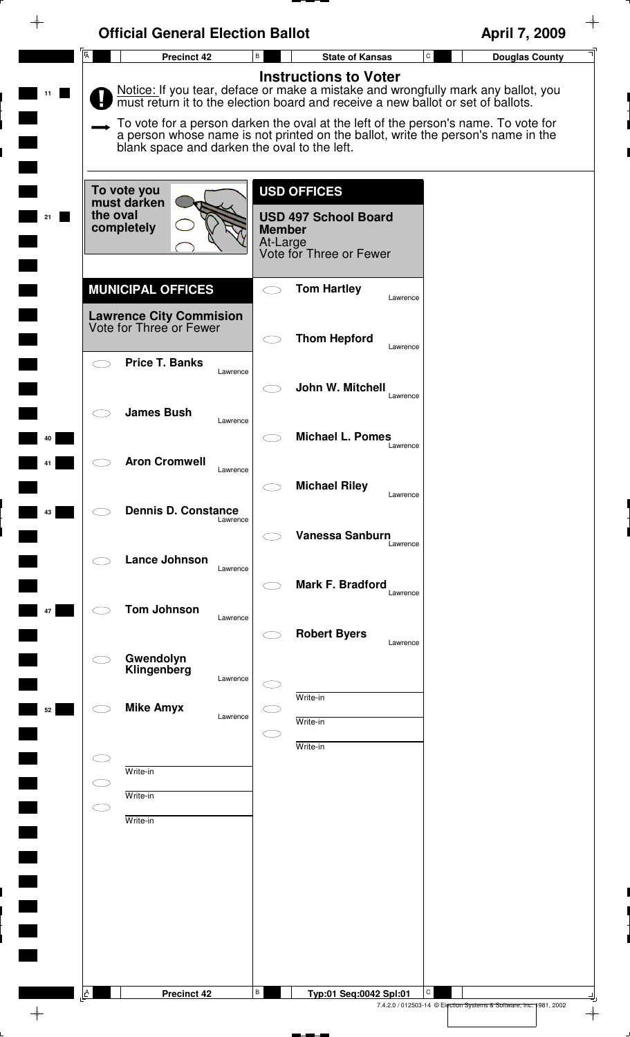| $\overline{A}$<br>Precinct 42                             | B<br><b>State of Kansas</b>                                                                                                                                            | $\mathtt{C}$<br><b>Douglas County</b> |
|-----------------------------------------------------------|------------------------------------------------------------------------------------------------------------------------------------------------------------------------|---------------------------------------|
|                                                           | <b>Instructions to Voter</b>                                                                                                                                           |                                       |
|                                                           | Notice: If you tear, deface or make a mistake and wrongfully mark any ballot, you must return it to the election board and receive a new ballot or set of ballots.     |                                       |
|                                                           | To vote for a person darken the oval at the left of the person's name. To vote for<br>a person whose name is not printed on the ballot, write the person's name in the |                                       |
| blank space and darken the oval to the left.              |                                                                                                                                                                        |                                       |
|                                                           |                                                                                                                                                                        |                                       |
| To vote you<br>must darken                                | <b>USD OFFICES</b>                                                                                                                                                     |                                       |
| the oval<br>completely                                    | <b>USD 497 School Board</b><br><b>Member</b>                                                                                                                           |                                       |
|                                                           | At-Large<br>Vote for Three or Fewer                                                                                                                                    |                                       |
|                                                           |                                                                                                                                                                        |                                       |
| <b>MUNICIPAL OFFICES</b>                                  | <b>Tom Hartley</b><br>$\subset$ $\supset$<br>Lawrence                                                                                                                  |                                       |
| <b>Lawrence City Commision</b><br>Vote for Three or Fewer |                                                                                                                                                                        |                                       |
|                                                           | <b>Thom Hepford</b><br>Lawrence                                                                                                                                        |                                       |
| <b>Price T. Banks</b><br>$\bigcirc$<br>Lawrence           |                                                                                                                                                                        |                                       |
|                                                           | John W. Mitchell                                                                                                                                                       |                                       |
| <b>James Bush</b>                                         | Lawrence                                                                                                                                                               |                                       |
| Lawrence                                                  | <b>Michael L. Pomes</b>                                                                                                                                                |                                       |
| <b>Aron Cromwell</b>                                      | Lawrence                                                                                                                                                               |                                       |
| Lawrence                                                  | <b>Michael Riley</b>                                                                                                                                                   |                                       |
| <b>Dennis D. Constance</b>                                | Lawrence                                                                                                                                                               |                                       |
| Lawrence                                                  | <b>Vanessa Sanburn</b>                                                                                                                                                 |                                       |
| Lance Johnson                                             | Lawrence                                                                                                                                                               |                                       |
| Lawrence                                                  | Mark F. Bradford                                                                                                                                                       |                                       |
|                                                           | Lawrence                                                                                                                                                               |                                       |
| <b>Tom Johnson</b><br>Lawrence                            |                                                                                                                                                                        |                                       |
|                                                           | <b>Robert Byers</b><br>Lawrence                                                                                                                                        |                                       |
| Gwendolyn<br>Klingenberg<br>Lawrence                      |                                                                                                                                                                        |                                       |
|                                                           | Write-in                                                                                                                                                               |                                       |
| <b>Mike Amyx</b><br>Lawrence                              | Write-in                                                                                                                                                               |                                       |
|                                                           | C<br>Write-in                                                                                                                                                          |                                       |
| C<br>Write-in                                             |                                                                                                                                                                        |                                       |
| $\subset$ $\supset$<br>Write-in                           |                                                                                                                                                                        |                                       |
| $\subset$<br>Write-in                                     |                                                                                                                                                                        |                                       |
|                                                           |                                                                                                                                                                        |                                       |
|                                                           |                                                                                                                                                                        |                                       |
|                                                           |                                                                                                                                                                        |                                       |
|                                                           |                                                                                                                                                                        |                                       |
|                                                           |                                                                                                                                                                        |                                       |
|                                                           |                                                                                                                                                                        |                                       |
|                                                           |                                                                                                                                                                        |                                       |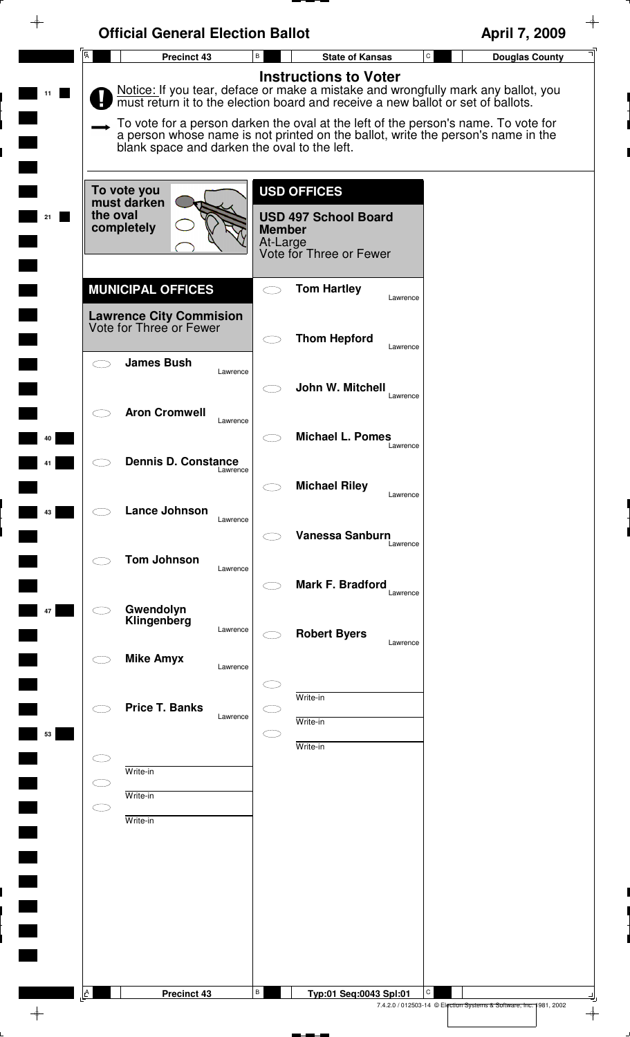|                | <b>Official General Election Ballot</b>                                               |                                                                                                                                                                                                                                                                                                                                                                                 | April 7, 2009                         |
|----------------|---------------------------------------------------------------------------------------|---------------------------------------------------------------------------------------------------------------------------------------------------------------------------------------------------------------------------------------------------------------------------------------------------------------------------------------------------------------------------------|---------------------------------------|
| $\overline{A}$ | Precinct 43                                                                           | В<br><b>State of Kansas</b>                                                                                                                                                                                                                                                                                                                                                     | $\mathsf{C}$<br><b>Douglas County</b> |
|                | blank space and darken the oval to the left.                                          | <b>Instructions to Voter</b><br>Notice: If you tear, deface or make a mistake and wrongfully mark any ballot, you<br>must return it to the election board and receive a new ballot or set of ballots.<br>To vote for a person darken the oval at the left of the person's name. To vote for<br>a person whose name is not printed on the ballot, write the person's name in the |                                       |
| the oval       | To vote you<br>must darken<br>completely                                              | <b>USD OFFICES</b><br><b>USD 497 School Board</b><br><b>Member</b><br>At-Large<br>Vote for Three or Fewer                                                                                                                                                                                                                                                                       |                                       |
|                | <b>MUNICIPAL OFFICES</b><br><b>Lawrence City Commision</b><br>Vote for Three or Fewer | <b>Tom Hartley</b><br>Lawrence                                                                                                                                                                                                                                                                                                                                                  |                                       |
|                | <b>James Bush</b><br>Lawrence                                                         | <b>Thom Hepford</b><br>Lawrence                                                                                                                                                                                                                                                                                                                                                 |                                       |
|                | <b>Aron Cromwell</b><br>Lawrence                                                      | John W. Mitchell<br>Lawrence                                                                                                                                                                                                                                                                                                                                                    |                                       |
|                | <b>Dennis D. Constance</b><br>Lawrence                                                | <b>Michael L. Pomes</b><br>Lawrence                                                                                                                                                                                                                                                                                                                                             |                                       |
|                | Lance Johnson<br>Lawrence                                                             | <b>Michael Riley</b><br>Lawrence                                                                                                                                                                                                                                                                                                                                                |                                       |
|                | <b>Tom Johnson</b><br>Lawrence                                                        | <b>Vanessa Sanburn</b><br>Lawrence<br>Mark F. Bradford                                                                                                                                                                                                                                                                                                                          |                                       |
|                | Gwendolyn<br>Klingenberg<br>Lawrence                                                  | Lawrence<br><b>Robert Byers</b>                                                                                                                                                                                                                                                                                                                                                 |                                       |
|                | <b>Mike Amyx</b><br>Lawrence                                                          | Lawrence                                                                                                                                                                                                                                                                                                                                                                        |                                       |
| 53             | <b>Price T. Banks</b><br>Lawrence                                                     | Write-in<br>Write-in                                                                                                                                                                                                                                                                                                                                                            |                                       |
|                | Write-in<br>Write-in                                                                  | Write-in                                                                                                                                                                                                                                                                                                                                                                        |                                       |
| СD             | Write-in                                                                              |                                                                                                                                                                                                                                                                                                                                                                                 |                                       |
|                |                                                                                       |                                                                                                                                                                                                                                                                                                                                                                                 |                                       |
|                |                                                                                       |                                                                                                                                                                                                                                                                                                                                                                                 |                                       |
| A              | <b>Precinct 43</b>                                                                    | В<br>Typ:01 Seq:0043 Spl:01                                                                                                                                                                                                                                                                                                                                                     | C                                     |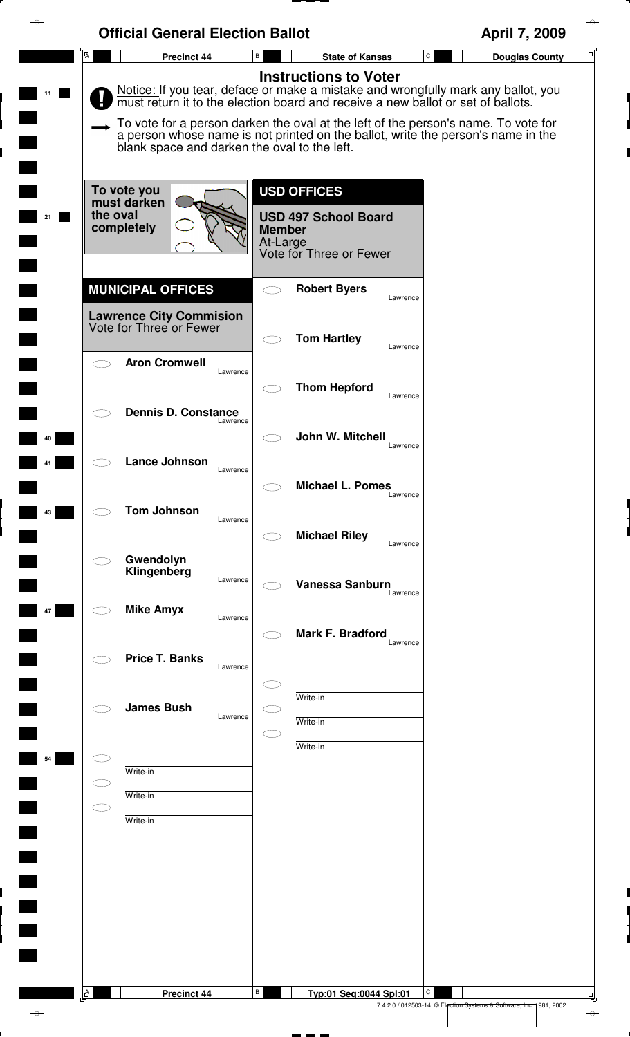|                | <b>Official General Election Ballot</b>                                          |                                  |                                                        | April 7, 2009                                                                                                                                                          |
|----------------|----------------------------------------------------------------------------------|----------------------------------|--------------------------------------------------------|------------------------------------------------------------------------------------------------------------------------------------------------------------------------|
| $\overline{A}$ | Precinct 44                                                                      | B                                | <b>State of Kansas</b>                                 | $\mathtt{C}$<br><b>Douglas County</b>                                                                                                                                  |
|                | must return it to the election board and receive a new ballot or set of ballots. |                                  | <b>Instructions to Voter</b>                           | Notice: If you tear, deface or make a mistake and wrongfully mark any ballot, you                                                                                      |
|                | blank space and darken the oval to the left.                                     |                                  |                                                        | To vote for a person darken the oval at the left of the person's name. To vote for<br>a person whose name is not printed on the ballot, write the person's name in the |
|                | To vote you<br>must darken                                                       | <b>USD OFFICES</b>               |                                                        |                                                                                                                                                                        |
| the oval       | completely                                                                       | <b>Member</b><br>At-Large        | <b>USD 497 School Board</b><br>Vote for Three or Fewer |                                                                                                                                                                        |
|                | <b>MUNICIPAL OFFICES</b>                                                         |                                  | <b>Robert Byers</b><br>Lawrence                        |                                                                                                                                                                        |
|                | <b>Lawrence City Commision</b><br>Vote for Three or Fewer                        |                                  | <b>Tom Hartley</b>                                     |                                                                                                                                                                        |
|                | <b>Aron Cromwell</b>                                                             | Lawrence                         | Lawrence                                               |                                                                                                                                                                        |
|                | <b>Dennis D. Constance</b>                                                       |                                  | <b>Thom Hepford</b><br>Lawrence                        |                                                                                                                                                                        |
|                |                                                                                  | Lawrence                         | John W. Mitchell<br>Lawrence                           |                                                                                                                                                                        |
|                | <b>Lance Johnson</b>                                                             | Lawrence                         | <b>Michael L. Pomes</b>                                |                                                                                                                                                                        |
|                | <b>Tom Johnson</b>                                                               | Lawrence                         | Lawrence                                               |                                                                                                                                                                        |
|                | Gwendolyn                                                                        |                                  | <b>Michael Riley</b><br>Lawrence                       |                                                                                                                                                                        |
|                | Klingenberg                                                                      | Lawrence                         | <b>Vanessa Sanburn</b><br>Lawrence                     |                                                                                                                                                                        |
|                | <b>Mike Amyx</b>                                                                 | Lawrence                         | <b>Mark F. Bradford</b>                                |                                                                                                                                                                        |
|                | <b>Price T. Banks</b>                                                            | Lawrence                         | Lawrence                                               |                                                                                                                                                                        |
|                | <b>James Bush</b>                                                                | Write-in                         |                                                        |                                                                                                                                                                        |
|                |                                                                                  | Lawrence<br>Write-in<br>Write-in |                                                        |                                                                                                                                                                        |
|                | Write-in                                                                         |                                  |                                                        |                                                                                                                                                                        |
|                | Write-in<br>Write-in                                                             |                                  |                                                        |                                                                                                                                                                        |
|                |                                                                                  |                                  |                                                        |                                                                                                                                                                        |
|                |                                                                                  |                                  |                                                        |                                                                                                                                                                        |
|                |                                                                                  |                                  |                                                        |                                                                                                                                                                        |
|                |                                                                                  |                                  |                                                        |                                                                                                                                                                        |
| <b>A</b>       | <b>Precinct 44</b>                                                               | В                                | С<br>Typ:01 Seq:0044 Spl:01                            |                                                                                                                                                                        |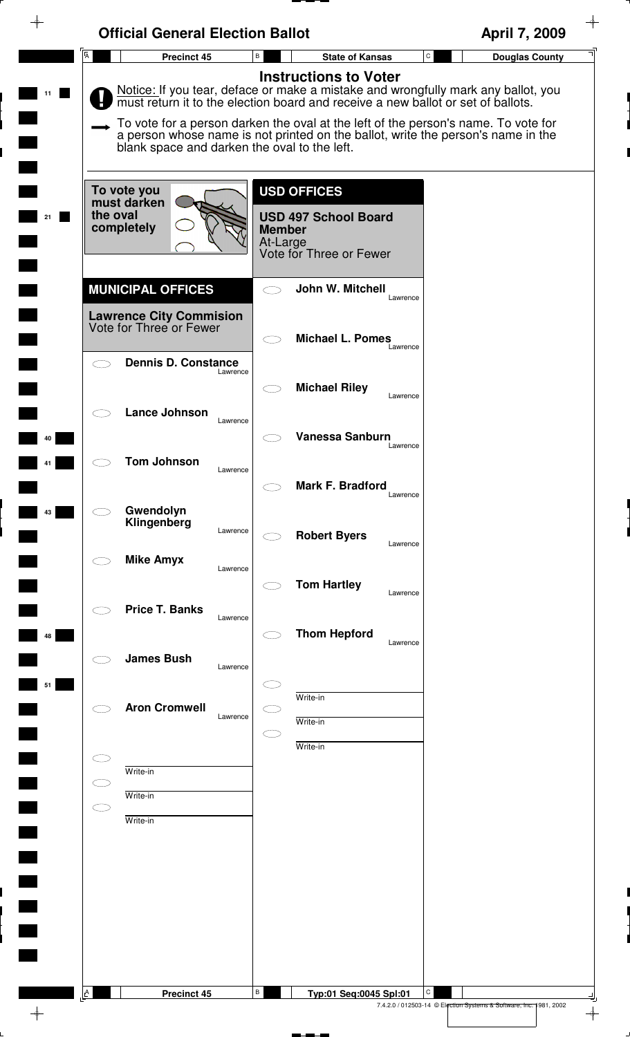| <b>Instructions to Voter</b><br>Notice: If you tear, deface or make a mistake and wrongfully mark any ballot, you must return it to the election board and receive a new ballot or set of ballots.<br>To vote for a person darken the oval at the left of the person's name. To vote for<br>a person whose name is not printed on the ballot, write the person's name in the<br>blank space and darken the oval to the left.<br><b>USD OFFICES</b><br>To vote you<br>must darken<br>the oval<br><b>USD 497 School Board</b><br>completely<br><b>Member</b><br>At-Large<br>Vote for Three or Fewer<br><b>MUNICIPAL OFFICES</b><br>John W. Mitchell<br>$\bigcirc$<br>Lawrence<br><b>Lawrence City Commision</b><br>Vote for Three or Fewer<br><b>Michael L. Pomes</b><br>$\subset$ $\supset$<br>Lawrence<br><b>Dennis D. Constance</b><br>$\bigcirc$<br>Lawrence<br><b>Michael Riley</b><br>Lawrence<br><b>Lance Johnson</b><br>Lawrence<br><b>Vanessa Sanburn</b><br>Lawrence<br><b>Tom Johnson</b><br>Lawrence<br>Mark F. Bradford<br>Lawrence<br>Gwendolyn<br>Klingenberg<br>Lawrence<br><b>Robert Byers</b><br>Lawrence<br><b>Mike Amyx</b><br>Lawrence<br><b>Tom Hartley</b><br>Lawrence<br><b>Price T. Banks</b><br>Lawrence<br><b>Thom Hepford</b><br>Lawrence<br><b>James Bush</b><br>Lawrence<br>Write-in<br><b>Aron Cromwell</b><br>Lawrence<br>Write-in<br>C i<br>Write-in<br>CD<br>Write-in<br>$\subset$ $\supset$<br>Write-in<br>$\subset$<br>Write-in | $\overline{A}$ | Precinct 45 | $\, {\bf B} \,$ | <b>State of Kansas</b> | $\mathtt{C}$<br><b>Douglas County</b> |
|-------------------------------------------------------------------------------------------------------------------------------------------------------------------------------------------------------------------------------------------------------------------------------------------------------------------------------------------------------------------------------------------------------------------------------------------------------------------------------------------------------------------------------------------------------------------------------------------------------------------------------------------------------------------------------------------------------------------------------------------------------------------------------------------------------------------------------------------------------------------------------------------------------------------------------------------------------------------------------------------------------------------------------------------------------------------------------------------------------------------------------------------------------------------------------------------------------------------------------------------------------------------------------------------------------------------------------------------------------------------------------------------------------------------------------------------------------------------|----------------|-------------|-----------------|------------------------|---------------------------------------|
|                                                                                                                                                                                                                                                                                                                                                                                                                                                                                                                                                                                                                                                                                                                                                                                                                                                                                                                                                                                                                                                                                                                                                                                                                                                                                                                                                                                                                                                                   |                |             |                 |                        |                                       |
|                                                                                                                                                                                                                                                                                                                                                                                                                                                                                                                                                                                                                                                                                                                                                                                                                                                                                                                                                                                                                                                                                                                                                                                                                                                                                                                                                                                                                                                                   |                |             |                 |                        |                                       |
|                                                                                                                                                                                                                                                                                                                                                                                                                                                                                                                                                                                                                                                                                                                                                                                                                                                                                                                                                                                                                                                                                                                                                                                                                                                                                                                                                                                                                                                                   |                |             |                 |                        |                                       |
|                                                                                                                                                                                                                                                                                                                                                                                                                                                                                                                                                                                                                                                                                                                                                                                                                                                                                                                                                                                                                                                                                                                                                                                                                                                                                                                                                                                                                                                                   |                |             |                 |                        |                                       |
|                                                                                                                                                                                                                                                                                                                                                                                                                                                                                                                                                                                                                                                                                                                                                                                                                                                                                                                                                                                                                                                                                                                                                                                                                                                                                                                                                                                                                                                                   |                |             |                 |                        |                                       |
|                                                                                                                                                                                                                                                                                                                                                                                                                                                                                                                                                                                                                                                                                                                                                                                                                                                                                                                                                                                                                                                                                                                                                                                                                                                                                                                                                                                                                                                                   |                |             |                 |                        |                                       |
|                                                                                                                                                                                                                                                                                                                                                                                                                                                                                                                                                                                                                                                                                                                                                                                                                                                                                                                                                                                                                                                                                                                                                                                                                                                                                                                                                                                                                                                                   |                |             |                 |                        |                                       |
|                                                                                                                                                                                                                                                                                                                                                                                                                                                                                                                                                                                                                                                                                                                                                                                                                                                                                                                                                                                                                                                                                                                                                                                                                                                                                                                                                                                                                                                                   |                |             |                 |                        |                                       |
|                                                                                                                                                                                                                                                                                                                                                                                                                                                                                                                                                                                                                                                                                                                                                                                                                                                                                                                                                                                                                                                                                                                                                                                                                                                                                                                                                                                                                                                                   |                |             |                 |                        |                                       |
|                                                                                                                                                                                                                                                                                                                                                                                                                                                                                                                                                                                                                                                                                                                                                                                                                                                                                                                                                                                                                                                                                                                                                                                                                                                                                                                                                                                                                                                                   |                |             |                 |                        |                                       |
|                                                                                                                                                                                                                                                                                                                                                                                                                                                                                                                                                                                                                                                                                                                                                                                                                                                                                                                                                                                                                                                                                                                                                                                                                                                                                                                                                                                                                                                                   |                |             |                 |                        |                                       |
|                                                                                                                                                                                                                                                                                                                                                                                                                                                                                                                                                                                                                                                                                                                                                                                                                                                                                                                                                                                                                                                                                                                                                                                                                                                                                                                                                                                                                                                                   |                |             |                 |                        |                                       |
|                                                                                                                                                                                                                                                                                                                                                                                                                                                                                                                                                                                                                                                                                                                                                                                                                                                                                                                                                                                                                                                                                                                                                                                                                                                                                                                                                                                                                                                                   |                |             |                 |                        |                                       |
|                                                                                                                                                                                                                                                                                                                                                                                                                                                                                                                                                                                                                                                                                                                                                                                                                                                                                                                                                                                                                                                                                                                                                                                                                                                                                                                                                                                                                                                                   |                |             |                 |                        |                                       |
|                                                                                                                                                                                                                                                                                                                                                                                                                                                                                                                                                                                                                                                                                                                                                                                                                                                                                                                                                                                                                                                                                                                                                                                                                                                                                                                                                                                                                                                                   |                |             |                 |                        |                                       |
|                                                                                                                                                                                                                                                                                                                                                                                                                                                                                                                                                                                                                                                                                                                                                                                                                                                                                                                                                                                                                                                                                                                                                                                                                                                                                                                                                                                                                                                                   |                |             |                 |                        |                                       |
|                                                                                                                                                                                                                                                                                                                                                                                                                                                                                                                                                                                                                                                                                                                                                                                                                                                                                                                                                                                                                                                                                                                                                                                                                                                                                                                                                                                                                                                                   |                |             |                 |                        |                                       |
|                                                                                                                                                                                                                                                                                                                                                                                                                                                                                                                                                                                                                                                                                                                                                                                                                                                                                                                                                                                                                                                                                                                                                                                                                                                                                                                                                                                                                                                                   |                |             |                 |                        |                                       |
|                                                                                                                                                                                                                                                                                                                                                                                                                                                                                                                                                                                                                                                                                                                                                                                                                                                                                                                                                                                                                                                                                                                                                                                                                                                                                                                                                                                                                                                                   |                |             |                 |                        |                                       |
|                                                                                                                                                                                                                                                                                                                                                                                                                                                                                                                                                                                                                                                                                                                                                                                                                                                                                                                                                                                                                                                                                                                                                                                                                                                                                                                                                                                                                                                                   |                |             |                 |                        |                                       |
| $\, {\bf B} \,$<br><b>Precinct 45</b><br>Typ:01 Seq:0045 Spl:01                                                                                                                                                                                                                                                                                                                                                                                                                                                                                                                                                                                                                                                                                                                                                                                                                                                                                                                                                                                                                                                                                                                                                                                                                                                                                                                                                                                                   |                |             |                 |                        |                                       |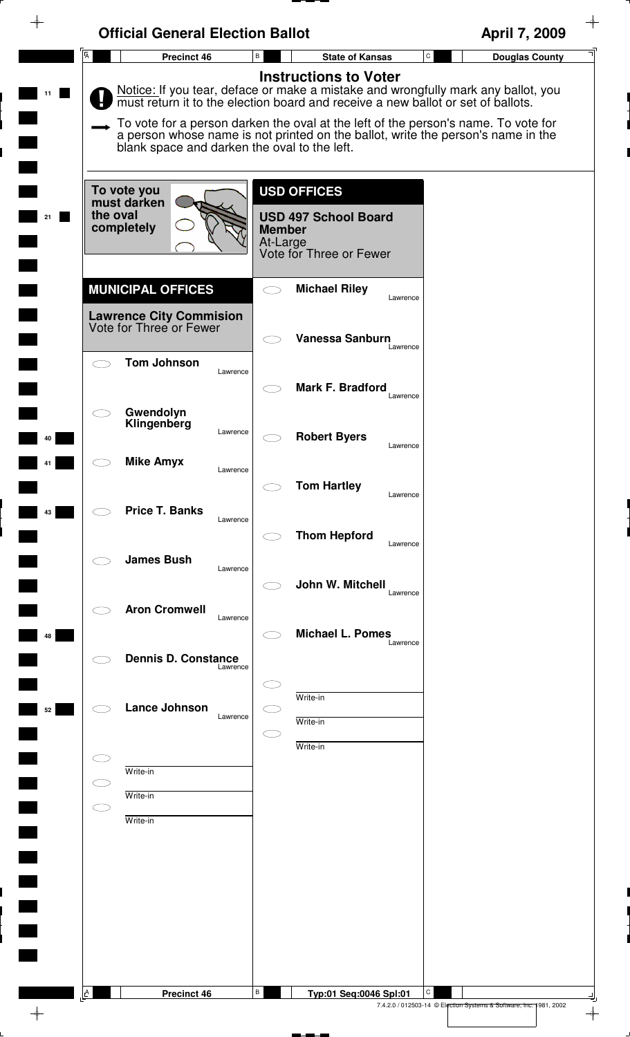| $\overline{A}$                             | Precinct 46                                  | B             | <b>State of Kansas</b>       | ${\tt C}$ | April 7, 2009<br><b>Douglas County</b>                                                                                                                                 |
|--------------------------------------------|----------------------------------------------|---------------|------------------------------|-----------|------------------------------------------------------------------------------------------------------------------------------------------------------------------------|
|                                            |                                              |               | <b>Instructions to Voter</b> |           |                                                                                                                                                                        |
|                                            |                                              |               |                              |           | Notice: If you tear, deface or make a mistake and wrongfully mark any ballot, you                                                                                      |
|                                            |                                              |               |                              |           | must return it to the election board and receive a new ballot or set of ballots.                                                                                       |
|                                            |                                              |               |                              |           | To vote for a person darken the oval at the left of the person's name. To vote for<br>a person whose name is not printed on the ballot, write the person's name in the |
|                                            | blank space and darken the oval to the left. |               |                              |           |                                                                                                                                                                        |
|                                            |                                              |               |                              |           |                                                                                                                                                                        |
| To vote you<br>must darken                 |                                              |               | <b>USD OFFICES</b>           |           |                                                                                                                                                                        |
| the oval<br>completely                     |                                              | <b>Member</b> | <b>USD 497 School Board</b>  |           |                                                                                                                                                                        |
|                                            |                                              | At-Large      |                              |           |                                                                                                                                                                        |
|                                            |                                              |               | Vote for Three or Fewer      |           |                                                                                                                                                                        |
| <b>MUNICIPAL OFFICES</b>                   |                                              | $\bigcirc$    | <b>Michael Riley</b>         |           |                                                                                                                                                                        |
| <b>Lawrence City Commision</b>             |                                              |               |                              | Lawrence  |                                                                                                                                                                        |
| Vote for Three or Fewer                    |                                              |               | Vanessa Sanburn              |           |                                                                                                                                                                        |
|                                            |                                              |               |                              | Lawrence  |                                                                                                                                                                        |
| <b>Tom Johnson</b><br>$\subset$ $\bar{\ }$ | Lawrence                                     |               |                              |           |                                                                                                                                                                        |
|                                            |                                              |               | Mark F. Bradford             | Lawrence  |                                                                                                                                                                        |
| Gwendolyn<br>Klingenberg                   |                                              |               |                              |           |                                                                                                                                                                        |
|                                            | Lawrence                                     |               | <b>Robert Byers</b>          | Lawrence  |                                                                                                                                                                        |
| <b>Mike Amyx</b>                           |                                              |               |                              |           |                                                                                                                                                                        |
|                                            | Lawrence                                     |               | <b>Tom Hartley</b>           |           |                                                                                                                                                                        |
| <b>Price T. Banks</b>                      |                                              |               |                              | Lawrence  |                                                                                                                                                                        |
|                                            | Lawrence                                     |               |                              |           |                                                                                                                                                                        |
|                                            |                                              |               | <b>Thom Hepford</b>          | Lawrence  |                                                                                                                                                                        |
| <b>James Bush</b>                          | Lawrence                                     |               |                              |           |                                                                                                                                                                        |
|                                            |                                              |               | John W. Mitchell             | Lawrence  |                                                                                                                                                                        |
| <b>Aron Cromwell</b>                       | Lawrence                                     |               |                              |           |                                                                                                                                                                        |
|                                            |                                              |               | <b>Michael L. Pomes</b>      |           |                                                                                                                                                                        |
|                                            | <b>Dennis D. Constance</b>                   |               |                              | Lawrence  |                                                                                                                                                                        |
|                                            | Lawrence                                     |               |                              |           |                                                                                                                                                                        |
|                                            |                                              |               | Write-in                     |           |                                                                                                                                                                        |
| <b>Lance Johnson</b>                       | Lawrence                                     |               | Write-in                     |           |                                                                                                                                                                        |
|                                            |                                              |               | Write-in                     |           |                                                                                                                                                                        |
|                                            |                                              |               |                              |           |                                                                                                                                                                        |
| Write-in<br>$\subset$ $\bar{ }$            |                                              |               |                              |           |                                                                                                                                                                        |
| Write-in<br>$\subset$ .                    |                                              |               |                              |           |                                                                                                                                                                        |
| Write-in                                   |                                              |               |                              |           |                                                                                                                                                                        |
|                                            |                                              |               |                              |           |                                                                                                                                                                        |
|                                            |                                              |               |                              |           |                                                                                                                                                                        |
|                                            |                                              |               |                              |           |                                                                                                                                                                        |
|                                            |                                              |               |                              |           |                                                                                                                                                                        |
|                                            |                                              |               |                              |           |                                                                                                                                                                        |
|                                            |                                              |               |                              |           |                                                                                                                                                                        |
|                                            |                                              |               |                              |           |                                                                                                                                                                        |
| ΙA                                         | <b>Precinct 46</b>                           | В             | Typ:01 Seq:0046 Spl:01       | C         |                                                                                                                                                                        |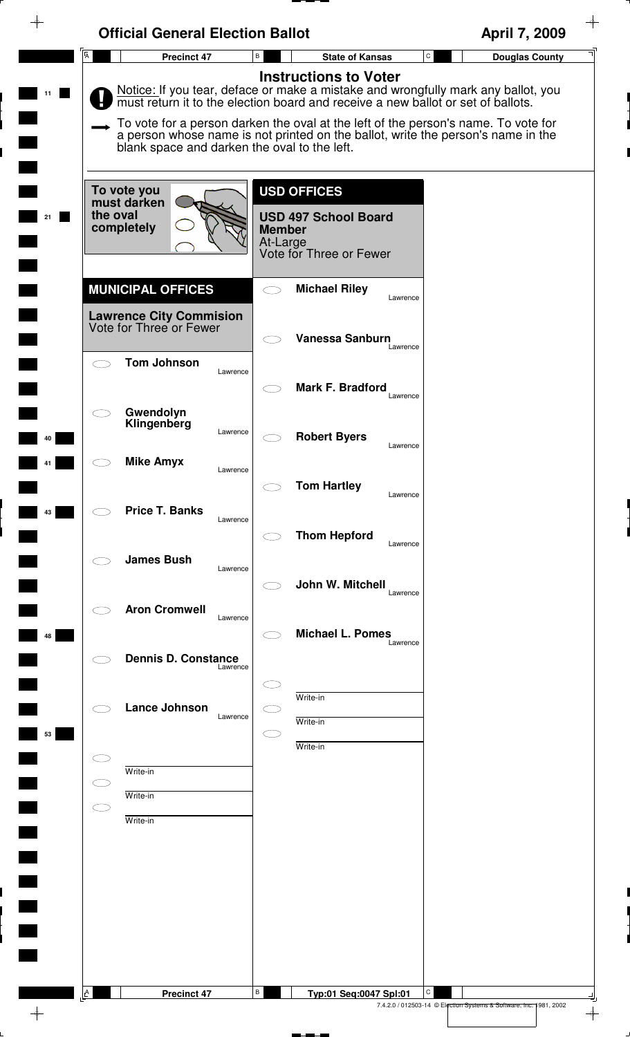|                          | <b>Official General Election Ballot</b>                     |                                                                                                                                                                                                                                                                                             | April 7, 2009                         |
|--------------------------|-------------------------------------------------------------|---------------------------------------------------------------------------------------------------------------------------------------------------------------------------------------------------------------------------------------------------------------------------------------------|---------------------------------------|
| $\overline{A}$           | <b>Precinct 47</b>                                          | $\, {\sf B}$<br><b>State of Kansas</b>                                                                                                                                                                                                                                                      | $\mathtt{C}$<br><b>Douglas County</b> |
|                          |                                                             | <b>Instructions to Voter</b><br>Notice: If you tear, deface or make a mistake and wrongfully mark any ballot, you<br>must return it to the election board and receive a new ballot or set of ballots.<br>To vote for a person darken the oval at the left of the person's name. To vote for |                                       |
|                          | blank space and darken the oval to the left.<br>To vote you | a person whose name is not printed on the ballot, write the person's name in the<br><b>USD OFFICES</b>                                                                                                                                                                                      |                                       |
| the oval<br>21           | must darken<br>completely                                   | <b>USD 497 School Board</b><br><b>Member</b><br>At-Large<br>Vote for Three or Fewer                                                                                                                                                                                                         |                                       |
|                          | <b>MUNICIPAL OFFICES</b>                                    | <b>Michael Riley</b><br>$\bigcirc$<br>Lawrence                                                                                                                                                                                                                                              |                                       |
|                          | <b>Lawrence City Commision</b><br>Vote for Three or Fewer   | <b>Vanessa Sanburn</b>                                                                                                                                                                                                                                                                      |                                       |
| $\overline{\phantom{1}}$ | <b>Tom Johnson</b><br>Lawrence                              | Lawrence<br>Mark F. Bradford                                                                                                                                                                                                                                                                |                                       |
|                          | Gwendolyn<br>Klingenberg<br>Lawrence                        | Lawrence<br><b>Robert Byers</b><br>Lawrence                                                                                                                                                                                                                                                 |                                       |
|                          | <b>Mike Amyx</b><br>Lawrence                                | <b>Tom Hartley</b><br>Lawrence                                                                                                                                                                                                                                                              |                                       |
|                          | <b>Price T. Banks</b><br>Lawrence                           | <b>Thom Hepford</b><br>Lawrence                                                                                                                                                                                                                                                             |                                       |
|                          | <b>James Bush</b><br>Lawrence                               | John W. Mitchell<br>Lawrence                                                                                                                                                                                                                                                                |                                       |
| 48                       | <b>Aron Cromwell</b><br>Lawrence                            | <b>Michael L. Pomes</b><br>Lawrence                                                                                                                                                                                                                                                         |                                       |
|                          | <b>Dennis D. Constance</b><br>Lawrence                      |                                                                                                                                                                                                                                                                                             |                                       |
|                          | <b>Lance Johnson</b><br>Lawrence                            | Write-in<br>Write-in                                                                                                                                                                                                                                                                        |                                       |
| 53                       | Write-in                                                    | Write-in                                                                                                                                                                                                                                                                                    |                                       |
| CD                       | Write-in<br>Write-in                                        |                                                                                                                                                                                                                                                                                             |                                       |
|                          |                                                             |                                                                                                                                                                                                                                                                                             |                                       |
|                          |                                                             |                                                                                                                                                                                                                                                                                             |                                       |
|                          |                                                             |                                                                                                                                                                                                                                                                                             |                                       |
| $\mathbf{A}$             | <b>Precinct 47</b>                                          | В<br>Typ:01 Seq:0047 Spl:01                                                                                                                                                                                                                                                                 | С                                     |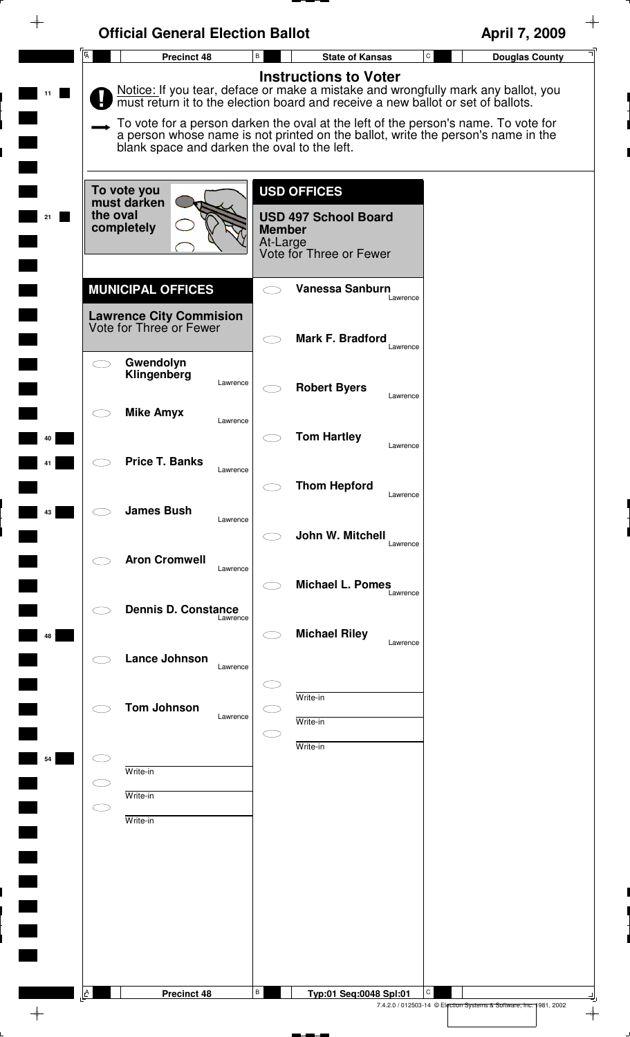|                | <b>Official General Election Ballot</b>                   |                                                                                                                                                                                                       | April 7, 2009                         |
|----------------|-----------------------------------------------------------|-------------------------------------------------------------------------------------------------------------------------------------------------------------------------------------------------------|---------------------------------------|
| $\overline{A}$ | Precinct 48                                               | В<br><b>State of Kansas</b>                                                                                                                                                                           | $\mathtt{C}$<br><b>Douglas County</b> |
|                |                                                           | <b>Instructions to Voter</b><br>Notice: If you tear, deface or make a mistake and wrongfully mark any ballot, you<br>must return it to the election board and receive a new ballot or set of ballots. |                                       |
|                | blank space and darken the oval to the left.              | To vote for a person darken the oval at the left of the person's name. To vote for<br>a person whose name is not printed on the ballot, write the person's name in the                                |                                       |
|                | To vote you<br>must darken                                | <b>USD OFFICES</b>                                                                                                                                                                                    |                                       |
|                | the oval<br>completely                                    | <b>USD 497 School Board</b><br><b>Member</b><br>At-Large<br>Vote for Three or Fewer                                                                                                                   |                                       |
|                | <b>MUNICIPAL OFFICES</b>                                  | <b>Vanessa Sanburn</b><br>Lawrence                                                                                                                                                                    |                                       |
|                | <b>Lawrence City Commision</b><br>Vote for Three or Fewer | Mark F. Bradford<br>Lawrence                                                                                                                                                                          |                                       |
|                | Gwendolyn<br>Klingenberg<br>Lawrence                      | <b>Robert Byers</b><br>Lawrence                                                                                                                                                                       |                                       |
|                | <b>Mike Amyx</b><br>Lawrence                              | <b>Tom Hartley</b><br>Lawrence                                                                                                                                                                        |                                       |
|                | <b>Price T. Banks</b><br>Lawrence                         | <b>Thom Hepford</b>                                                                                                                                                                                   |                                       |
|                | <b>James Bush</b><br>Lawrence                             | Lawrence<br>John W. Mitchell                                                                                                                                                                          |                                       |
|                | <b>Aron Cromwell</b><br>Lawrence                          | Lawrence<br><b>Michael L. Pomes</b>                                                                                                                                                                   |                                       |
|                | <b>Dennis D. Constance</b><br>Lawrence                    | Lawrence                                                                                                                                                                                              |                                       |
| 48             | <b>Lance Johnson</b><br>Lawrence                          | <b>Michael Riley</b><br>Lawrence                                                                                                                                                                      |                                       |
|                | <b>Tom Johnson</b><br>Lawrence                            | Write-in                                                                                                                                                                                              |                                       |
| 54             |                                                           | Write-in<br>Write-in                                                                                                                                                                                  |                                       |
|                | Write-in<br>Write-in                                      |                                                                                                                                                                                                       |                                       |
|                | Write-in                                                  |                                                                                                                                                                                                       |                                       |
|                |                                                           |                                                                                                                                                                                                       |                                       |
|                |                                                           |                                                                                                                                                                                                       |                                       |
|                |                                                           |                                                                                                                                                                                                       |                                       |
| A              | <b>Precinct 48</b>                                        | В<br>Typ:01 Seq:0048 Spl:01                                                                                                                                                                           | С                                     |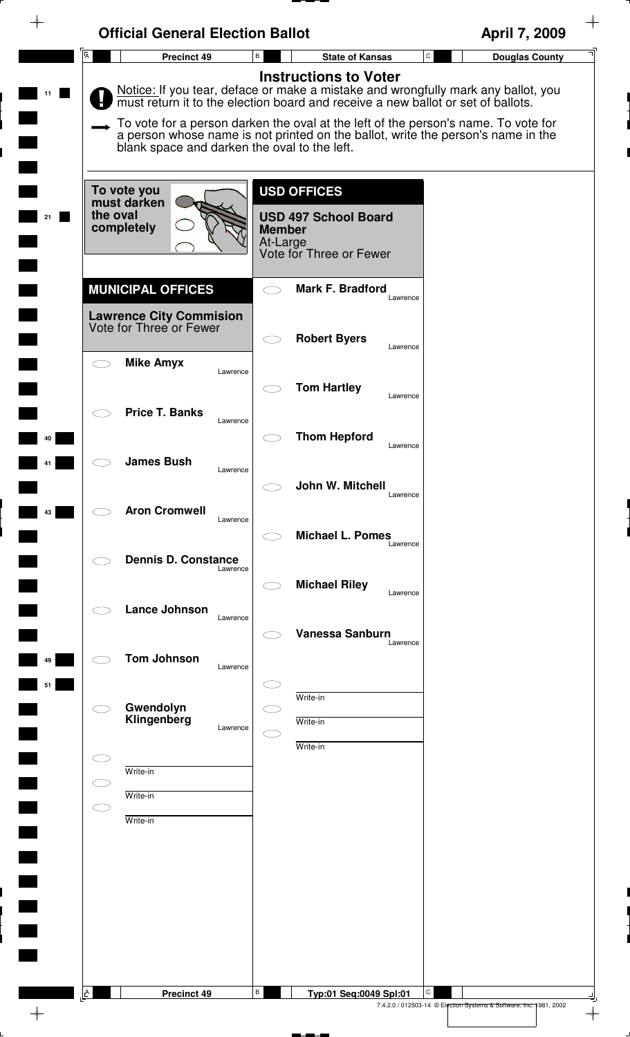|                                                                                       | <b>Official General Election Ballot</b>      |                                                                                                           | April 7, 2009                                                                                                                                                                                                                                                                                                                                |
|---------------------------------------------------------------------------------------|----------------------------------------------|-----------------------------------------------------------------------------------------------------------|----------------------------------------------------------------------------------------------------------------------------------------------------------------------------------------------------------------------------------------------------------------------------------------------------------------------------------------------|
| A                                                                                     | $\, {\bf B} \,$<br>Precinct 49               | <b>State of Kansas</b>                                                                                    | $\mathtt{C}$<br><b>Douglas County</b>                                                                                                                                                                                                                                                                                                        |
|                                                                                       | blank space and darken the oval to the left. | <b>Instructions to Voter</b>                                                                              | Notice: If you tear, deface or make a mistake and wrongfully mark any ballot, you must return it to the election board and receive a new ballot or set of ballots.<br>To vote for a person darken the oval at the left of the person's name. To vote for<br>a person whose name is not printed on the ballot, write the person's name in the |
| To vote you<br>must darken<br>the oval<br>completely                                  |                                              | <b>USD OFFICES</b><br><b>USD 497 School Board</b><br><b>Member</b><br>At-Large<br>Vote for Three or Fewer |                                                                                                                                                                                                                                                                                                                                              |
| <b>MUNICIPAL OFFICES</b><br><b>Lawrence City Commision</b><br>Vote for Three or Fewer |                                              | <b>Mark F. Bradford</b><br>Lawrence                                                                       |                                                                                                                                                                                                                                                                                                                                              |
| <b>Mike Amyx</b>                                                                      | Lawrence                                     | <b>Robert Byers</b><br>Lawrence                                                                           |                                                                                                                                                                                                                                                                                                                                              |
| <b>Price T. Banks</b>                                                                 | Lawrence                                     | <b>Tom Hartley</b><br>Lawrence                                                                            |                                                                                                                                                                                                                                                                                                                                              |
| <b>James Bush</b>                                                                     | Lawrence                                     | <b>Thom Hepford</b><br>Lawrence                                                                           |                                                                                                                                                                                                                                                                                                                                              |
| <b>Aron Cromwell</b>                                                                  | Lawrence                                     | John W. Mitchell<br>Lawrence<br><b>Michael L. Pomes</b>                                                   |                                                                                                                                                                                                                                                                                                                                              |
|                                                                                       | <b>Dennis D. Constance</b><br>Lawrence       | Lawrence<br><b>Michael Riley</b>                                                                          |                                                                                                                                                                                                                                                                                                                                              |
| Lance Johnson                                                                         | Lawrence                                     | Lawrence<br><b>Vanessa Sanburn</b>                                                                        |                                                                                                                                                                                                                                                                                                                                              |
| <b>Tom Johnson</b>                                                                    | Lawrence                                     | Lawrence                                                                                                  |                                                                                                                                                                                                                                                                                                                                              |
| Gwendolyn<br>Klingenberg                                                              | Lawrence                                     | Write-in<br>Write-in                                                                                      |                                                                                                                                                                                                                                                                                                                                              |
| Write-in                                                                              |                                              | Write-in                                                                                                  |                                                                                                                                                                                                                                                                                                                                              |
| Write-in<br>C.<br>Write-in                                                            |                                              |                                                                                                           |                                                                                                                                                                                                                                                                                                                                              |
|                                                                                       |                                              |                                                                                                           |                                                                                                                                                                                                                                                                                                                                              |
|                                                                                       |                                              |                                                                                                           |                                                                                                                                                                                                                                                                                                                                              |
|                                                                                       |                                              |                                                                                                           |                                                                                                                                                                                                                                                                                                                                              |

 $\overline{\phantom{a}}$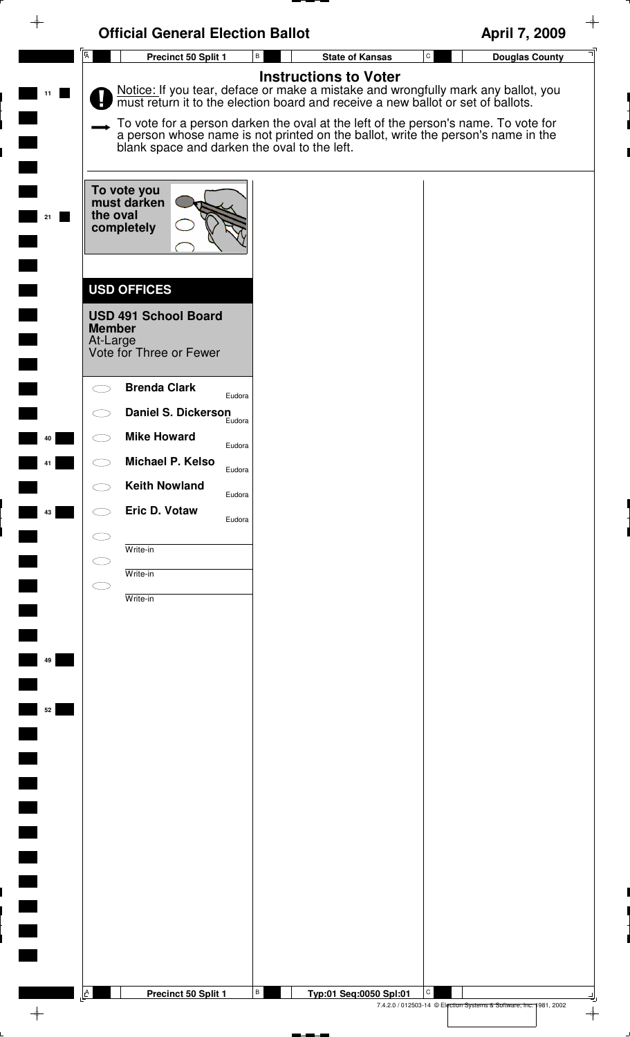|    | <b>Official General Election Ballot</b>                                                                                                                                                                                                                                                                                                                                                      |                                        | April 7, 2009                                                      |
|----|----------------------------------------------------------------------------------------------------------------------------------------------------------------------------------------------------------------------------------------------------------------------------------------------------------------------------------------------------------------------------------------------|----------------------------------------|--------------------------------------------------------------------|
|    | $\overline{A}$<br>B<br>Precinct 50 Split 1                                                                                                                                                                                                                                                                                                                                                   | $\mathtt{C}$<br><b>State of Kansas</b> | <b>Douglas County</b>                                              |
|    | Notice: If you tear, deface or make a mistake and wrongfully mark any ballot, you must return it to the election board and receive a new ballot or set of ballots.<br>To vote for a person darken the oval at the left of the person's name. To vote for<br>a person whose name is not printed on the ballot, write the person's name in the<br>blank space and darken the oval to the left. | <b>Instructions to Voter</b>           |                                                                    |
| 21 | To vote you<br>must darken<br>the oval<br>completely                                                                                                                                                                                                                                                                                                                                         |                                        |                                                                    |
|    | <b>USD OFFICES</b><br><b>USD 491 School Board</b><br><b>Member</b><br>At-Large<br>Vote for Three or Fewer                                                                                                                                                                                                                                                                                    |                                        |                                                                    |
|    | <b>Brenda Clark</b><br>Eudora<br><b>Daniel S. Dickerson</b>                                                                                                                                                                                                                                                                                                                                  |                                        |                                                                    |
| 40 | Eudora<br><b>Mike Howard</b><br>Eudora                                                                                                                                                                                                                                                                                                                                                       |                                        |                                                                    |
|    | Michael P. Kelso<br>Eudora<br><b>Keith Nowland</b><br>Eudora                                                                                                                                                                                                                                                                                                                                 |                                        |                                                                    |
| 43 | Eric D. Votaw<br>Eudora                                                                                                                                                                                                                                                                                                                                                                      |                                        |                                                                    |
|    | Write-in<br>Write-in                                                                                                                                                                                                                                                                                                                                                                         |                                        |                                                                    |
|    | Write-in                                                                                                                                                                                                                                                                                                                                                                                     |                                        |                                                                    |
|    |                                                                                                                                                                                                                                                                                                                                                                                              |                                        |                                                                    |
| 49 |                                                                                                                                                                                                                                                                                                                                                                                              |                                        |                                                                    |
| 52 |                                                                                                                                                                                                                                                                                                                                                                                              |                                        |                                                                    |
|    |                                                                                                                                                                                                                                                                                                                                                                                              |                                        |                                                                    |
|    |                                                                                                                                                                                                                                                                                                                                                                                              |                                        |                                                                    |
|    |                                                                                                                                                                                                                                                                                                                                                                                              |                                        |                                                                    |
|    |                                                                                                                                                                                                                                                                                                                                                                                              |                                        |                                                                    |
|    |                                                                                                                                                                                                                                                                                                                                                                                              |                                        |                                                                    |
|    | $\mathbf{A}$<br>$\, {\bf B}$<br>Precinct 50 Split 1                                                                                                                                                                                                                                                                                                                                          | С<br>Typ:01 Seq:0050 Spl:01            |                                                                    |
|    |                                                                                                                                                                                                                                                                                                                                                                                              |                                        | 7.4.2.0 / 012503-14 © Election Systems & Software, Inc. 1981, 2002 |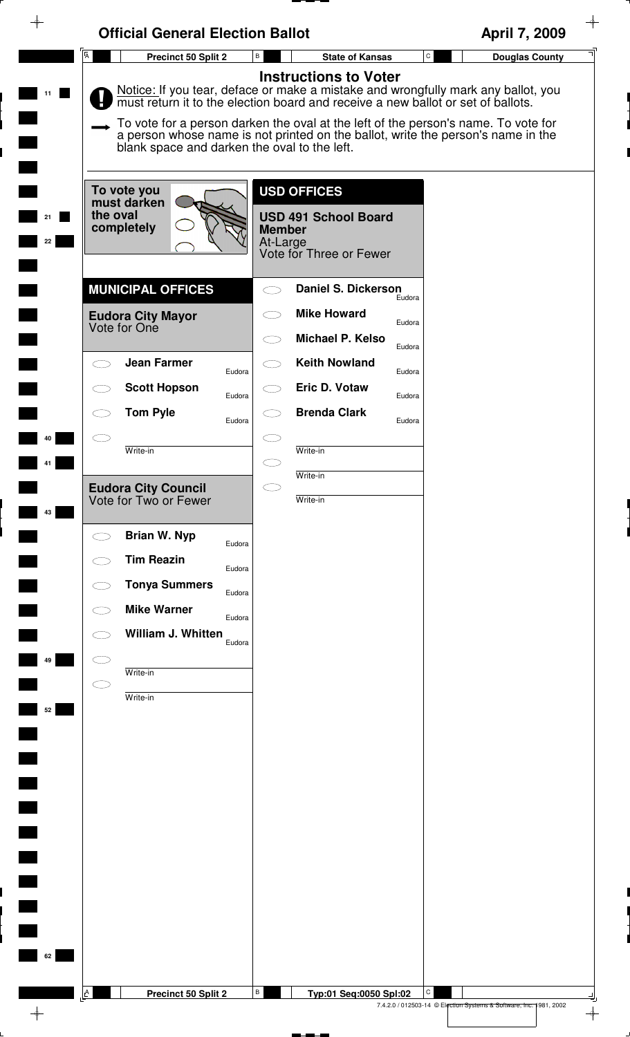| →        | <b>Official General Election Ballot</b>              |                                                                                                                                                                                                                                                                                                                                                                              | April 7, 2009                                                           |
|----------|------------------------------------------------------|------------------------------------------------------------------------------------------------------------------------------------------------------------------------------------------------------------------------------------------------------------------------------------------------------------------------------------------------------------------------------|-------------------------------------------------------------------------|
|          | $\overline{\mathsf{A}}$<br>Precinct 50 Split 2       | В<br><b>State of Kansas</b>                                                                                                                                                                                                                                                                                                                                                  | ${\tt C}$<br><b>Douglas County</b>                                      |
| 11       | blank space and darken the oval to the left.         | <b>Instructions to Voter</b><br>Notice: If you tear, deface or make a mistake and wrongfully mark any ballot, you must return it to the election board and receive a new ballot or set of ballots.<br>To vote for a person darken the oval at the left of the person's name. To vote for<br>a person whose name is not printed on the ballot, write the person's name in the |                                                                         |
| 21<br>22 | To vote you<br>must darken<br>the oval<br>completely | <b>USD OFFICES</b><br><b>USD 491 School Board</b><br><b>Member</b><br>At-Large<br>Vote for Three or Fewer                                                                                                                                                                                                                                                                    |                                                                         |
|          | <b>MUNICIPAL OFFICES</b>                             | <b>Daniel S. Dickerson</b>                                                                                                                                                                                                                                                                                                                                                   |                                                                         |
|          | <b>Eudora City Mayor</b><br>Vote for One             | Eudora<br><b>Mike Howard</b><br>Eudora<br>Michael P. Kelso<br>Eudora                                                                                                                                                                                                                                                                                                         |                                                                         |
|          | <b>Jean Farmer</b>                                   | <b>Keith Nowland</b>                                                                                                                                                                                                                                                                                                                                                         |                                                                         |
|          | Eudora<br><b>Scott Hopson</b><br>Eudora              | Eudora<br>Eric D. Votaw<br>Eudora                                                                                                                                                                                                                                                                                                                                            |                                                                         |
|          | <b>Tom Pyle</b><br>Eudora                            | <b>Brenda Clark</b><br>Eudora                                                                                                                                                                                                                                                                                                                                                |                                                                         |
| 40       |                                                      |                                                                                                                                                                                                                                                                                                                                                                              |                                                                         |
|          | Write-in                                             | Write-in                                                                                                                                                                                                                                                                                                                                                                     |                                                                         |
| 43       | <b>Eudora City Council</b><br>Vote for Two or Fewer  | Write-in<br>$\subset$<br>Write-in                                                                                                                                                                                                                                                                                                                                            |                                                                         |
|          | <b>Brian W. Nyp</b>                                  |                                                                                                                                                                                                                                                                                                                                                                              |                                                                         |
|          | Eudora<br><b>Tim Reazin</b>                          |                                                                                                                                                                                                                                                                                                                                                                              |                                                                         |
|          | Eudora<br><b>Tonya Summers</b><br>Eudora             |                                                                                                                                                                                                                                                                                                                                                                              |                                                                         |
|          | <b>Mike Warner</b><br>Eudora                         |                                                                                                                                                                                                                                                                                                                                                                              |                                                                         |
|          | William J. Whitten<br>Eudora                         |                                                                                                                                                                                                                                                                                                                                                                              |                                                                         |
| 49       | Write-in                                             |                                                                                                                                                                                                                                                                                                                                                                              |                                                                         |
|          | Write-in                                             |                                                                                                                                                                                                                                                                                                                                                                              |                                                                         |
| 52       |                                                      |                                                                                                                                                                                                                                                                                                                                                                              |                                                                         |
|          |                                                      |                                                                                                                                                                                                                                                                                                                                                                              |                                                                         |
|          |                                                      |                                                                                                                                                                                                                                                                                                                                                                              |                                                                         |
|          |                                                      |                                                                                                                                                                                                                                                                                                                                                                              |                                                                         |
|          |                                                      |                                                                                                                                                                                                                                                                                                                                                                              |                                                                         |
|          |                                                      |                                                                                                                                                                                                                                                                                                                                                                              |                                                                         |
|          |                                                      |                                                                                                                                                                                                                                                                                                                                                                              |                                                                         |
|          |                                                      |                                                                                                                                                                                                                                                                                                                                                                              |                                                                         |
|          |                                                      |                                                                                                                                                                                                                                                                                                                                                                              |                                                                         |
| 62       |                                                      |                                                                                                                                                                                                                                                                                                                                                                              |                                                                         |
|          |                                                      |                                                                                                                                                                                                                                                                                                                                                                              |                                                                         |
|          | $\Delta$<br>Precinct 50 Split 2                      | В<br>Typ:01 Seq:0050 Spl:02                                                                                                                                                                                                                                                                                                                                                  | C<br>7.4.2.0 / 012503-14 © Election Systems & Software, Inc. 1981, 2002 |
|          |                                                      |                                                                                                                                                                                                                                                                                                                                                                              | $\rightarrow$                                                           |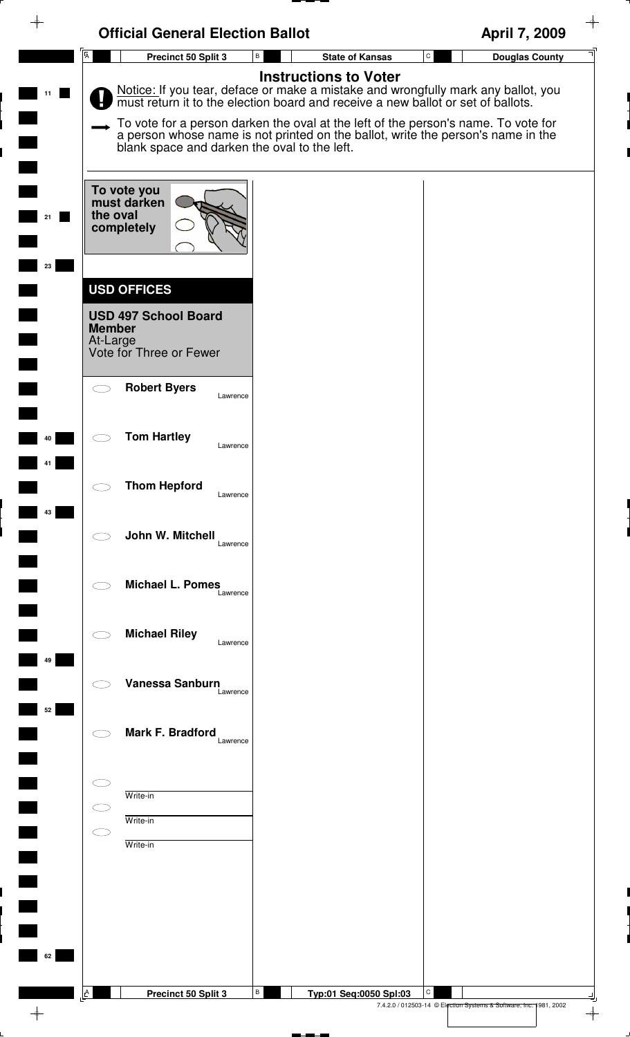| $\overline{\mathsf{A}}$<br>${\rm C}$<br>Precinct 50 Split 3<br>В<br><b>State of Kansas</b><br><b>Douglas County</b><br><b>Instructions to Voter</b><br>Notice: If you tear, deface or make a mistake and wrongfully mark any ballot, you must return it to the election board and receive a new ballot or set of ballots.<br>To vote for a person darken the oval at the left of the person's name. To vote for<br>a person whose name is not printed on the ballot, write the person's name in the<br>blank space and darken the oval to the left.<br>To vote you<br>must darken<br>the oval<br>completely<br>23<br><b>USD OFFICES</b><br><b>USD 497 School Board</b><br><b>Member</b><br>At-Large<br>Vote for Three or Fewer<br><b>Robert Byers</b><br>Lawrence<br><b>Tom Hartley</b><br>40<br>Lawrence<br><b>Thom Hepford</b><br>$\bigcirc$<br>Lawrence<br>43<br>John W. Mitchell<br>Lawrence<br><b>Michael L. Pomes</b><br>Lawrence<br><b>Michael Riley</b><br>Lawrence<br>49<br>Vanessa Sanburn<br>Lawrence<br>52<br>Mark F. Bradford<br>Lawrence<br>Write-in<br>Write-in<br>Write-in<br>62 | <b>Official General Election Ballot</b> | April 7, 2009 |
|--------------------------------------------------------------------------------------------------------------------------------------------------------------------------------------------------------------------------------------------------------------------------------------------------------------------------------------------------------------------------------------------------------------------------------------------------------------------------------------------------------------------------------------------------------------------------------------------------------------------------------------------------------------------------------------------------------------------------------------------------------------------------------------------------------------------------------------------------------------------------------------------------------------------------------------------------------------------------------------------------------------------------------------------------------------------------------------------------|-----------------------------------------|---------------|
|                                                                                                                                                                                                                                                                                                                                                                                                                                                                                                                                                                                                                                                                                                                                                                                                                                                                                                                                                                                                                                                                                                  |                                         |               |
|                                                                                                                                                                                                                                                                                                                                                                                                                                                                                                                                                                                                                                                                                                                                                                                                                                                                                                                                                                                                                                                                                                  |                                         |               |
|                                                                                                                                                                                                                                                                                                                                                                                                                                                                                                                                                                                                                                                                                                                                                                                                                                                                                                                                                                                                                                                                                                  |                                         |               |
|                                                                                                                                                                                                                                                                                                                                                                                                                                                                                                                                                                                                                                                                                                                                                                                                                                                                                                                                                                                                                                                                                                  |                                         |               |
|                                                                                                                                                                                                                                                                                                                                                                                                                                                                                                                                                                                                                                                                                                                                                                                                                                                                                                                                                                                                                                                                                                  |                                         |               |
|                                                                                                                                                                                                                                                                                                                                                                                                                                                                                                                                                                                                                                                                                                                                                                                                                                                                                                                                                                                                                                                                                                  |                                         |               |
|                                                                                                                                                                                                                                                                                                                                                                                                                                                                                                                                                                                                                                                                                                                                                                                                                                                                                                                                                                                                                                                                                                  |                                         |               |
|                                                                                                                                                                                                                                                                                                                                                                                                                                                                                                                                                                                                                                                                                                                                                                                                                                                                                                                                                                                                                                                                                                  |                                         |               |
|                                                                                                                                                                                                                                                                                                                                                                                                                                                                                                                                                                                                                                                                                                                                                                                                                                                                                                                                                                                                                                                                                                  |                                         |               |
|                                                                                                                                                                                                                                                                                                                                                                                                                                                                                                                                                                                                                                                                                                                                                                                                                                                                                                                                                                                                                                                                                                  |                                         |               |
|                                                                                                                                                                                                                                                                                                                                                                                                                                                                                                                                                                                                                                                                                                                                                                                                                                                                                                                                                                                                                                                                                                  |                                         |               |
|                                                                                                                                                                                                                                                                                                                                                                                                                                                                                                                                                                                                                                                                                                                                                                                                                                                                                                                                                                                                                                                                                                  |                                         |               |
|                                                                                                                                                                                                                                                                                                                                                                                                                                                                                                                                                                                                                                                                                                                                                                                                                                                                                                                                                                                                                                                                                                  |                                         |               |
|                                                                                                                                                                                                                                                                                                                                                                                                                                                                                                                                                                                                                                                                                                                                                                                                                                                                                                                                                                                                                                                                                                  |                                         |               |
| B<br>A<br>C<br>Precinct 50 Split 3<br>Typ:01 Seq:0050 Spl:03                                                                                                                                                                                                                                                                                                                                                                                                                                                                                                                                                                                                                                                                                                                                                                                                                                                                                                                                                                                                                                     |                                         |               |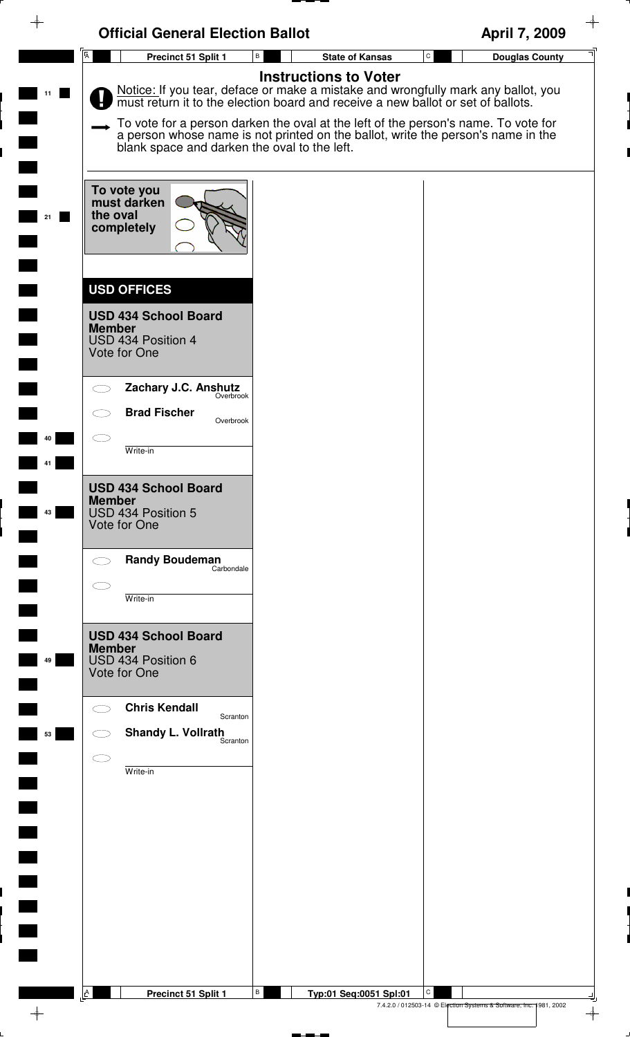|    | <b>Official General Election Ballot</b>                                                                    |                                           | $\rightarrow$<br>April 7, 2009                                                                                                                                                                                                                                                                                                               |
|----|------------------------------------------------------------------------------------------------------------|-------------------------------------------|----------------------------------------------------------------------------------------------------------------------------------------------------------------------------------------------------------------------------------------------------------------------------------------------------------------------------------------------|
|    | $\overline{A}$<br>Precinct 51 Split 1                                                                      | $\, {\bf B} \,$<br><b>State of Kansas</b> | $\mathtt{C}$<br><b>Douglas County</b>                                                                                                                                                                                                                                                                                                        |
| 11 | blank space and darken the oval to the left.                                                               | <b>Instructions to Voter</b>              | Notice: If you tear, deface or make a mistake and wrongfully mark any ballot, you must return it to the election board and receive a new ballot or set of ballots.<br>To vote for a person darken the oval at the left of the person's name. To vote for<br>a person whose name is not printed on the ballot, write the person's name in the |
| 21 | To vote you<br>must darken<br>the oval<br>completely                                                       |                                           |                                                                                                                                                                                                                                                                                                                                              |
|    | <b>USD OFFICES</b><br><b>USD 434 School Board</b><br><b>Member</b><br>USD 434 Position 4<br>Vote for One   |                                           |                                                                                                                                                                                                                                                                                                                                              |
| 40 | Zachary J.C. Anshutz<br>Overbrook<br><b>Brad Fischer</b><br>Overbrook<br>Write-in                          |                                           |                                                                                                                                                                                                                                                                                                                                              |
| 43 | <b>USD 434 School Board</b><br><b>Member</b><br>USD 434 Position 5<br>Vote for One                         |                                           |                                                                                                                                                                                                                                                                                                                                              |
|    | <b>Randy Boudeman</b><br>Carbondale<br>Write-in                                                            |                                           |                                                                                                                                                                                                                                                                                                                                              |
| 49 | <b>USD 434 School Board</b><br><b>Member</b><br>USD 434 Position 6<br>Vote for One<br><b>Chris Kendall</b> |                                           |                                                                                                                                                                                                                                                                                                                                              |
| 53 | Scranton<br><b>Shandy L. Vollrath</b><br>Scranton<br>Write-in                                              |                                           |                                                                                                                                                                                                                                                                                                                                              |
|    |                                                                                                            |                                           |                                                                                                                                                                                                                                                                                                                                              |
|    |                                                                                                            |                                           |                                                                                                                                                                                                                                                                                                                                              |
|    | $\mathbb{A}$<br>Precinct 51 Split 1                                                                        | В<br>Typ:01 Seq:0051 Spl:01               | С<br>7.4.2.0 / 012503-14 © Election Systems & Software, Inc. 1981, 2002<br>$\rightarrow$                                                                                                                                                                                                                                                     |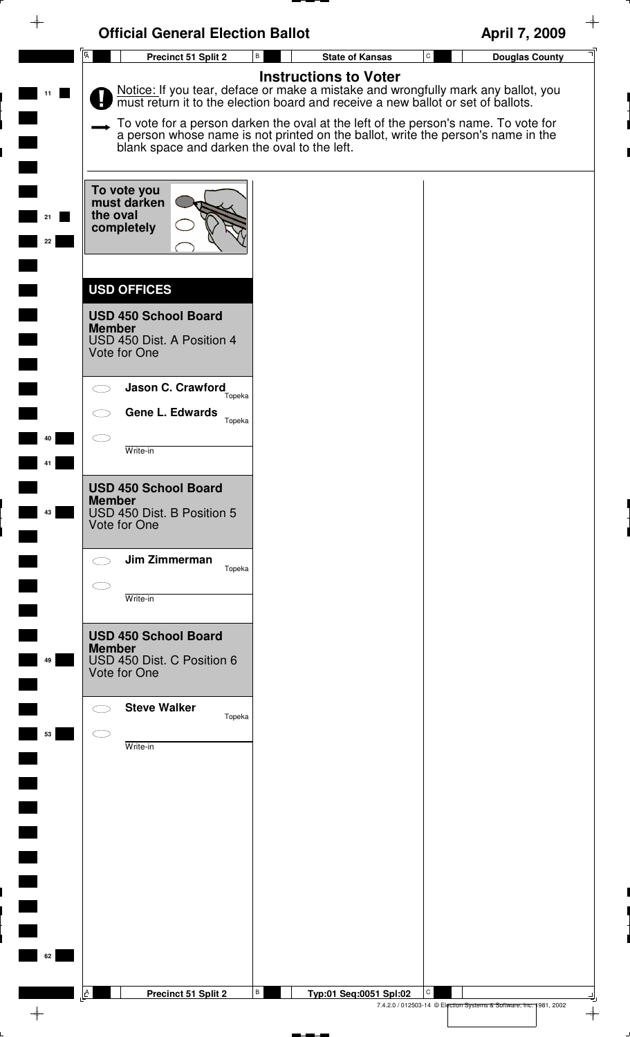|                | <b>Official General Election Ballot</b>                                                                          |                                                                                                                                                                                                                                                                                                                                                                              | April 7, 2009                                                                       |
|----------------|------------------------------------------------------------------------------------------------------------------|------------------------------------------------------------------------------------------------------------------------------------------------------------------------------------------------------------------------------------------------------------------------------------------------------------------------------------------------------------------------------|-------------------------------------------------------------------------------------|
|                | $\overline{A}$<br>Precinct 51 Split 2                                                                            | В<br><b>State of Kansas</b>                                                                                                                                                                                                                                                                                                                                                  | ${\tt C}$<br><b>Douglas County</b>                                                  |
| 11             | blank space and darken the oval to the left.                                                                     | <b>Instructions to Voter</b><br>Notice: If you tear, deface or make a mistake and wrongfully mark any ballot, you must return it to the election board and receive a new ballot or set of ballots.<br>To vote for a person darken the oval at the left of the person's name. To vote for<br>a person whose name is not printed on the ballot, write the person's name in the |                                                                                     |
| 21<br>22       | To vote you<br>must darken<br>the oval<br>completely                                                             |                                                                                                                                                                                                                                                                                                                                                                              |                                                                                     |
|                | <b>USD OFFICES</b><br><b>USD 450 School Board</b><br><b>Member</b><br>USD 450 Dist. A Position 4<br>Vote for One |                                                                                                                                                                                                                                                                                                                                                                              |                                                                                     |
| 40             | Jason C. Crawford<br>Topeka<br><b>Gene L. Edwards</b><br>Topeka                                                  |                                                                                                                                                                                                                                                                                                                                                                              |                                                                                     |
|                | Write-in<br><b>USD 450 School Board</b><br><b>Member</b>                                                         |                                                                                                                                                                                                                                                                                                                                                                              |                                                                                     |
| 43             | USD 450 Dist. B Position 5<br>Vote for One                                                                       |                                                                                                                                                                                                                                                                                                                                                                              |                                                                                     |
|                | Jim Zimmerman<br>Topeka<br>Write-in                                                                              |                                                                                                                                                                                                                                                                                                                                                                              |                                                                                     |
| 49             | <b>USD 450 School Board</b><br><b>Member</b><br>USD 450 Dist. C Position 6<br>Vote for One                       |                                                                                                                                                                                                                                                                                                                                                                              |                                                                                     |
| 53             | <b>Steve Walker</b><br>Topeka<br>Write-in                                                                        |                                                                                                                                                                                                                                                                                                                                                                              |                                                                                     |
|                |                                                                                                                  |                                                                                                                                                                                                                                                                                                                                                                              |                                                                                     |
| $\blacksquare$ |                                                                                                                  |                                                                                                                                                                                                                                                                                                                                                                              |                                                                                     |
| $\blacksquare$ |                                                                                                                  |                                                                                                                                                                                                                                                                                                                                                                              |                                                                                     |
| 62             | <b>A</b><br>Precinct 51 Split 2                                                                                  | В<br>Typ:01 Seq:0051 Spl:02                                                                                                                                                                                                                                                                                                                                                  | C                                                                                   |
|                |                                                                                                                  |                                                                                                                                                                                                                                                                                                                                                                              | 7.4.2.0 / 012503-14 © Election Systems & Software, Inc. 1981, 2002<br>$\rightarrow$ |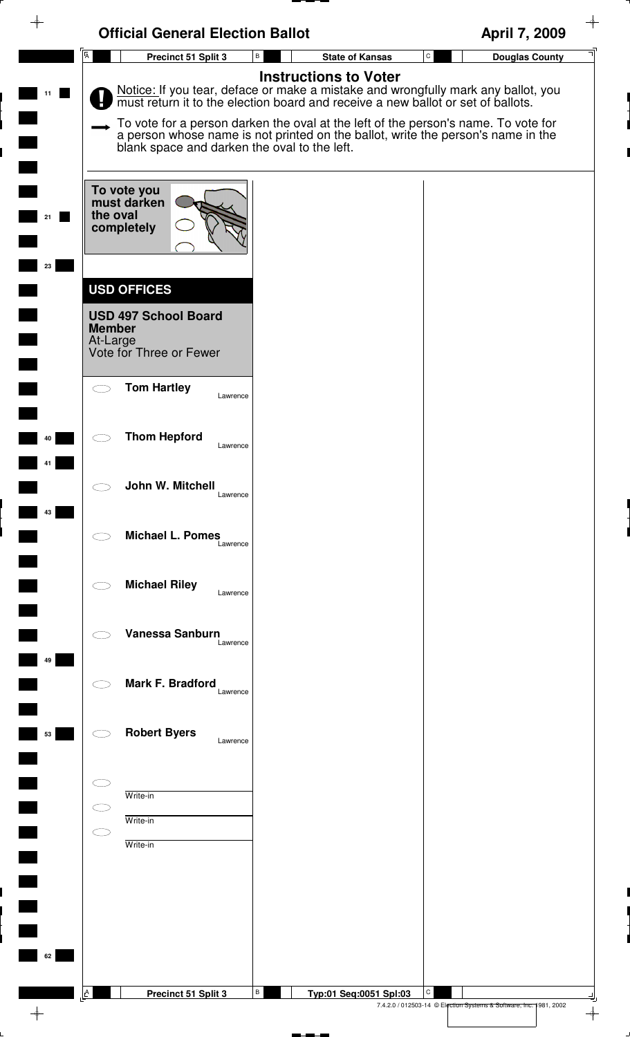| $\rightarrow$ | <b>Official General Election Ballot</b>                                                                   |                                                                                                                                                                                                    | April 7, 2009                                                                            |
|---------------|-----------------------------------------------------------------------------------------------------------|----------------------------------------------------------------------------------------------------------------------------------------------------------------------------------------------------|------------------------------------------------------------------------------------------|
|               | $\overline{A}$<br>Precinct 51 Split 3                                                                     | В<br><b>State of Kansas</b>                                                                                                                                                                        | $\mathtt{C}$<br><b>Douglas County</b>                                                    |
| 11            |                                                                                                           | <b>Instructions to Voter</b><br>Notice: If you tear, deface or make a mistake and wrongfully mark any ballot, you must return it to the election board and receive a new ballot or set of ballots. |                                                                                          |
|               | blank space and darken the oval to the left.                                                              | To vote for a person darken the oval at the left of the person's name. To vote for<br>a person whose name is not printed on the ballot, write the person's name in the                             |                                                                                          |
|               | To vote you<br>must darken<br>the oval<br>completely                                                      |                                                                                                                                                                                                    |                                                                                          |
| 23            |                                                                                                           |                                                                                                                                                                                                    |                                                                                          |
|               | <b>USD OFFICES</b><br><b>USD 497 School Board</b><br><b>Member</b><br>At-Large<br>Vote for Three or Fewer |                                                                                                                                                                                                    |                                                                                          |
|               | <b>Tom Hartley</b><br>Lawrence                                                                            |                                                                                                                                                                                                    |                                                                                          |
| 40            | <b>Thom Hepford</b><br>Lawrence                                                                           |                                                                                                                                                                                                    |                                                                                          |
| 43            | John W. Mitchell<br>Lawrence                                                                              |                                                                                                                                                                                                    |                                                                                          |
|               | <b>Michael L. Pomes</b><br>Lawrence                                                                       |                                                                                                                                                                                                    |                                                                                          |
|               | <b>Michael Riley</b><br>Lawrence                                                                          |                                                                                                                                                                                                    |                                                                                          |
| 49            | Vanessa Sanburn<br>Lawrence                                                                               |                                                                                                                                                                                                    |                                                                                          |
|               | Mark F. Bradford<br>Lawrence                                                                              |                                                                                                                                                                                                    |                                                                                          |
| 53            | <b>Robert Byers</b><br>Lawrence                                                                           |                                                                                                                                                                                                    |                                                                                          |
|               | Write-in                                                                                                  |                                                                                                                                                                                                    |                                                                                          |
|               | Write-in                                                                                                  |                                                                                                                                                                                                    |                                                                                          |
|               | Write-in                                                                                                  |                                                                                                                                                                                                    |                                                                                          |
|               |                                                                                                           |                                                                                                                                                                                                    |                                                                                          |
|               |                                                                                                           |                                                                                                                                                                                                    |                                                                                          |
|               |                                                                                                           |                                                                                                                                                                                                    |                                                                                          |
| 62            |                                                                                                           |                                                                                                                                                                                                    |                                                                                          |
|               |                                                                                                           |                                                                                                                                                                                                    |                                                                                          |
|               | A<br>Precinct 51 Split 3                                                                                  | В<br>Typ:01 Seq:0051 Spl:03                                                                                                                                                                        | C<br>7.4.2.0 / 012503-14 © Election Systems & Software, Inc. 1981, 2002<br>$\rightarrow$ |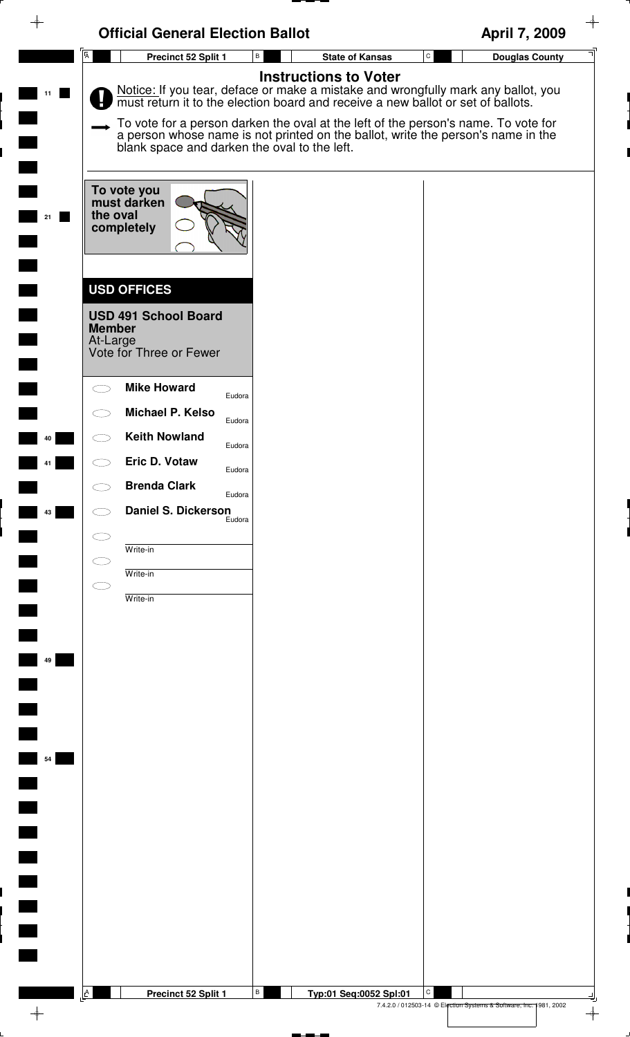|                | <b>Official General Election Ballot</b>                                                                                                                                                                                                                                                                                                                                                                                      | April 7, 2009                                                           |
|----------------|------------------------------------------------------------------------------------------------------------------------------------------------------------------------------------------------------------------------------------------------------------------------------------------------------------------------------------------------------------------------------------------------------------------------------|-------------------------------------------------------------------------|
| $\overline{A}$ | $\, {\sf B} \,$<br><b>State of Kansas</b><br>Precinct 52 Split 1                                                                                                                                                                                                                                                                                                                                                             | $\mathtt{C}$<br><b>Douglas County</b>                                   |
|                | <b>Instructions to Voter</b><br>Notice: If you tear, deface or make a mistake and wrongfully mark any ballot, you must return it to the election board and receive a new ballot or set of ballots.<br>To vote for a person darken the oval at the left of the person's name. To vote for<br>a person whose name is not printed on the ballot, write the person's name in the<br>blank space and darken the oval to the left. |                                                                         |
| 21             | To vote you<br>must darken<br>the oval<br>completely                                                                                                                                                                                                                                                                                                                                                                         |                                                                         |
|                | <b>USD OFFICES</b><br><b>USD 491 School Board</b><br><b>Member</b><br>At-Large<br>Vote for Three or Fewer                                                                                                                                                                                                                                                                                                                    |                                                                         |
|                | <b>Mike Howard</b><br>$\subset$ $\sim$<br>Eudora<br>Michael P. Kelso<br>Eudora                                                                                                                                                                                                                                                                                                                                               |                                                                         |
| 40             | <b>Keith Nowland</b><br>Eudora<br>Eric D. Votaw                                                                                                                                                                                                                                                                                                                                                                              |                                                                         |
|                | Eudora<br><b>Brenda Clark</b><br>Eudora                                                                                                                                                                                                                                                                                                                                                                                      |                                                                         |
| 43             | Daniel S. Dickerson                                                                                                                                                                                                                                                                                                                                                                                                          |                                                                         |
|                | $\subset$<br>Write-in                                                                                                                                                                                                                                                                                                                                                                                                        |                                                                         |
|                | Write-in<br>СD<br>Write-in                                                                                                                                                                                                                                                                                                                                                                                                   |                                                                         |
|                |                                                                                                                                                                                                                                                                                                                                                                                                                              |                                                                         |
| 49             |                                                                                                                                                                                                                                                                                                                                                                                                                              |                                                                         |
|                |                                                                                                                                                                                                                                                                                                                                                                                                                              |                                                                         |
|                |                                                                                                                                                                                                                                                                                                                                                                                                                              |                                                                         |
| 54             |                                                                                                                                                                                                                                                                                                                                                                                                                              |                                                                         |
|                |                                                                                                                                                                                                                                                                                                                                                                                                                              |                                                                         |
|                |                                                                                                                                                                                                                                                                                                                                                                                                                              |                                                                         |
|                |                                                                                                                                                                                                                                                                                                                                                                                                                              |                                                                         |
|                |                                                                                                                                                                                                                                                                                                                                                                                                                              |                                                                         |
|                |                                                                                                                                                                                                                                                                                                                                                                                                                              |                                                                         |
|                |                                                                                                                                                                                                                                                                                                                                                                                                                              |                                                                         |
| A              | В<br>Precinct 52 Split 1<br>Typ:01 Seq:0052 Spl:01                                                                                                                                                                                                                                                                                                                                                                           | C<br>7.4.2.0 / 012503-14 © Election Systems & Software, Inc. 1981, 2002 |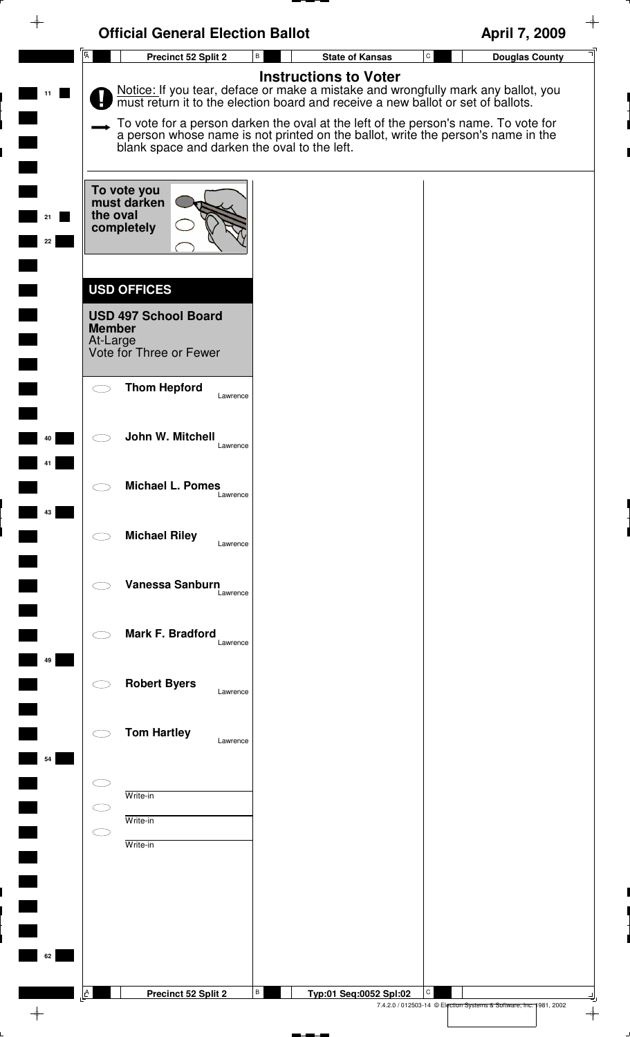| ♦        | <b>Official General Election Ballot</b>                                                                   |                                                                                                                                                                                                                                                                                                                                                                              | April 7, 2009                                                                       |
|----------|-----------------------------------------------------------------------------------------------------------|------------------------------------------------------------------------------------------------------------------------------------------------------------------------------------------------------------------------------------------------------------------------------------------------------------------------------------------------------------------------------|-------------------------------------------------------------------------------------|
|          | $\overline{A}$<br>Precinct 52 Split 2                                                                     | B<br><b>State of Kansas</b>                                                                                                                                                                                                                                                                                                                                                  | $\mathtt{C}$<br><b>Douglas County</b>                                               |
|          | blank space and darken the oval to the left.                                                              | <b>Instructions to Voter</b><br>Notice: If you tear, deface or make a mistake and wrongfully mark any ballot, you must return it to the election board and receive a new ballot or set of ballots.<br>To vote for a person darken the oval at the left of the person's name. To vote for<br>a person whose name is not printed on the ballot, write the person's name in the |                                                                                     |
| 21<br>22 | To vote you<br>must darken<br>the oval<br>completely                                                      |                                                                                                                                                                                                                                                                                                                                                                              |                                                                                     |
|          | <b>USD OFFICES</b><br><b>USD 497 School Board</b><br><b>Member</b><br>At-Large<br>Vote for Three or Fewer |                                                                                                                                                                                                                                                                                                                                                                              |                                                                                     |
|          | <b>Thom Hepford</b><br>Lawrence                                                                           |                                                                                                                                                                                                                                                                                                                                                                              |                                                                                     |
| 40       | John W. Mitchell<br>Lawrence                                                                              |                                                                                                                                                                                                                                                                                                                                                                              |                                                                                     |
| 43       | <b>Michael L. Pomes</b><br>Lawrence                                                                       |                                                                                                                                                                                                                                                                                                                                                                              |                                                                                     |
|          | <b>Michael Riley</b><br>Lawrence                                                                          |                                                                                                                                                                                                                                                                                                                                                                              |                                                                                     |
|          | Vanessa Sanburn<br>Lawrence                                                                               |                                                                                                                                                                                                                                                                                                                                                                              |                                                                                     |
| 49       | Mark F. Bradford<br>Lawrence                                                                              |                                                                                                                                                                                                                                                                                                                                                                              |                                                                                     |
|          | <b>Robert Byers</b><br>Lawrence                                                                           |                                                                                                                                                                                                                                                                                                                                                                              |                                                                                     |
| 54       | <b>Tom Hartley</b><br>Lawrence                                                                            |                                                                                                                                                                                                                                                                                                                                                                              |                                                                                     |
|          | Write-in<br>Write-in<br>Write-in                                                                          |                                                                                                                                                                                                                                                                                                                                                                              |                                                                                     |
| 62       | A<br>Precinct 52 Split 2                                                                                  | В<br>Typ:01 Seq:0052 Spl:02                                                                                                                                                                                                                                                                                                                                                  | C                                                                                   |
|          |                                                                                                           |                                                                                                                                                                                                                                                                                                                                                                              | 7.4.2.0 / 012503-14 © Election Systems & Software, Inc. 1981, 2002<br>$\rightarrow$ |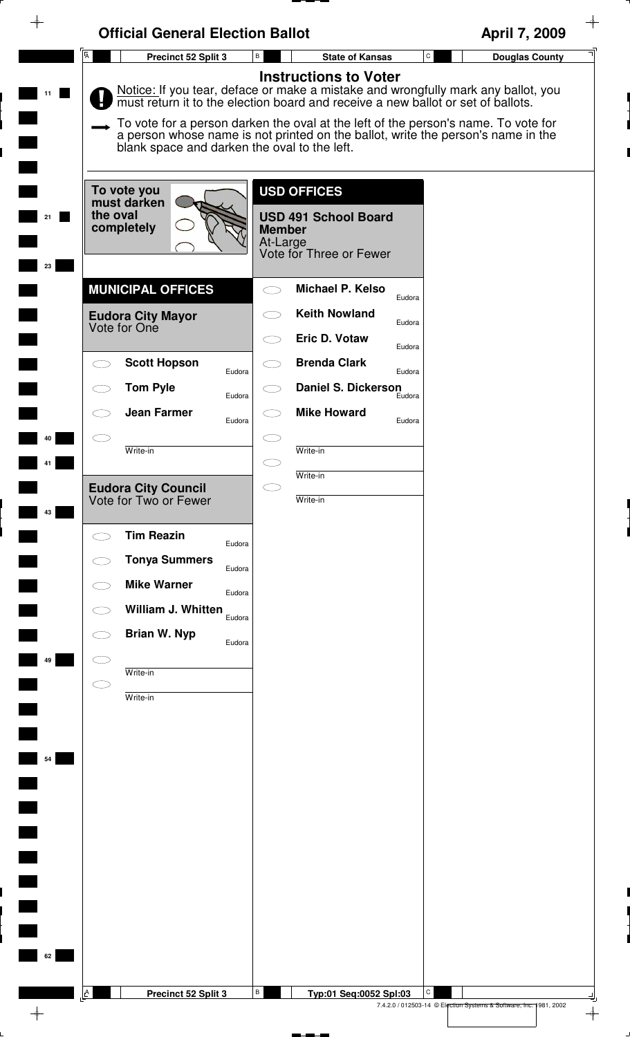| ᡨ        | <b>Official General Election Ballot</b>                                                                                                                                                |                                                                                                                                                                                                                                                                                                                                                                                 | April 7, 2009                                                                      |
|----------|----------------------------------------------------------------------------------------------------------------------------------------------------------------------------------------|---------------------------------------------------------------------------------------------------------------------------------------------------------------------------------------------------------------------------------------------------------------------------------------------------------------------------------------------------------------------------------|------------------------------------------------------------------------------------|
|          | $\overline{A}$<br>Precinct 52 Split 3                                                                                                                                                  | В<br><b>State of Kansas</b>                                                                                                                                                                                                                                                                                                                                                     | $\mathtt{C}$<br><b>Douglas County</b>                                              |
| 11       | blank space and darken the oval to the left.                                                                                                                                           | <b>Instructions to Voter</b><br>Notice: If you tear, deface or make a mistake and wrongfully mark any ballot, you<br>must return it to the election board and receive a new ballot or set of ballots.<br>To vote for a person darken the oval at the left of the person's name. To vote for<br>a person whose name is not printed on the ballot, write the person's name in the |                                                                                    |
| 23       | To vote you<br>must darken<br>the oval<br>completely                                                                                                                                   | <b>USD OFFICES</b><br><b>USD 491 School Board</b><br><b>Member</b><br>At-Large<br>Vote for Three or Fewer                                                                                                                                                                                                                                                                       |                                                                                    |
|          | <b>MUNICIPAL OFFICES</b>                                                                                                                                                               | Michael P. Kelso<br>Eudora                                                                                                                                                                                                                                                                                                                                                      |                                                                                    |
|          | <b>Eudora City Mayor</b><br>Vote for One                                                                                                                                               | <b>Keith Nowland</b><br>Eudora<br>Eric D. Votaw                                                                                                                                                                                                                                                                                                                                 |                                                                                    |
|          | <b>Scott Hopson</b><br>Eudora                                                                                                                                                          | Eudora<br><b>Brenda Clark</b><br>Eudora                                                                                                                                                                                                                                                                                                                                         |                                                                                    |
|          | <b>Tom Pyle</b><br>Eudora                                                                                                                                                              | <b>Daniel S. Dickerson</b><br>Eudora                                                                                                                                                                                                                                                                                                                                            |                                                                                    |
| 10       | <b>Jean Farmer</b><br>Eudora                                                                                                                                                           | <b>Mike Howard</b><br>Eudora                                                                                                                                                                                                                                                                                                                                                    |                                                                                    |
|          | Write-in                                                                                                                                                                               | Write-in<br>Write-in                                                                                                                                                                                                                                                                                                                                                            |                                                                                    |
| 43       | <b>Eudora City Council</b><br>Vote for Two or Fewer                                                                                                                                    | $\subset$<br>Write-in                                                                                                                                                                                                                                                                                                                                                           |                                                                                    |
| 49<br>54 | <b>Tim Reazin</b><br>Eudora<br><b>Tonya Summers</b><br>Eudora<br><b>Mike Warner</b><br>Eudora<br>William J. Whitten<br>Eudora<br><b>Brian W. Nyp</b><br>Eudora<br>Write-in<br>Write-in |                                                                                                                                                                                                                                                                                                                                                                                 |                                                                                    |
| 62       | A<br>Precinct 52 Split 3                                                                                                                                                               | В<br>Typ:01 Seq:0052 Spl:03                                                                                                                                                                                                                                                                                                                                                     | $\mathsf{C}$<br>7.4.2.0 / 012503-14 © Election Systems & Software, Inc. 1981, 2002 |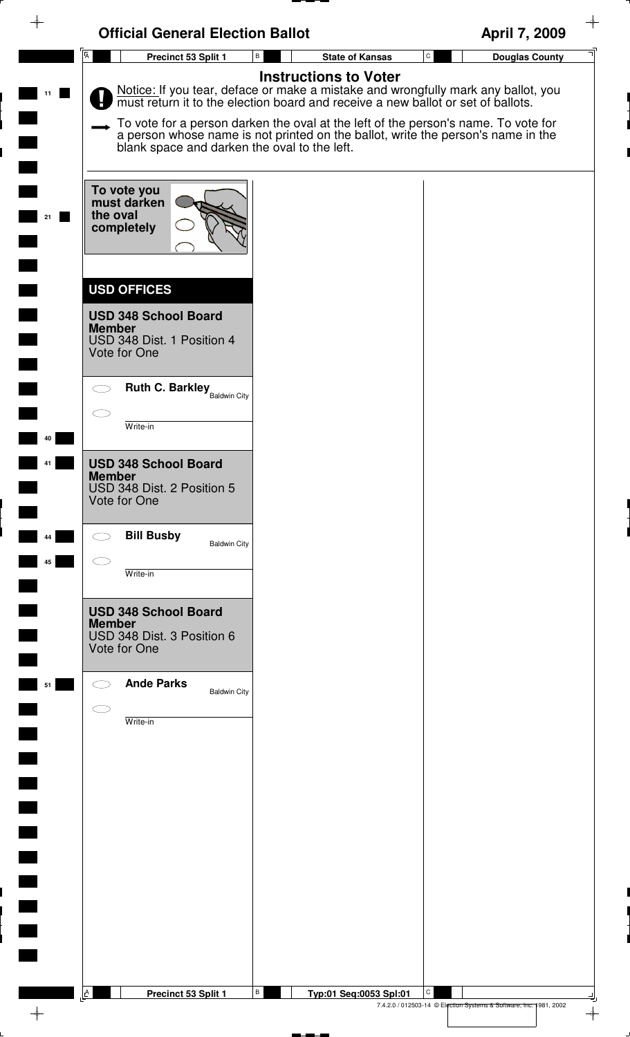| <b>Official General Election Ballot</b><br>$\overline{A}$<br>Precinct 53 Split 1 | $\, {\bf B} \,$<br><b>State of Kansas</b>                                                                                                                              | April 7, 2009<br>$\mathbf{C}$<br><b>Douglas County</b> |
|----------------------------------------------------------------------------------|------------------------------------------------------------------------------------------------------------------------------------------------------------------------|--------------------------------------------------------|
|                                                                                  | <b>Instructions to Voter</b>                                                                                                                                           |                                                        |
|                                                                                  | Notice: If you tear, deface or make a mistake and wrongfully mark any ballot, you must return it to the election board and receive a new ballot or set of ballots.     |                                                        |
| blank space and darken the oval to the left.                                     | To vote for a person darken the oval at the left of the person's name. To vote for<br>a person whose name is not printed on the ballot, write the person's name in the |                                                        |
| To vote you<br>must darken<br>the oval                                           |                                                                                                                                                                        |                                                        |
| completely                                                                       |                                                                                                                                                                        |                                                        |
| <b>USD OFFICES</b>                                                               |                                                                                                                                                                        |                                                        |
| <b>USD 348 School Board</b><br><b>Member</b><br>USD 348 Dist. 1 Position 4       |                                                                                                                                                                        |                                                        |
| Vote for One                                                                     |                                                                                                                                                                        |                                                        |
| <b>Ruth C. Barkley</b> Baldwin City<br>$\bigcirc$                                |                                                                                                                                                                        |                                                        |
| Write-in                                                                         |                                                                                                                                                                        |                                                        |
| <b>USD 348 School Board</b><br><b>Member</b>                                     |                                                                                                                                                                        |                                                        |
| USD 348 Dist. 2 Position 5<br>Vote for One                                       |                                                                                                                                                                        |                                                        |
| <b>Bill Busby</b><br>$\bigcirc$<br><b>Baldwin City</b>                           |                                                                                                                                                                        |                                                        |
| $\subset$ .<br>Write-in                                                          |                                                                                                                                                                        |                                                        |
| <b>USD 348 School Board</b><br><b>Member</b>                                     |                                                                                                                                                                        |                                                        |
| USD 348 Dist. 3 Position 6<br>Vote for One                                       |                                                                                                                                                                        |                                                        |
| <b>Ande Parks</b><br><b>Baldwin City</b><br>$\subset$ $\overline{\phantom{a}}$   |                                                                                                                                                                        |                                                        |
| Write-in                                                                         |                                                                                                                                                                        |                                                        |
|                                                                                  |                                                                                                                                                                        |                                                        |
|                                                                                  |                                                                                                                                                                        |                                                        |
|                                                                                  |                                                                                                                                                                        |                                                        |
|                                                                                  |                                                                                                                                                                        |                                                        |
|                                                                                  |                                                                                                                                                                        |                                                        |
|                                                                                  |                                                                                                                                                                        |                                                        |
|                                                                                  |                                                                                                                                                                        |                                                        |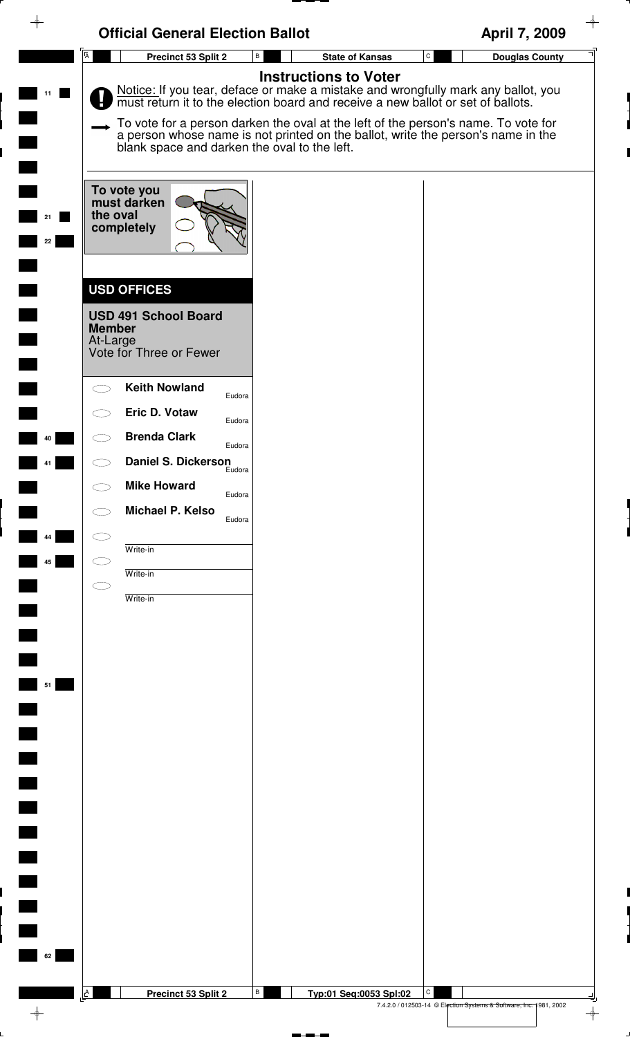|                | <b>Official General Election Ballot</b>                                                                   | April 7, 2009                                                                                                                                                                                                                                                                                                                                                                |
|----------------|-----------------------------------------------------------------------------------------------------------|------------------------------------------------------------------------------------------------------------------------------------------------------------------------------------------------------------------------------------------------------------------------------------------------------------------------------------------------------------------------------|
| $\overline{A}$ | В<br>Precinct 53 Split 2                                                                                  | ${\tt C}$<br><b>State of Kansas</b><br><b>Douglas County</b>                                                                                                                                                                                                                                                                                                                 |
| 11             | blank space and darken the oval to the left.                                                              | <b>Instructions to Voter</b><br>Notice: If you tear, deface or make a mistake and wrongfully mark any ballot, you must return it to the election board and receive a new ballot or set of ballots.<br>To vote for a person darken the oval at the left of the person's name. To vote for<br>a person whose name is not printed on the ballot, write the person's name in the |
| 21<br>22       | To vote you<br>must darken<br>the oval<br>completely                                                      |                                                                                                                                                                                                                                                                                                                                                                              |
|                | <b>USD OFFICES</b><br><b>USD 491 School Board</b><br><b>Member</b><br>At-Large<br>Vote for Three or Fewer |                                                                                                                                                                                                                                                                                                                                                                              |
|                | <b>Keith Nowland</b><br>Eudora<br>Eric D. Votaw                                                           |                                                                                                                                                                                                                                                                                                                                                                              |
| 40             | Eudora<br><b>Brenda Clark</b><br>Eudora                                                                   |                                                                                                                                                                                                                                                                                                                                                                              |
|                | <b>Daniel S. Dickerson</b><br>Eudora                                                                      |                                                                                                                                                                                                                                                                                                                                                                              |
|                | <b>Mike Howard</b><br>Eudora<br>Michael P. Kelso                                                          |                                                                                                                                                                                                                                                                                                                                                                              |
| 44             | Eudora                                                                                                    |                                                                                                                                                                                                                                                                                                                                                                              |
| 45             | Write-in<br>Write-in                                                                                      |                                                                                                                                                                                                                                                                                                                                                                              |
|                | Write-in                                                                                                  |                                                                                                                                                                                                                                                                                                                                                                              |
|                |                                                                                                           |                                                                                                                                                                                                                                                                                                                                                                              |
|                |                                                                                                           |                                                                                                                                                                                                                                                                                                                                                                              |
| 51             |                                                                                                           |                                                                                                                                                                                                                                                                                                                                                                              |
|                |                                                                                                           |                                                                                                                                                                                                                                                                                                                                                                              |
|                |                                                                                                           |                                                                                                                                                                                                                                                                                                                                                                              |
|                |                                                                                                           |                                                                                                                                                                                                                                                                                                                                                                              |
|                |                                                                                                           |                                                                                                                                                                                                                                                                                                                                                                              |
|                |                                                                                                           |                                                                                                                                                                                                                                                                                                                                                                              |
|                |                                                                                                           |                                                                                                                                                                                                                                                                                                                                                                              |
|                |                                                                                                           |                                                                                                                                                                                                                                                                                                                                                                              |
|                |                                                                                                           |                                                                                                                                                                                                                                                                                                                                                                              |
|                |                                                                                                           |                                                                                                                                                                                                                                                                                                                                                                              |
| A              | В<br>Precinct 53 Split 2                                                                                  | C<br>Typ:01 Seq:0053 Spl:02<br>7.4.2.0 / 012503-14 © Election Systems & Software, Inc. 1981, 2002                                                                                                                                                                                                                                                                            |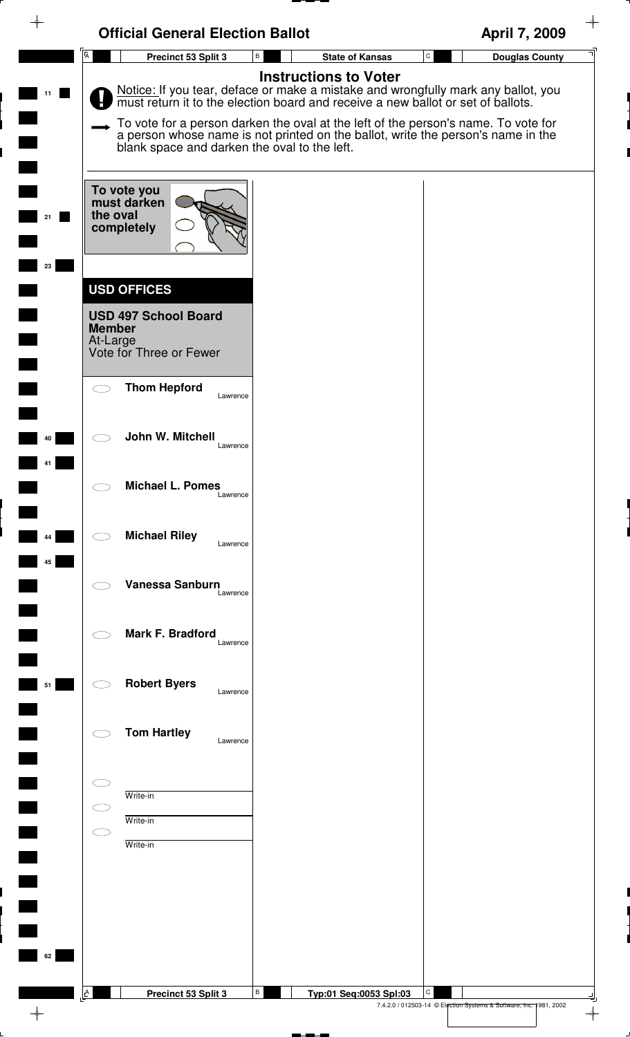| ♦                               | <b>Official General Election Ballot</b>                                                                                                                                                                                                                                                                                                                                                      |    |                              |   | April 7, 2009                                                      |
|---------------------------------|----------------------------------------------------------------------------------------------------------------------------------------------------------------------------------------------------------------------------------------------------------------------------------------------------------------------------------------------------------------------------------------------|----|------------------------------|---|--------------------------------------------------------------------|
| $\overline{\mathsf{A}}$         | Precinct 53 Split 3                                                                                                                                                                                                                                                                                                                                                                          | В  | <b>State of Kansas</b>       | C | <b>Douglas County</b>                                              |
|                                 | Notice: If you tear, deface or make a mistake and wrongfully mark any ballot, you must return it to the election board and receive a new ballot or set of ballots.<br>To vote for a person darken the oval at the left of the person's name. To vote for<br>a person whose name is not printed on the ballot, write the person's name in the<br>blank space and darken the oval to the left. |    | <b>Instructions to Voter</b> |   |                                                                    |
|                                 | To vote you<br>must darken<br>the oval<br>completely                                                                                                                                                                                                                                                                                                                                         |    |                              |   |                                                                    |
| 23<br><b>Member</b><br>At-Large | <b>USD OFFICES</b><br><b>USD 497 School Board</b><br>Vote for Three or Fewer                                                                                                                                                                                                                                                                                                                 |    |                              |   |                                                                    |
|                                 | <b>Thom Hepford</b><br>Lawrence                                                                                                                                                                                                                                                                                                                                                              |    |                              |   |                                                                    |
| 40<br>$\frown$                  | John W. Mitchell<br>Lawrence                                                                                                                                                                                                                                                                                                                                                                 |    |                              |   |                                                                    |
| 44                              | <b>Michael L. Pomes</b><br>Lawrence<br><b>Michael Riley</b><br>Lawrence                                                                                                                                                                                                                                                                                                                      |    |                              |   |                                                                    |
| 45                              | Vanessa Sanburn<br>Lawrence                                                                                                                                                                                                                                                                                                                                                                  |    |                              |   |                                                                    |
|                                 | Mark F. Bradford<br>Lawrence                                                                                                                                                                                                                                                                                                                                                                 |    |                              |   |                                                                    |
| 51                              | <b>Robert Byers</b><br>Lawrence                                                                                                                                                                                                                                                                                                                                                              |    |                              |   |                                                                    |
|                                 | <b>Tom Hartley</b><br>Lawrence                                                                                                                                                                                                                                                                                                                                                               |    |                              |   |                                                                    |
|                                 | Write-in<br>Write-in<br>Write-in                                                                                                                                                                                                                                                                                                                                                             |    |                              |   |                                                                    |
| 62                              |                                                                                                                                                                                                                                                                                                                                                                                              |    |                              |   |                                                                    |
| A                               | Precinct 53 Split 3                                                                                                                                                                                                                                                                                                                                                                          | B. | Typ:01 Seq:0053 Spl:03       | C | 7.4.2.0 / 012503-14 © Election Systems & Software, Inc. 1981, 2002 |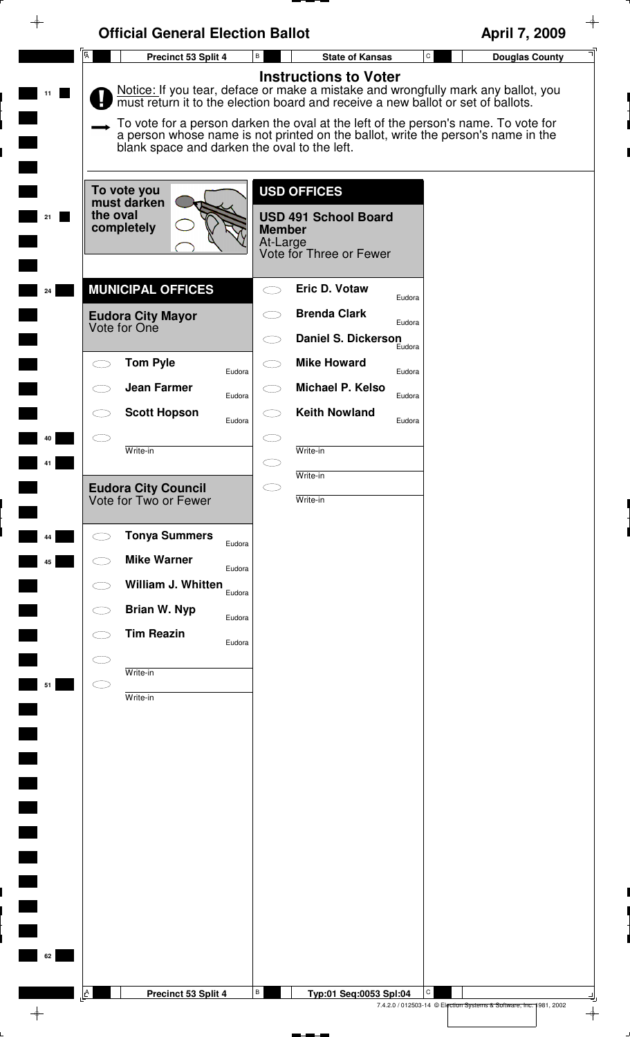| $\rightarrow$ | <b>Official General Election Ballot</b>                              |                                                                                                                                                                                                                                                                                                                                                                                 | April 7, 2009                                                           |
|---------------|----------------------------------------------------------------------|---------------------------------------------------------------------------------------------------------------------------------------------------------------------------------------------------------------------------------------------------------------------------------------------------------------------------------------------------------------------------------|-------------------------------------------------------------------------|
|               | $\overline{\mathsf{A}}$<br>Precinct 53 Split 4                       | В<br><b>State of Kansas</b>                                                                                                                                                                                                                                                                                                                                                     | $\mathtt{C}$<br><b>Douglas County</b>                                   |
| 11            | blank space and darken the oval to the left.                         | <b>Instructions to Voter</b><br>Notice: If you tear, deface or make a mistake and wrongfully mark any ballot, you<br>must return it to the election board and receive a new ballot or set of ballots.<br>To vote for a person darken the oval at the left of the person's name. To vote for<br>a person whose name is not printed on the ballot, write the person's name in the |                                                                         |
| 21            | To vote you<br>must darken<br>the oval<br>completely                 | <b>USD OFFICES</b><br><b>USD 491 School Board</b><br><b>Member</b><br>At-Large<br>Vote for Three or Fewer                                                                                                                                                                                                                                                                       |                                                                         |
| 24            | <b>MUNICIPAL OFFICES</b><br><b>Eudora City Mayor</b><br>Vote for One | <b>Eric D. Votaw</b><br>Eudora<br><b>Brenda Clark</b><br>Eudora<br><b>Daniel S. Dickerson</b><br>Eudora                                                                                                                                                                                                                                                                         |                                                                         |
|               | <b>Tom Pyle</b><br>Eudora                                            | <b>Mike Howard</b><br>Eudora                                                                                                                                                                                                                                                                                                                                                    |                                                                         |
|               | <b>Jean Farmer</b><br>Eudora<br><b>Scott Hopson</b>                  | Michael P. Kelso<br>Eudora<br><b>Keith Nowland</b>                                                                                                                                                                                                                                                                                                                              |                                                                         |
| 40            | Eudora<br>Write-in                                                   | Eudora<br>Write-in                                                                                                                                                                                                                                                                                                                                                              |                                                                         |
| 41            |                                                                      | Write-in<br>$\subset$                                                                                                                                                                                                                                                                                                                                                           |                                                                         |
|               | Eudora City Council<br>Vote for Two or Fewer                         | Write-in                                                                                                                                                                                                                                                                                                                                                                        |                                                                         |
| 44            | <b>Tonya Summers</b><br>Eudora                                       |                                                                                                                                                                                                                                                                                                                                                                                 |                                                                         |
| 45            | <b>Mike Warner</b><br>Eudora<br>William J. Whitten                   |                                                                                                                                                                                                                                                                                                                                                                                 |                                                                         |
|               | Eudora<br><b>Brian W. Nyp</b><br>Eudora                              |                                                                                                                                                                                                                                                                                                                                                                                 |                                                                         |
|               | <b>Tim Reazin</b><br>Eudora                                          |                                                                                                                                                                                                                                                                                                                                                                                 |                                                                         |
| 51            | Write-in<br>Write-in                                                 |                                                                                                                                                                                                                                                                                                                                                                                 |                                                                         |
|               |                                                                      |                                                                                                                                                                                                                                                                                                                                                                                 |                                                                         |
|               |                                                                      |                                                                                                                                                                                                                                                                                                                                                                                 |                                                                         |
|               |                                                                      |                                                                                                                                                                                                                                                                                                                                                                                 |                                                                         |
|               |                                                                      |                                                                                                                                                                                                                                                                                                                                                                                 |                                                                         |
|               |                                                                      |                                                                                                                                                                                                                                                                                                                                                                                 |                                                                         |
|               |                                                                      |                                                                                                                                                                                                                                                                                                                                                                                 |                                                                         |
| 62            |                                                                      |                                                                                                                                                                                                                                                                                                                                                                                 |                                                                         |
|               | A<br>Precinct 53 Split 4                                             | В<br>Typ:01 Seq:0053 Spl:04                                                                                                                                                                                                                                                                                                                                                     | C<br>7.4.2.0 / 012503-14 © Election Systems & Software, Inc. 1981, 2002 |
|               |                                                                      |                                                                                                                                                                                                                                                                                                                                                                                 | $\rightarrow$                                                           |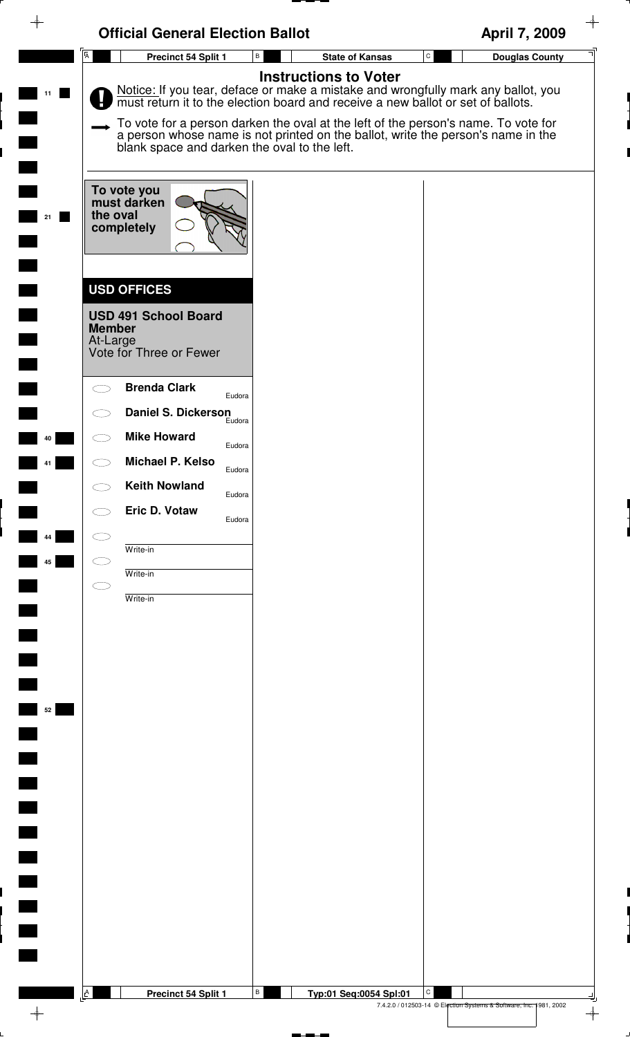|                | <b>Official General Election Ballot</b>                                                                                                                                                                                                                                                                                                                                                                                      | April 7, 2009                                                           |
|----------------|------------------------------------------------------------------------------------------------------------------------------------------------------------------------------------------------------------------------------------------------------------------------------------------------------------------------------------------------------------------------------------------------------------------------------|-------------------------------------------------------------------------|
| $\overline{A}$ | $\, {\bf B} \,$<br>Precinct 54 Split 1<br><b>State of Kansas</b>                                                                                                                                                                                                                                                                                                                                                             | $\mathtt{C}$<br><b>Douglas County</b>                                   |
|                | <b>Instructions to Voter</b><br>Notice: If you tear, deface or make a mistake and wrongfully mark any ballot, you must return it to the election board and receive a new ballot or set of ballots.<br>To vote for a person darken the oval at the left of the person's name. To vote for<br>a person whose name is not printed on the ballot, write the person's name in the<br>blank space and darken the oval to the left. |                                                                         |
| 21             | To vote you<br>must darken<br>the oval<br>completely                                                                                                                                                                                                                                                                                                                                                                         |                                                                         |
|                | <b>USD OFFICES</b><br><b>USD 491 School Board</b><br><b>Member</b><br>At-Large<br>Vote for Three or Fewer                                                                                                                                                                                                                                                                                                                    |                                                                         |
|                | <b>Brenda Clark</b><br>Eudora<br><b>Daniel S. Dickerson</b><br>Eudora                                                                                                                                                                                                                                                                                                                                                        |                                                                         |
| 40             | <b>Mike Howard</b><br>Eudora<br>Michael P. Kelso<br>Eudora<br><b>Keith Nowland</b>                                                                                                                                                                                                                                                                                                                                           |                                                                         |
| 44             | Eudora<br>Eric D. Votaw<br>Eudora<br>Write-in                                                                                                                                                                                                                                                                                                                                                                                |                                                                         |
| 45             | Write-in<br>Write-in                                                                                                                                                                                                                                                                                                                                                                                                         |                                                                         |
|                |                                                                                                                                                                                                                                                                                                                                                                                                                              |                                                                         |
| 52             |                                                                                                                                                                                                                                                                                                                                                                                                                              |                                                                         |
|                |                                                                                                                                                                                                                                                                                                                                                                                                                              |                                                                         |
|                |                                                                                                                                                                                                                                                                                                                                                                                                                              |                                                                         |
|                |                                                                                                                                                                                                                                                                                                                                                                                                                              |                                                                         |
|                |                                                                                                                                                                                                                                                                                                                                                                                                                              |                                                                         |
| A              | B<br>Precinct 54 Split 1<br>Typ:01 Seq:0054 Spl:01                                                                                                                                                                                                                                                                                                                                                                           | С<br>7.4.2.0 / 012503-14 © Election Systems & Software, Inc. 1981, 2002 |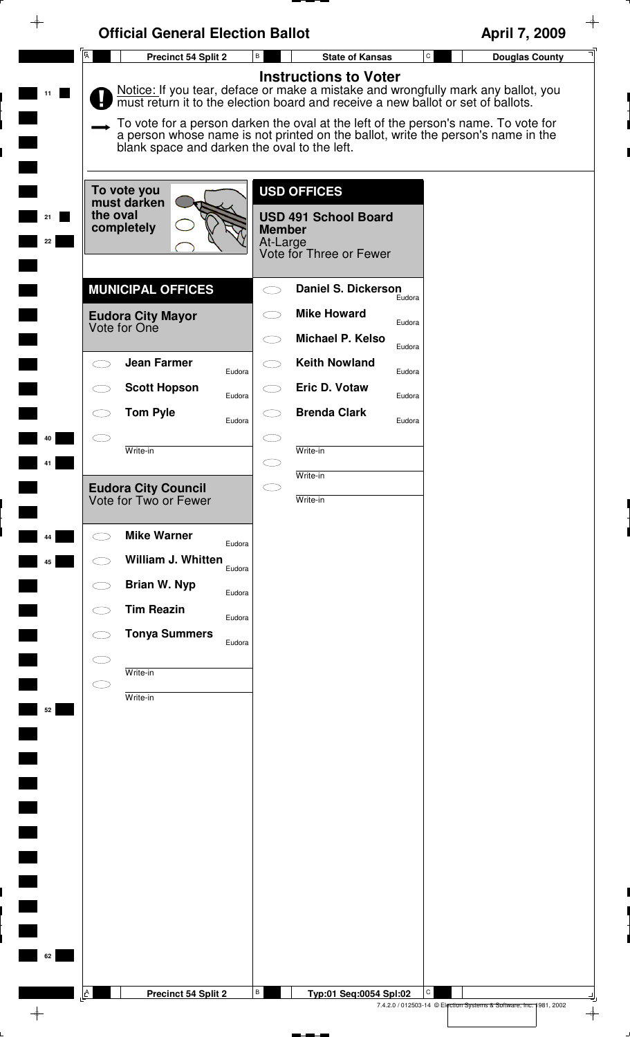| $\overline{A}$<br>$\mathtt{C}$<br>В<br><b>State of Kansas</b><br><b>Douglas County</b><br>Precinct 54 Split 2<br><b>Instructions to Voter</b><br>Notice: If you tear, deface or make a mistake and wrongfully mark any ballot, you<br>11<br>must return it to the election board and receive a new ballot or set of ballots.<br>To vote for a person darken the oval at the left of the person's name. To vote for<br>a person whose name is not printed on the ballot, write the person's name in the<br>blank space and darken the oval to the left.<br><b>USD OFFICES</b><br>To vote you<br>must darken<br>the oval<br><b>USD 491 School Board</b><br>21<br>completely<br><b>Member</b><br>At-Large<br>22<br>Vote for Three or Fewer<br><b>MUNICIPAL OFFICES</b><br><b>Daniel S. Dickerson</b><br>Eudora<br><b>Mike Howard</b><br><b>Eudora City Mayor</b><br>Eudora<br>Vote for One<br><b>Michael P. Kelso</b><br>Eudora<br><b>Jean Farmer</b><br><b>Keith Nowland</b><br>Eudora<br>Eudora<br>Eric D. Votaw<br><b>Scott Hopson</b><br>Eudora<br>Eudora<br><b>Brenda Clark</b><br><b>Tom Pyle</b><br>Eudora<br>Eudora<br>40<br>Write-in<br>Write-in<br>Write-in<br>Eudora City Council<br>Vote for Two or Fewer<br>Write-in<br><b>Mike Warner</b><br>44<br>Eudora<br>William J. Whitten<br>45<br>Eudora<br><b>Brian W. Nyp</b><br>Eudora<br><b>Tim Reazin</b><br>Eudora<br><b>Tonya Summers</b><br>Eudora<br>Write-in<br>Write-in<br>52<br>62 | $\rightarrow$ | <b>Official General Election Ballot</b> |   | April 7, 2009 |
|--------------------------------------------------------------------------------------------------------------------------------------------------------------------------------------------------------------------------------------------------------------------------------------------------------------------------------------------------------------------------------------------------------------------------------------------------------------------------------------------------------------------------------------------------------------------------------------------------------------------------------------------------------------------------------------------------------------------------------------------------------------------------------------------------------------------------------------------------------------------------------------------------------------------------------------------------------------------------------------------------------------------------------------------------------------------------------------------------------------------------------------------------------------------------------------------------------------------------------------------------------------------------------------------------------------------------------------------------------------------------------------------------------------------------------------------------|---------------|-----------------------------------------|---|---------------|
|                                                                                                                                                                                                                                                                                                                                                                                                                                                                                                                                                                                                                                                                                                                                                                                                                                                                                                                                                                                                                                                                                                                                                                                                                                                                                                                                                                                                                                                  |               |                                         |   |               |
|                                                                                                                                                                                                                                                                                                                                                                                                                                                                                                                                                                                                                                                                                                                                                                                                                                                                                                                                                                                                                                                                                                                                                                                                                                                                                                                                                                                                                                                  |               |                                         |   |               |
|                                                                                                                                                                                                                                                                                                                                                                                                                                                                                                                                                                                                                                                                                                                                                                                                                                                                                                                                                                                                                                                                                                                                                                                                                                                                                                                                                                                                                                                  |               |                                         |   |               |
|                                                                                                                                                                                                                                                                                                                                                                                                                                                                                                                                                                                                                                                                                                                                                                                                                                                                                                                                                                                                                                                                                                                                                                                                                                                                                                                                                                                                                                                  |               |                                         |   |               |
|                                                                                                                                                                                                                                                                                                                                                                                                                                                                                                                                                                                                                                                                                                                                                                                                                                                                                                                                                                                                                                                                                                                                                                                                                                                                                                                                                                                                                                                  |               |                                         |   |               |
|                                                                                                                                                                                                                                                                                                                                                                                                                                                                                                                                                                                                                                                                                                                                                                                                                                                                                                                                                                                                                                                                                                                                                                                                                                                                                                                                                                                                                                                  |               |                                         |   |               |
|                                                                                                                                                                                                                                                                                                                                                                                                                                                                                                                                                                                                                                                                                                                                                                                                                                                                                                                                                                                                                                                                                                                                                                                                                                                                                                                                                                                                                                                  |               |                                         |   |               |
|                                                                                                                                                                                                                                                                                                                                                                                                                                                                                                                                                                                                                                                                                                                                                                                                                                                                                                                                                                                                                                                                                                                                                                                                                                                                                                                                                                                                                                                  |               |                                         |   |               |
|                                                                                                                                                                                                                                                                                                                                                                                                                                                                                                                                                                                                                                                                                                                                                                                                                                                                                                                                                                                                                                                                                                                                                                                                                                                                                                                                                                                                                                                  |               |                                         |   |               |
|                                                                                                                                                                                                                                                                                                                                                                                                                                                                                                                                                                                                                                                                                                                                                                                                                                                                                                                                                                                                                                                                                                                                                                                                                                                                                                                                                                                                                                                  |               |                                         |   |               |
|                                                                                                                                                                                                                                                                                                                                                                                                                                                                                                                                                                                                                                                                                                                                                                                                                                                                                                                                                                                                                                                                                                                                                                                                                                                                                                                                                                                                                                                  |               |                                         |   |               |
|                                                                                                                                                                                                                                                                                                                                                                                                                                                                                                                                                                                                                                                                                                                                                                                                                                                                                                                                                                                                                                                                                                                                                                                                                                                                                                                                                                                                                                                  |               |                                         |   |               |
|                                                                                                                                                                                                                                                                                                                                                                                                                                                                                                                                                                                                                                                                                                                                                                                                                                                                                                                                                                                                                                                                                                                                                                                                                                                                                                                                                                                                                                                  |               |                                         |   |               |
|                                                                                                                                                                                                                                                                                                                                                                                                                                                                                                                                                                                                                                                                                                                                                                                                                                                                                                                                                                                                                                                                                                                                                                                                                                                                                                                                                                                                                                                  |               |                                         |   |               |
|                                                                                                                                                                                                                                                                                                                                                                                                                                                                                                                                                                                                                                                                                                                                                                                                                                                                                                                                                                                                                                                                                                                                                                                                                                                                                                                                                                                                                                                  |               |                                         |   |               |
|                                                                                                                                                                                                                                                                                                                                                                                                                                                                                                                                                                                                                                                                                                                                                                                                                                                                                                                                                                                                                                                                                                                                                                                                                                                                                                                                                                                                                                                  |               |                                         |   |               |
|                                                                                                                                                                                                                                                                                                                                                                                                                                                                                                                                                                                                                                                                                                                                                                                                                                                                                                                                                                                                                                                                                                                                                                                                                                                                                                                                                                                                                                                  |               |                                         |   |               |
|                                                                                                                                                                                                                                                                                                                                                                                                                                                                                                                                                                                                                                                                                                                                                                                                                                                                                                                                                                                                                                                                                                                                                                                                                                                                                                                                                                                                                                                  |               |                                         |   |               |
|                                                                                                                                                                                                                                                                                                                                                                                                                                                                                                                                                                                                                                                                                                                                                                                                                                                                                                                                                                                                                                                                                                                                                                                                                                                                                                                                                                                                                                                  |               |                                         |   |               |
|                                                                                                                                                                                                                                                                                                                                                                                                                                                                                                                                                                                                                                                                                                                                                                                                                                                                                                                                                                                                                                                                                                                                                                                                                                                                                                                                                                                                                                                  |               |                                         |   |               |
|                                                                                                                                                                                                                                                                                                                                                                                                                                                                                                                                                                                                                                                                                                                                                                                                                                                                                                                                                                                                                                                                                                                                                                                                                                                                                                                                                                                                                                                  |               |                                         |   |               |
|                                                                                                                                                                                                                                                                                                                                                                                                                                                                                                                                                                                                                                                                                                                                                                                                                                                                                                                                                                                                                                                                                                                                                                                                                                                                                                                                                                                                                                                  |               |                                         |   |               |
|                                                                                                                                                                                                                                                                                                                                                                                                                                                                                                                                                                                                                                                                                                                                                                                                                                                                                                                                                                                                                                                                                                                                                                                                                                                                                                                                                                                                                                                  |               |                                         |   |               |
|                                                                                                                                                                                                                                                                                                                                                                                                                                                                                                                                                                                                                                                                                                                                                                                                                                                                                                                                                                                                                                                                                                                                                                                                                                                                                                                                                                                                                                                  |               |                                         |   |               |
|                                                                                                                                                                                                                                                                                                                                                                                                                                                                                                                                                                                                                                                                                                                                                                                                                                                                                                                                                                                                                                                                                                                                                                                                                                                                                                                                                                                                                                                  |               |                                         |   |               |
|                                                                                                                                                                                                                                                                                                                                                                                                                                                                                                                                                                                                                                                                                                                                                                                                                                                                                                                                                                                                                                                                                                                                                                                                                                                                                                                                                                                                                                                  |               |                                         |   |               |
|                                                                                                                                                                                                                                                                                                                                                                                                                                                                                                                                                                                                                                                                                                                                                                                                                                                                                                                                                                                                                                                                                                                                                                                                                                                                                                                                                                                                                                                  |               |                                         |   |               |
|                                                                                                                                                                                                                                                                                                                                                                                                                                                                                                                                                                                                                                                                                                                                                                                                                                                                                                                                                                                                                                                                                                                                                                                                                                                                                                                                                                                                                                                  |               |                                         |   |               |
| A<br>Typ:01 Seq:0054 Spl:02                                                                                                                                                                                                                                                                                                                                                                                                                                                                                                                                                                                                                                                                                                                                                                                                                                                                                                                                                                                                                                                                                                                                                                                                                                                                                                                                                                                                                      |               | Precinct 54 Split 2                     | В | C             |

P.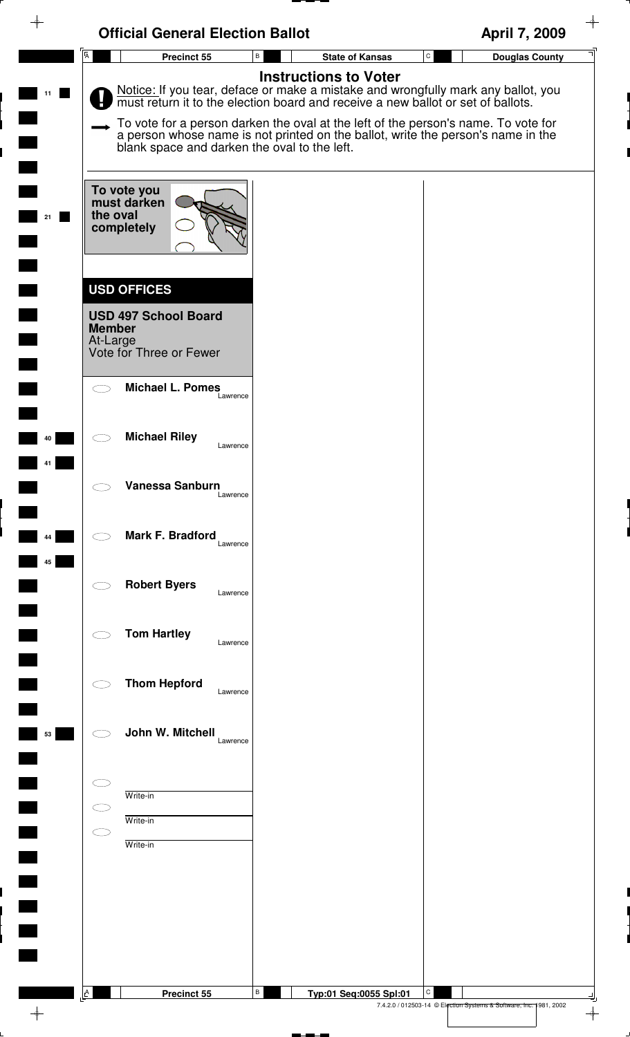| ↬                        | <b>Official General Election Ballot</b>                                                                   |                                                                                                                                                                                                                                                                                                                                                                              | April 7, 2009                                                                |
|--------------------------|-----------------------------------------------------------------------------------------------------------|------------------------------------------------------------------------------------------------------------------------------------------------------------------------------------------------------------------------------------------------------------------------------------------------------------------------------------------------------------------------------|------------------------------------------------------------------------------|
|                          | $\overline{A}$<br>Precinct 55                                                                             | B<br><b>State of Kansas</b>                                                                                                                                                                                                                                                                                                                                                  | ${\tt C}$<br><b>Douglas County</b>                                           |
|                          | blank space and darken the oval to the left.                                                              | <b>Instructions to Voter</b><br>Notice: If you tear, deface or make a mistake and wrongfully mark any ballot, you must return it to the election board and receive a new ballot or set of ballots.<br>To vote for a person darken the oval at the left of the person's name. To vote for<br>a person whose name is not printed on the ballot, write the person's name in the |                                                                              |
| 21                       | To vote you<br>must darken<br>the oval<br>completely                                                      |                                                                                                                                                                                                                                                                                                                                                                              |                                                                              |
|                          | <b>USD OFFICES</b><br><b>USD 497 School Board</b><br><b>Member</b><br>At-Large<br>Vote for Three or Fewer |                                                                                                                                                                                                                                                                                                                                                                              |                                                                              |
|                          | <b>Michael L. Pomes</b><br>Lawrence                                                                       |                                                                                                                                                                                                                                                                                                                                                                              |                                                                              |
| 40                       | <b>Michael Riley</b><br>Lawrence                                                                          |                                                                                                                                                                                                                                                                                                                                                                              |                                                                              |
|                          | Vanessa Sanburn<br>Lawrence                                                                               |                                                                                                                                                                                                                                                                                                                                                                              |                                                                              |
| 44<br>45                 | Mark F. Bradford<br>Lawrence                                                                              |                                                                                                                                                                                                                                                                                                                                                                              |                                                                              |
|                          | <b>Robert Byers</b><br>Lawrence                                                                           |                                                                                                                                                                                                                                                                                                                                                                              |                                                                              |
|                          | <b>Tom Hartley</b><br>Lawrence                                                                            |                                                                                                                                                                                                                                                                                                                                                                              |                                                                              |
|                          | <b>Thom Hepford</b><br>Lawrence                                                                           |                                                                                                                                                                                                                                                                                                                                                                              |                                                                              |
| 53                       | John W. Mitchell<br>Lawrence                                                                              |                                                                                                                                                                                                                                                                                                                                                                              |                                                                              |
|                          | Write-in<br>Write-in<br>Write-in                                                                          |                                                                                                                                                                                                                                                                                                                                                                              |                                                                              |
|                          |                                                                                                           |                                                                                                                                                                                                                                                                                                                                                                              |                                                                              |
|                          | $\mathbf{A}$<br>Precinct 55                                                                               | В<br>Typ:01 Seq:0055 Spl:01                                                                                                                                                                                                                                                                                                                                                  | С                                                                            |
| $\overline{\phantom{a}}$ |                                                                                                           |                                                                                                                                                                                                                                                                                                                                                                              | 7.4.2.0 / 012503-14 © Election Systems & Software, Inc. 1981, 2002<br>$\div$ |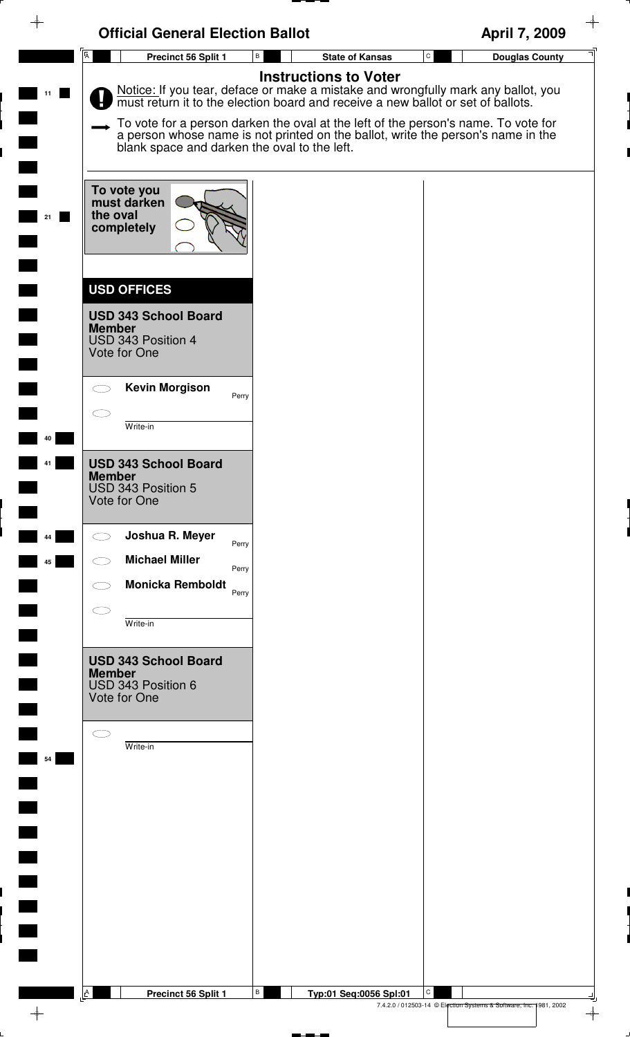| $\rightarrow$  | <b>Official General Election Ballot</b>                                                                                                                                                                                                                                                  | April 7, 2009                         |
|----------------|------------------------------------------------------------------------------------------------------------------------------------------------------------------------------------------------------------------------------------------------------------------------------------------|---------------------------------------|
| $\overline{A}$ | Precinct 56 Split 1<br>В<br><b>State of Kansas</b>                                                                                                                                                                                                                                       | $\mathtt{C}$<br><b>Douglas County</b> |
|                | <b>Instructions to Voter</b><br>Notice: If you tear, deface or make a mistake and wrongfully mark any ballot, you must return it to the election board and receive a new ballot or set of ballots.<br>To vote for a person darken the oval at the left of the person's name. To vote for |                                       |
|                | a person whose name is not printed on the ballot, write the person's name in the<br>blank space and darken the oval to the left.                                                                                                                                                         |                                       |
| 21             | To vote you<br>must darken<br>the oval<br>completely                                                                                                                                                                                                                                     |                                       |
|                | <b>USD OFFICES</b>                                                                                                                                                                                                                                                                       |                                       |
|                | <b>USD 343 School Board</b><br><b>Member</b><br>USD 343 Position 4<br>Vote for One                                                                                                                                                                                                       |                                       |
|                | <b>Kevin Morgison</b><br>Perry                                                                                                                                                                                                                                                           |                                       |
| 40             | Write-in                                                                                                                                                                                                                                                                                 |                                       |
|                | <b>USD 343 School Board</b><br><b>Member</b><br>USD 343 Position 5<br>Vote for One                                                                                                                                                                                                       |                                       |
| 44             | Joshua R. Meyer<br>Perry                                                                                                                                                                                                                                                                 |                                       |
| 45             | <b>Michael Miller</b><br>Perry<br><b>Monicka Remboldt</b>                                                                                                                                                                                                                                |                                       |
|                | Perry                                                                                                                                                                                                                                                                                    |                                       |
|                | Write-in                                                                                                                                                                                                                                                                                 |                                       |
|                | <b>USD 343 School Board</b><br><b>Member</b><br>USD 343 Position 6<br>Vote for One                                                                                                                                                                                                       |                                       |
| 54             | Write-in                                                                                                                                                                                                                                                                                 |                                       |
|                |                                                                                                                                                                                                                                                                                          |                                       |
|                |                                                                                                                                                                                                                                                                                          |                                       |
|                |                                                                                                                                                                                                                                                                                          |                                       |
|                |                                                                                                                                                                                                                                                                                          |                                       |
|                |                                                                                                                                                                                                                                                                                          |                                       |
| A              | В<br>Precinct 56 Split 1<br>Typ:01 Seq:0056 Spl:01                                                                                                                                                                                                                                       | C                                     |

 $\rightarrow$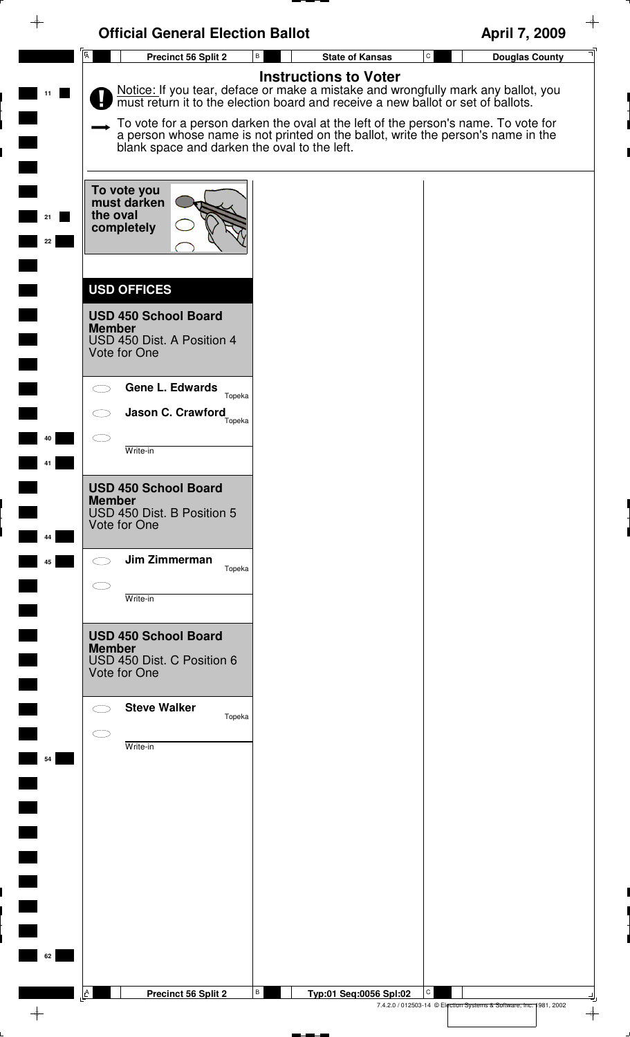| $\overline{A}$<br>${\tt C}$<br>$\, {\bf B} \,$<br>Precinct 56 Split 2<br><b>State of Kansas</b><br><b>Douglas County</b><br><b>Instructions to Voter</b><br>Notice: If you tear, deface or make a mistake and wrongfully mark any ballot, you<br>must return it to the election board and receive a new ballot or set of ballots.<br>To vote for a person darken the oval at the left of the person's name. To vote for<br>a person whose name is not printed on the ballot, write the person's name in the<br>blank space and darken the oval to the left.<br>To vote you<br>must darken<br>the oval<br>completely<br>22<br><b>USD OFFICES</b><br><b>USD 450 School Board</b><br><b>Member</b><br>USD 450 Dist. A Position 4<br>Vote for One<br><b>Gene L. Edwards</b><br>Topeka<br>Jason C. Crawford<br>Topeka<br>4Λ<br>Write-in<br><b>USD 450 School Board</b><br><b>Member</b><br>USD 450 Dist. B Position 5<br>Vote for One<br>44<br>Jim Zimmerman<br>45<br>Topeka<br>Write-in<br><b>USD 450 School Board</b><br><b>Member</b><br>USD 450 Dist. C Position 6<br>Vote for One<br><b>Steve Walker</b><br>Topeka<br>Write-in<br>54<br>62 | $\rightarrow$ | <b>Official General Election Ballot</b> | April 7, 2009 |
|--------------------------------------------------------------------------------------------------------------------------------------------------------------------------------------------------------------------------------------------------------------------------------------------------------------------------------------------------------------------------------------------------------------------------------------------------------------------------------------------------------------------------------------------------------------------------------------------------------------------------------------------------------------------------------------------------------------------------------------------------------------------------------------------------------------------------------------------------------------------------------------------------------------------------------------------------------------------------------------------------------------------------------------------------------------------------------------------------------------------------------------------|---------------|-----------------------------------------|---------------|
|                                                                                                                                                                                                                                                                                                                                                                                                                                                                                                                                                                                                                                                                                                                                                                                                                                                                                                                                                                                                                                                                                                                                            |               |                                         |               |
|                                                                                                                                                                                                                                                                                                                                                                                                                                                                                                                                                                                                                                                                                                                                                                                                                                                                                                                                                                                                                                                                                                                                            |               |                                         |               |
|                                                                                                                                                                                                                                                                                                                                                                                                                                                                                                                                                                                                                                                                                                                                                                                                                                                                                                                                                                                                                                                                                                                                            |               |                                         |               |
|                                                                                                                                                                                                                                                                                                                                                                                                                                                                                                                                                                                                                                                                                                                                                                                                                                                                                                                                                                                                                                                                                                                                            |               |                                         |               |
|                                                                                                                                                                                                                                                                                                                                                                                                                                                                                                                                                                                                                                                                                                                                                                                                                                                                                                                                                                                                                                                                                                                                            |               |                                         |               |
|                                                                                                                                                                                                                                                                                                                                                                                                                                                                                                                                                                                                                                                                                                                                                                                                                                                                                                                                                                                                                                                                                                                                            |               |                                         |               |
|                                                                                                                                                                                                                                                                                                                                                                                                                                                                                                                                                                                                                                                                                                                                                                                                                                                                                                                                                                                                                                                                                                                                            |               |                                         |               |
|                                                                                                                                                                                                                                                                                                                                                                                                                                                                                                                                                                                                                                                                                                                                                                                                                                                                                                                                                                                                                                                                                                                                            |               |                                         |               |
|                                                                                                                                                                                                                                                                                                                                                                                                                                                                                                                                                                                                                                                                                                                                                                                                                                                                                                                                                                                                                                                                                                                                            |               |                                         |               |
|                                                                                                                                                                                                                                                                                                                                                                                                                                                                                                                                                                                                                                                                                                                                                                                                                                                                                                                                                                                                                                                                                                                                            |               |                                         |               |
|                                                                                                                                                                                                                                                                                                                                                                                                                                                                                                                                                                                                                                                                                                                                                                                                                                                                                                                                                                                                                                                                                                                                            |               |                                         |               |
| В<br>C<br>$\mathbf{A}$<br>Precinct 56 Split 2<br>Typ:01 Seq:0056 Spl:02                                                                                                                                                                                                                                                                                                                                                                                                                                                                                                                                                                                                                                                                                                                                                                                                                                                                                                                                                                                                                                                                    |               |                                         |               |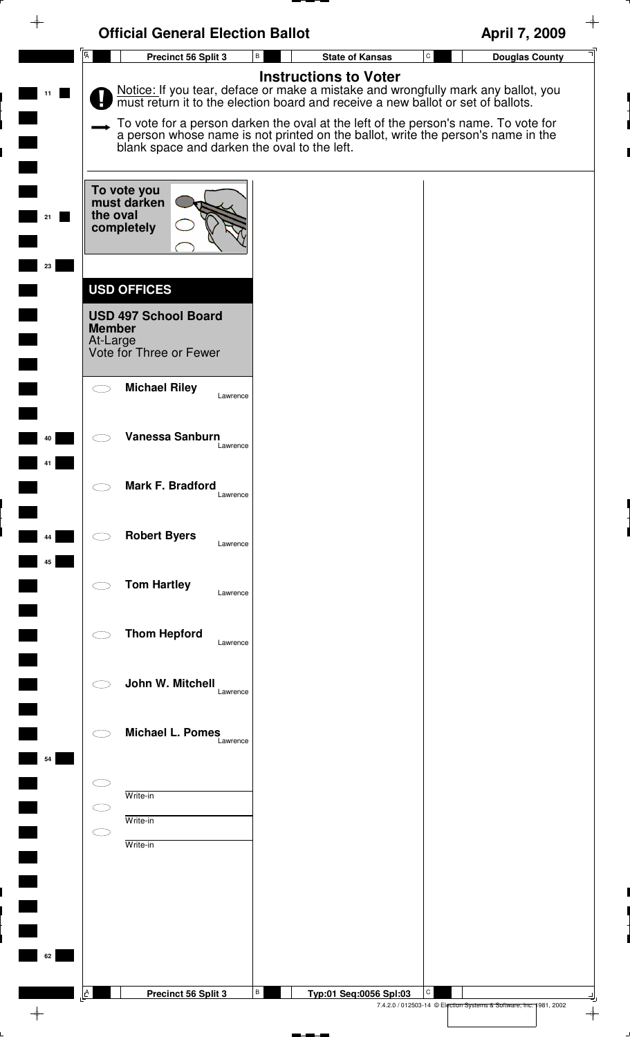| $\rightarrow$ | <b>Official General Election Ballot</b>                                                                   |                                                                                                                                                                                                                                                                                                                                                                              | $\color{red} \diamond$<br>April 7, 2009                                                  |
|---------------|-----------------------------------------------------------------------------------------------------------|------------------------------------------------------------------------------------------------------------------------------------------------------------------------------------------------------------------------------------------------------------------------------------------------------------------------------------------------------------------------------|------------------------------------------------------------------------------------------|
|               | A <sup>l</sup><br>Precinct 56 Split 3                                                                     | В<br><b>State of Kansas</b>                                                                                                                                                                                                                                                                                                                                                  | $\mathtt{C}$<br><b>Douglas County</b>                                                    |
| 11            | blank space and darken the oval to the left.                                                              | <b>Instructions to Voter</b><br>Notice: If you tear, deface or make a mistake and wrongfully mark any ballot, you must return it to the election board and receive a new ballot or set of ballots.<br>To vote for a person darken the oval at the left of the person's name. To vote for<br>a person whose name is not printed on the ballot, write the person's name in the |                                                                                          |
|               | To vote you<br>must darken<br>the oval<br>completely                                                      |                                                                                                                                                                                                                                                                                                                                                                              |                                                                                          |
| 23            | <b>USD OFFICES</b><br><b>USD 497 School Board</b><br><b>Member</b><br>At-Large<br>Vote for Three or Fewer |                                                                                                                                                                                                                                                                                                                                                                              |                                                                                          |
| 40            | <b>Michael Riley</b><br>Lawrence<br>Vanessa Sanburn                                                       |                                                                                                                                                                                                                                                                                                                                                                              |                                                                                          |
|               | Lawrence<br>Mark F. Bradford<br>Lawrence                                                                  |                                                                                                                                                                                                                                                                                                                                                                              |                                                                                          |
| 44<br>45      | <b>Robert Byers</b><br>Lawrence                                                                           |                                                                                                                                                                                                                                                                                                                                                                              |                                                                                          |
|               | <b>Tom Hartley</b><br>Lawrence                                                                            |                                                                                                                                                                                                                                                                                                                                                                              |                                                                                          |
|               | <b>Thom Hepford</b><br>Lawrence<br>John W. Mitchell<br>Lawrence                                           |                                                                                                                                                                                                                                                                                                                                                                              |                                                                                          |
| 54            | <b>Michael L. Pomes</b><br>Lawrence                                                                       |                                                                                                                                                                                                                                                                                                                                                                              |                                                                                          |
|               | Write-in<br>Write-in<br>Write-in                                                                          |                                                                                                                                                                                                                                                                                                                                                                              |                                                                                          |
| 62            |                                                                                                           |                                                                                                                                                                                                                                                                                                                                                                              |                                                                                          |
|               | A<br>Precinct 56 Split 3                                                                                  | В<br>Typ:01 Seq:0056 Spl:03                                                                                                                                                                                                                                                                                                                                                  | С<br>7.4.2.0 / 012503-14 © Election Systems & Software, Inc. 1981, 2002<br>$\rightarrow$ |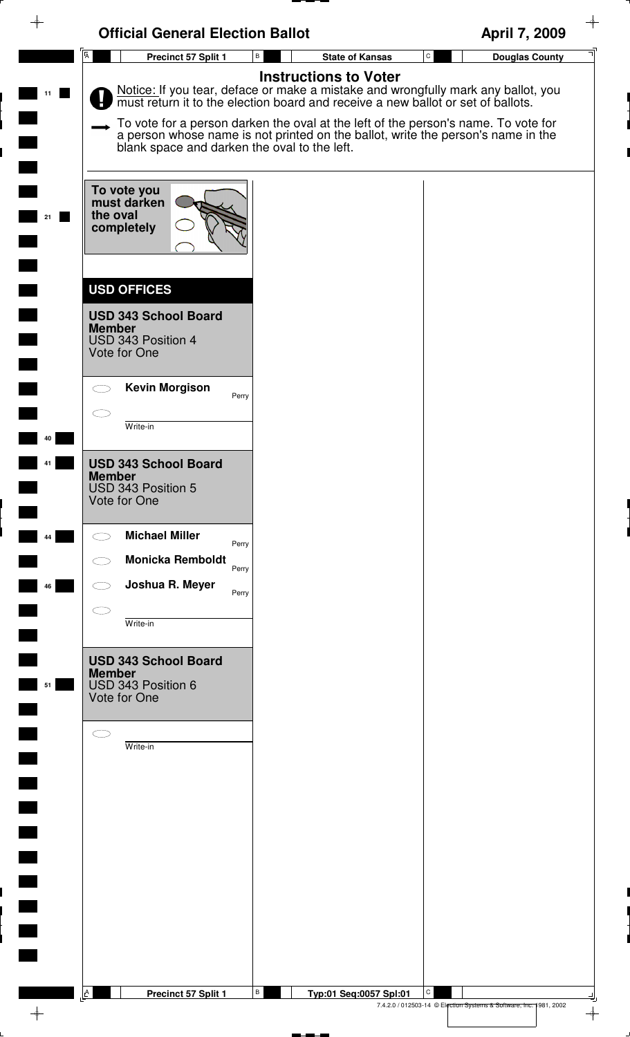| <b>Official General Election Ballot</b>                                                                                                                                                                                                                                                                                                                                                      | April 7, 2009                                                           |
|----------------------------------------------------------------------------------------------------------------------------------------------------------------------------------------------------------------------------------------------------------------------------------------------------------------------------------------------------------------------------------------------|-------------------------------------------------------------------------|
| $\overline{A}$<br>Precinct 57 Split 1<br>В<br><b>State of Kansas</b><br><b>Instructions to Voter</b>                                                                                                                                                                                                                                                                                         | $\mathtt{C}$<br><b>Douglas County</b>                                   |
| Notice: If you tear, deface or make a mistake and wrongfully mark any ballot, you must return it to the election board and receive a new ballot or set of ballots.<br>To vote for a person darken the oval at the left of the person's name. To vote for<br>a person whose name is not printed on the ballot, write the person's name in the<br>blank space and darken the oval to the left. |                                                                         |
| To vote you<br>must darken<br>the oval<br>21<br>completely                                                                                                                                                                                                                                                                                                                                   |                                                                         |
| <b>USD OFFICES</b><br><b>USD 343 School Board</b><br><b>Member</b><br>USD 343 Position 4<br>Vote for One                                                                                                                                                                                                                                                                                     |                                                                         |
| <b>Kevin Morgison</b><br>Perry                                                                                                                                                                                                                                                                                                                                                               |                                                                         |
| Write-in<br>40<br><b>USD 343 School Board</b>                                                                                                                                                                                                                                                                                                                                                |                                                                         |
| <b>Member</b><br>USD 343 Position 5<br>Vote for One                                                                                                                                                                                                                                                                                                                                          |                                                                         |
| <b>Michael Miller</b><br>44<br>Perry<br><b>Monicka Remboldt</b>                                                                                                                                                                                                                                                                                                                              |                                                                         |
| Perry<br>Joshua R. Meyer<br>46<br>Perry                                                                                                                                                                                                                                                                                                                                                      |                                                                         |
| Write-in                                                                                                                                                                                                                                                                                                                                                                                     |                                                                         |
| <b>USD 343 School Board</b><br><b>Member</b><br>USD 343 Position 6<br>51<br>Vote for One                                                                                                                                                                                                                                                                                                     |                                                                         |
| Write-in                                                                                                                                                                                                                                                                                                                                                                                     |                                                                         |
|                                                                                                                                                                                                                                                                                                                                                                                              |                                                                         |
|                                                                                                                                                                                                                                                                                                                                                                                              |                                                                         |
|                                                                                                                                                                                                                                                                                                                                                                                              |                                                                         |
|                                                                                                                                                                                                                                                                                                                                                                                              |                                                                         |
|                                                                                                                                                                                                                                                                                                                                                                                              |                                                                         |
| $\mathbf{A}$<br>В<br>Precinct 57 Split 1<br>Typ:01 Seq:0057 Spl:01                                                                                                                                                                                                                                                                                                                           | C<br>7.4.2.0 / 012503-14 © Election Systems & Software, Inc. 1981, 2002 |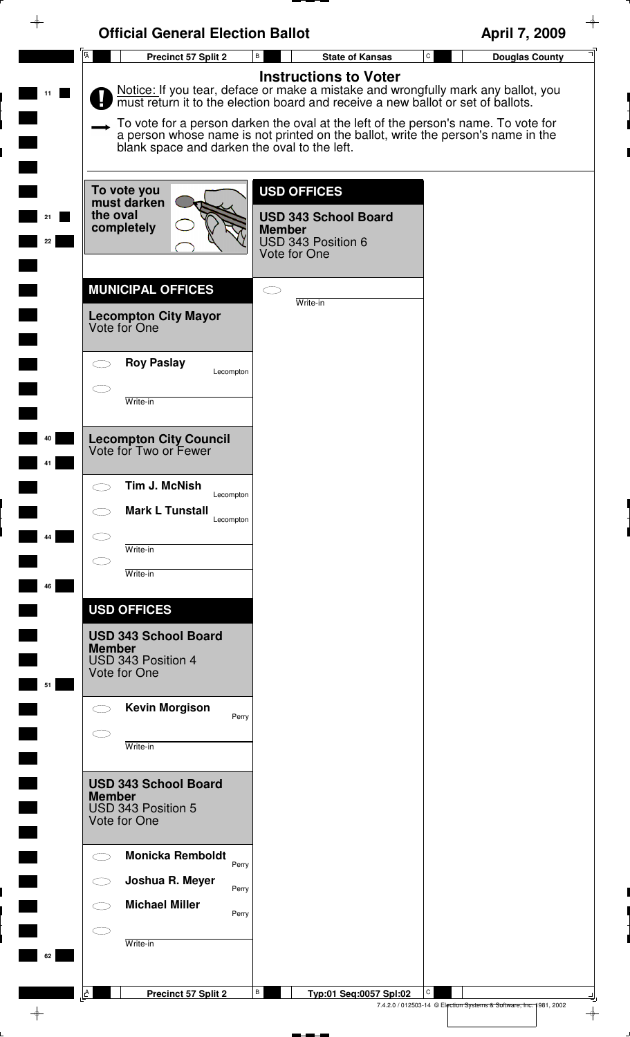|                          | <b>Official General Election Ballot</b>                            |                                                                                                                                                                                                       | April 7, 2009                                                           |
|--------------------------|--------------------------------------------------------------------|-------------------------------------------------------------------------------------------------------------------------------------------------------------------------------------------------------|-------------------------------------------------------------------------|
|                          | A<br><b>Precinct 57 Split 2</b>                                    | В<br><b>State of Kansas</b>                                                                                                                                                                           | $\mathtt{C}$<br><b>Douglas County</b>                                   |
|                          |                                                                    | <b>Instructions to Voter</b><br>Notice: If you tear, deface or make a mistake and wrongfully mark any ballot, you<br>must return it to the election board and receive a new ballot or set of ballots. |                                                                         |
|                          | blank space and darken the oval to the left.                       | To vote for a person darken the oval at the left of the person's name. To vote for<br>a person whose name is not printed on the ballot, write the person's name in the                                |                                                                         |
|                          | To vote you<br>must darken<br>the oval                             | <b>USD OFFICES</b>                                                                                                                                                                                    |                                                                         |
| 22                       | completely                                                         | <b>USD 343 School Board</b><br><b>Member</b><br>USD 343 Position 6<br>Vote for One                                                                                                                    |                                                                         |
|                          | <b>MUNICIPAL OFFICES</b>                                           | CΞ<br>Write-in                                                                                                                                                                                        |                                                                         |
|                          | <b>Lecompton City Mayor</b><br>Vote for One                        |                                                                                                                                                                                                       |                                                                         |
|                          | <b>Roy Paslay</b><br>Lecompton                                     |                                                                                                                                                                                                       |                                                                         |
|                          | Write-in                                                           |                                                                                                                                                                                                       |                                                                         |
|                          | <b>Lecompton City Council</b><br>Vote for Two or Fewer             |                                                                                                                                                                                                       |                                                                         |
|                          | Tim J. McNish<br>Lecompton                                         |                                                                                                                                                                                                       |                                                                         |
|                          | <b>Mark L Tunstall</b><br>Lecompton                                |                                                                                                                                                                                                       |                                                                         |
| 44                       | Write-in                                                           |                                                                                                                                                                                                       |                                                                         |
| 46                       | Write-in                                                           |                                                                                                                                                                                                       |                                                                         |
|                          | <b>USD OFFICES</b><br><b>USD 343 School Board</b>                  |                                                                                                                                                                                                       |                                                                         |
| 51                       | <b>Member</b><br>USD 343 Position 4<br>Vote for One                |                                                                                                                                                                                                       |                                                                         |
|                          | <b>Kevin Morgison</b><br>Perry                                     |                                                                                                                                                                                                       |                                                                         |
|                          | Write-in                                                           |                                                                                                                                                                                                       |                                                                         |
|                          | <b>USD 343 School Board</b><br><b>Member</b><br>USD 343 Position 5 |                                                                                                                                                                                                       |                                                                         |
| $\overline{\phantom{a}}$ | Vote for One                                                       |                                                                                                                                                                                                       |                                                                         |
| $\Box$                   | <b>Monicka Remboldt</b><br>Perry<br>Joshua R. Meyer                |                                                                                                                                                                                                       |                                                                         |
|                          | Perry<br><b>Michael Miller</b><br>Perry                            |                                                                                                                                                                                                       |                                                                         |
|                          | Write-in                                                           |                                                                                                                                                                                                       |                                                                         |
|                          |                                                                    |                                                                                                                                                                                                       |                                                                         |
|                          | $\underline{\mathsf{L}}^{\mathsf{A}}$<br>Precinct 57 Split 2       | В<br>Typ:01 Seq:0057 Spl:02                                                                                                                                                                           | С<br>7.4.2.0 / 012503-14 © Election Systems & Software, Inc. 1981, 2002 |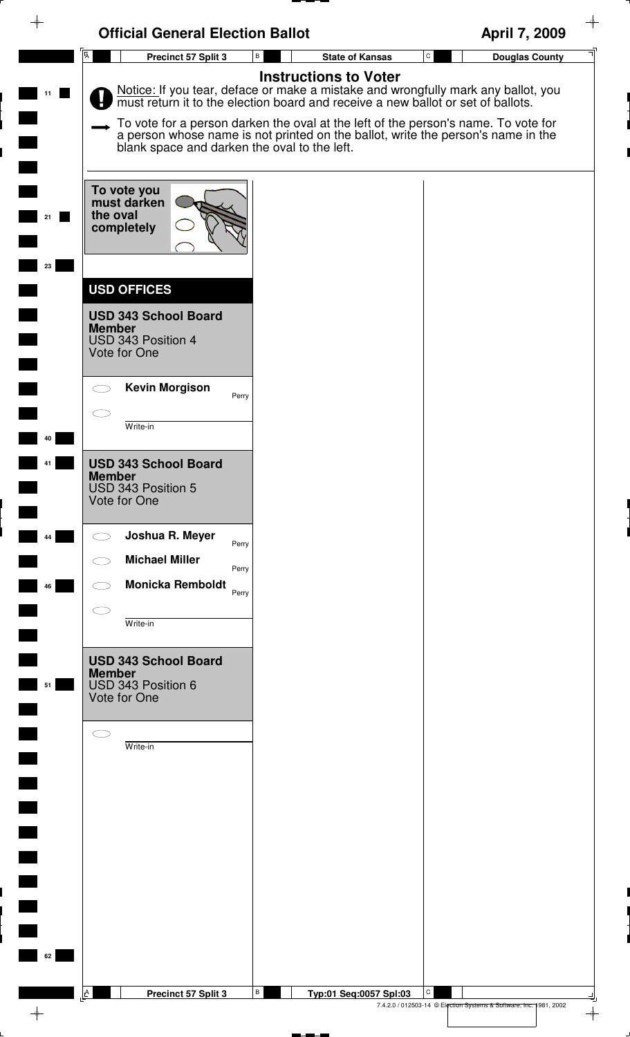| $\rightarrow$        | <b>Official General Election Ballot</b>                                                                  |                                                                                                                                                                                                                                                                                                                                                                              | $\color{red} \rightarrow$<br>April 7, 2009                              |
|----------------------|----------------------------------------------------------------------------------------------------------|------------------------------------------------------------------------------------------------------------------------------------------------------------------------------------------------------------------------------------------------------------------------------------------------------------------------------------------------------------------------------|-------------------------------------------------------------------------|
|                      | $\overline{A}$<br>Precinct 57 Split 3                                                                    | В<br><b>State of Kansas</b>                                                                                                                                                                                                                                                                                                                                                  | $\mathtt{C}$<br><b>Douglas County</b>                                   |
| 11                   | blank space and darken the oval to the left.                                                             | <b>Instructions to Voter</b><br>Notice: If you tear, deface or make a mistake and wrongfully mark any ballot, you must return it to the election board and receive a new ballot or set of ballots.<br>To vote for a person darken the oval at the left of the person's name. To vote for<br>a person whose name is not printed on the ballot, write the person's name in the |                                                                         |
| 23                   | To vote you<br>must darken<br>the oval<br>completely                                                     |                                                                                                                                                                                                                                                                                                                                                                              |                                                                         |
|                      | <b>USD OFFICES</b><br><b>USD 343 School Board</b><br><b>Member</b><br>USD 343 Position 4<br>Vote for One |                                                                                                                                                                                                                                                                                                                                                                              |                                                                         |
| 40                   | <b>Kevin Morgison</b><br>Perry<br>Write-in                                                               |                                                                                                                                                                                                                                                                                                                                                                              |                                                                         |
|                      | <b>USD 343 School Board</b><br><b>Member</b><br>USD 343 Position 5<br>Vote for One                       |                                                                                                                                                                                                                                                                                                                                                                              |                                                                         |
| 44                   | Joshua R. Meyer<br>Perry<br><b>Michael Miller</b><br>Perry                                               |                                                                                                                                                                                                                                                                                                                                                                              |                                                                         |
| 46                   | <b>Monicka Remboldt</b><br>Perry<br>Write-in                                                             |                                                                                                                                                                                                                                                                                                                                                                              |                                                                         |
| 51                   | <b>USD 343 School Board</b><br><b>Member</b><br>USD 343 Position 6<br>Vote for One                       |                                                                                                                                                                                                                                                                                                                                                                              |                                                                         |
|                      | Write-in                                                                                                 |                                                                                                                                                                                                                                                                                                                                                                              |                                                                         |
| $\blacksquare$<br>62 | $\mathbf{A}$<br>Precinct 57 Split 3                                                                      | В<br>Typ:01 Seq:0057 Spl:03                                                                                                                                                                                                                                                                                                                                                  | C<br>7.4.2.0 / 012503-14 © Election Systems & Software, Inc. 1981, 2002 |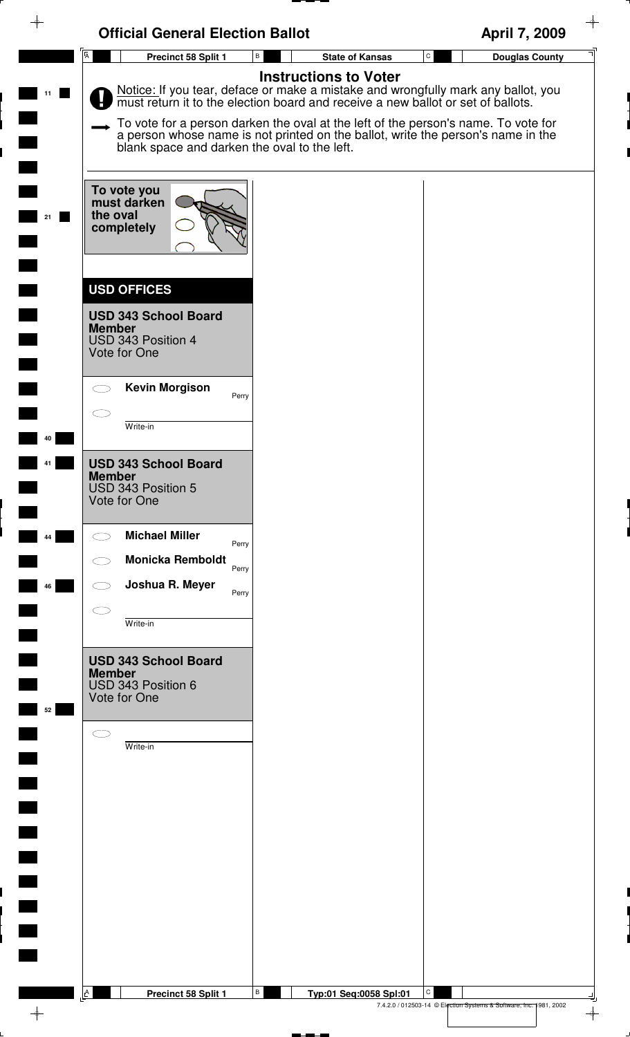|                | <b>Official General Election Ballot</b>                                                                                                                                                                                | April 7, 2009                         |
|----------------|------------------------------------------------------------------------------------------------------------------------------------------------------------------------------------------------------------------------|---------------------------------------|
| $\overline{A}$ | Precinct 58 Split 1<br>В<br><b>State of Kansas</b><br><b>Instructions to Voter</b>                                                                                                                                     | $\mathtt{C}$<br><b>Douglas County</b> |
|                | Notice: If you tear, deface or make a mistake and wrongfully mark any ballot, you must return it to the election board and receive a new ballot or set of ballots.                                                     |                                       |
|                | To vote for a person darken the oval at the left of the person's name. To vote for<br>a person whose name is not printed on the ballot, write the person's name in the<br>blank space and darken the oval to the left. |                                       |
| 21             | To vote you<br>must darken<br>the oval<br>completely                                                                                                                                                                   |                                       |
|                | <b>USD OFFICES</b>                                                                                                                                                                                                     |                                       |
|                | <b>USD 343 School Board</b><br><b>Member</b><br>USD 343 Position 4<br>Vote for One                                                                                                                                     |                                       |
|                | <b>Kevin Morgison</b><br>Perry                                                                                                                                                                                         |                                       |
|                | Write-in                                                                                                                                                                                                               |                                       |
| 40             | <b>USD 343 School Board</b>                                                                                                                                                                                            |                                       |
|                | <b>Member</b><br>USD 343 Position 5<br>Vote for One                                                                                                                                                                    |                                       |
| 44             | <b>Michael Miller</b><br>Perry                                                                                                                                                                                         |                                       |
| 46             | <b>Monicka Remboldt</b><br>Perry<br>Joshua R. Meyer                                                                                                                                                                    |                                       |
|                | Perry                                                                                                                                                                                                                  |                                       |
|                | Write-in                                                                                                                                                                                                               |                                       |
| 52             | <b>USD 343 School Board</b><br><b>Member</b><br>USD 343 Position 6<br>Vote for One                                                                                                                                     |                                       |
|                |                                                                                                                                                                                                                        |                                       |
|                | Write-in                                                                                                                                                                                                               |                                       |
|                |                                                                                                                                                                                                                        |                                       |
|                |                                                                                                                                                                                                                        |                                       |
|                |                                                                                                                                                                                                                        |                                       |
|                |                                                                                                                                                                                                                        |                                       |
|                |                                                                                                                                                                                                                        |                                       |
|                |                                                                                                                                                                                                                        |                                       |
|                |                                                                                                                                                                                                                        |                                       |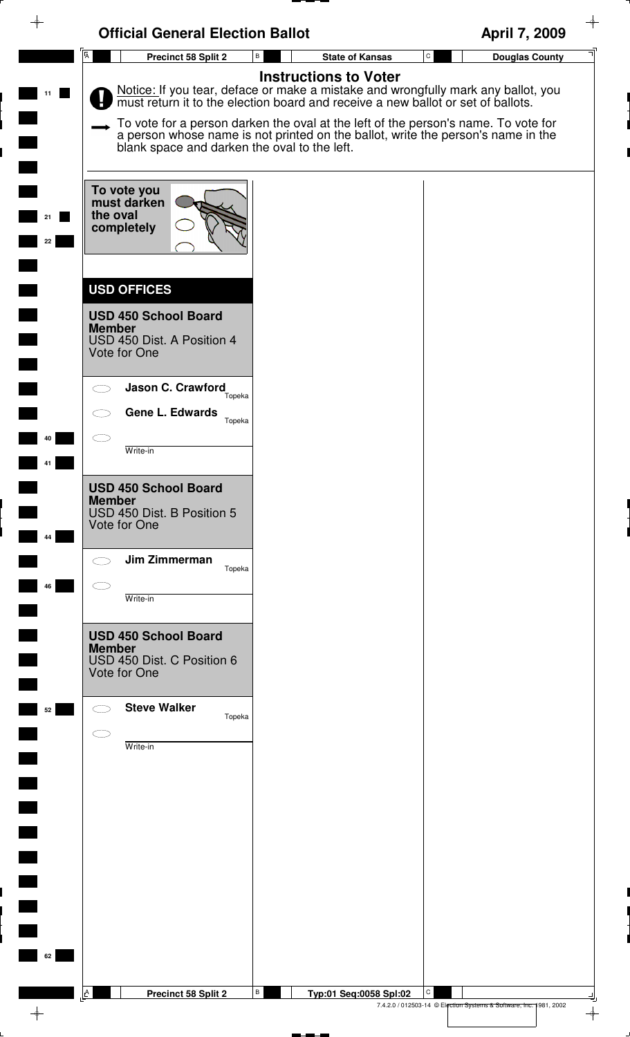|               | <b>Official General Election Ballot</b>                                                                          |                                                                                                                                                                                                                                                                                                                                                                              | April 7, 2009                                                      |
|---------------|------------------------------------------------------------------------------------------------------------------|------------------------------------------------------------------------------------------------------------------------------------------------------------------------------------------------------------------------------------------------------------------------------------------------------------------------------------------------------------------------------|--------------------------------------------------------------------|
|               | $\overline{A}$<br>В<br>Precinct 58 Split 2                                                                       | $\mathtt{C}$<br><b>State of Kansas</b>                                                                                                                                                                                                                                                                                                                                       | <b>Douglas County</b>                                              |
|               | blank space and darken the oval to the left.                                                                     | <b>Instructions to Voter</b><br>Notice: If you tear, deface or make a mistake and wrongfully mark any ballot, you must return it to the election board and receive a new ballot or set of ballots.<br>To vote for a person darken the oval at the left of the person's name. To vote for<br>a person whose name is not printed on the ballot, write the person's name in the |                                                                    |
| 21<br>22      | To vote you<br>must darken<br>the oval<br>completely                                                             |                                                                                                                                                                                                                                                                                                                                                                              |                                                                    |
|               | <b>USD OFFICES</b><br><b>USD 450 School Board</b><br><b>Member</b><br>USD 450 Dist. A Position 4<br>Vote for One |                                                                                                                                                                                                                                                                                                                                                                              |                                                                    |
|               | Jason C. Crawford<br>Topeka<br>Gene L. Edwards<br>Topeka                                                         |                                                                                                                                                                                                                                                                                                                                                                              |                                                                    |
| 40            | Write-in                                                                                                         |                                                                                                                                                                                                                                                                                                                                                                              |                                                                    |
| 44            | <b>USD 450 School Board</b><br><b>Member</b><br>USD 450 Dist. B Position 5<br>Vote for One                       |                                                                                                                                                                                                                                                                                                                                                                              |                                                                    |
| 46            | Jim Zimmerman<br>Topeka<br>Write-in                                                                              |                                                                                                                                                                                                                                                                                                                                                                              |                                                                    |
|               | <b>USD 450 School Board</b><br><b>Member</b><br>USD 450 Dist. C Position 6<br>Vote for One                       |                                                                                                                                                                                                                                                                                                                                                                              |                                                                    |
| 52            | <b>Steve Walker</b><br>Topeka<br>Write-in                                                                        |                                                                                                                                                                                                                                                                                                                                                                              |                                                                    |
| $\Box$        |                                                                                                                  |                                                                                                                                                                                                                                                                                                                                                                              |                                                                    |
|               |                                                                                                                  |                                                                                                                                                                                                                                                                                                                                                                              |                                                                    |
| 62            |                                                                                                                  |                                                                                                                                                                                                                                                                                                                                                                              |                                                                    |
| $\rightarrow$ | В<br>A<br>Precinct 58 Split 2                                                                                    | C<br>Typ:01 Seq:0058 Spl:02                                                                                                                                                                                                                                                                                                                                                  | 7.4.2.0 / 012503-14 © Election Systems & Software, Inc. 1981, 2002 |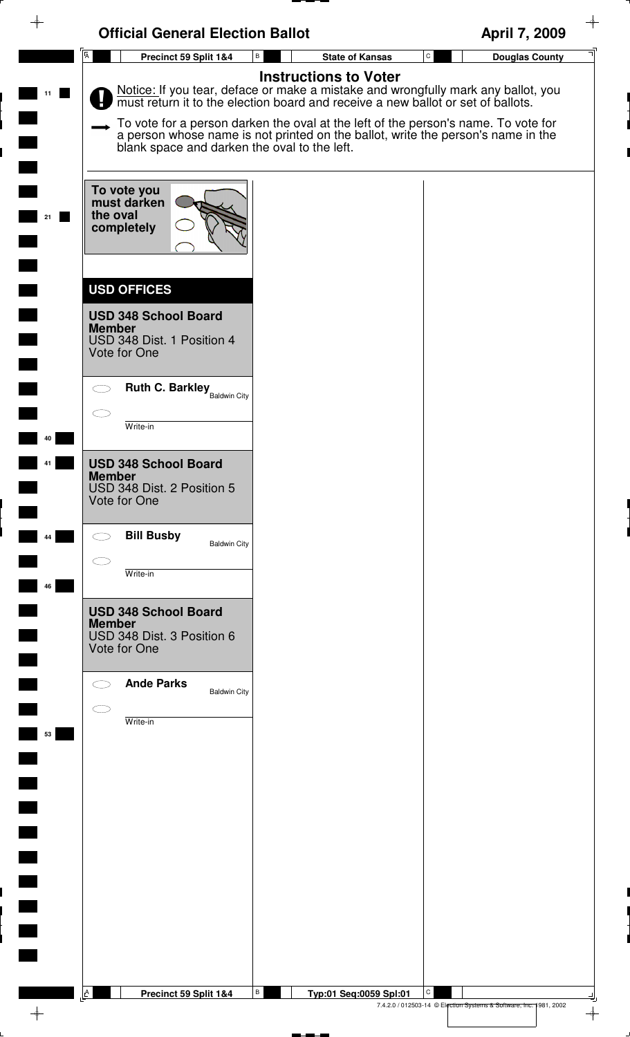|          | <b>Official General Election Ballot</b>                                                                                                                                                                                                                                                                                                                                                                                      | April 7, 2009                         |
|----------|------------------------------------------------------------------------------------------------------------------------------------------------------------------------------------------------------------------------------------------------------------------------------------------------------------------------------------------------------------------------------------------------------------------------------|---------------------------------------|
|          | $\overline{A}$<br>$\, {\bf B} \,$<br>Precinct 59 Split 1&4<br><b>State of Kansas</b>                                                                                                                                                                                                                                                                                                                                         | $\mathtt{C}$<br><b>Douglas County</b> |
| 11       | <b>Instructions to Voter</b><br>Notice: If you tear, deface or make a mistake and wrongfully mark any ballot, you must return it to the election board and receive a new ballot or set of ballots.<br>To vote for a person darken the oval at the left of the person's name. To vote for<br>a person whose name is not printed on the ballot, write the person's name in the<br>blank space and darken the oval to the left. |                                       |
| 21       | To vote you<br>must darken<br>the oval<br>completely                                                                                                                                                                                                                                                                                                                                                                         |                                       |
|          | <b>USD OFFICES</b><br><b>USD 348 School Board</b><br><b>Member</b><br>USD 348 Dist. 1 Position 4<br>Vote for One                                                                                                                                                                                                                                                                                                             |                                       |
| 40       | <b>Ruth C. Barkley</b> Baldwin City<br>$\bigcirc$<br>Write-in                                                                                                                                                                                                                                                                                                                                                                |                                       |
|          | <b>USD 348 School Board</b><br><b>Member</b><br>USD 348 Dist. 2 Position 5<br>Vote for One                                                                                                                                                                                                                                                                                                                                   |                                       |
| 44<br>46 | <b>Bill Busby</b><br>$\bigcirc$<br><b>Baldwin City</b><br>Write-in                                                                                                                                                                                                                                                                                                                                                           |                                       |
|          | <b>USD 348 School Board</b><br><b>Member</b><br>USD 348 Dist. 3 Position 6<br>Vote for One                                                                                                                                                                                                                                                                                                                                   |                                       |
| 53       | <b>Ande Parks</b><br><b>Baldwin City</b><br>Write-in                                                                                                                                                                                                                                                                                                                                                                         |                                       |
|          |                                                                                                                                                                                                                                                                                                                                                                                                                              |                                       |
|          |                                                                                                                                                                                                                                                                                                                                                                                                                              |                                       |
|          |                                                                                                                                                                                                                                                                                                                                                                                                                              |                                       |
|          |                                                                                                                                                                                                                                                                                                                                                                                                                              |                                       |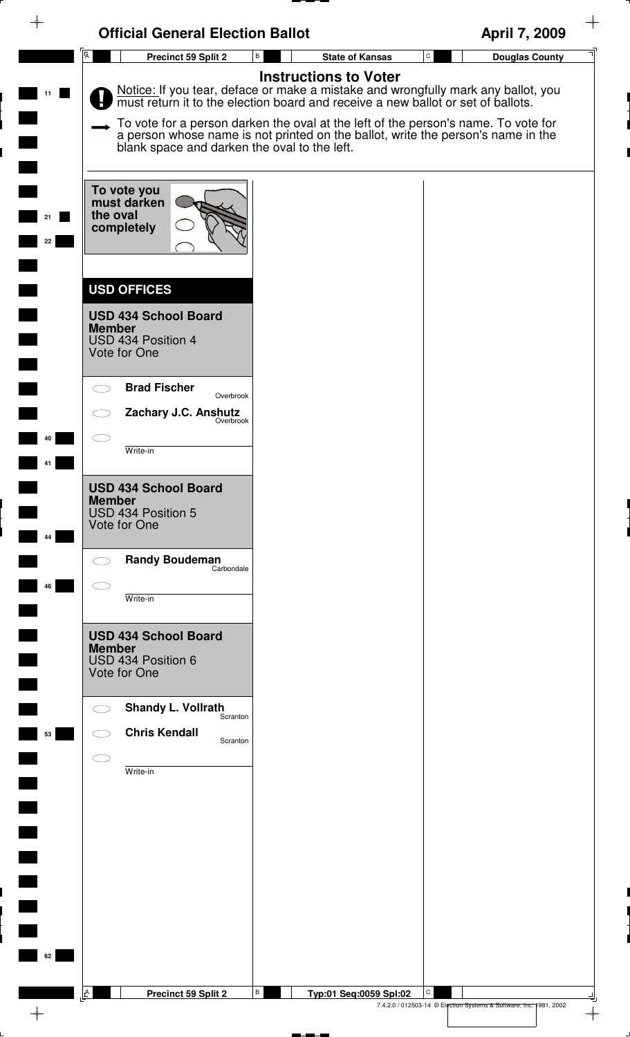|                | <b>Official General Election Ballot</b>                                                                                                                                |                                                                                                                                                                                                                                                                                                                                                                              | April 7, 2009                                                           |
|----------------|------------------------------------------------------------------------------------------------------------------------------------------------------------------------|------------------------------------------------------------------------------------------------------------------------------------------------------------------------------------------------------------------------------------------------------------------------------------------------------------------------------------------------------------------------------|-------------------------------------------------------------------------|
| $\overline{A}$ | Precinct 59 Split 2                                                                                                                                                    | В<br><b>State of Kansas</b>                                                                                                                                                                                                                                                                                                                                                  | ${\tt C}$<br><b>Douglas County</b>                                      |
| 11             | blank space and darken the oval to the left.                                                                                                                           | <b>Instructions to Voter</b><br>Notice: If you tear, deface or make a mistake and wrongfully mark any ballot, you must return it to the election board and receive a new ballot or set of ballots.<br>To vote for a person darken the oval at the left of the person's name. To vote for<br>a person whose name is not printed on the ballot, write the person's name in the |                                                                         |
| 21<br>22       | To vote you<br>must darken<br>the oval<br>completely<br><b>USD OFFICES</b>                                                                                             |                                                                                                                                                                                                                                                                                                                                                                              |                                                                         |
|                | <b>USD 434 School Board</b><br><b>Member</b><br>USD 434 Position 4<br>Vote for One<br><b>Brad Fischer</b><br>Overbrook<br>Zachary J.C. Anshutz<br><sub>Overbrook</sub> |                                                                                                                                                                                                                                                                                                                                                                              |                                                                         |
| 40             | Write-in                                                                                                                                                               |                                                                                                                                                                                                                                                                                                                                                                              |                                                                         |
| 44             | <b>USD 434 School Board</b><br><b>Member</b><br>USD 434 Position 5<br>Vote for One                                                                                     |                                                                                                                                                                                                                                                                                                                                                                              |                                                                         |
| 46             | <b>Randy Boudeman</b><br>Carbondale<br>Write-in                                                                                                                        |                                                                                                                                                                                                                                                                                                                                                                              |                                                                         |
| <u>ra</u>      | <b>USD 434 School Board</b><br><b>Member</b><br>USD 434 Position 6<br>Vote for One                                                                                     |                                                                                                                                                                                                                                                                                                                                                                              |                                                                         |
| 53             | <b>Shandy L. Vollrath</b><br>Scranton<br><b>Chris Kendall</b><br>Scranton<br>Write-in                                                                                  |                                                                                                                                                                                                                                                                                                                                                                              |                                                                         |
| $\blacksquare$ |                                                                                                                                                                        |                                                                                                                                                                                                                                                                                                                                                                              |                                                                         |
| $\blacksquare$ |                                                                                                                                                                        |                                                                                                                                                                                                                                                                                                                                                                              |                                                                         |
| 62<br><b>A</b> | Precinct 59 Split 2                                                                                                                                                    | В<br>Typ:01 Seq:0059 Spl:02                                                                                                                                                                                                                                                                                                                                                  | С<br>7.4.2.0 / 012503-14 © Election Systems & Software, Inc. 1981, 2002 |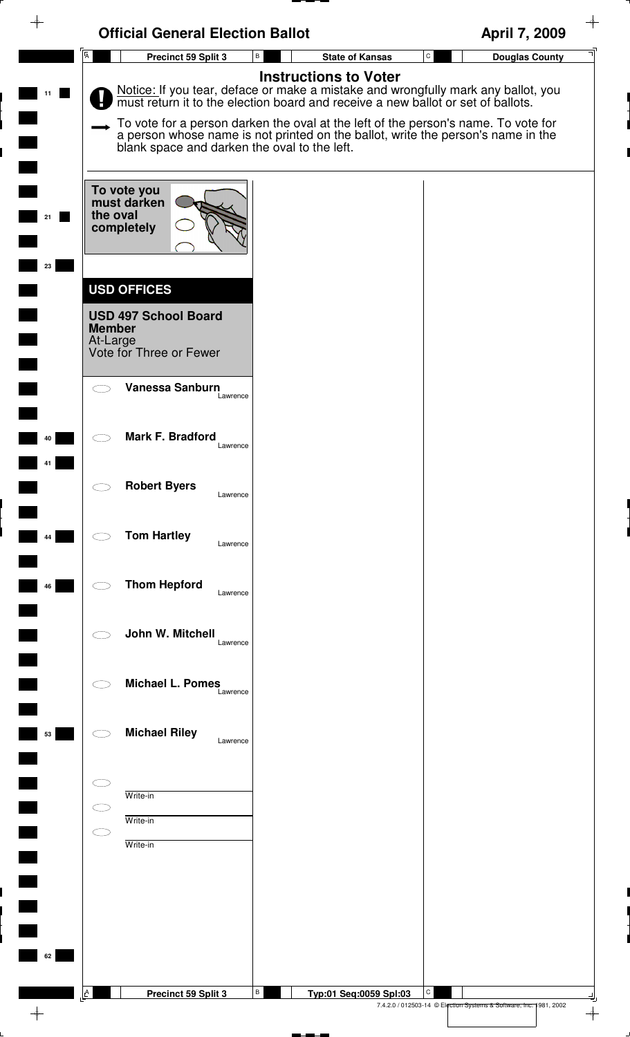| ♦  | <b>Official General Election Ballot</b>                                             |                                                                                                                                                                                                    | April 7, 2009                                                                            |
|----|-------------------------------------------------------------------------------------|----------------------------------------------------------------------------------------------------------------------------------------------------------------------------------------------------|------------------------------------------------------------------------------------------|
|    | $\overline{A}$<br>Precinct 59 Split 3                                               | <b>State of Kansas</b><br>В                                                                                                                                                                        | $\mathtt{C}$<br><b>Douglas County</b>                                                    |
|    |                                                                                     | <b>Instructions to Voter</b><br>Notice: If you tear, deface or make a mistake and wrongfully mark any ballot, you must return it to the election board and receive a new ballot or set of ballots. |                                                                                          |
|    | blank space and darken the oval to the left.                                        | To vote for a person darken the oval at the left of the person's name. To vote for<br>a person whose name is not printed on the ballot, write the person's name in the                             |                                                                                          |
| 23 | To vote you<br>must darken<br>the oval<br>completely                                |                                                                                                                                                                                                    |                                                                                          |
|    | <b>USD OFFICES</b>                                                                  |                                                                                                                                                                                                    |                                                                                          |
|    | <b>USD 497 School Board</b><br><b>Member</b><br>At-Large<br>Vote for Three or Fewer |                                                                                                                                                                                                    |                                                                                          |
|    | Vanessa Sanburn<br>Lawrence                                                         |                                                                                                                                                                                                    |                                                                                          |
| 40 | Mark F. Bradford<br>Lawrence                                                        |                                                                                                                                                                                                    |                                                                                          |
|    | <b>Robert Byers</b><br>$\bigcirc$<br>Lawrence                                       |                                                                                                                                                                                                    |                                                                                          |
| 44 | <b>Tom Hartley</b><br>Lawrence                                                      |                                                                                                                                                                                                    |                                                                                          |
| 46 | <b>Thom Hepford</b><br>Lawrence                                                     |                                                                                                                                                                                                    |                                                                                          |
|    | John W. Mitchell<br>Lawrence                                                        |                                                                                                                                                                                                    |                                                                                          |
|    | <b>Michael L. Pomes</b><br>Lawrence                                                 |                                                                                                                                                                                                    |                                                                                          |
| 53 | <b>Michael Riley</b><br>Lawrence                                                    |                                                                                                                                                                                                    |                                                                                          |
|    | Write-in<br>Write-in                                                                |                                                                                                                                                                                                    |                                                                                          |
|    | Write-in                                                                            |                                                                                                                                                                                                    |                                                                                          |
|    |                                                                                     |                                                                                                                                                                                                    |                                                                                          |
| 62 |                                                                                     |                                                                                                                                                                                                    |                                                                                          |
|    | $\lfloor A \rfloor$<br>Precinct 59 Split 3                                          | В<br>Typ:01 Seq:0059 Spl:03                                                                                                                                                                        | C<br>7.4.2.0 / 012503-14 © Election Systems & Software, Inc. 1981, 2002<br>$\rightarrow$ |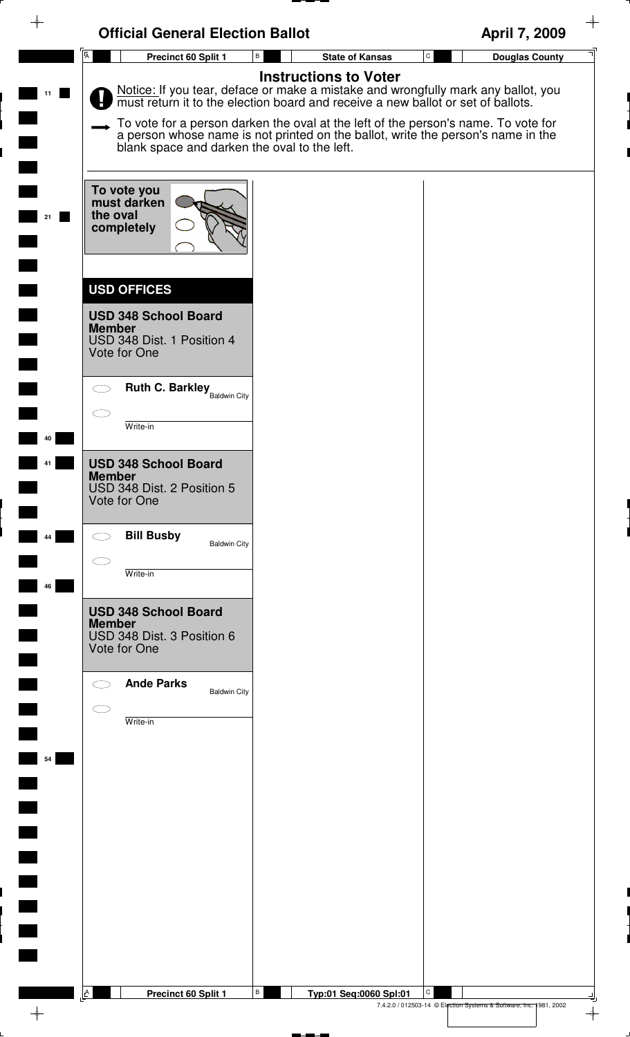|    | <b>Official General Election Ballot</b>                                                                          |                                                                                                                                                                                                                                                                                                                                                                              | $\rightarrow$<br>April 7, 2009                                                           |
|----|------------------------------------------------------------------------------------------------------------------|------------------------------------------------------------------------------------------------------------------------------------------------------------------------------------------------------------------------------------------------------------------------------------------------------------------------------------------------------------------------------|------------------------------------------------------------------------------------------|
|    | $\overline{A}$<br>Precinct 60 Split 1                                                                            | В<br><b>State of Kansas</b>                                                                                                                                                                                                                                                                                                                                                  | $\mathtt{C}$<br><b>Douglas County</b>                                                    |
| 11 | blank space and darken the oval to the left.                                                                     | <b>Instructions to Voter</b><br>Notice: If you tear, deface or make a mistake and wrongfully mark any ballot, you must return it to the election board and receive a new ballot or set of ballots.<br>To vote for a person darken the oval at the left of the person's name. To vote for<br>a person whose name is not printed on the ballot, write the person's name in the |                                                                                          |
| 21 | To vote you<br>must darken<br>the oval<br>completely                                                             |                                                                                                                                                                                                                                                                                                                                                                              |                                                                                          |
|    | <b>USD OFFICES</b><br><b>USD 348 School Board</b><br><b>Member</b><br>USD 348 Dist. 1 Position 4<br>Vote for One |                                                                                                                                                                                                                                                                                                                                                                              |                                                                                          |
|    | <b>Ruth C. Barkley</b> Baldwin City<br>Write-in                                                                  |                                                                                                                                                                                                                                                                                                                                                                              |                                                                                          |
| 40 | <b>USD 348 School Board</b><br><b>Member</b><br>USD 348 Dist. 2 Position 5<br>Vote for One                       |                                                                                                                                                                                                                                                                                                                                                                              |                                                                                          |
|    | <b>Bill Busby</b><br><b>Baldwin City</b>                                                                         |                                                                                                                                                                                                                                                                                                                                                                              |                                                                                          |
| 46 | Write-in                                                                                                         |                                                                                                                                                                                                                                                                                                                                                                              |                                                                                          |
|    | <b>USD 348 School Board</b><br><b>Member</b><br>USD 348 Dist. 3 Position 6<br>Vote for One                       |                                                                                                                                                                                                                                                                                                                                                                              |                                                                                          |
|    | <b>Ande Parks</b><br><b>Baldwin City</b>                                                                         |                                                                                                                                                                                                                                                                                                                                                                              |                                                                                          |
| 54 | Write-in                                                                                                         |                                                                                                                                                                                                                                                                                                                                                                              |                                                                                          |
|    |                                                                                                                  |                                                                                                                                                                                                                                                                                                                                                                              |                                                                                          |
|    |                                                                                                                  |                                                                                                                                                                                                                                                                                                                                                                              |                                                                                          |
|    |                                                                                                                  |                                                                                                                                                                                                                                                                                                                                                                              |                                                                                          |
|    | A<br>Precinct 60 Split 1                                                                                         | В<br>Typ:01 Seq:0060 Spl:01                                                                                                                                                                                                                                                                                                                                                  | C<br>7.4.2.0 / 012503-14 © Election Systems & Software, Inc. 1981, 2002<br>$\rightarrow$ |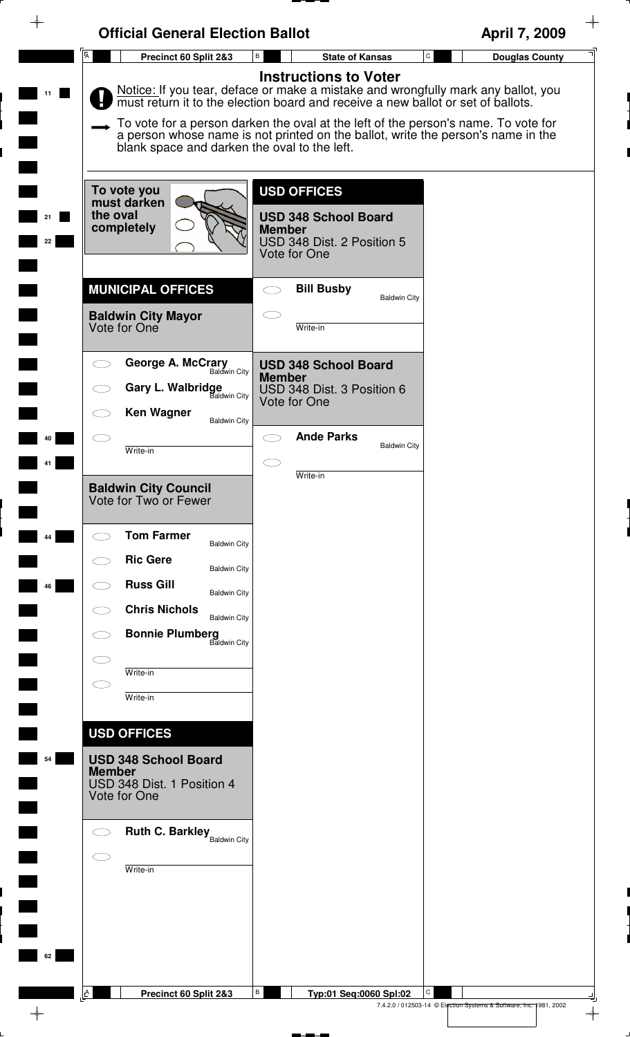| $\rightarrow$ | <b>Official General Election Ballot</b>                                                                                          |                                                                                                                                                                                                                                                                                                                                                                                 | April 7, 2009                                                                            |
|---------------|----------------------------------------------------------------------------------------------------------------------------------|---------------------------------------------------------------------------------------------------------------------------------------------------------------------------------------------------------------------------------------------------------------------------------------------------------------------------------------------------------------------------------|------------------------------------------------------------------------------------------|
|               | $\overline{A}$<br>Precinct 60 Split 2&3                                                                                          | В<br><b>State of Kansas</b>                                                                                                                                                                                                                                                                                                                                                     | $\mathtt{C}$<br><b>Douglas County</b>                                                    |
| 11            | blank space and darken the oval to the left.                                                                                     | <b>Instructions to Voter</b><br>Notice: If you tear, deface or make a mistake and wrongfully mark any ballot, you<br>must return it to the election board and receive a new ballot or set of ballots.<br>To vote for a person darken the oval at the left of the person's name. To vote for<br>a person whose name is not printed on the ballot, write the person's name in the |                                                                                          |
| 21<br>22      | To vote you<br>must darken<br>the oval<br>completely                                                                             | <b>USD OFFICES</b><br><b>USD 348 School Board</b><br><b>Member</b><br>USD 348 Dist. 2 Position 5<br>Vote for One                                                                                                                                                                                                                                                                |                                                                                          |
|               | <b>MUNICIPAL OFFICES</b><br><b>Baldwin City Mayor</b><br>Vote for One                                                            | <b>Bill Busby</b><br><b>Baldwin City</b><br>Write-in                                                                                                                                                                                                                                                                                                                            |                                                                                          |
|               | George A. McCrary<br>Baldwin City<br>Gary L. Walbridge<br>Baldwin City<br><b>Ken Wagner</b><br><b>Baldwin City</b>               | <b>USD 348 School Board</b><br><b>Member</b><br>USD 348 Dist. 3 Position 6<br>Vote for One                                                                                                                                                                                                                                                                                      |                                                                                          |
| 40            | Write-in                                                                                                                         | <b>Ande Parks</b><br><b>Baldwin City</b><br>Write-in                                                                                                                                                                                                                                                                                                                            |                                                                                          |
|               | <b>Baldwin City Council</b><br>Vote for Two or Fewer                                                                             |                                                                                                                                                                                                                                                                                                                                                                                 |                                                                                          |
| 44            | <b>Tom Farmer</b><br><b>Baldwin City</b><br><b>Ric Gere</b><br><b>Baldwin City</b>                                               |                                                                                                                                                                                                                                                                                                                                                                                 |                                                                                          |
| 46            | <b>Russ Gill</b><br><b>Baldwin City</b><br><b>Chris Nichols</b><br><b>Baldwin City</b><br><b>Bonnie Plumberg</b><br>Baldwin City |                                                                                                                                                                                                                                                                                                                                                                                 |                                                                                          |
|               | Write-in<br>Write-in                                                                                                             |                                                                                                                                                                                                                                                                                                                                                                                 |                                                                                          |
| 54            | <b>USD OFFICES</b><br><b>USD 348 School Board</b><br><b>Member</b><br>USD 348 Dist. 1 Position 4<br>Vote for One                 |                                                                                                                                                                                                                                                                                                                                                                                 |                                                                                          |
|               | <b>Ruth C. Barkley</b> Baldwin City<br>Write-in                                                                                  |                                                                                                                                                                                                                                                                                                                                                                                 |                                                                                          |
| 62            |                                                                                                                                  |                                                                                                                                                                                                                                                                                                                                                                                 |                                                                                          |
|               | A<br>Precinct 60 Split 2&3                                                                                                       | В<br>Typ:01 Seq:0060 Spl:02                                                                                                                                                                                                                                                                                                                                                     | C<br>7.4.2.0 / 012503-14 © Election Systems & Software, Inc. 1981, 2002<br>$\rightarrow$ |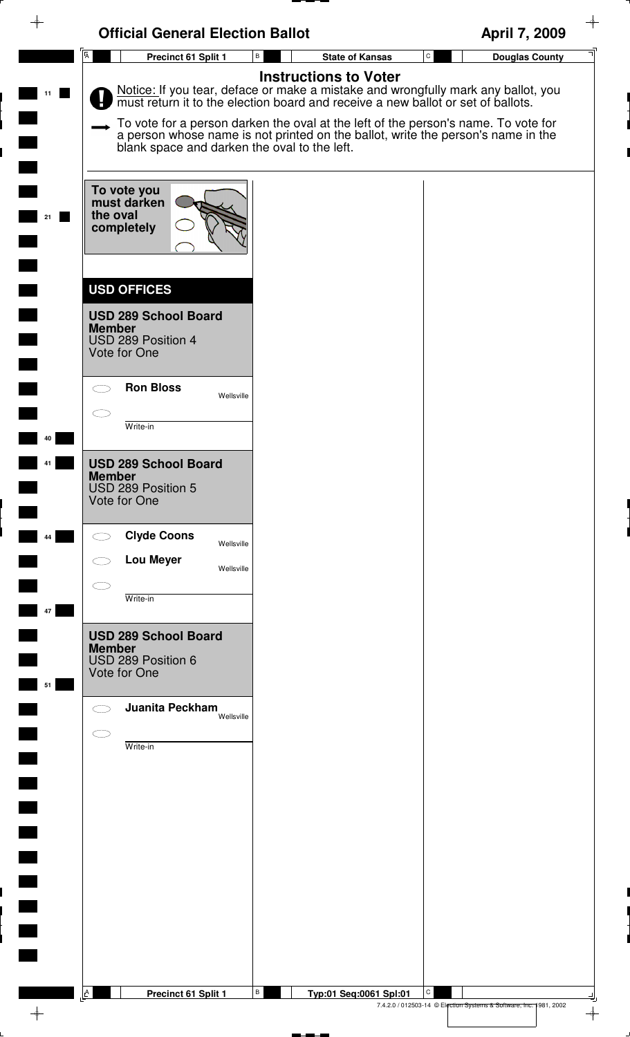|                | <b>Official General Election Ballot</b>                                                                                                                                                                                |                              | April 7, 2009                      |
|----------------|------------------------------------------------------------------------------------------------------------------------------------------------------------------------------------------------------------------------|------------------------------|------------------------------------|
| $\overline{A}$ | $\, {\bf B} \,$<br>Precinct 61 Split 1                                                                                                                                                                                 | <b>State of Kansas</b>       | ${\tt C}$<br><b>Douglas County</b> |
| 11             | Notice: If you tear, deface or make a mistake and wrongfully mark any ballot, you must return it to the election board and receive a new ballot or set of ballots.                                                     | <b>Instructions to Voter</b> |                                    |
|                | To vote for a person darken the oval at the left of the person's name. To vote for<br>a person whose name is not printed on the ballot, write the person's name in the<br>blank space and darken the oval to the left. |                              |                                    |
| 21             | To vote you<br>must darken<br>the oval<br>completely                                                                                                                                                                   |                              |                                    |
|                | <b>USD OFFICES</b>                                                                                                                                                                                                     |                              |                                    |
|                | <b>USD 289 School Board</b><br><b>Member</b><br>USD 289 Position 4<br>Vote for One                                                                                                                                     |                              |                                    |
|                | <b>Ron Bloss</b><br>Wellsville                                                                                                                                                                                         |                              |                                    |
| 40             | Write-in                                                                                                                                                                                                               |                              |                                    |
| 41             | <b>USD 289 School Board</b><br><b>Member</b><br>USD 289 Position 5<br>Vote for One                                                                                                                                     |                              |                                    |
| 44             | <b>Clyde Coons</b><br>Wellsville                                                                                                                                                                                       |                              |                                    |
|                | <b>Lou Meyer</b><br>Wellsville                                                                                                                                                                                         |                              |                                    |
| 47             | Write-in                                                                                                                                                                                                               |                              |                                    |
| 51             | <b>USD 289 School Board</b><br><b>Member</b><br>USD 289 Position 6<br>Vote for One                                                                                                                                     |                              |                                    |
|                | Juanita Peckham<br>Wellsville                                                                                                                                                                                          |                              |                                    |
|                | $\subset$ $\bar{ }$<br>Write-in                                                                                                                                                                                        |                              |                                    |
|                |                                                                                                                                                                                                                        |                              |                                    |
|                |                                                                                                                                                                                                                        |                              |                                    |
|                |                                                                                                                                                                                                                        |                              |                                    |
|                |                                                                                                                                                                                                                        |                              |                                    |
|                |                                                                                                                                                                                                                        |                              |                                    |
|                |                                                                                                                                                                                                                        |                              |                                    |
| A              | В<br>Precinct 61 Split 1                                                                                                                                                                                               | Typ:01 Seq:0061 Spl:01       |                                    |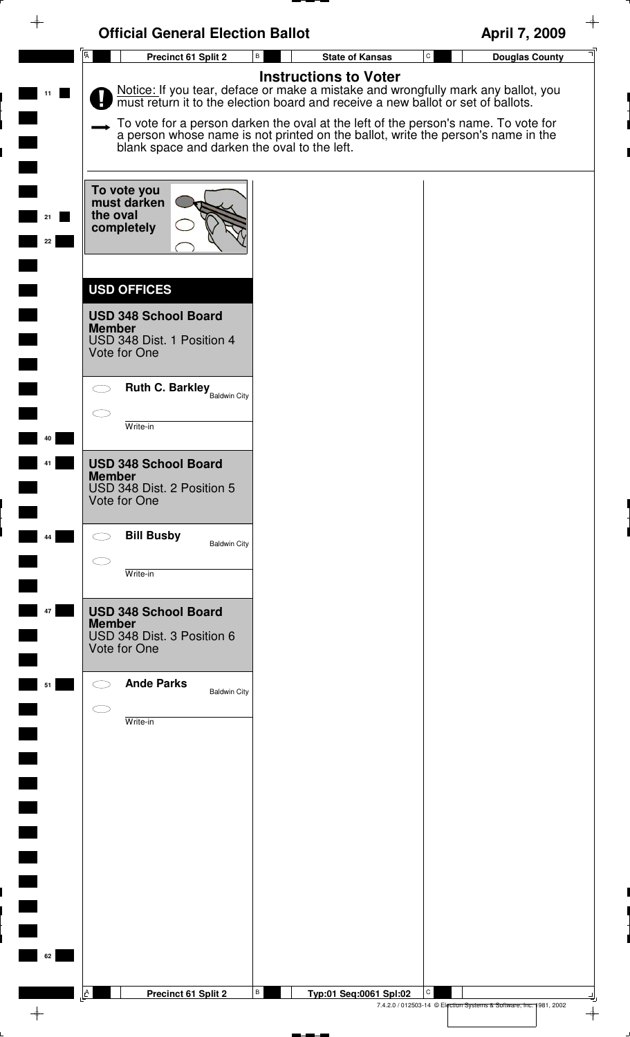| $\rightarrow$                     | <b>Official General Election Ballot</b>                                                                          |                                                                                                                                                                                                    | ┿<br>April 7, 2009                                                                  |
|-----------------------------------|------------------------------------------------------------------------------------------------------------------|----------------------------------------------------------------------------------------------------------------------------------------------------------------------------------------------------|-------------------------------------------------------------------------------------|
|                                   | $\overline{A}$<br>Precinct 61 Split 2                                                                            | В<br><b>State of Kansas</b>                                                                                                                                                                        | ${\tt C}$<br><b>Douglas County</b>                                                  |
| 11                                |                                                                                                                  | <b>Instructions to Voter</b><br>Notice: If you tear, deface or make a mistake and wrongfully mark any ballot, you must return it to the election board and receive a new ballot or set of ballots. |                                                                                     |
|                                   | blank space and darken the oval to the left.                                                                     | To vote for a person darken the oval at the left of the person's name. To vote for<br>a person whose name is not printed on the ballot, write the person's name in the                             |                                                                                     |
| 22                                | To vote you<br>must darken<br>the oval<br>completely                                                             |                                                                                                                                                                                                    |                                                                                     |
|                                   | <b>USD OFFICES</b><br><b>USD 348 School Board</b><br><b>Member</b><br>USD 348 Dist. 1 Position 4<br>Vote for One |                                                                                                                                                                                                    |                                                                                     |
|                                   | <b>Ruth C. Barkley</b> Baldwin City                                                                              |                                                                                                                                                                                                    |                                                                                     |
| 40                                | Write-in                                                                                                         |                                                                                                                                                                                                    |                                                                                     |
|                                   | <b>USD 348 School Board</b><br><b>Member</b><br>USD 348 Dist. 2 Position 5<br>Vote for One                       |                                                                                                                                                                                                    |                                                                                     |
| 44                                | <b>Bill Busby</b><br><b>Baldwin City</b>                                                                         |                                                                                                                                                                                                    |                                                                                     |
|                                   | Write-in                                                                                                         |                                                                                                                                                                                                    |                                                                                     |
| 47<br>$\mathcal{L}^{\mathcal{L}}$ | <b>USD 348 School Board</b><br><b>Member</b><br>USD 348 Dist. 3 Position 6<br>Vote for One                       |                                                                                                                                                                                                    |                                                                                     |
| 51                                | <b>Ande Parks</b><br><b>Baldwin City</b>                                                                         |                                                                                                                                                                                                    |                                                                                     |
|                                   | Write-in                                                                                                         |                                                                                                                                                                                                    |                                                                                     |
|                                   |                                                                                                                  |                                                                                                                                                                                                    |                                                                                     |
|                                   |                                                                                                                  |                                                                                                                                                                                                    |                                                                                     |
|                                   |                                                                                                                  |                                                                                                                                                                                                    |                                                                                     |
|                                   |                                                                                                                  |                                                                                                                                                                                                    |                                                                                     |
| 62                                |                                                                                                                  |                                                                                                                                                                                                    |                                                                                     |
|                                   | A<br>Precinct 61 Split 2                                                                                         | B<br>Typ:01 Seq:0061 Spl:02                                                                                                                                                                        | C                                                                                   |
| $\rightarrow$                     |                                                                                                                  |                                                                                                                                                                                                    | 7.4.2.0 / 012503-14 © Election Systems & Software, Inc. 1981, 2002<br>$\rightarrow$ |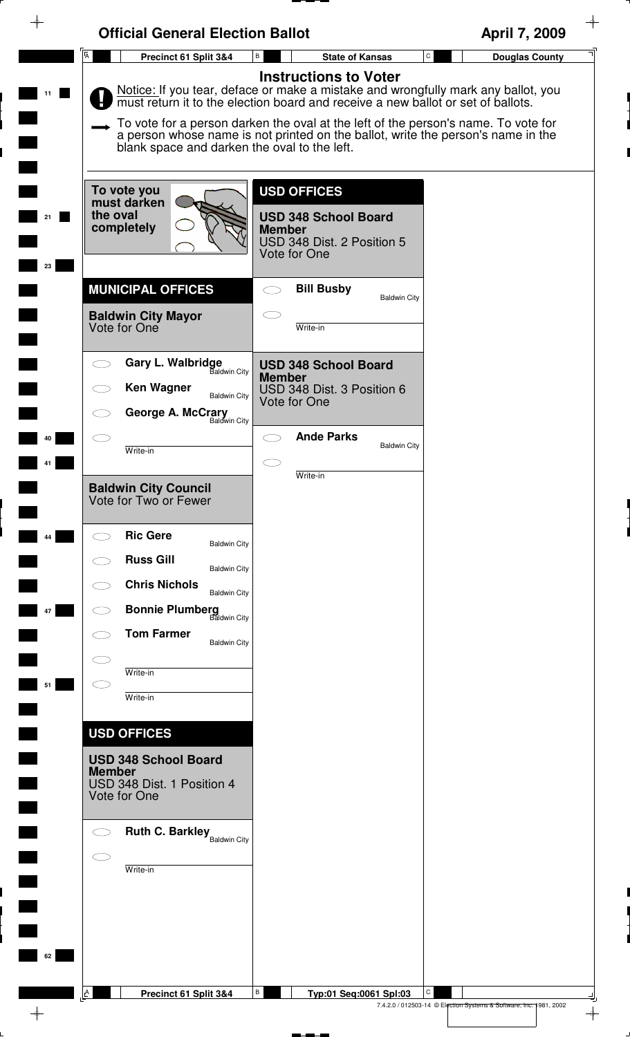| প  | <b>Official General Election Ballot</b>                                                                                          |                                                                                                                                                                                                                                                                                                                                                                              | April 7, 2009                                                                  |
|----|----------------------------------------------------------------------------------------------------------------------------------|------------------------------------------------------------------------------------------------------------------------------------------------------------------------------------------------------------------------------------------------------------------------------------------------------------------------------------------------------------------------------|--------------------------------------------------------------------------------|
|    | $\overline{A}$<br>Precinct 61 Split 3&4                                                                                          | В<br><b>State of Kansas</b>                                                                                                                                                                                                                                                                                                                                                  | ${\tt C}$<br><b>Douglas County</b>                                             |
|    | blank space and darken the oval to the left.                                                                                     | <b>Instructions to Voter</b><br>Notice: If you tear, deface or make a mistake and wrongfully mark any ballot, you must return it to the election board and receive a new ballot or set of ballots.<br>To vote for a person darken the oval at the left of the person's name. To vote for<br>a person whose name is not printed on the ballot, write the person's name in the |                                                                                |
| 23 | To vote you<br>must darken<br>the oval<br>completely                                                                             | <b>USD OFFICES</b><br><b>USD 348 School Board</b><br><b>Member</b><br>USD 348 Dist. 2 Position 5<br>Vote for One                                                                                                                                                                                                                                                             |                                                                                |
|    | <b>MUNICIPAL OFFICES</b><br><b>Baldwin City Mayor</b><br>Vote for One                                                            | <b>Bill Busby</b><br><b>Baldwin City</b><br>Write-in                                                                                                                                                                                                                                                                                                                         |                                                                                |
|    | <b>Gary L. Walbridge</b><br><b>Baldwin City</b><br><b>Ken Wagner</b><br><b>Baldwin City</b><br>George A. McCrary<br>Baldwin City | <b>USD 348 School Board</b><br><b>Member</b><br>USD 348 Dist. 3 Position 6<br>Vote for One                                                                                                                                                                                                                                                                                   |                                                                                |
|    | Write-in                                                                                                                         | <b>Ande Parks</b><br><b>Baldwin City</b><br>Write-in                                                                                                                                                                                                                                                                                                                         |                                                                                |
|    | <b>Baldwin City Council</b><br>Vote for Two or Fewer<br><b>Ric Gere</b>                                                          |                                                                                                                                                                                                                                                                                                                                                                              |                                                                                |
| 44 | <b>Baldwin City</b><br><b>Russ Gill</b><br><b>Baldwin City</b><br><b>Chris Nichols</b><br><b>Baldwin City</b>                    |                                                                                                                                                                                                                                                                                                                                                                              |                                                                                |
| 47 | <b>Bonnie Plumberg</b><br>Baldwin City<br><b>Tom Farmer</b><br><b>Baldwin City</b>                                               |                                                                                                                                                                                                                                                                                                                                                                              |                                                                                |
| 51 | Write-in<br>Write-in                                                                                                             |                                                                                                                                                                                                                                                                                                                                                                              |                                                                                |
|    | <b>USD OFFICES</b><br><b>USD 348 School Board</b><br><b>Member</b><br>USD 348 Dist. 1 Position 4<br>Vote for One                 |                                                                                                                                                                                                                                                                                                                                                                              |                                                                                |
|    | <b>Ruth C. Barkley</b> Baldwin City<br>Write-in                                                                                  |                                                                                                                                                                                                                                                                                                                                                                              |                                                                                |
| 62 |                                                                                                                                  |                                                                                                                                                                                                                                                                                                                                                                              |                                                                                |
|    | $\mathbb{A}$<br>Precinct 61 Split 3&4                                                                                            | В<br>Typ:01 Seq:0061 Spl:03                                                                                                                                                                                                                                                                                                                                                  | C<br>7.4.2.0 / 012503-14 © Election Systems & Software, Inc. 1981, 2002<br>╼ᠹ═ |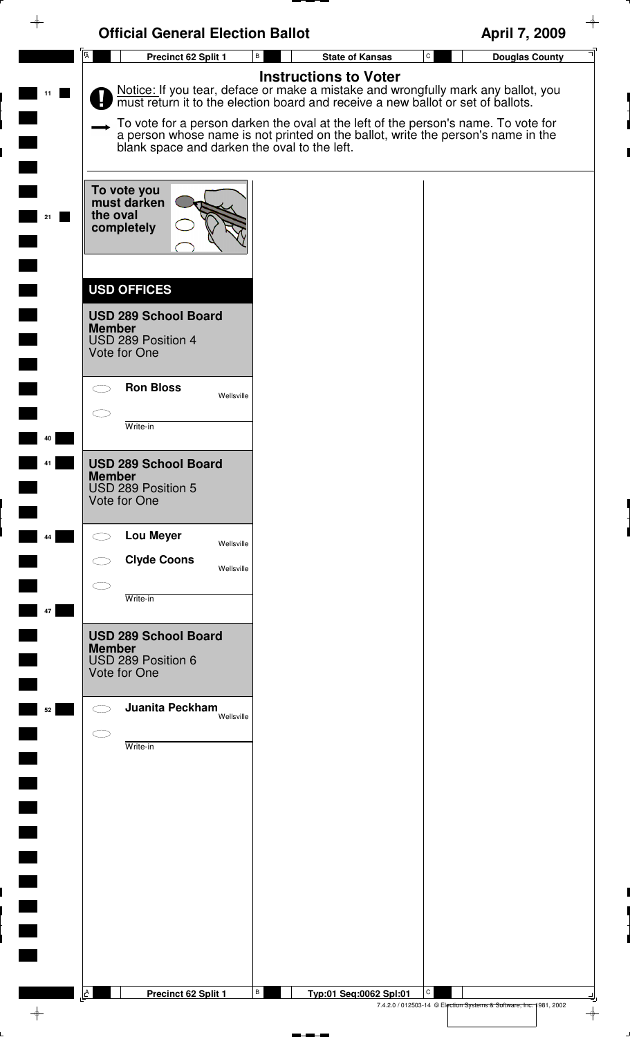| <b>Official General Election Ballot</b>                                                                                                                                                                                | April 7, 2009                      |
|------------------------------------------------------------------------------------------------------------------------------------------------------------------------------------------------------------------------|------------------------------------|
| $\overline{A}$<br>$\, {\bf B} \,$<br>Precinct 62 Split 1<br><b>State of Kansas</b>                                                                                                                                     | ${\tt C}$<br><b>Douglas County</b> |
| <b>Instructions to Voter</b><br>Notice: If you tear, deface or make a mistake and wrongfully mark any ballot, you must return it to the election board and receive a new ballot or set of ballots.<br>11               |                                    |
| To vote for a person darken the oval at the left of the person's name. To vote for<br>a person whose name is not printed on the ballot, write the person's name in the<br>blank space and darken the oval to the left. |                                    |
| To vote you<br>must darken<br>the oval<br>21<br>completely                                                                                                                                                             |                                    |
| <b>USD OFFICES</b>                                                                                                                                                                                                     |                                    |
| <b>USD 289 School Board</b><br><b>Member</b><br>USD 289 Position 4<br>Vote for One                                                                                                                                     |                                    |
| <b>Ron Bloss</b><br>Wellsville                                                                                                                                                                                         |                                    |
| Write-in<br>40                                                                                                                                                                                                         |                                    |
| <b>USD 289 School Board</b><br><b>Member</b><br>USD 289 Position 5<br>Vote for One                                                                                                                                     |                                    |
| <b>Lou Meyer</b><br>44<br>Wellsville                                                                                                                                                                                   |                                    |
| <b>Clyde Coons</b><br>Wellsville                                                                                                                                                                                       |                                    |
| Write-in<br>47                                                                                                                                                                                                         |                                    |
| <b>USD 289 School Board</b><br><b>Member</b><br>USD 289 Position 6<br>Vote for One                                                                                                                                     |                                    |
| Juanita Peckham<br>52<br>Wellsville                                                                                                                                                                                    |                                    |
| Write-in                                                                                                                                                                                                               |                                    |
|                                                                                                                                                                                                                        |                                    |
|                                                                                                                                                                                                                        |                                    |
|                                                                                                                                                                                                                        |                                    |
|                                                                                                                                                                                                                        |                                    |
|                                                                                                                                                                                                                        |                                    |
|                                                                                                                                                                                                                        |                                    |
| В<br>A<br>Precinct 62 Split 1<br>Typ:01 Seq:0062 Spl:01                                                                                                                                                                | С                                  |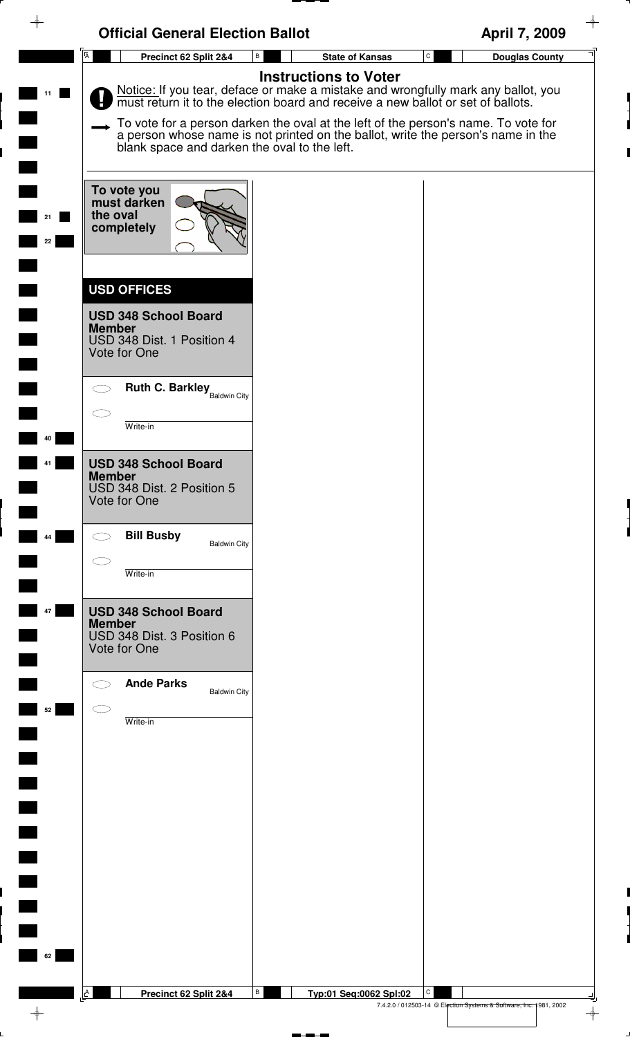| ⊕<br><b>Official General Election Ballot</b>                                                                     |                                                                                                                                                                                                                                                                                                                                                                              | April 7, 2009                                                      |
|------------------------------------------------------------------------------------------------------------------|------------------------------------------------------------------------------------------------------------------------------------------------------------------------------------------------------------------------------------------------------------------------------------------------------------------------------------------------------------------------------|--------------------------------------------------------------------|
| $\overline{A}$<br>Precinct 62 Split 2&4                                                                          | В<br><b>State of Kansas</b>                                                                                                                                                                                                                                                                                                                                                  | $\mathtt{C}$<br><b>Douglas County</b>                              |
|                                                                                                                  | <b>Instructions to Voter</b><br>Notice: If you tear, deface or make a mistake and wrongfully mark any ballot, you must return it to the election board and receive a new ballot or set of ballots.<br>To vote for a person darken the oval at the left of the person's name. To vote for<br>a person whose name is not printed on the ballot, write the person's name in the |                                                                    |
| blank space and darken the oval to the left.<br>To vote you<br>must darken<br>the oval<br>completely<br>22       |                                                                                                                                                                                                                                                                                                                                                                              |                                                                    |
| <b>USD OFFICES</b><br><b>USD 348 School Board</b><br><b>Member</b><br>USD 348 Dist. 1 Position 4<br>Vote for One |                                                                                                                                                                                                                                                                                                                                                                              |                                                                    |
| <b>Ruth C. Barkley</b> Baldwin City<br>Write-in<br>40                                                            |                                                                                                                                                                                                                                                                                                                                                                              |                                                                    |
| <b>USD 348 School Board</b><br><b>Member</b><br>USD 348 Dist. 2 Position 5<br>Vote for One                       |                                                                                                                                                                                                                                                                                                                                                                              |                                                                    |
| <b>Bill Busby</b><br>44<br><b>Baldwin City</b>                                                                   |                                                                                                                                                                                                                                                                                                                                                                              |                                                                    |
| Write-in                                                                                                         |                                                                                                                                                                                                                                                                                                                                                                              |                                                                    |
| <b>USD 348 School Board</b><br>47<br><b>Member</b><br>USD 348 Dist. 3 Position 6<br>Vote for One                 |                                                                                                                                                                                                                                                                                                                                                                              |                                                                    |
| <b>Ande Parks</b><br><b>Baldwin City</b><br>52<br>Write-in                                                       |                                                                                                                                                                                                                                                                                                                                                                              |                                                                    |
|                                                                                                                  |                                                                                                                                                                                                                                                                                                                                                                              |                                                                    |
| $\blacksquare$                                                                                                   |                                                                                                                                                                                                                                                                                                                                                                              |                                                                    |
|                                                                                                                  |                                                                                                                                                                                                                                                                                                                                                                              |                                                                    |
| $\overline{\phantom{0}}$                                                                                         |                                                                                                                                                                                                                                                                                                                                                                              |                                                                    |
| 62                                                                                                               |                                                                                                                                                                                                                                                                                                                                                                              |                                                                    |
|                                                                                                                  | В                                                                                                                                                                                                                                                                                                                                                                            | С                                                                  |
| A<br>Precinct 62 Split 2&4<br>$\rightarrow$                                                                      | Typ:01 Seq:0062 Spl:02                                                                                                                                                                                                                                                                                                                                                       | 7.4.2.0 / 012503-14 © Election Systems & Software, Inc. 1981, 2002 |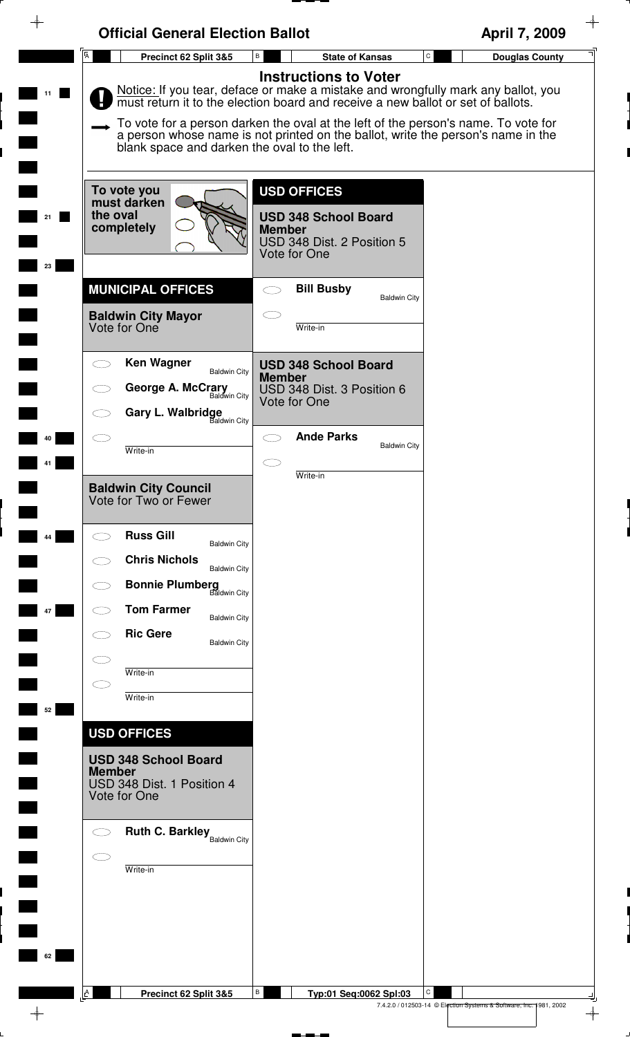| $\rightarrow$ | <b>Official General Election Ballot</b>                                                                                           |                                                                                                                                                                                                                                                                                                                                                                                 | April 7, 2009                                                                            |
|---------------|-----------------------------------------------------------------------------------------------------------------------------------|---------------------------------------------------------------------------------------------------------------------------------------------------------------------------------------------------------------------------------------------------------------------------------------------------------------------------------------------------------------------------------|------------------------------------------------------------------------------------------|
|               | Ā<br>Precinct 62 Split 3&5                                                                                                        | В<br><b>State of Kansas</b>                                                                                                                                                                                                                                                                                                                                                     | $\mathtt{C}$<br><b>Douglas County</b>                                                    |
| 11            | blank space and darken the oval to the left.                                                                                      | <b>Instructions to Voter</b><br>Notice: If you tear, deface or make a mistake and wrongfully mark any ballot, you<br>must return it to the election board and receive a new ballot or set of ballots.<br>To vote for a person darken the oval at the left of the person's name. To vote for<br>a person whose name is not printed on the ballot, write the person's name in the |                                                                                          |
| 23            | To vote you<br>must darken<br>the oval<br>completely                                                                              | <b>USD OFFICES</b><br><b>USD 348 School Board</b><br><b>Member</b><br>USD 348 Dist. 2 Position 5<br>Vote for One                                                                                                                                                                                                                                                                |                                                                                          |
|               | <b>MUNICIPAL OFFICES</b><br><b>Baldwin City Mayor</b><br>Vote for One                                                             | <b>Bill Busby</b><br><b>Baldwin City</b><br>Write-in                                                                                                                                                                                                                                                                                                                            |                                                                                          |
|               | <b>Ken Wagner</b><br><b>Baldwin City</b><br>George A. McCrary<br>Baldwin City<br><b>Gary L. Walbridge</b><br>Baldwin City         | <b>USD 348 School Board</b><br><b>Member</b><br>USD 348 Dist. 3 Position 6<br>Vote for One                                                                                                                                                                                                                                                                                      |                                                                                          |
|               | Write-in<br><b>Baldwin City Council</b>                                                                                           | <b>Ande Parks</b><br><b>Baldwin City</b><br>Write-in                                                                                                                                                                                                                                                                                                                            |                                                                                          |
| 44            | Vote for Two or Fewer<br><b>Russ Gill</b><br><b>Baldwin City</b><br><b>Chris Nichols</b><br><b>Baldwin City</b>                   |                                                                                                                                                                                                                                                                                                                                                                                 |                                                                                          |
| 47            | <b>Bonnie Plumberg</b><br>Baldwin City<br><b>Tom Farmer</b><br><b>Baldwin City</b><br><b>Ric Gere</b><br><b>Baldwin City</b>      |                                                                                                                                                                                                                                                                                                                                                                                 |                                                                                          |
| 52            | Write-in<br>Write-in<br><b>USD OFFICES</b>                                                                                        |                                                                                                                                                                                                                                                                                                                                                                                 |                                                                                          |
|               | <b>USD 348 School Board</b><br><b>Member</b><br>USD 348 Dist. 1 Position 4<br>Vote for One<br><b>Ruth C. Barkley</b> Baldwin City |                                                                                                                                                                                                                                                                                                                                                                                 |                                                                                          |
|               | Write-in                                                                                                                          |                                                                                                                                                                                                                                                                                                                                                                                 |                                                                                          |
| 62            |                                                                                                                                   |                                                                                                                                                                                                                                                                                                                                                                                 |                                                                                          |
|               | A<br>Precinct 62 Split 3&5                                                                                                        | В<br>Typ:01 Seq:0062 Spl:03                                                                                                                                                                                                                                                                                                                                                     | C<br>7.4.2.0 / 012503-14 © Election Systems & Software, Inc. 1981, 2002<br>$\rightarrow$ |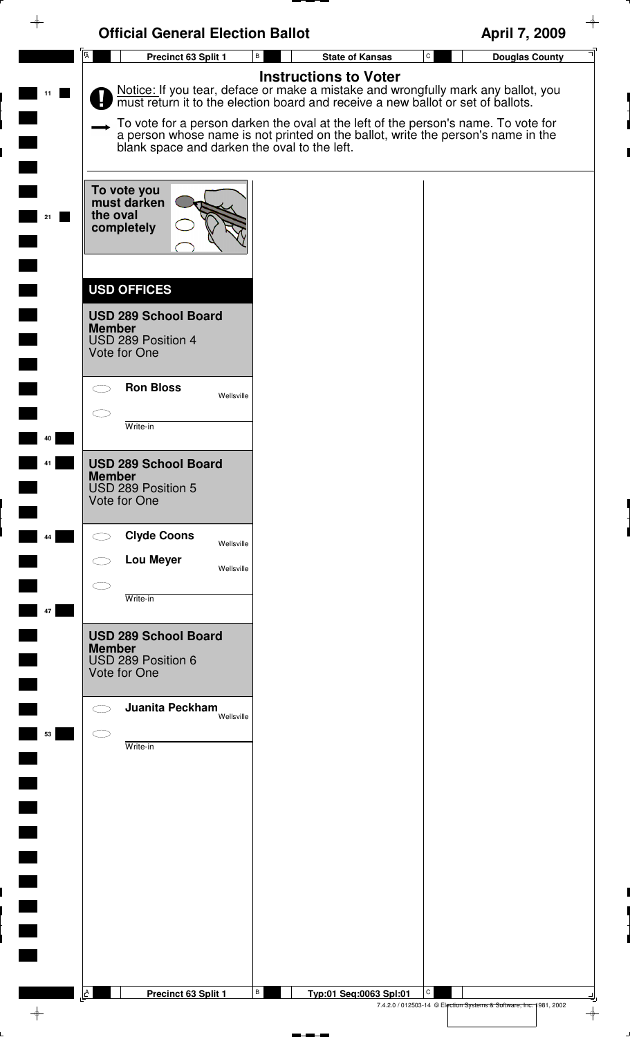| ✦                        | <b>Official General Election Ballot</b>                                                                  |                                                                                                                                                                                                                                                                                                                                                                              | April 7, 2009                                                           |
|--------------------------|----------------------------------------------------------------------------------------------------------|------------------------------------------------------------------------------------------------------------------------------------------------------------------------------------------------------------------------------------------------------------------------------------------------------------------------------------------------------------------------------|-------------------------------------------------------------------------|
|                          | $\overline{A}$<br>Precinct 63 Split 1                                                                    | $\, {\bf B} \,$<br><b>State of Kansas</b>                                                                                                                                                                                                                                                                                                                                    | $\mathtt{C}$<br><b>Douglas County</b>                                   |
| 11                       | blank space and darken the oval to the left.                                                             | <b>Instructions to Voter</b><br>Notice: If you tear, deface or make a mistake and wrongfully mark any ballot, you must return it to the election board and receive a new ballot or set of ballots.<br>To vote for a person darken the oval at the left of the person's name. To vote for<br>a person whose name is not printed on the ballot, write the person's name in the |                                                                         |
| 21                       | To vote you<br>must darken<br>the oval<br>completely                                                     |                                                                                                                                                                                                                                                                                                                                                                              |                                                                         |
|                          | <b>USD OFFICES</b><br><b>USD 289 School Board</b><br><b>Member</b><br>USD 289 Position 4<br>Vote for One |                                                                                                                                                                                                                                                                                                                                                                              |                                                                         |
| 40                       | <b>Ron Bloss</b><br>$\subset$ $\bar{\phantom{a}}$<br>Wellsville<br>Write-in                              |                                                                                                                                                                                                                                                                                                                                                                              |                                                                         |
|                          | <b>USD 289 School Board</b><br><b>Member</b><br>USD 289 Position 5<br>Vote for One                       |                                                                                                                                                                                                                                                                                                                                                                              |                                                                         |
| 44                       | <b>Clyde Coons</b><br>Wellsville<br><b>Lou Meyer</b><br>Wellsville                                       |                                                                                                                                                                                                                                                                                                                                                                              |                                                                         |
| 47                       | Write-in                                                                                                 |                                                                                                                                                                                                                                                                                                                                                                              |                                                                         |
|                          | <b>USD 289 School Board</b><br><b>Member</b><br>USD 289 Position 6<br>Vote for One                       |                                                                                                                                                                                                                                                                                                                                                                              |                                                                         |
| 53                       | Juanita Peckham<br>Wellsville<br>$\subset$<br>Write-in                                                   |                                                                                                                                                                                                                                                                                                                                                                              |                                                                         |
|                          |                                                                                                          |                                                                                                                                                                                                                                                                                                                                                                              |                                                                         |
|                          |                                                                                                          |                                                                                                                                                                                                                                                                                                                                                                              |                                                                         |
|                          |                                                                                                          |                                                                                                                                                                                                                                                                                                                                                                              |                                                                         |
|                          |                                                                                                          |                                                                                                                                                                                                                                                                                                                                                                              |                                                                         |
| $\overline{\phantom{a}}$ | $\mathbf{A}$<br>Precinct 63 Split 1                                                                      | $\, {\bf B} \,$<br>Typ:01 Seq:0063 Spl:01                                                                                                                                                                                                                                                                                                                                    | C<br>7.4.2.0 / 012503-14 © Election Systems & Software, Inc. 1981, 2002 |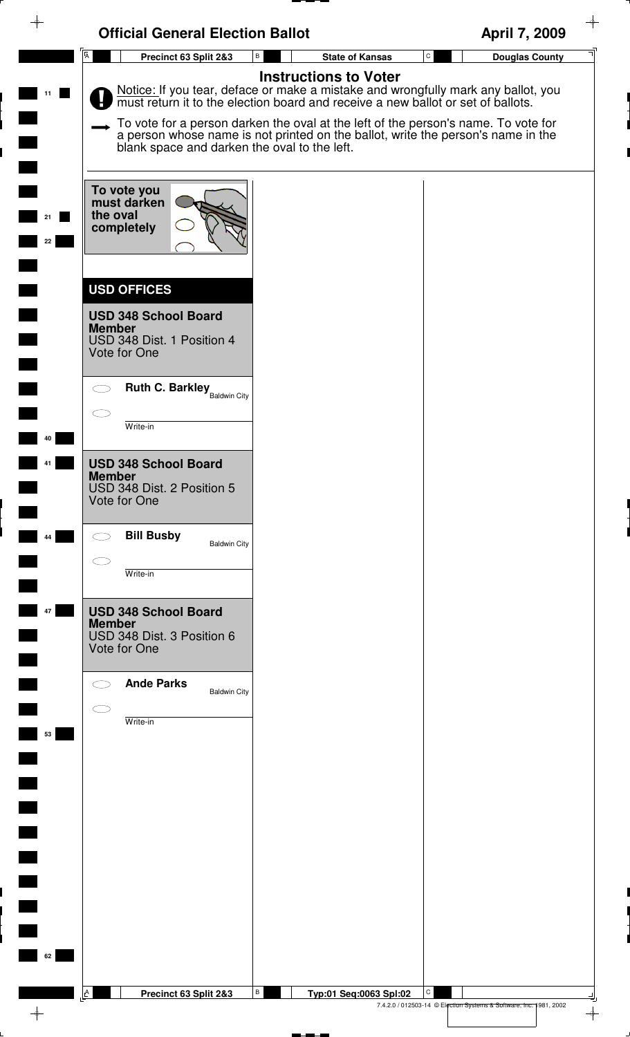| $\overline{A}$<br>$\mathtt{C}$<br>В<br><b>State of Kansas</b><br>Precinct 63 Split 2&3<br><b>Douglas County</b><br><b>Instructions to Voter</b><br>Notice: If you tear, deface or make a mistake and wrongfully mark any ballot, you must return it to the election board and receive a new ballot or set of ballots.<br>To vote for a person darken the oval at the left of the person's name. To vote for<br>a person whose name is not printed on the ballot, write the person's name in the<br>blank space and darken the oval to the left.<br>To vote you<br>must darken<br>the oval<br>completely<br>22<br><b>USD OFFICES</b><br><b>USD 348 School Board</b><br><b>Member</b><br>USD 348 Dist. 1 Position 4<br>Vote for One<br><b>Ruth C. Barkley</b> Baldwin City<br>Write-in<br>40<br><b>USD 348 School Board</b><br><b>Member</b><br>USD 348 Dist. 2 Position 5<br>Vote for One<br><b>Bill Busby</b><br>44<br><b>Baldwin City</b><br>Write-in<br><b>USD 348 School Board</b><br>47<br><b>Member</b><br>USD 348 Dist. 3 Position 6<br>Vote for One<br><b>Ande Parks</b><br><b>Baldwin City</b><br>Write-in<br>53<br>$\Box$<br>$\overline{\phantom{0}}$<br>62<br>A<br>В<br>С | ⊕ | <b>Official General Election Ballot</b> |                        | April 7, 2009 |
|-------------------------------------------------------------------------------------------------------------------------------------------------------------------------------------------------------------------------------------------------------------------------------------------------------------------------------------------------------------------------------------------------------------------------------------------------------------------------------------------------------------------------------------------------------------------------------------------------------------------------------------------------------------------------------------------------------------------------------------------------------------------------------------------------------------------------------------------------------------------------------------------------------------------------------------------------------------------------------------------------------------------------------------------------------------------------------------------------------------------------------------------------------------------------------------|---|-----------------------------------------|------------------------|---------------|
|                                                                                                                                                                                                                                                                                                                                                                                                                                                                                                                                                                                                                                                                                                                                                                                                                                                                                                                                                                                                                                                                                                                                                                                     |   |                                         |                        |               |
|                                                                                                                                                                                                                                                                                                                                                                                                                                                                                                                                                                                                                                                                                                                                                                                                                                                                                                                                                                                                                                                                                                                                                                                     |   |                                         |                        |               |
|                                                                                                                                                                                                                                                                                                                                                                                                                                                                                                                                                                                                                                                                                                                                                                                                                                                                                                                                                                                                                                                                                                                                                                                     |   |                                         |                        |               |
|                                                                                                                                                                                                                                                                                                                                                                                                                                                                                                                                                                                                                                                                                                                                                                                                                                                                                                                                                                                                                                                                                                                                                                                     |   |                                         |                        |               |
|                                                                                                                                                                                                                                                                                                                                                                                                                                                                                                                                                                                                                                                                                                                                                                                                                                                                                                                                                                                                                                                                                                                                                                                     |   |                                         |                        |               |
|                                                                                                                                                                                                                                                                                                                                                                                                                                                                                                                                                                                                                                                                                                                                                                                                                                                                                                                                                                                                                                                                                                                                                                                     |   |                                         |                        |               |
|                                                                                                                                                                                                                                                                                                                                                                                                                                                                                                                                                                                                                                                                                                                                                                                                                                                                                                                                                                                                                                                                                                                                                                                     |   |                                         |                        |               |
|                                                                                                                                                                                                                                                                                                                                                                                                                                                                                                                                                                                                                                                                                                                                                                                                                                                                                                                                                                                                                                                                                                                                                                                     |   |                                         |                        |               |
|                                                                                                                                                                                                                                                                                                                                                                                                                                                                                                                                                                                                                                                                                                                                                                                                                                                                                                                                                                                                                                                                                                                                                                                     |   |                                         |                        |               |
|                                                                                                                                                                                                                                                                                                                                                                                                                                                                                                                                                                                                                                                                                                                                                                                                                                                                                                                                                                                                                                                                                                                                                                                     |   |                                         |                        |               |
|                                                                                                                                                                                                                                                                                                                                                                                                                                                                                                                                                                                                                                                                                                                                                                                                                                                                                                                                                                                                                                                                                                                                                                                     |   |                                         |                        |               |
|                                                                                                                                                                                                                                                                                                                                                                                                                                                                                                                                                                                                                                                                                                                                                                                                                                                                                                                                                                                                                                                                                                                                                                                     |   |                                         |                        |               |
|                                                                                                                                                                                                                                                                                                                                                                                                                                                                                                                                                                                                                                                                                                                                                                                                                                                                                                                                                                                                                                                                                                                                                                                     |   |                                         |                        |               |
|                                                                                                                                                                                                                                                                                                                                                                                                                                                                                                                                                                                                                                                                                                                                                                                                                                                                                                                                                                                                                                                                                                                                                                                     |   |                                         |                        |               |
|                                                                                                                                                                                                                                                                                                                                                                                                                                                                                                                                                                                                                                                                                                                                                                                                                                                                                                                                                                                                                                                                                                                                                                                     |   | Precinct 63 Split 2&3                   | Typ:01 Seq:0063 Spl:02 |               |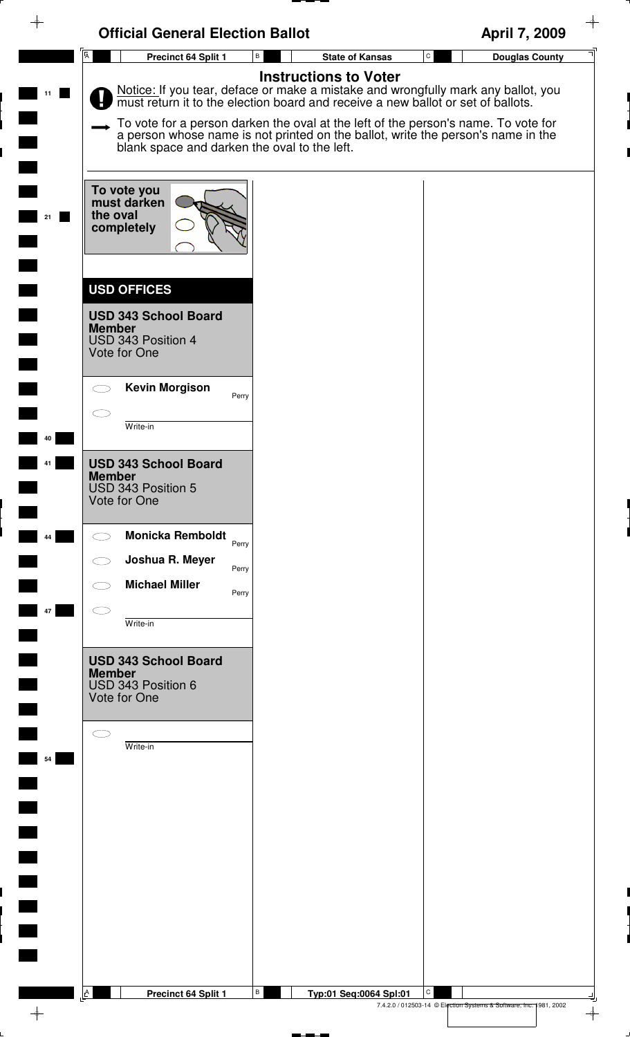| <b>Official General Election Ballot</b>                                            |                                                                                                                                                                                                                        | April 7, 2009                                                           |
|------------------------------------------------------------------------------------|------------------------------------------------------------------------------------------------------------------------------------------------------------------------------------------------------------------------|-------------------------------------------------------------------------|
| $\overline{A}$<br>Precinct 64 Split 1                                              | В<br><b>State of Kansas</b><br><b>Instructions to Voter</b>                                                                                                                                                            | $\mathtt{C}$<br><b>Douglas County</b>                                   |
|                                                                                    | Notice: If you tear, deface or make a mistake and wrongfully mark any ballot, you must return it to the election board and receive a new ballot or set of ballots.                                                     |                                                                         |
|                                                                                    | To vote for a person darken the oval at the left of the person's name. To vote for<br>a person whose name is not printed on the ballot, write the person's name in the<br>blank space and darken the oval to the left. |                                                                         |
| To vote you<br>must darken<br>the oval<br>21<br>completely                         |                                                                                                                                                                                                                        |                                                                         |
| <b>USD OFFICES</b>                                                                 |                                                                                                                                                                                                                        |                                                                         |
| <b>USD 343 School Board</b><br><b>Member</b><br>USD 343 Position 4<br>Vote for One |                                                                                                                                                                                                                        |                                                                         |
| <b>Kevin Morgison</b>                                                              | Perry                                                                                                                                                                                                                  |                                                                         |
| Write-in<br>40                                                                     |                                                                                                                                                                                                                        |                                                                         |
| <b>USD 343 School Board</b><br><b>Member</b><br>USD 343 Position 5<br>Vote for One |                                                                                                                                                                                                                        |                                                                         |
| <b>Monicka Remboldt</b><br>44                                                      | Perry                                                                                                                                                                                                                  |                                                                         |
| Joshua R. Meyer                                                                    | Perry                                                                                                                                                                                                                  |                                                                         |
| <b>Michael Miller</b><br>47                                                        | Perry                                                                                                                                                                                                                  |                                                                         |
| Write-in                                                                           |                                                                                                                                                                                                                        |                                                                         |
| <b>USD 343 School Board</b><br><b>Member</b><br>USD 343 Position 6<br>Vote for One |                                                                                                                                                                                                                        |                                                                         |
| Write-in                                                                           |                                                                                                                                                                                                                        |                                                                         |
| 54                                                                                 |                                                                                                                                                                                                                        |                                                                         |
|                                                                                    |                                                                                                                                                                                                                        |                                                                         |
|                                                                                    |                                                                                                                                                                                                                        |                                                                         |
|                                                                                    |                                                                                                                                                                                                                        |                                                                         |
|                                                                                    |                                                                                                                                                                                                                        |                                                                         |
|                                                                                    |                                                                                                                                                                                                                        |                                                                         |
|                                                                                    |                                                                                                                                                                                                                        |                                                                         |
| A<br>Precinct 64 Split 1                                                           | В<br>Typ:01 Seq:0064 Spl:01                                                                                                                                                                                            | C<br>7.4.2.0 / 012503-14 © Election Systems & Software, Inc. 1981, 2002 |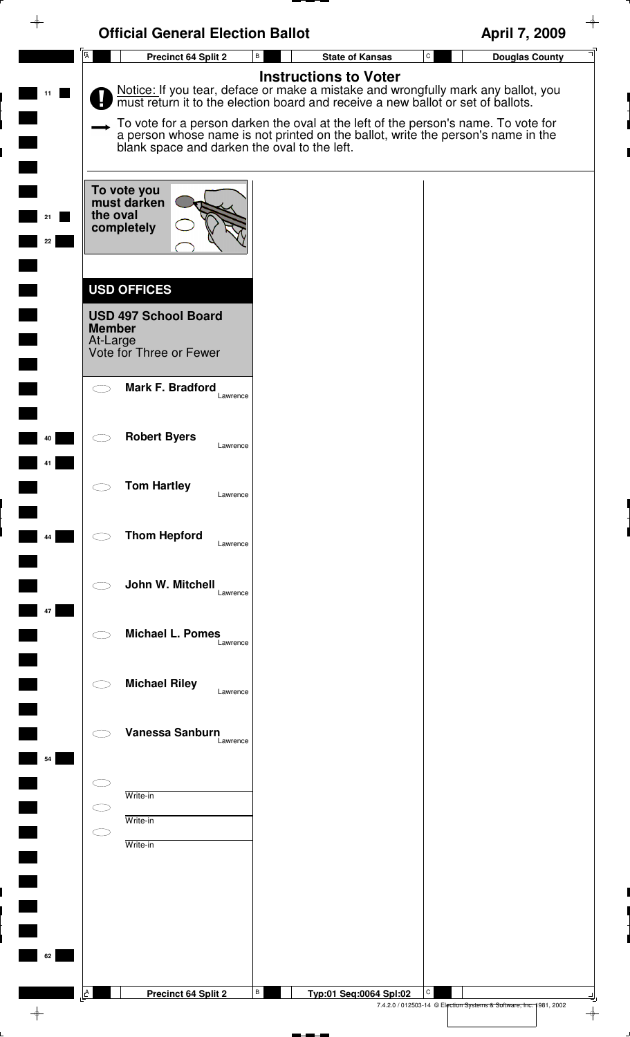| ♦        | <b>Official General Election Ballot</b>                                                                   |                                                                                                                                                                                                                                                                                                                                                                              | April 7, 2009                                                                            |
|----------|-----------------------------------------------------------------------------------------------------------|------------------------------------------------------------------------------------------------------------------------------------------------------------------------------------------------------------------------------------------------------------------------------------------------------------------------------------------------------------------------------|------------------------------------------------------------------------------------------|
|          | $\overline{A}$<br><b>Precinct 64 Split 2</b>                                                              | $\mathsf{B}$<br><b>State of Kansas</b>                                                                                                                                                                                                                                                                                                                                       | $\mathtt{C}$<br><b>Douglas County</b>                                                    |
|          | blank space and darken the oval to the left.                                                              | <b>Instructions to Voter</b><br>Notice: If you tear, deface or make a mistake and wrongfully mark any ballot, you must return it to the election board and receive a new ballot or set of ballots.<br>To vote for a person darken the oval at the left of the person's name. To vote for<br>a person whose name is not printed on the ballot, write the person's name in the |                                                                                          |
| 21<br>22 | To vote you<br>must darken<br>the oval<br>completely                                                      |                                                                                                                                                                                                                                                                                                                                                                              |                                                                                          |
|          | <b>USD OFFICES</b><br><b>USD 497 School Board</b><br><b>Member</b><br>At-Large<br>Vote for Three or Fewer |                                                                                                                                                                                                                                                                                                                                                                              |                                                                                          |
|          | Mark F. Bradford<br>Lawrence                                                                              |                                                                                                                                                                                                                                                                                                                                                                              |                                                                                          |
| 40       | <b>Robert Byers</b><br>Lawrence                                                                           |                                                                                                                                                                                                                                                                                                                                                                              |                                                                                          |
|          | <b>Tom Hartley</b><br>Lawrence                                                                            |                                                                                                                                                                                                                                                                                                                                                                              |                                                                                          |
| 44       | <b>Thom Hepford</b><br>Lawrence                                                                           |                                                                                                                                                                                                                                                                                                                                                                              |                                                                                          |
| 47       | John W. Mitchell<br>Lawrence                                                                              |                                                                                                                                                                                                                                                                                                                                                                              |                                                                                          |
|          | <b>Michael L. Pomes</b><br>Lawrence<br><b>Michael Riley</b>                                               |                                                                                                                                                                                                                                                                                                                                                                              |                                                                                          |
|          | Lawrence<br>Vanessa Sanburn                                                                               |                                                                                                                                                                                                                                                                                                                                                                              |                                                                                          |
| 54       | Lawrence                                                                                                  |                                                                                                                                                                                                                                                                                                                                                                              |                                                                                          |
|          | Write-in<br>Write-in<br>Write-in                                                                          |                                                                                                                                                                                                                                                                                                                                                                              |                                                                                          |
|          |                                                                                                           |                                                                                                                                                                                                                                                                                                                                                                              |                                                                                          |
| 62       |                                                                                                           |                                                                                                                                                                                                                                                                                                                                                                              |                                                                                          |
|          | A<br>Precinct 64 Split 2                                                                                  | В<br>Typ:01 Seq:0064 Spl:02                                                                                                                                                                                                                                                                                                                                                  | С<br>7.4.2.0 / 012503-14 © Election Systems & Software, Inc. 1981, 2002<br>$\rightarrow$ |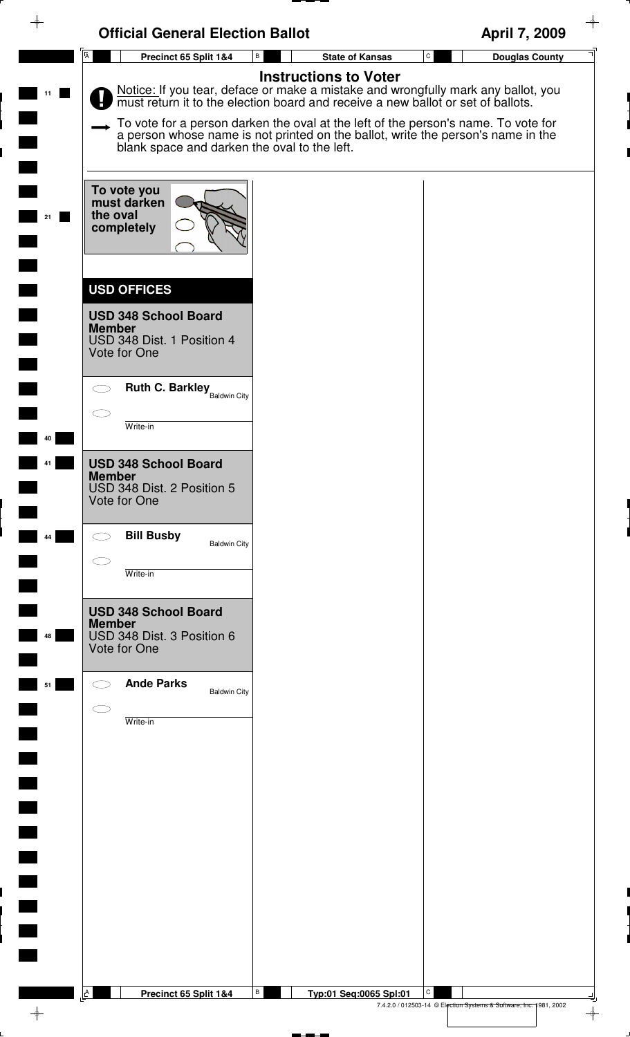| $\rightarrow$ | <b>Official General Election Ballot</b>                                                                                                                                                                                                                                                                                                                                                      |                              | April 7, 2009                                                           |
|---------------|----------------------------------------------------------------------------------------------------------------------------------------------------------------------------------------------------------------------------------------------------------------------------------------------------------------------------------------------------------------------------------------------|------------------------------|-------------------------------------------------------------------------|
|               | $\overline{A}$<br>$\, {\bf B} \,$<br>Precinct 65 Split 1&4                                                                                                                                                                                                                                                                                                                                   | <b>State of Kansas</b>       | $\mathtt{C}$<br><b>Douglas County</b>                                   |
|               | Notice: If you tear, deface or make a mistake and wrongfully mark any ballot, you must return it to the election board and receive a new ballot or set of ballots.<br>To vote for a person darken the oval at the left of the person's name. To vote for<br>a person whose name is not printed on the ballot, write the person's name in the<br>blank space and darken the oval to the left. | <b>Instructions to Voter</b> |                                                                         |
|               | To vote you<br>must darken<br>the oval<br>completely                                                                                                                                                                                                                                                                                                                                         |                              |                                                                         |
|               | <b>USD OFFICES</b><br><b>USD 348 School Board</b><br><b>Member</b><br>USD 348 Dist. 1 Position 4<br>Vote for One                                                                                                                                                                                                                                                                             |                              |                                                                         |
|               | <b>Ruth C. Barkley</b> Baldwin City<br>Write-in                                                                                                                                                                                                                                                                                                                                              |                              |                                                                         |
|               | <b>USD 348 School Board</b><br><b>Member</b><br>USD 348 Dist. 2 Position 5<br>Vote for One                                                                                                                                                                                                                                                                                                   |                              |                                                                         |
| 44            | <b>Bill Busby</b><br><b>Baldwin City</b><br>Write-in                                                                                                                                                                                                                                                                                                                                         |                              |                                                                         |
| 48            | <b>USD 348 School Board</b><br><b>Member</b><br>USD 348 Dist. 3 Position 6<br>Vote for One                                                                                                                                                                                                                                                                                                   |                              |                                                                         |
| 51            | <b>Ande Parks</b><br><b>Baldwin City</b><br>Write-in                                                                                                                                                                                                                                                                                                                                         |                              |                                                                         |
|               |                                                                                                                                                                                                                                                                                                                                                                                              |                              |                                                                         |
|               |                                                                                                                                                                                                                                                                                                                                                                                              |                              |                                                                         |
|               |                                                                                                                                                                                                                                                                                                                                                                                              |                              |                                                                         |
|               | $\, {\bf B} \,$<br><u>A</u><br>Precinct 65 Split 1&4                                                                                                                                                                                                                                                                                                                                         | Typ:01 Seq:0065 Spl:01       | C<br>7.4.2.0 / 012503-14 © Election Systems & Software, Inc. 1981, 2002 |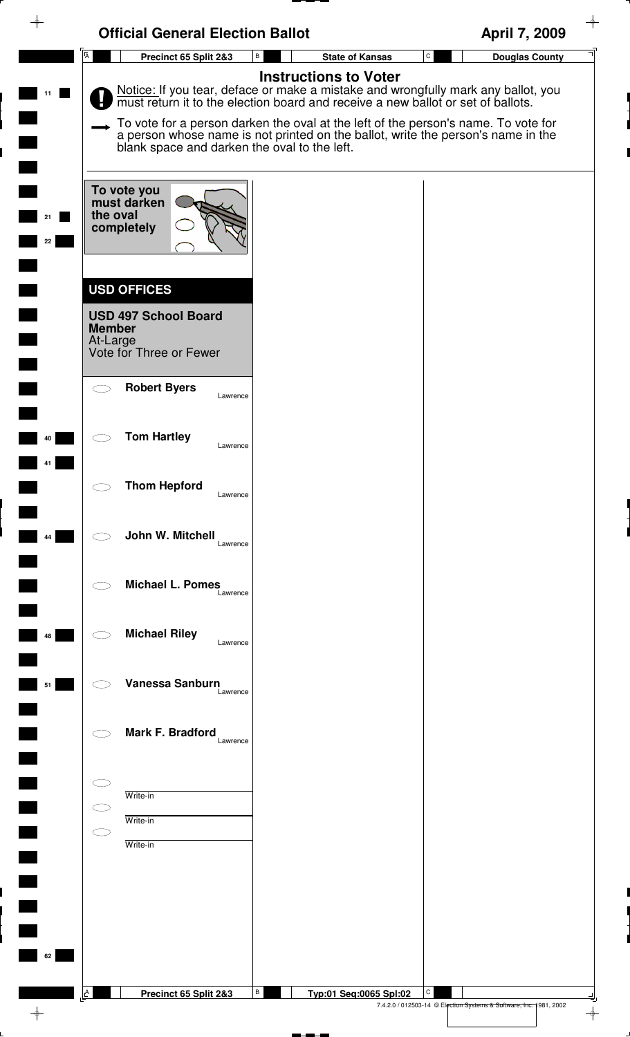| ♦              | <b>Official General Election Ballot</b>                            |                                                                                                                                                                                                    | April 7, 2009                                                           |
|----------------|--------------------------------------------------------------------|----------------------------------------------------------------------------------------------------------------------------------------------------------------------------------------------------|-------------------------------------------------------------------------|
| $\overline{A}$ | Precinct 65 Split 2&3                                              | В<br><b>State of Kansas</b>                                                                                                                                                                        | $\mathtt{C}$<br><b>Douglas County</b>                                   |
|                |                                                                    | <b>Instructions to Voter</b><br>Notice: If you tear, deface or make a mistake and wrongfully mark any ballot, you must return it to the election board and receive a new ballot or set of ballots. |                                                                         |
|                | blank space and darken the oval to the left.                       | To vote for a person darken the oval at the left of the person's name. To vote for<br>a person whose name is not printed on the ballot, write the person's name in the                             |                                                                         |
| 21<br>22       | To vote you<br>must darken<br>the oval<br>completely               |                                                                                                                                                                                                    |                                                                         |
|                | <b>USD OFFICES</b><br><b>USD 497 School Board</b><br><b>Member</b> |                                                                                                                                                                                                    |                                                                         |
|                | At-Large<br>Vote for Three or Fewer                                |                                                                                                                                                                                                    |                                                                         |
|                | <b>Robert Byers</b><br>Lawrence                                    |                                                                                                                                                                                                    |                                                                         |
| 40             | <b>Tom Hartley</b><br>Lawrence                                     |                                                                                                                                                                                                    |                                                                         |
|                | <b>Thom Hepford</b><br>$\bigcirc$<br>Lawrence                      |                                                                                                                                                                                                    |                                                                         |
| 44             | John W. Mitchell<br>Lawrence                                       |                                                                                                                                                                                                    |                                                                         |
|                | <b>Michael L. Pomes</b><br>Lawrence                                |                                                                                                                                                                                                    |                                                                         |
| 48             | <b>Michael Riley</b><br>Lawrence                                   |                                                                                                                                                                                                    |                                                                         |
| 51             | Vanessa Sanburn<br>Lawrence                                        |                                                                                                                                                                                                    |                                                                         |
|                | Mark F. Bradford<br>Lawrence                                       |                                                                                                                                                                                                    |                                                                         |
|                | Write-in                                                           |                                                                                                                                                                                                    |                                                                         |
|                | Write-in                                                           |                                                                                                                                                                                                    |                                                                         |
|                | Write-in                                                           |                                                                                                                                                                                                    |                                                                         |
|                |                                                                    |                                                                                                                                                                                                    |                                                                         |
|                |                                                                    |                                                                                                                                                                                                    |                                                                         |
| 62             |                                                                    |                                                                                                                                                                                                    |                                                                         |
| $\mathbf{A}$   | Precinct 65 Split 2&3                                              | В<br>Typ:01 Seq:0065 Spl:02                                                                                                                                                                        | C<br>7.4.2.0 / 012503-14 © Election Systems & Software, Inc. 1981, 2002 |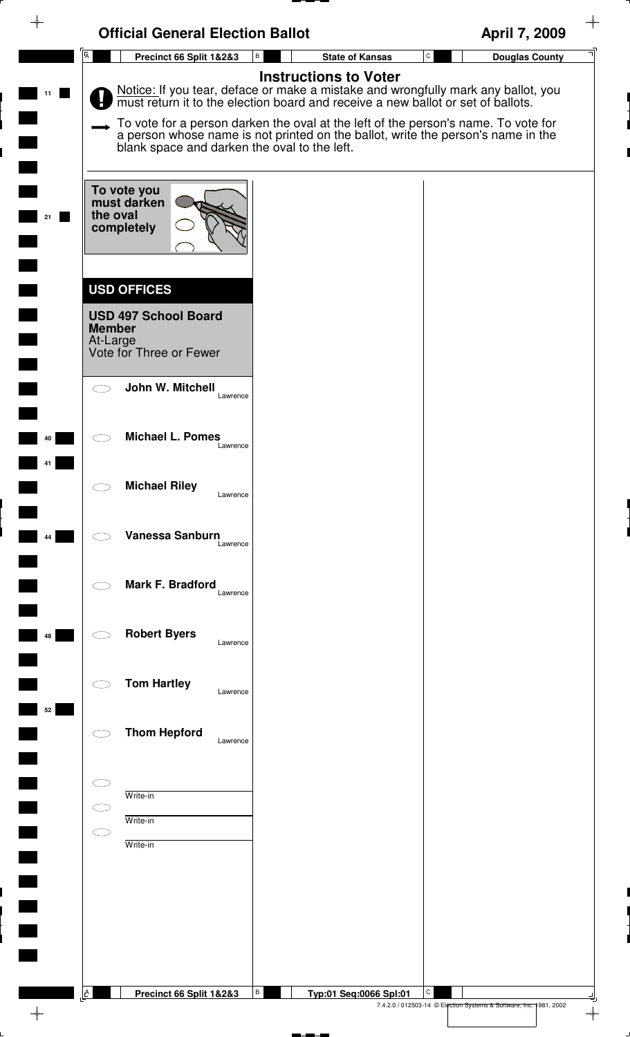|    | <b>Official General Election Ballot</b>                                                                                                                                                                                                                                                                                                                                                      |                              | ✦<br>April 7, 2009                                                      |
|----|----------------------------------------------------------------------------------------------------------------------------------------------------------------------------------------------------------------------------------------------------------------------------------------------------------------------------------------------------------------------------------------------|------------------------------|-------------------------------------------------------------------------|
|    | $\overline{\mathbf{A}}$<br>$\, {\bf B} \,$<br>Precinct 66 Split 1&2&3                                                                                                                                                                                                                                                                                                                        | <b>State of Kansas</b>       | $\mathtt{C}$<br><b>Douglas County</b>                                   |
| 11 | Notice: If you tear, deface or make a mistake and wrongfully mark any ballot, you must return it to the election board and receive a new ballot or set of ballots.<br>To vote for a person darken the oval at the left of the person's name. To vote for<br>a person whose name is not printed on the ballot, write the person's name in the<br>blank space and darken the oval to the left. | <b>Instructions to Voter</b> |                                                                         |
| 21 | To vote you<br>must darken<br>the oval<br>completely                                                                                                                                                                                                                                                                                                                                         |                              |                                                                         |
|    | <b>USD OFFICES</b><br><b>USD 497 School Board</b><br><b>Member</b><br>At-Large<br>Vote for Three or Fewer                                                                                                                                                                                                                                                                                    |                              |                                                                         |
|    | John W. Mitchell<br>$\subset$ $\bar{\ }$<br>Lawrence                                                                                                                                                                                                                                                                                                                                         |                              |                                                                         |
| 40 | <b>Michael L. Pomes</b><br>Lawrence                                                                                                                                                                                                                                                                                                                                                          |                              |                                                                         |
|    | <b>Michael Riley</b><br>Lawrence                                                                                                                                                                                                                                                                                                                                                             |                              |                                                                         |
| 44 | Vanessa Sanburn<br>Lawrence                                                                                                                                                                                                                                                                                                                                                                  |                              |                                                                         |
|    | Mark F. Bradford<br>Lawrence                                                                                                                                                                                                                                                                                                                                                                 |                              |                                                                         |
| 48 | <b>Robert Byers</b><br>Lawrence                                                                                                                                                                                                                                                                                                                                                              |                              |                                                                         |
| 52 | <b>Tom Hartley</b><br>Lawrence                                                                                                                                                                                                                                                                                                                                                               |                              |                                                                         |
|    | <b>Thom Hepford</b><br>Lawrence                                                                                                                                                                                                                                                                                                                                                              |                              |                                                                         |
|    | Write-in<br>Write-in<br>C J<br>Write-in                                                                                                                                                                                                                                                                                                                                                      |                              |                                                                         |
|    |                                                                                                                                                                                                                                                                                                                                                                                              |                              |                                                                         |
|    |                                                                                                                                                                                                                                                                                                                                                                                              |                              |                                                                         |
|    | B<br>$\mathbf{A}$<br>Precinct 66 Split 1&2&3                                                                                                                                                                                                                                                                                                                                                 | Typ:01 Seq:0066 Spl:01       | С<br>7.4.2.0 / 012503-14 © Election Systems & Software, Inc. 1981, 2002 |
|    |                                                                                                                                                                                                                                                                                                                                                                                              |                              | $\overline{\phantom{a}}$                                                |

 $\downarrow$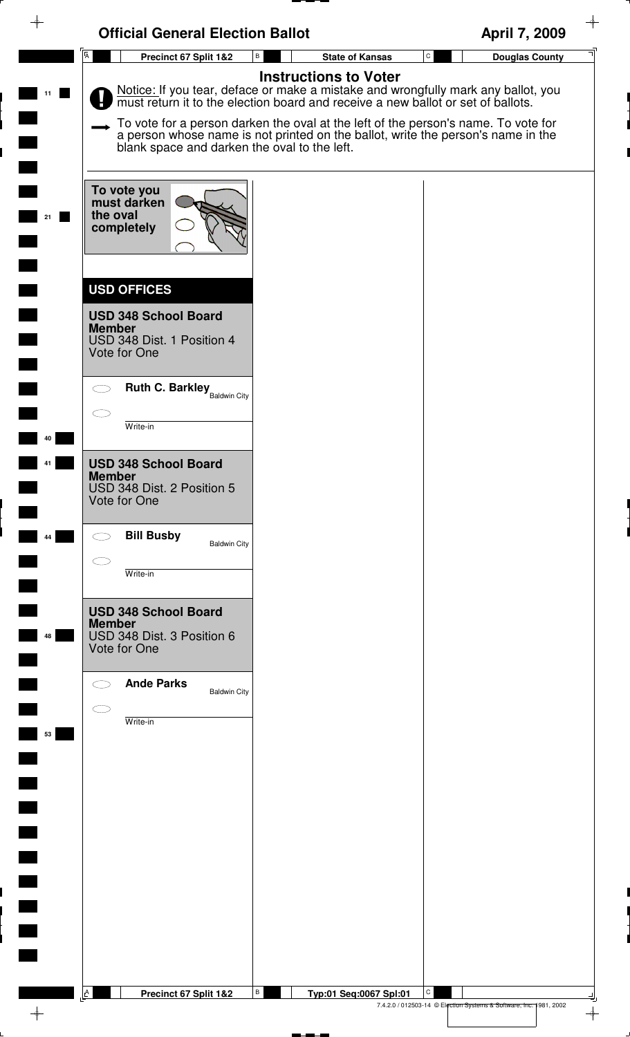|          | <b>Official General Election Ballot</b>                                                                                                                                                                                                                                                                                                                                                                                      |                                        | April 7, 2009         |
|----------|------------------------------------------------------------------------------------------------------------------------------------------------------------------------------------------------------------------------------------------------------------------------------------------------------------------------------------------------------------------------------------------------------------------------------|----------------------------------------|-----------------------|
|          | $\overline{A}$<br>$\, {\bf B} \,$<br>Precinct 67 Split 1&2                                                                                                                                                                                                                                                                                                                                                                   | $\mathtt{C}$<br><b>State of Kansas</b> | <b>Douglas County</b> |
| 11       | <b>Instructions to Voter</b><br>Notice: If you tear, deface or make a mistake and wrongfully mark any ballot, you must return it to the election board and receive a new ballot or set of ballots.<br>To vote for a person darken the oval at the left of the person's name. To vote for<br>a person whose name is not printed on the ballot, write the person's name in the<br>blank space and darken the oval to the left. |                                        |                       |
| 21       | To vote you<br>must darken<br>the oval<br>completely                                                                                                                                                                                                                                                                                                                                                                         |                                        |                       |
|          | <b>USD OFFICES</b><br><b>USD 348 School Board</b><br><b>Member</b><br>USD 348 Dist. 1 Position 4<br>Vote for One                                                                                                                                                                                                                                                                                                             |                                        |                       |
|          | <b>Ruth C. Barkley</b> Baldwin City<br>$\bigcirc$<br>Write-in                                                                                                                                                                                                                                                                                                                                                                |                                        |                       |
| 40<br>41 | <b>USD 348 School Board</b><br><b>Member</b><br>USD 348 Dist. 2 Position 5<br>Vote for One                                                                                                                                                                                                                                                                                                                                   |                                        |                       |
| 44       | <b>Bill Busby</b><br>$\bigcirc$<br><b>Baldwin City</b><br>Write-in                                                                                                                                                                                                                                                                                                                                                           |                                        |                       |
| 48       | <b>USD 348 School Board</b><br><b>Member</b><br>USD 348 Dist. 3 Position 6<br>Vote for One                                                                                                                                                                                                                                                                                                                                   |                                        |                       |
| 53       | <b>Ande Parks</b><br><b>Baldwin City</b><br>Write-in                                                                                                                                                                                                                                                                                                                                                                         |                                        |                       |
|          |                                                                                                                                                                                                                                                                                                                                                                                                                              |                                        |                       |
|          |                                                                                                                                                                                                                                                                                                                                                                                                                              |                                        |                       |
|          |                                                                                                                                                                                                                                                                                                                                                                                                                              |                                        |                       |
|          | В<br>$\mathbf{A}$<br>Precinct 67 Split 1&2                                                                                                                                                                                                                                                                                                                                                                                   | С<br>Typ:01 Seq:0067 Spl:01            |                       |